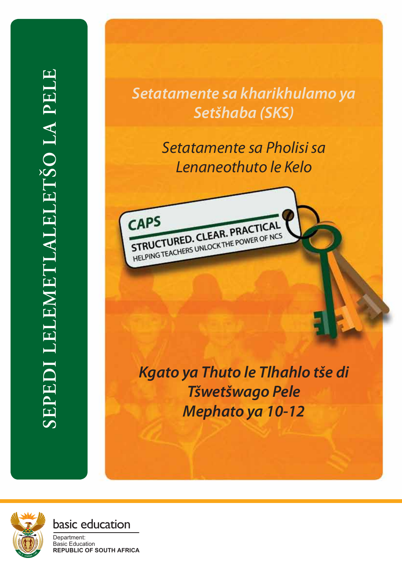*Setatamente sa kharikhulamo ya Setšhaba (SKS)*

> *Setatamente sa Pholisi sa Lenaneothuto le Kelo*



*Kgato ya Thuto le Tlhahlo tše di Tšwetšwago Pele Mephato ya 10-12*





Basic Education Department: **REPUBLIC OF SOUTH AFRICA**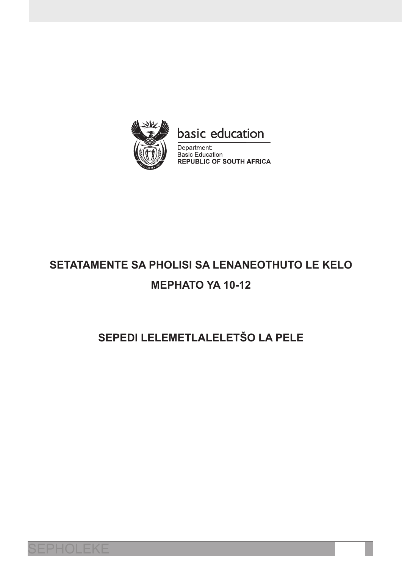

# basic education

Department: **Basic Education REPUBLIC OF SOUTH AFRICA** 

# **SETATAMENTE SA PHOLISI SA LENANEOTHUTO LE KELO MEPHATO YA 10-12**

# **SEPEDI LELEMETLALELETŠO LA PELE**

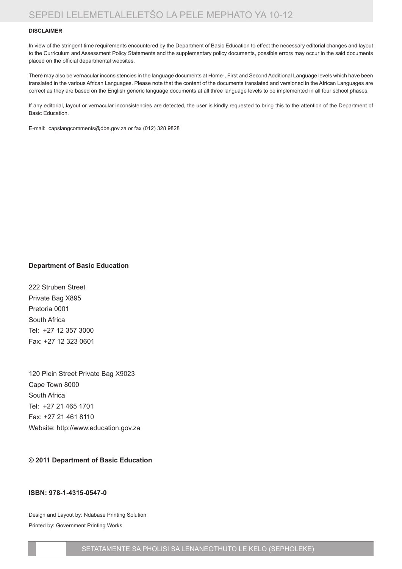#### **DISCLAIMER**

In view of the stringent time requirements encountered by the Department of Basic Education to effect the necessary editorial changes and layout to the Curriculum and Assessment Policy Statements and the supplementary policy documents, possible errors may occur in the said documents placed on the official departmental websites.

There may also be vernacular inconsistencies in the language documents at Home-, First and Second Additional Language levels which have been translated in the various African Languages. Please note that the content of the documents translated and versioned in the African Languages are correct as they are based on the English generic language documents at all three language levels to be implemented in all four school phases.

If any editorial, layout or vernacular inconsistencies are detected, the user is kindly requested to bring this to the attention of the Department of Basic Education.

E-mail: capslangcomments@dbe.gov.za or fax (012) 328 9828

#### **Department of Basic Education**

222 Struben Street Private Bag X895 Pretoria 0001 South Africa Tel: +27 12 357 3000 Fax: +27 12 323 0601

120 Plein Street Private Bag X9023 Cape Town 8000 South Africa Tel: +27 21 465 1701 Fax: +27 21 461 8110 Website: http://www.education.gov.za

#### **© 2011 Department of Basic Education**

#### **Isbn: 978-1-4315-0547-0**

Design and Layout by: Ndabase Printing Solution Printed by: Government Printing Works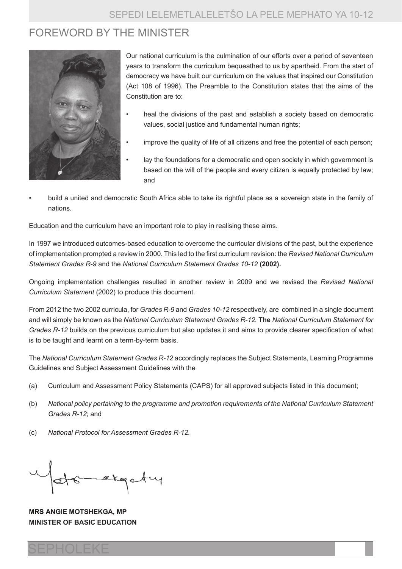## FOREWORD by the minister



Our national curriculum is the culmination of our efforts over a period of seventeen years to transform the curriculum bequeathed to us by apartheid. From the start of democracy we have built our curriculum on the values that inspired our Constitution (Act 108 of 1996). The Preamble to the Constitution states that the aims of the Constitution are to:

- heal the divisions of the past and establish a society based on democratic values, social justice and fundamental human rights;
- improve the quality of life of all citizens and free the potential of each person;
- lay the foundations for a democratic and open society in which government is based on the will of the people and every citizen is equally protected by law; and
- build a united and democratic South Africa able to take its rightful place as a sovereign state in the family of nations.

Education and the curriculum have an important role to play in realising these aims.

In 1997 we introduced outcomes-based education to overcome the curricular divisions of the past, but the experience of implementation prompted a review in 2000. This led to the first curriculum revision: the *Revised National Curriculum Statement Grades R-9* and the *National Curriculum Statement Grades 10-12* **(2002).**

Ongoing implementation challenges resulted in another review in 2009 and we revised the *Revised National Curriculum Statement* (2002) to produce this document.

From 2012 the two 2002 curricula, for *Grades R-9* and *Grades 10-12* respectively, are combined in a single document and will simply be known as the *National Curriculum Statement Grades R-12.* **The** *National Curriculum Statement for Grades R-12* builds on the previous curriculum but also updates it and aims to provide clearer specification of what is to be taught and learnt on a term-by-term basis.

The *National Curriculum Statement Grades R-12* accordingly replaces the Subject Statements, Learning Programme Guidelines and Subject Assessment Guidelines with the

- (a) Curriculum and Assessment Policy Statements (CAPS) for all approved subjects listed in this document;
- (b) *National policy pertaining to the programme and promotion requirements of the National Curriculum Statement Grades R-12*; and
- (c) *National Protocol for Assessment Grades R-12.*

exgety

**MRS ANGIE MOTSHEKGA, MP MINISTER OF BASIC EDUCATION** 

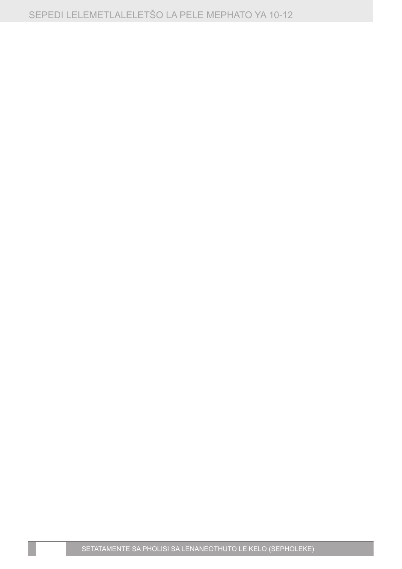SETATAMENTE SA PHOLISI SA LENANEOTHUTO LE KELO (SEPHOLEKE)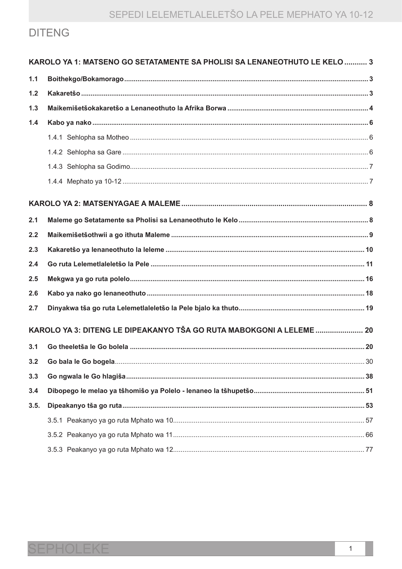## **DITENG**

|      | KAROLO YA 1: MATSENO GO SETATAMENTE SA PHOLISI SA LENANEOTHUTO LE KELO  3 |  |
|------|---------------------------------------------------------------------------|--|
| 1.1  |                                                                           |  |
| 1.2  |                                                                           |  |
| 1.3  |                                                                           |  |
| 1.4  |                                                                           |  |
|      |                                                                           |  |
|      |                                                                           |  |
|      |                                                                           |  |
|      |                                                                           |  |
|      |                                                                           |  |
| 2.1  |                                                                           |  |
| 2.2  |                                                                           |  |
| 2.3  |                                                                           |  |
| 2.4  |                                                                           |  |
| 2.5  |                                                                           |  |
| 2.6  |                                                                           |  |
| 2.7  |                                                                           |  |
|      | KAROLO YA 3: DITENG LE DIPEAKANYO TŠA GO RUTA MABOKGONI A LELEME  20      |  |
| 3.1  |                                                                           |  |
| 3.2  |                                                                           |  |
| 3.3  |                                                                           |  |
| 3.4  |                                                                           |  |
| 3.5. |                                                                           |  |
|      |                                                                           |  |
|      |                                                                           |  |
|      |                                                                           |  |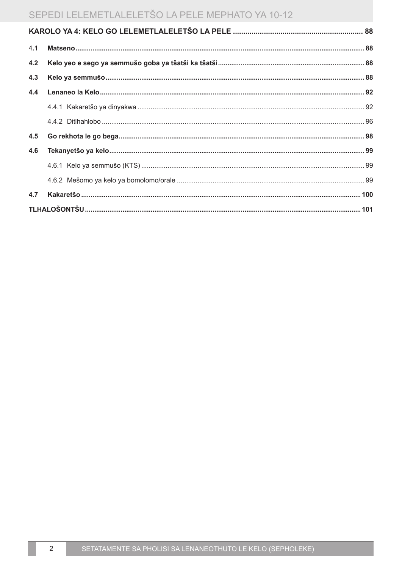| 4.1 |  |  |  |
|-----|--|--|--|
| 4.2 |  |  |  |
| 4.3 |  |  |  |
| 4.4 |  |  |  |
|     |  |  |  |
|     |  |  |  |
| 4.5 |  |  |  |
| 4.6 |  |  |  |
|     |  |  |  |
|     |  |  |  |
| 4.7 |  |  |  |
|     |  |  |  |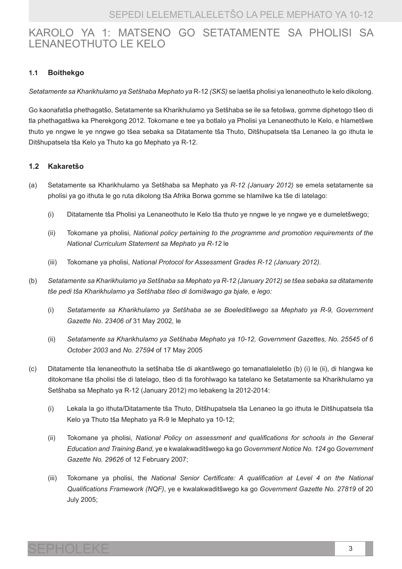## KAROLO ya 1: MATSENO GO SETATAMENTE SA PHOLISI SA LENANEOTHUTO LE KELO

### **1.1 Boithekgo**

*Setatamente sa Kharikhulamo ya Setšhaba Mephato ya* R-12 *(SKS)* se laetša pholisi ya lenaneothuto le kelo dikolong.

Go kaonafatša phethagatšo, Setatamente sa Kharikhulamo ya Setšhaba se ile sa fetošwa, gomme diphetogo tšeo di tla phethagatšwa ka Pherekgong 2012. Tokomane e tee ya botlalo ya Pholisi ya Lenaneothuto le Kelo, e hlametšwe thuto ye nngwe le ye nngwe go tšea sebaka sa Ditatamente tša Thuto, Ditšhupatsela tša Lenaneo la go ithuta le Ditšhupatsela tša Kelo ya Thuto ka go Mephato ya R-12.

#### **1.2 Kakaretšo**

- (a) Setatamente sa Kharikhulamo ya Setšhaba sa Mephato ya *R-12 (January 2012)* se emela setatamente sa pholisi ya go ithuta le go ruta dikolong tša Afrika Borwa gomme se hlamilwe ka tše di latelago:
	- (i) Ditatamente tša Pholisi ya Lenaneothuto le Kelo tša thuto ye nngwe le ye nngwe ye e dumeletšwego;
	- (ii) Tokomane ya pholisi, *National policy pertaining to the programme and promotion requirements of the National Curriculum Statement sa Mephato ya R-12* le
	- (iii) Tokomane ya pholisi, *National Protocol for Assessment Grades R-12 (January 2012).*
- (b) *Setatamente sa Kharikhulamo ya Setšhaba sa Mephato ya R-12 (January 2012) se tšea sebaka sa ditatamente tše pedi tša Kharikhulamo ya Setšhaba tšeo di šomišwago ga bjale, e lego:* 
	- (i) *Setatamente sa Kharikhulamo ya Setšhaba se se Boeleditšwego sa Mephato ya R-9, Government Gazette No. 23406 of* 31 May 2002*,* le
	- (ii) *Setatamente sa Kharikhulamo ya Setšhaba Mephato ya 10-12, Government Gazettes, No. 25545 of 6 October 2003* and *No. 27594* of 17 May 2005
- (c) Ditatamente tša lenaneothuto la setšhaba tše di akantšwego go temanatlaleletšo (b) (i) le (ii), di hlangwa ke ditokomane tša pholisi tše di latelago, tšeo di tla forohlwago ka tatelano ke Setatamente sa Kharikhulamo ya Setšhaba sa Mephato ya R-12 (January 2012) mo lebakeng la 2012-2014:
	- (i) Lekala la go ithuta/Ditatamente tša Thuto, Ditšhupatsela tša Lenaneo la go ithuta le Ditšhupatsela tša Kelo ya Thuto tša Mephato ya R-9 le Mephato ya 10-12;
	- (ii) Tokomane ya pholisi, *National Policy on assessment and qualifications for schools in the General Education and Training Band,* ye e kwalakwaditšwego ka go *Government Notice No. 124* go *Government Gazette No. 29626* of 12 February 2007;
	- (iii) Tokomane ya pholisi, the *National Senior Certificate: A qualification at Level 4 on the National Qualifications Framework (NQF)*, ye e kwalakwaditšwego ka go *Government Gazette No. 27819* of 20 July 2005;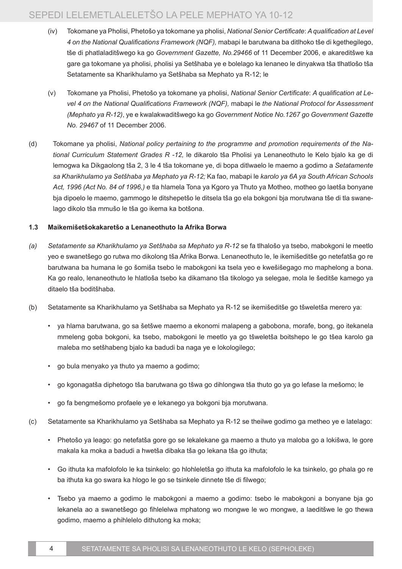- (iv) Tokomane ya Pholisi, Phetošo ya tokomane ya pholisi, *National Senior Certificate*: *A qualification at Level 4 on the National Qualifications Framework (NQF),* mabapi le barutwana ba ditlhoko tše di kgethegilego, tše di phatlaladitšwego ka go *Government Gazette, No.29466* of 11 December 2006, e akareditšwe ka gare ga tokomane ya pholisi, pholisi ya Setšhaba ye e bolelago ka lenaneo le dinyakwa tša tlhatlošo tša Setatamente sa Kharikhulamo ya Setšhaba sa Mephato ya R-12; le
- (v) Tokomane ya Pholisi, Phetošo ya tokomane ya pholisi, *National Senior Certificate*: *A qualification at Level 4 on the National Qualifications Framework (NQF),* mabapi le *the National Protocol for Assessment (Mephato ya R-12)*, ye e kwalakwaditšwego ka go *Government Notice No.1267 go Government Gazette No. 29467* of 11 December 2006.
- (d) Tokomane ya pholisi, *National policy pertaining to the programme and promotion requirements of the National Curriculum Statement Grades R -12,* le dikarolo tša Pholisi ya Lenaneothuto le Kelo bjalo ka ge di lemogwa ka Dikgaolong tša 2, 3 le 4 tša tokomane ye, di bopa ditlwaelo le maemo a godimo a *Setatamente sa Kharikhulamo ya Setšhaba ya Mephato ya R-12;* Ka fao, mabapi le *karolo ya 6A ya South African Schools Act, 1996 (Act No. 84 of 1996,)* e tla hlamela Tona ya Kgoro ya Thuto ya Motheo, motheo go laetša bonyane bja dipoelo le maemo, gammogo le ditshepetšo le ditsela tša go ela bokgoni bja morutwana tše di tla swanelago dikolo tša mmušo le tša go ikema ka botšona.

#### **1.3 Maikemišetšokakaretšo a Lenaneothuto la Afrika Borwa**

- *(a) Setatamente sa Kharikhulamo ya Setšhaba sa Mephato ya R-12* se fa tlhalošo ya tsebo, mabokgoni le meetlo yeo e swanetšego go rutwa mo dikolong tša Afrika Borwa. Lenaneothuto le, le ikemišeditše go netefatša go re barutwana ba humana le go šomiša tsebo le mabokgoni ka tsela yeo e kwešišegago mo maphelong a bona. Ka go realo, lenaneothuto le hlatloša tsebo ka dikamano tša tikologo ya selegae, mola le šeditše kamego ya ditaelo tša boditšhaba.
- (b) Setatamente sa Kharikhulamo ya Setšhaba sa Mephato ya R-12 se ikemišeditše go tšweletša merero ya:
	- ya hlama barutwana, go sa šetšwe maemo a ekonomi malapeng a gabobona, morafe, bong, go itekanela mmeleng goba bokgoni, ka tsebo, mabokgoni le meetlo ya go tšweletša boitshepo le go tšea karolo ga maleba mo setšhabeng bjalo ka badudi ba naga ye e lokologilego;
	- go bula menyako ya thuto ya maemo a godimo;
	- go kgonagatša diphetogo tša barutwana go tšwa go dihlongwa tša thuto go ya go lefase la mešomo; le
	- go fa bengmešomo profaele ye e lekanego ya bokgoni bja morutwana.
- (c) Setatamente sa Kharikhulamo ya Setšhaba sa Mephato ya R-12 se theilwe godimo ga metheo ye e latelago:
	- Phetošo ya leago: go netefatša gore go se lekalekane ga maemo a thuto ya maloba go a lokišwa, le gore makala ka moka a badudi a hwetša dibaka tša go lekana tša go ithuta;
	- Go ithuta ka mafolofolo le ka tsinkelo: go hlohleletša go ithuta ka mafolofolo le ka tsinkelo, go phala go re ba ithuta ka go swara ka hlogo le go se tsinkele dinnete tše di filwego;
	- Tsebo ya maemo a godimo le mabokgoni a maemo a godimo: tsebo le mabokgoni a bonyane bja go lekanela ao a swanetšego go fihlelelwa mphatong wo mongwe le wo mongwe, a laeditšwe le go thewa godimo, maemo a phihlelelo dithutong ka moka;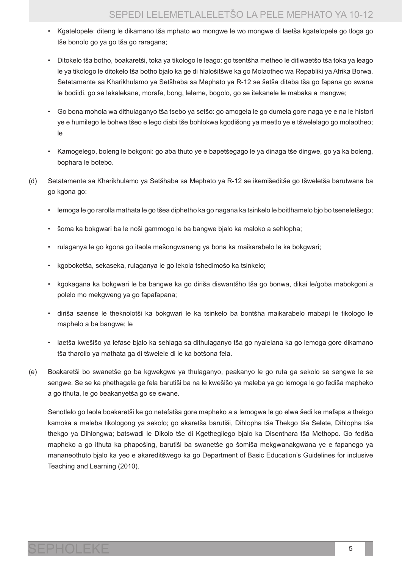- Kgatelopele: diteng le dikamano tša mphato wo mongwe le wo mongwe di laetša kgatelopele go tloga go tše bonolo go ya go tša go raragana;
- Ditokelo tša botho, boakaretši, toka ya tikologo le leago: go tsentšha metheo le ditlwaetšo tša toka ya leago le ya tikologo le ditokelo tša botho bjalo ka ge di hlalošitšwe ka go Molaotheo wa Repabliki ya Afrika Borwa. Setatamente sa Kharikhulamo ya Setšhaba sa Mephato ya R-12 se šetša ditaba tša go fapana go swana le bodiidi, go se lekalekane, morafe, bong, leleme, bogolo, go se itekanele le mabaka a mangwe;
- Go bona mohola wa dithulaganyo tša tsebo ya setšo: go amogela le go dumela gore naga ye e na le histori ye e humilego le bohwa tšeo e lego diabi tše bohlokwa kgodišong ya meetlo ye e tšwelelago go molaotheo; le
- Kamogelego, boleng le bokgoni: go aba thuto ye e bapetšegago le ya dinaga tše dingwe, go ya ka boleng, bophara le botebo.
- (d) Setatamente sa Kharikhulamo ya Setšhaba sa Mephato ya R-12 se ikemišeditše go tšweletša barutwana ba go kgona go:
	- lemoga le go rarolla mathata le go tšea diphetho ka go nagana ka tsinkelo le boitlhamelo bjo bo tseneletšego;
	- šoma ka bokgwari ba le noši gammogo le ba bangwe bjalo ka maloko a sehlopha;
	- rulaganya le go kgona go itaola mešongwaneng ya bona ka maikarabelo le ka bokgwari;
	- kgoboketša, sekaseka, rulaganya le go lekola tshedimošo ka tsinkelo;
	- kgokagana ka bokgwari le ba bangwe ka go diriša diswantšho tša go bonwa, dikai le/goba mabokgoni a polelo mo mekgweng ya go fapafapana;
	- diriša saense le theknolotši ka bokgwari le ka tsinkelo ba bontšha maikarabelo mabapi le tikologo le maphelo a ba bangwe; le
	- laetša kwešišo ya lefase bjalo ka sehlaga sa dithulaganyo tša go nyalelana ka go lemoga gore dikamano tša tharollo ya mathata ga di tšwelele di le ka botšona fela.
- (e) Boakaretši bo swanetše go ba kgwekgwe ya thulaganyo, peakanyo le go ruta ga sekolo se sengwe le se sengwe. Se se ka phethagala ge fela barutiši ba na le kwešišo ya maleba ya go lemoga le go fediša mapheko a go ithuta, le go beakanyetša go se swane.

Senotlelo go laola boakaretši ke go netefatša gore mapheko a a lemogwa le go elwa šedi ke mafapa a thekgo kamoka a maleba tikologong ya sekolo; go akaretša barutiši, Dihlopha tša Thekgo tša Selete, Dihlopha tša thekgo ya Dihlongwa; batswadi le Dikolo tše di Kgethegilego bjalo ka Disenthara tša Methopo. Go fediša mapheko a go ithuta ka phapošing, barutiši ba swanetše go šomiša mekgwanakgwana ye e fapanego ya mananeothuto bjalo ka yeo e akareditšwego ka go Department of Basic Education's Guidelines for inclusive Teaching and Learning (2010).

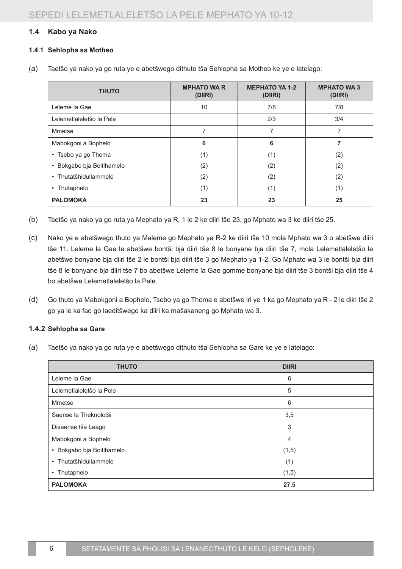### **1.4 Kabo ya Nako**

#### **1.4.1 Sehlopha sa Motheo**

|  | (a) Taetšo ya nako ya go ruta ye e abetšwego dithuto tša Sehlopha sa Motheo ke ye e latelago: |  |
|--|-----------------------------------------------------------------------------------------------|--|
|  |                                                                                               |  |

| <b>THUTO</b>              | <b>MPHATO WA R</b><br>(DIIRI) | <b>MEPHATO YA 1-2</b><br>(DIIRI) | <b>MPHATO WA3</b><br>(DIIRI) |
|---------------------------|-------------------------------|----------------------------------|------------------------------|
| Leleme la Gae             | 10                            | 7/8                              | 7/8                          |
| Lelemetlaleletšo la Pele  |                               | 2/3                              | 3/4                          |
| Mmetse                    | 7                             | 7                                |                              |
| Mabokgoni a Bophelo       | 6                             | 6                                | 7                            |
| • Tsebo ya go Thoma       | (1)                           | (1)                              | (2)                          |
| • Bokgabo bja Boitlhamelo | (2)                           | (2)                              | (2)                          |
| • Thutatšhidullammele     | (2)                           | (2)                              | (2)                          |
| • Thutaphelo              | (1)                           | (1)                              | (1)                          |
| <b>PALOMOKA</b>           | 23                            | 23                               | 25                           |

- (b) Taetšo ya nako ya go ruta ya Mephato ya R, 1 le 2 ke diiri tše 23, go Mphato wa 3 ke diiri tše 25.
- (c) Nako ye e abetšwego thuto ya Maleme go Mephato ya R-2 ke diiri tše 10 mola Mphato wa 3 o abetšwe diiri tše 11. Leleme la Gae le abetšwe bontši bja diiri tše 8 le bonyane bja diiri tše 7, mola Lelemetlaleletšo le abetšwe bonyane bja diiri tše 2 le bontši bja diiri tše 3 go Mephato ya 1-2. Go Mphato wa 3 le bontši bja diiri tše 8 le bonyane bja diiri tše 7 bo abetšwe Leleme la Gae gomme bonyane bja diiri tše 3 bontši bja diiri tše 4 bo abetšwe Lelemetlaleletšo la Pele.
- (d) Go thuto ya Mabokgoni a Bophelo, Tsebo ya go Thoma e abetšwe iri ye 1 ka go Mephato ya R 2 le diiri tše 2 go ya le ka fao go laeditšwego ka diiri ka mašakaneng go Mphato wa 3.

#### **1.4.2 Sehlopha sa Gare**

(a) Taetšo ya nako ya go ruta ye e abetšwego dithuto tša Sehlopha sa Gare ke ye e latelago:

| <b>THUTO</b>                         | <b>DIRI</b> |
|--------------------------------------|-------------|
| Leleme la Gae                        | 6           |
| Lelemetlaleletšo la Pele             | 5           |
| Mmetse                               | 6           |
| Saense le Theknolotši                | 3,5         |
| Disaense tša Leago                   | 3           |
| Mabokgoni a Bophelo                  | 4           |
| Bokgabo bja Boitlhamelo<br>$\bullet$ | (1,5)       |
| • Thutatšhidullammele                | (1)         |
| • Thutaphelo                         | (1,5)       |
| <b>PALOMOKA</b>                      | 27,5        |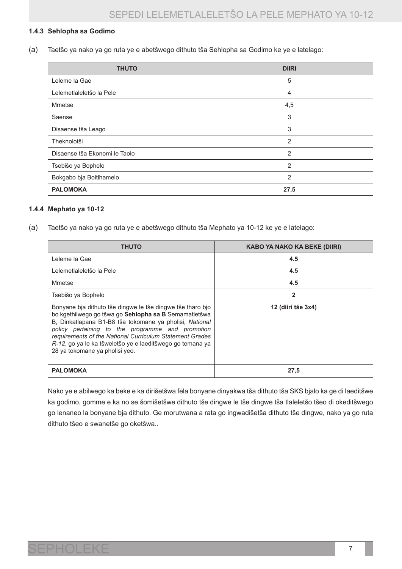#### **1.4.3 Sehlopha sa Godimo**

(a) Taetšo ya nako ya go ruta ye e abetšwego dithuto tša Sehlopha sa Godimo ke ye e latelago:

| <b>THUTO</b>                  | <b>DIRI</b>    |
|-------------------------------|----------------|
| Leleme la Gae                 | 5              |
| Lelemetlaleletšo la Pele      | 4              |
| Mmetse                        | 4,5            |
| Saense                        | 3              |
| Disaense tša Leago            | 3              |
| Theknolotši                   | 2              |
| Disaense tša Ekonomi le Taolo | $\overline{2}$ |
| Tsebišo ya Bophelo            | 2              |
| Bokgabo bja Boitlhamelo       | 2              |
| <b>PALOMOKA</b>               | 27,5           |

#### **1.4.4 Mephato ya 10-12**

(a) Taetšo ya nako ya go ruta ye e abetšwego dithuto tša Mephato ya 10-12 ke ye e latelago:

| <b>THUTO</b>                                                                                                                                                                                                                                                                                                                                                                                  | KABO YA NAKO KA BEKE (DIIRI) |
|-----------------------------------------------------------------------------------------------------------------------------------------------------------------------------------------------------------------------------------------------------------------------------------------------------------------------------------------------------------------------------------------------|------------------------------|
| Leleme la Gae                                                                                                                                                                                                                                                                                                                                                                                 | 4.5                          |
| Lelemetlaleletšo la Pele                                                                                                                                                                                                                                                                                                                                                                      | 4.5                          |
| Mmetse                                                                                                                                                                                                                                                                                                                                                                                        | 4.5                          |
| Tsebišo ya Bophelo                                                                                                                                                                                                                                                                                                                                                                            | $\overline{2}$               |
| Bonyane bia dithuto tše dingwe le tše dingwe tše tharo bio<br>bo kgethilwego go tšwa go Sehlopha sa B Semamatletšwa<br>B, Dinkatlapana B1-B8 tša tokomane ya pholisi, National<br>policy pertaining to the programme and promotion<br>requirements of the National Curriculum Statement Grades<br>R-12, go ya le ka tšweletšo ye e laeditšwego go temana ya<br>28 ya tokomane ya pholisi yeo. | 12 (diiri tše 3x4)           |
| <b>PALOMOKA</b>                                                                                                                                                                                                                                                                                                                                                                               | 27,5                         |

Nako ye e abilwego ka beke e ka dirišetšwa fela bonyane dinyakwa tša dithuto tša SKS bjalo ka ge di laeditšwe ka godimo, gomme e ka no se šomišetšwe dithuto tše dingwe le tše dingwe tša tlaleletšo tšeo di okeditšwego go lenaneo la bonyane bja dithuto. Ge morutwana a rata go ingwadišetša dithuto tše dingwe, nako ya go ruta dithuto tšeo e swanetše go oketšwa..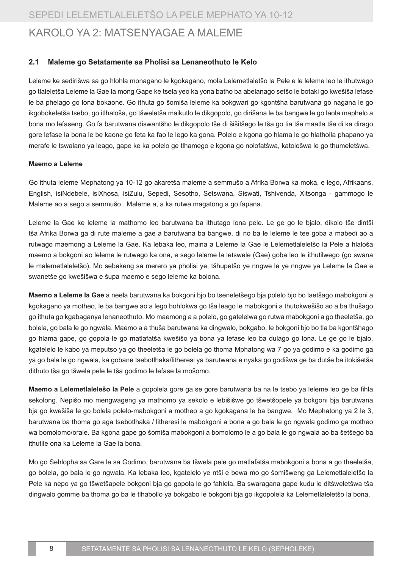#### **2.1 Maleme go Setatamente sa Pholisi sa Lenaneothuto le Kelo**

Leleme ke sedirišwa sa go hlohla monagano le kgokagano, mola Lelemetlaletšo la Pele e le leleme leo le ithutwago go tlaleletša Leleme la Gae la mong Gape ke tsela yeo ka yona batho ba abelanago setšo le botaki go kwešiša lefase le ba phelago go lona bokaone. Go ithuta go šomiša leleme ka bokgwari go kgontšha barutwana go nagana le go ikgobokeletša tsebo, go itlhaloša, go tšweletša maikutlo le dikgopolo, go dirišana le ba bangwe le go laola maphelo a bona mo lefaseng. Go fa barutwana diswantšho le dikgopolo tše di šišitšego le tša go tia tše maatla tše di ka dirago gore lefase la bona le be kaone go feta ka fao le lego ka gona. Polelo e kgona go hlama le go hlatholla phapano ya merafe le tswalano ya leago, gape ke ka polelo ge tlhamego e kgona go nolofatšwa, katološwa le go thumeletšwa.

#### **Maemo a Leleme**

Go ithuta leleme Mephatong ya 10-12 go akaretša maleme a semmušo a Afrika Borwa ka moka, e lego, Afrikaans, English, isiNdebele, isiXhosa, isiZulu, Sepedi, Sesotho, Setswana, Siswati, Tshivenda, Xitsonga - gammogo le Maleme ao a sego a semmušo . Maleme a, a ka rutwa magatong a go fapana.

Leleme la Gae ke leleme la mathomo leo barutwana ba ithutago lona pele. Le ge go le bjalo, dikolo tše dintši tša Afrika Borwa ga di rute maleme a gae a barutwana ba bangwe, di no ba le leleme le tee goba a mabedi ao a rutwago maemong a Leleme la Gae. Ka lebaka leo, maina a Leleme la Gae le Lelemetlaleletšo la Pele a hlaloša maemo a bokgoni ao leleme le rutwago ka ona, e sego leleme la letswele (Gae) goba leo le ithutilwego (go swana le malemetlaleletšo). Mo sebakeng sa merero ya pholisi ye, tšhupetšo ye nngwe le ye nngwe ya Leleme la Gae e swanetše go kwešišwa e šupa maemo e sego leleme ka bolona.

**Maemo a Leleme la Gae** a neela barutwana ka bokgoni bjo bo tseneletšego bja polelo bjo bo laetšago mabokgoni a kgokagano ya motheo, le ba bangwe ao a lego bohlokwa go tša leago le mabokgoni a thutokwešišo ao a ba thušago go ithuta go kgabaganya lenaneothuto. Mo maemong a a polelo, go gatelelwa go rutwa mabokgoni a go theeletša, go bolela, go bala le go ngwala. Maemo a a thuša barutwana ka dingwalo, bokgabo, le bokgoni bjo bo tla ba kgontšhago go hlama gape, go gopola le go matlafatša kwešišo ya bona ya lefase leo ba dulago go lona. Le ge go le bjalo, kgatelelo le kabo ya meputso ya go theeletša le go bolela go thoma Mphatong wa 7 go ya godimo e ka godimo ga ya go bala le go ngwala, ka gobane tsebotlhaka/litheresi ya barutwana e nyaka go godišwa ge ba dutše ba itokišetša dithuto tša go tšwela pele le tša godimo le lefase la mošomo.

**Maemo a Lelemetlalelešo la Pele** a gopolela gore ga se gore barutwana ba na le tsebo ya leleme leo ge ba fihla sekolong. Nepišo mo mengwageng ya mathomo ya sekolo e lebišišwe go tšwetšopele ya bokgoni bja barutwana bja go kwešiša le go bolela polelo-mabokgoni a motheo a go kgokagana le ba bangwe. Mo Mephatong ya 2 le 3, barutwana ba thoma go aga tsebotlhaka / litheresi le mabokgoni a bona a go bala le go ngwala godimo ga motheo wa bomolomo/orale. Ba kgona gape go šomiša mabokgoni a bomolomo le a go bala le go ngwala ao ba šetšego ba ithutile ona ka Leleme la Gae la bona.

Mo go Sehlopha sa Gare le sa Godimo, barutwana ba tšwela pele go matlafatša mabokgoni a bona a go theeletša, go bolela, go bala le go ngwala. Ka lebaka leo, kgatelelo ye ntši e bewa mo go šomišweng ga Lelemetlaleletšo la Pele ka nepo ya go tšwetšapele bokgoni bja go gopola le go fahlela. Ba swaragana gape kudu le ditšweletšwa tša dingwalo gomme ba thoma go ba le tlhabollo ya bokgabo le bokgoni bja go ikgopolela ka Lelemetlaleletšo la bona.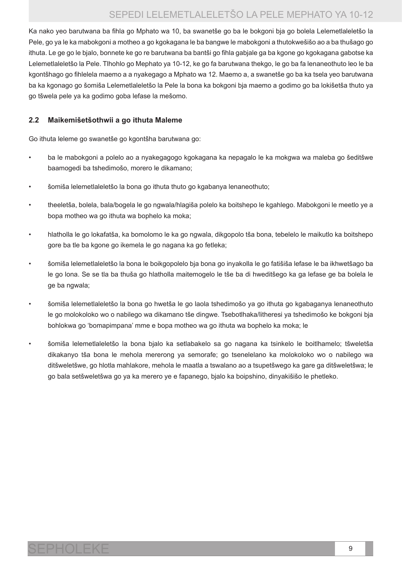Ka nako yeo barutwana ba fihla go Mphato wa 10, ba swanetše go ba le bokgoni bja go bolela Lelemetlaleletšo la Pele, go ya le ka mabokgoni a motheo a go kgokagana le ba bangwe le mabokgoni a thutokwešišo ao a ba thušago go ithuta. Le ge go le bjalo, bonnete ke go re barutwana ba bantši go fihla gabjale ga ba kgone go kgokagana gabotse ka Lelemetlaleletšo la Pele. Tlhohlo go Mephato ya 10-12, ke go fa barutwana thekgo, le go ba fa lenaneothuto leo le ba kgontšhago go fihlelela maemo a a nyakegago a Mphato wa 12. Maemo a, a swanetše go ba ka tsela yeo barutwana ba ka kgonago go šomiša Lelemetlaleletšo la Pele la bona ka bokgoni bja maemo a godimo go ba lokišetša thuto ya go tšwela pele ya ka godimo goba lefase la mešomo.

### **2.2 Maikemišetšothwii a go ithuta Maleme**

Go ithuta leleme go swanetše go kgontšha barutwana go:

- ba le mabokgoni a polelo ao a nyakegagogo kgokagana ka nepagalo le ka mokgwa wa maleba go šeditšwe baamogedi ba tshedimošo, morero le dikamano;
- šomiša lelemetlaleletšo la bona go ithuta thuto go kgabanya lenaneothuto;
- theeletša, bolela, bala/bogela le go ngwala/hlagiša polelo ka boitshepo le kgahlego. Mabokgoni le meetlo ye a bopa motheo wa go ithuta wa bophelo ka moka;
- hlatholla le go lokafatša, ka bomolomo le ka go ngwala, dikgopolo tša bona, tebelelo le maikutlo ka boitshepo gore ba tle ba kgone go ikemela le go nagana ka go fetleka;
- šomiša lelemetlaleletšo la bona le boikgopolelo bja bona go inyakolla le go fatišiša lefase le ba ikhwetšago ba le go lona. Se se tla ba thuša go hlatholla maitemogelo le tše ba di hweditšego ka ga lefase ge ba bolela le ge ba ngwala;
- šomiša lelemetlaleletšo la bona go hwetša le go laola tshedimošo ya go ithuta go kgabaganya lenaneothuto le go molokoloko wo o nabilego wa dikamano tše dingwe. Tsebotlhaka/litheresi ya tshedimošo ke bokgoni bja bohlokwa go 'bomapimpana' mme e bopa motheo wa go ithuta wa bophelo ka moka; le
- šomiša lelemetlaleletšo la bona bjalo ka setlabakelo sa go nagana ka tsinkelo le boitlhamelo; tšweletša dikakanyo tša bona le mehola mererong ya semorafe; go tsenelelano ka molokoloko wo o nabilego wa ditšweletšwe, go hlotla mahlakore, mehola le maatla a tswalano ao a tsupetšwego ka gare ga ditšweletšwa; le go bala setšweletšwa go ya ka merero ye e fapanego, bjalo ka boipshino, dinyakišišo le phetleko.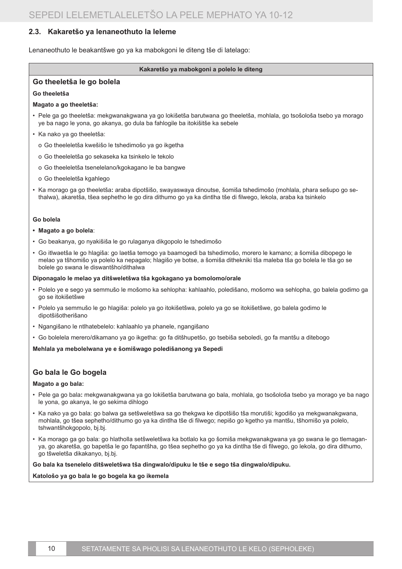### **2.3. Kakaretšo ya lenaneothuto la leleme**

Lenaneothuto le beakantšwe go ya ka mabokgoni le diteng tše di latelago:

#### **Kakaretšo ya mabokgoni a polelo le diteng**

#### **Go theeletša le go bolela**

#### **Go theeletša**

#### **Magato a go theeletša:**

- Pele ga go theeletša: mekgwanakgwana ya go lokišetša barutwana go theeletša, mohlala, go tsošološa tsebo ya morago ye ba nago le yona, go akanya, go dula ba fahlogile ba itokišitše ka sebele
- Ka nako ya go theeletša:
	- o Go theeleletša kwešišo le tshedimošo ya go ikgetha
	- o Go theeleletša go sekaseka ka tsinkelo le tekolo
	- o Go theeleletša tsenelelano/kgokagano le ba bangwe
	- o Go theeleletša kgahlego
- Ka morago ga go theeletša**:** araba dipotšišo, swayaswaya dinoutse, šomiša tshedimošo (mohlala, phara sešupo go sethalwa), akaretša, tšea sephetho le go dira dithumo go ya ka dintlha tše di filwego, lekola, araba ka tsinkelo

#### **Go bolela**

#### **• Magato a go bolela**:

- Go beakanya, go nyakišiša le go rulaganya dikgopolo le tshedimošo
- Go itlwaetša le go hlagiša: go laetša temogo ya baamogedi ba tshedimošo, morero le kamano; a šomiša dibopego le melao ya tšhomišo ya polelo ka nepagalo; hlagišo ye botse, a šomiša dithekniki tša maleba tša go bolela le tša go se bolele go swana le diswantšho/dithalwa

#### **Diponagalo le melao ya ditšweletšwa tša kgokagano ya bomolomo/orale**

- Polelo ye e sego ya semmušo le mošomo ka sehlopha: kahlaahlo, poledišano, mošomo wa sehlopha, go balela godimo ga go se itokišetšwe
- Polelo ya semmušo le go hlagiša: polelo ya go itokišetšwa, polelo ya go se itokišetšwe, go balela godimo le dipotšišotherišano
- Ngangišano le ntlhatebelelo: kahlaahlo ya phanele, ngangišano
- Go bolelela merero/dikamano ya go ikgetha: go fa ditšhupetšo, go tsebiša seboledi, go fa mantšu a ditebogo

**Mehlala ya mebolelwana ye e šomišwago poledišanong ya Sepedi**

#### **Go bala le Go bogela**

#### **Magato a go bala:**

- Pele ga go bala**:** mekgwanakgwana ya go lokišetša barutwana go bala, mohlala, go tsošološa tsebo ya morago ye ba nago le yona, go akanya, le go sekima dihlogo
- Ka nako ya go bala: go balwa ga setšweletšwa sa go thekgwa ke dipotšišo tša morutiši; kgodišo ya mekgwanakgwana, mohlala, go tšea sephetho/dithumo go ya ka dintlha tše di filwego; nepišo go kgetho ya mantšu, tšhomišo ya polelo, tshwantšhokgopolo, bj.bj.
- Ka morago ga go bala: go hlatholla setšweletšwa ka botlalo ka go šomiša mekgwanakgwana ya go swana le go tlemaganya, go akaretša, go bapetša le go fapantšha, go tšea sephetho go ya ka dintlha tše di filwego, go lekola, go dira dithumo, go tšweletša dikakanyo, bj.bj.

**Go bala ka tsenelelo ditšweletšwa tša dingwalo/dipuku le tše e sego tša dingwalo/dipuku.**

**Katološo ya go bala le go bogela ka go ikemela**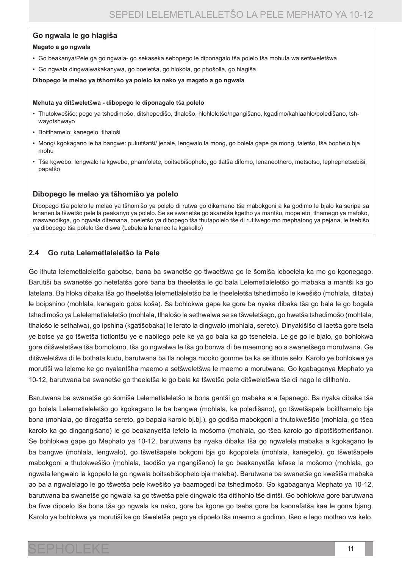### **Go ngwala le go hlagiša**

#### **Magato a go ngwala**

- Go beakanya/Pele ga go ngwala- go sekaseka sebopego le diponagalo tša polelo tša mohuta wa setšweletšwa
- Go ngwala dingwalwakakanywa, go boeletša, go hlokola, go phošolla, go hlagiša

**Dibopego le melao ya tšhomišo ya polelo ka nako ya magato a go ngwala**

#### **Mehuta ya dit**š**welet**š**wa - dibopego le diponagalo t**š**a polelo**

- Thutokwešišo: pego ya tshedimošo, ditshepedišo, tlhalošo, hlohleletšo/ngangišano, kgadimo/kahlaahlo/poledišano, tshwayotshwayo
- Boitlhamelo: kanegelo, tlhaloši
- Mong/ kgokagano le ba bangwe: pukutšatši/ jenale, lengwalo la mong, go bolela gape ga mong, taletšo, tša bophelo bja mohu
- Tša kgwebo: lengwalo la kgwebo, phamfolete, boitsebišophelo, go tlatša difomo, lenaneothero, metsotso, lephephetsebiši, papatšo

#### **Dibopego le melao ya tšhomišo ya polelo**

Dibopego tša polelo le melao ya tšhomišo ya polelo di rutwa go dikamano tša mabokgoni a ka godimo le bjalo ka seripa sa lenaneo la tšwetšo pele la peakanyo ya polelo. Se se swanetše go akaretša kgetho ya mantšu, mopeleto, tlhamego ya mafoko, maswaodikga, go ngwala ditemana, poeletšo ya dibopego tša thutapolelo tše di rutilwego mo mephatong ya pejana, le tsebišo ya dibopego tša polelo tše diswa (Lebelela lenaneo la kgakollo)

### **2.4 Go ruta Lelemetlaleletšo la Pele**

Go ithuta lelemetlaleletšo gabotse, bana ba swanetše go tlwaetšwa go le šomiša leboelela ka mo go kgonegago. Barutiši ba swanetše go netefatša gore bana ba theeletša le go bala Lelemetlaleletšo go mabaka a mantši ka go latelana. Ba hloka dibaka tša go theeletša lelemetlaleletšo ba le theeleletša tshedimošo le kwešišo (mohlala, ditaba) le boipshino (mohlala, kanegelo goba koša). Sa bohlokwa gape ke gore ba nyaka dibaka tša go bala le go bogela tshedimošo ya Lelelemetlaleletšo (mohlala, tlhalošo le sethwalwa se se tšweletšago, go hwetša tshedimošo (mohlala, tlhalošo le sethalwa), go ipshina (kgatišobaka) le lerato la dingwalo (mohlala, sereto). Dinyakišišo di laetša gore tsela ye botse ya go tšwetša tlotlontšu ye e nabilego pele ke ya go bala ka go tsenelela. Le ge go le bjalo, go bohlokwa gore ditšweletšwa tša bomolomo, tša go ngwalwa le tša go bonwa di be maemong ao a swanetšego morutwana. Ge ditšweletšwa di le bothata kudu, barutwana ba tla nolega mooko gomme ba ka se ithute selo. Karolo ye bohlokwa ya morutiši wa leleme ke go nyalantšha maemo a setšweletšwa le maemo a morutwana. Go kgabaganya Mephato ya 10-12, barutwana ba swanetše go theeletša le go bala ka tšwetšo pele ditšweletšwa tše di nago le ditlhohlo.

Barutwana ba swanetše go šomiša Lelemetlaleletšo la bona gantši go mabaka a a fapanego. Ba nyaka dibaka tša go bolela Lelemetlaleletšo go kgokagano le ba bangwe (mohlala, ka poledišano), go tšwetšapele boitlhamelo bja bona (mohlala, go diragatša sereto, go bapala karolo bj.bj.), go godiša mabokgoni a thutokwešišo (mohlala, go tšea karolo ka go dingangišano) le go beakanyetša lefelo la mošomo (mohlala, go tšea karolo go dipotšišotherišano). Se bohlokwa gape go Mephato ya 10-12, barutwana ba nyaka dibaka tša go ngwalela mabaka a kgokagano le ba bangwe (mohlala, lengwalo), go tšwetšapele bokgoni bja go ikgopolela (mohlala, kanegelo), go tšwetšapele mabokgoni a thutokwešišo (mohlala, taodišo ya ngangišano) le go beakanyetša lefase la mošomo (mohlala, go ngwala lengwalo la kgopelo le go ngwala boitsebišophelo bja maleba). Barutwana ba swanetše go kwešiša mabaka ao ba a ngwalelago le go tšwetša pele kwešišo ya baamogedi ba tshedimošo. Go kgabaganya Mephato ya 10-12, barutwana ba swanetše go ngwala ka go tšwetša pele dingwalo tša ditlhohlo tše dintši. Go bohlokwa gore barutwana ba fiwe dipoelo tša bona tša go ngwala ka nako, gore ba kgone go tseba gore ba kaonafatša kae le gona bjang. Karolo ya bohlokwa ya morutiši ke go tšweletša pego ya dipoelo tša maemo a godimo, tšeo e lego motheo wa kelo.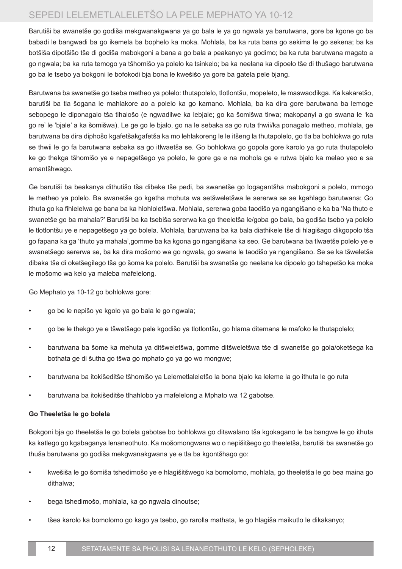Barutiši ba swanetše go godiša mekgwanakgwana ya go bala le ya go ngwala ya barutwana, gore ba kgone go ba babadi le bangwadi ba go ikemela ba bophelo ka moka. Mohlala, ba ka ruta bana go sekima le go sekena; ba ka botšiša dipotšišo tše di godiša mabokgoni a bana a go bala a peakanyo ya godimo; ba ka ruta barutwana magato a go ngwala; ba ka ruta temogo ya tšhomišo ya polelo ka tsinkelo; ba ka neelana ka dipoelo tše di thušago barutwana go ba le tsebo ya bokgoni le bofokodi bja bona le kwešišo ya gore ba gatela pele bjang.

Barutwana ba swanetše go tseba metheo ya polelo: thutapolelo, tlotlontšu, mopeleto, le maswaodikga. Ka kakaretšo, barutiši ba tla šogana le mahlakore ao a polelo ka go kamano. Mohlala, ba ka dira gore barutwana ba lemoge sebopego le diponagalo tša tlhalošo (e ngwadilwe ka lebjale; go ka šomišwa tirwa; makopanyi a go swana le 'ka go re' le 'bjale' a ka šomišwa). Le ge go le bjalo, go na le sebaka sa go ruta thwii/ka ponagalo metheo, mohlala, ge barutwana ba dira diphošo kgafetšakgafetša ka mo lehlakoreng le le itšeng la thutapolelo, go tla ba bohlokwa go ruta se thwii le go fa barutwana sebaka sa go itlwaetša se. Go bohlokwa go gopola gore karolo ya go ruta thutapolelo ke go thekga tšhomišo ye e nepagetšego ya polelo, le gore ga e na mohola ge e rutwa bjalo ka melao yeo e sa amantšhwago.

Ge barutiši ba beakanya dithutišo tša dibeke tše pedi, ba swanetše go logagantšha mabokgoni a polelo, mmogo le metheo ya polelo. Ba swanetše go kgetha mohuta wa setšweletšwa le sererwa se se kgahlago barutwana; Go ithuta go ka fihlelelwa ge bana ba ka hlohloletšwa. Mohlala, sererwa goba taodišo ya ngangišano e ka ba 'Na thuto e swanetše go ba mahala?' Barutiši ba ka tsebiša sererwa ka go theeletša le/goba go bala, ba godiša tsebo ya polelo le tlotlontšu ye e nepagetšego ya go bolela. Mohlala, barutwana ba ka bala diathikele tše di hlagišago dikgopolo tša go fapana ka ga 'thuto ya mahala',gomme ba ka kgona go ngangišana ka seo. Ge barutwana ba tlwaetše polelo ye e swanetšego sererwa se, ba ka dira mošomo wa go ngwala, go swana le taodišo ya ngangišano. Se se ka tšweletša dibaka tše di oketšegilego tša go šoma ka polelo. Barutiši ba swanetše go neelana ka dipoelo go tshepetšo ka moka le mošomo wa kelo ya maleba mafelelong.

Go Mephato ya 10-12 go bohlokwa gore:

- go be le nepišo ye kgolo ya go bala le go ngwala;
- go be le thekgo ye e tšwetšago pele kgodišo ya tlotlontšu, go hlama ditemana le mafoko le thutapolelo;
- barutwana ba šome ka mehuta ya ditšweletšwa, gomme ditšweletšwa tše di swanetše go gola/oketšega ka bothata ge di šutha go tšwa go mphato go ya go wo mongwe;
- barutwana ba itokišeditše tšhomišo ya Lelemetlaleletšo la bona bjalo ka leleme la go ithuta le go ruta
- barutwana ba itokišeditše tlhahlobo ya mafelelong a Mphato wa 12 gabotse.

#### **Go Theeletša le go bolela**

Bokgoni bja go theeletša le go bolela gabotse bo bohlokwa go ditswalano tša kgokagano le ba bangwe le go ithuta ka katlego go kgabaganya lenaneothuto. Ka mošomongwana wo o nepišitšego go theeletša, barutiši ba swanetše go thuša barutwana go godiša mekgwanakgwana ye e tla ba kgontšhago go:

- kwešiša le go šomiša tshedimošo ye e hlagišitšwego ka bomolomo, mohlala, go theeletša le go bea maina go dithalwa;
- bega tshedimošo, mohlala, ka go ngwala dinoutse;
- tšea karolo ka bomolomo go kago ya tsebo, go rarolla mathata, le go hlagiša maikutlo le dikakanyo;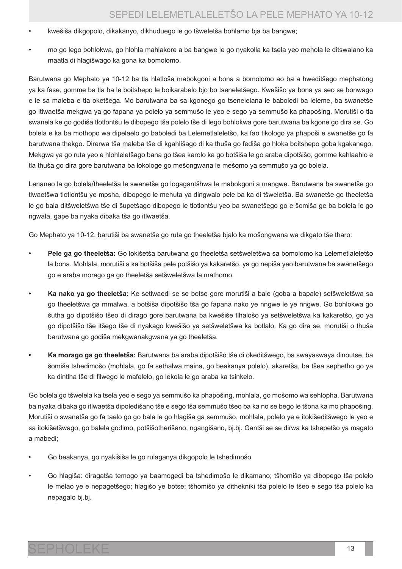- kwešiša dikgopolo, dikakanyo, dikhuduego le go tšweletša bohlamo bja ba bangwe;
- mo go lego bohlokwa, go hlohla mahlakore a ba bangwe le go nyakolla ka tsela yeo mehola le ditswalano ka maatla di hlagišwago ka gona ka bomolomo.

Barutwana go Mephato ya 10-12 ba tla hlatloša mabokgoni a bona a bomolomo ao ba a hweditšego mephatong ya ka fase, gomme ba tla ba le boitshepo le boikarabelo bjo bo tseneletšego. Kwešišo ya bona ya seo se bonwago e le sa maleba e tla oketšega. Mo barutwana ba sa kgonego go tsenelelana le baboledi ba leleme, ba swanetše go itlwaetša mekgwa ya go fapana ya polelo ya semmušo le yeo e sego ya semmušo ka phapošing. Morutiši o tla swanela ke go godiša tlotlontšu le dibopego tša polelo tše di lego bohlokwa gore barutwana ba kgone go dira se. Go bolela e ka ba mothopo wa dipelaelo go baboledi ba Lelemetlaleletšo, ka fao tikologo ya phapoši e swanetše go fa barutwana thekgo. Direrwa tša maleba tše di kgahlišago di ka thuša go fediša go hloka boitshepo goba kgakanego. Mekgwa ya go ruta yeo e hlohleletšago bana go tšea karolo ka go botšiša le go araba dipotšišo, gomme kahlaahlo e tla thuša go dira gore barutwana ba lokologe go mešongwana le mešomo ya semmušo ya go bolela.

Lenaneo la go bolela/theeletša le swanetše go logagantšhwa le mabokgoni a mangwe. Barutwana ba swanetše go tlwaetšwa tlotlontšu ye mpsha, dibopego le mehuta ya dingwalo pele ba ka di tšweletša. Ba swanetše go theeletša le go bala ditšweletšwa tše di šupetšago dibopego le tlotlontšu yeo ba swanetšego go e šomiša ge ba bolela le go ngwala, gape ba nyaka dibaka tša go itlwaetša.

Go Mephato ya 10-12, barutiši ba swanetše go ruta go theeletša bjalo ka mošongwana wa dikgato tše tharo:

- **• Pele ga go theeletša:** Go lokišetša barutwana go theeletša setšweletšwa sa bomolomo ka Lelemetlaleletšo la bona. Mohlala, morutiši a ka botšiša pele potšišo ya kakaretšo, ya go nepiša yeo barutwana ba swanetšego go e araba morago ga go theeletša setšweletšwa la mathomo.
- **• Ka nako ya go theeletša:** Ke setlwaedi se se botse gore morutiši a bale (goba a bapale) setšweletšwa sa go theeletšwa ga mmalwa, a botšiša dipotšišo tša go fapana nako ye nngwe le ye nngwe. Go bohlokwa go šutha go dipotšišo tšeo di dirago gore barutwana ba kwešiše tlhalošo ya setšweletšwa ka kakaretšo, go ya go dipotšišo tše itšego tše di nyakago kwešišo ya setšweletšwa ka botlalo. Ka go dira se, morutiši o thuša barutwana go godiša mekgwanakgwana ya go theeletša.
- **• Ka morago ga go theeletša:** Barutwana ba araba dipotšišo tše di okeditšwego, ba swayaswaya dinoutse, ba šomiša tshedimošo (mohlala, go fa sethalwa maina, go beakanya polelo), akaretša, ba tšea sephetho go ya ka dintlha tše di filwego le mafelelo, go lekola le go araba ka tsinkelo.

Go bolela go tšwelela ka tsela yeo e sego ya semmušo ka phapošing, mohlala, go mošomo wa sehlopha. Barutwana ba nyaka dibaka go itlwaetša dipoledišano tše e sego tša semmušo tšeo ba ka no se bego le tšona ka mo phapošing. Morutiši o swanetše go fa taelo go go bala le go hlagiša ga semmušo, mohlala, polelo ye e itokišeditšwego le yeo e sa itokišetšwago, go balela godimo, potšišotherišano, ngangišano, bj.bj. Gantši se se dirwa ka tshepetšo ya magato a mabedi;

- Go beakanya, go nyakišiša le go rulaganya dikgopolo le tshedimošo
- Go hlagiša: diragatša temogo ya baamogedi ba tshedimošo le dikamano; tšhomišo ya dibopego tša polelo le melao ye e nepagetšego; hlagišo ye botse; tšhomišo ya dithekniki tša polelo le tšeo e sego tša polelo ka nepagalo bj.bj.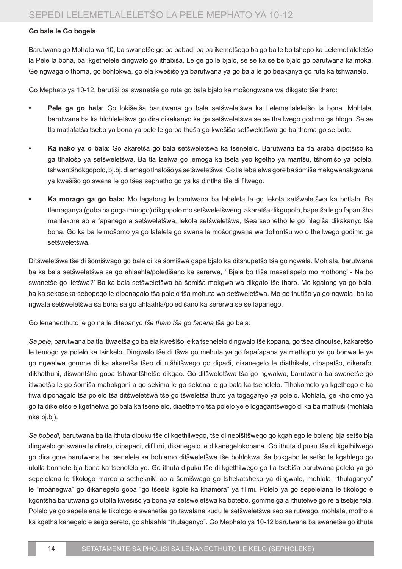#### **Go bala le Go bogela**

Barutwana go Mphato wa 10, ba swanetše go ba babadi ba ba ikemetšego ba go ba le boitshepo ka Lelemetlaleletšo la Pele la bona, ba ikgethelele dingwalo go ithabiša. Le ge go le bjalo, se se ka se be bjalo go barutwana ka moka. Ge ngwaga o thoma, go bohlokwa, go ela kwešišo ya barutwana ya go bala le go beakanya go ruta ka tshwanelo.

Go Mephato ya 10-12, barutiši ba swanetše go ruta go bala bjalo ka mošongwana wa dikgato tše tharo:

- Pele ga go bala: Go lokišetša barutwana go bala setšweletšwa ka Lelemetlaleletšo la bona. Mohlala, barutwana ba ka hlohleletšwa go dira dikakanyo ka ga setšweletšwa se se theilwego godimo ga hlogo. Se se tla matlafatša tsebo ya bona ya pele le go ba thuša go kwešiša setšweletšwa ge ba thoma go se bala.
- **• Ka nako ya o bala**: Go akaretša go bala setšweletšwa ka tsenelelo. Barutwana ba tla araba dipotšišo ka ga tlhalošo ya setšweletšwa. Ba tla laelwa go lemoga ka tsela yeo kgetho ya mantšu, tšhomišo ya polelo, tshwantšhokgopolo, bj.bj. di amago tlhalošo ya setšweletšwa. Go tla lebelelwa gore ba šomiše mekgwanakgwana ya kwešišo go swana le go tšea sephetho go ya ka dintlha tše di filwego.
- **Ka morago ga go bala:** Mo legatong le barutwana ba lebelela le go lekola setšweletšwa ka botlalo. Ba tlemaganya (goba ba goga mmogo) dikgopolo mo setšweletšweng, akaretša dikgopolo, bapetša le go fapantšha mahlakore ao a fapanego a setšweletšwa, lekola setšweletšwa, tšea sephetho le go hlagiša dikakanyo tša bona. Go ka ba le mošomo ya go latelela go swana le mošongwana wa tlotlontšu wo o theilwego godimo ga setšweletšwa.

Ditšweletšwa tše di šomišwago go bala di ka šomišwa gape bjalo ka ditšhupetšo tša go ngwala. Mohlala, barutwana ba ka bala setšweletšwa sa go ahlaahla/poledišano ka sererwa, ' Bjala bo tliša masetlapelo mo mothong' - Na bo swanetše go iletšwa?' Ba ka bala setšweletšwa ba šomiša mokgwa wa dikgato tše tharo. Mo kgatong ya go bala, ba ka sekaseka sebopego le diponagalo tša polelo tša mohuta wa setšweletšwa. Mo go thutišo ya go ngwala, ba ka ngwala setšweletšwa sa bona sa go ahlaahla/poledišano ka sererwa se se fapanego.

Go lenaneothuto le go na le ditebanyo *tše tharo tša go fapana* tša go bala:

*Sa pele,* barutwana ba tla itlwaetša go balela kwešišo le ka tsenelelo dingwalo tše kopana, go tšea dinoutse, kakaretšo le temogo ya polelo ka tsinkelo. Dingwalo tše di tšwa go mehuta ya go fapafapana ya methopo ya go bonwa le ya go ngwalwa gomme di ka akaretša tšeo di ntšhitšwego go dipadi, dikanegelo le diathikele, dipapatšo, dikerafo, dikhathuni, diswantšho goba tshwantšhetšo dikgao. Go ditšweletšwa tša go ngwalwa, barutwana ba swanetše go itlwaetša le go šomiša mabokgoni a go sekima le go sekena le go bala ka tsenelelo. Tlhokomelo ya kgethego e ka fiwa diponagalo tša polelo tša ditšweletšwa tše go tšweletša thuto ya togaganyo ya polelo. Mohlala, ge kholomo ya go fa dikeletšo e kgethelwa go bala ka tsenelelo, diaethemo tša polelo ye e logagantšwego di ka ba mathuši (mohlala nka bj.bj).

*Sa bobedi*, barutwana ba tla ithuta dipuku tše di kgethilwego, tše di nepišitšwego go kgahlego le boleng bja setšo bja dingwalo go swana le direto, dipapadi, difilimi, dikanegelo le dikanegelokopana. Go ithuta dipuku tše di kgethilwego go dira gore barutwana ba tsenelele ka bohlamo ditšweletšwa tše bohlokwa tša bokgabo le setšo le kgahlego go utolla bonnete bja bona ka tsenelelo ye. Go ithuta dipuku tše di kgethilwego go tla tsebiša barutwana polelo ya go sepelelana le tikologo mareo a sethekniki ao a šomišwago go tshekatsheko ya dingwalo, mohlala, "thulaganyo" le "moanegwa" go dikanegelo goba "go tšeela kgole ka khamera" ya filimi. Polelo ya go sepelelana le tikologo e kgontšha barutwana go utolla kwešišo ya bona ya setšweletšwa ka botebo, gomme ga a ithutelwe go re a tsebje fela. Polelo ya go sepelelana le tikologo e swanetše go tswalana kudu le setšweletšwa seo se rutwago, mohlala, motho a ka kgetha kanegelo e sego sereto, go ahlaahla "thulaganyo". Go Mephato ya 10-12 barutwana ba swanetše go ithuta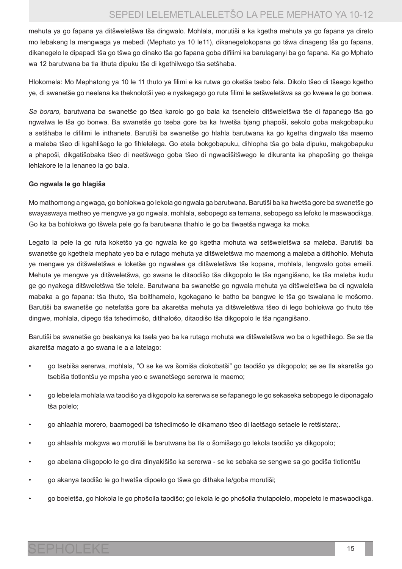mehuta ya go fapana ya ditšweletšwa tša dingwalo. Mohlala, morutiši a ka kgetha mehuta ya go fapana ya direto mo lebakeng la mengwaga ye mebedi (Mephato ya 10 le11), dikanegelokopana go tšwa dinageng tša go fapana, dikanegelo le dipapadi tša go tšwa go dinako tša go fapana goba difilimi ka barulaganyi ba go fapana. Ka go Mphato wa 12 barutwana ba tla ithuta dipuku tše di kgethilwego tša setšhaba.

Hlokomela: Mo Mephatong ya 10 le 11 thuto ya filimi e ka rutwa go oketša tsebo fela. Dikolo tšeo di tšeago kgetho ye, di swanetše go neelana ka theknolotši yeo e nyakegago go ruta filimi le setšweletšwa sa go kwewa le go bonwa.

*Sa boraro,* barutwana ba swanetše go tšea karolo go go bala ka tsenelelo ditšweletšwa tše di fapanego tša go ngwalwa le tša go bonwa. Ba swanetše go tseba gore ba ka hwetša bjang phapoši, sekolo goba makgobapuku a setšhaba le difilimi le inthanete. Barutiši ba swanetše go hlahla barutwana ka go kgetha dingwalo tša maemo a maleba tšeo di kgahlišago le go fihlelelega. Go etela bokgobapuku, dihlopha tša go bala dipuku, makgobapuku a phapoši, dikgatišobaka tšeo di neetšwego goba tšeo di ngwadišitšwego le dikuranta ka phapošing go thekga lehlakore le la lenaneo la go bala.

#### **Go ngwala le go hlagiša**

Mo mathomong a ngwaga, go bohlokwa go lekola go ngwala ga barutwana. Barutiši ba ka hwetša gore ba swanetše go swayaswaya metheo ye mengwe ya go ngwala. mohlala, sebopego sa temana, sebopego sa lefoko le maswaodikga. Go ka ba bohlokwa go tšwela pele go fa barutwana tlhahlo le go ba tlwaetša ngwaga ka moka.

Legato la pele la go ruta koketšo ya go ngwala ke go kgetha mohuta wa setšweletšwa sa maleba. Barutiši ba swanetše go kgethela mephato yeo ba e rutago mehuta ya ditšweletšwa mo maemong a maleba a ditlhohlo. Mehuta ye mengwe ya ditšweletšwa e loketše go ngwalwa ga ditšweletšwa tše kopana, mohlala, lengwalo goba emeili. Mehuta ye mengwe ya ditšweletšwa, go swana le ditaodišo tša dikgopolo le tša ngangišano, ke tša maleba kudu ge go nyakega ditšweletšwa tše telele. Barutwana ba swanetše go ngwala mehuta ya ditšweletšwa ba di ngwalela mabaka a go fapana: tša thuto, tša boitlhamelo, kgokagano le batho ba bangwe le tša go tswalana le mošomo. Barutiši ba swanetše go netefatša gore ba akaretša mehuta ya ditšweletšwa tšeo di lego bohlokwa go thuto tše dingwe, mohlala, dipego tša tshedimošo, ditlhalošo, ditaodišo tša dikgopolo le tša ngangišano.

Barutiši ba swanetše go beakanya ka tsela yeo ba ka rutago mohuta wa ditšweletšwa wo ba o kgethilego. Se se tla akaretša magato a go swana le a a latelago:

- go tsebiša sererwa, mohlala, "O se ke wa šomiša diokobatši" go taodišo ya dikgopolo; se se tla akaretša go tsebiša tlotlontšu ye mpsha yeo e swanetšego sererwa le maemo;
- go lebelela mohlala wa taodišo ya dikgopolo ka sererwa se se fapanego le go sekaseka sebopego le diponagalo tša polelo;
- go ahlaahla morero, baamogedi ba tshedimošo le dikamano tšeo di laetšago setaele le retšistara;.
- go ahlaahla mokgwa wo morutiši le barutwana ba tla o šomišago go lekola taodišo ya dikgopolo;
- go abelana dikgopolo le go dira dinyakišišo ka sererwa se ke sebaka se sengwe sa go godiša tlotlontšu
- go akanya taodišo le go hwetša dipoelo go tšwa go dithaka le/goba morutiši;
- go boeletša, go hlokola le go phošolla taodišo; go lekola le go phošolla thutapolelo, mopeleto le maswaodikga.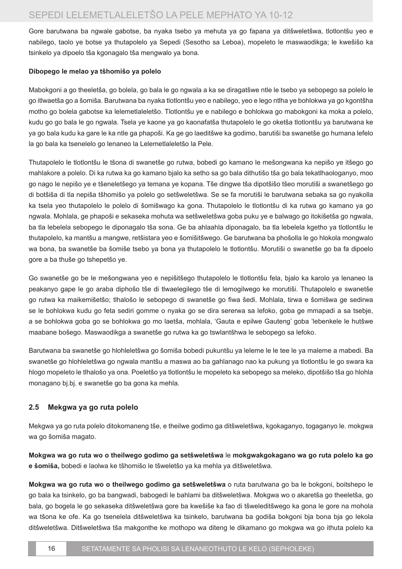Gore barutwana ba ngwale gabotse, ba nyaka tsebo ya mehuta ya go fapana ya ditšweletšwa, tlotlontšu yeo e nabilego, taolo ye botse ya thutapolelo ya Sepedi (Sesotho sa Leboa), mopeleto le maswaodikga; le kwešišo ka tsinkelo ya dipoelo tša kgonagalo tša mengwalo ya bona.

#### **Dibopego le melao ya tšhomišo ya polelo**

Mabokgoni a go theeletša, go bolela, go bala le go ngwala a ka se diragatšwe ntle le tsebo ya sebopego sa polelo le go itlwaetša go a šomiša. Barutwana ba nyaka tlotlontšu yeo e nabilego, yeo e lego ntlha ye bohlokwa ya go kgontšha motho go bolela gabotse ka lelemetlaleletšo. Tlotlontšu ye e nabilego e bohlokwa go mabokgoni ka moka a polelo, kudu go go bala le go ngwala. Tsela ye kaone ya go kaonafatša thutapolelo le go oketša tlotlontšu ya barutwana ke ya go bala kudu ka gare le ka ntle ga phapoši. Ka ge go laeditšwe ka godimo, barutiši ba swanetše go humana lefelo la go bala ka tsenelelo go lenaneo la Lelemetlaleletšo la Pele.

Thutapolelo le tlotlontšu le tšona di swanetše go rutwa, bobedi go kamano le mešongwana ka nepišo ye itšego go mahlakore a polelo. Di ka rutwa ka go kamano bjalo ka setho sa go bala dithutišo tša go bala tekatlhaologanyo, moo go nago le nepišo ye e tšeneletšego ya temana ye kopana. Tše dingwe tša dipotšišo tšeo morutiši a swanetšego go di botšiša di tla nepiša tšhomišo ya polelo go setšweletšwa. Se se fa morutiši le barutwana sebaka sa go nyakolla ka tsela yeo thutapolelo le polelo di šomišwago ka gona. Thutapolelo le tlotlontšu di ka rutwa go kamano ya go ngwala. Mohlala, ge phapoši e sekaseka mohuta wa setšweletšwa goba puku ye e balwago go itokišetša go ngwala, ba tla lebelela sebopego le diponagalo tša sona. Ge ba ahlaahla diponagalo, ba tla lebelela kgetho ya tlotlontšu le thutapolelo, ka mantšu a mangwe, retšistara yeo e šomišitšwego. Ge barutwana ba phošolla le go hlokola mongwalo wa bona, ba swanetše ba šomiše tsebo ya bona ya thutapolelo le tlotlontšu. Morutiši o swanetše go ba fa dipoelo gore a ba thuše go tshepetšo ye.

Go swanetše go be le mešongwana yeo e nepišitšego thutapolelo le tlotlontšu fela, bjalo ka karolo ya lenaneo la peakanyo gape le go araba diphošo tše di tlwaelegilego tše di lemogilwego ke morutiši. Thutapolelo e swanetše go rutwa ka maikemišetšo; tlhalošo le sebopego di swanetše go fiwa šedi. Mohlala, tirwa e šomišwa ge sedirwa se le bohlokwa kudu go feta sediri gomme o nyaka go se dira sererwa sa lefoko, goba ge mmapadi a sa tsebje, a se bohlokwa goba go se bohlokwa go mo laetša, mohlala, 'Gauta e epilwe Gauteng' goba 'lebenkele le hutšwe maabane bošego. Maswaodikga a swanetše go rutwa ka go tswlantšhwa le sebopego sa lefoko.

Barutwana ba swanetše go hlohleletšwa go šomiša bobedi pukuntšu ya leleme le le tee le ya maleme a mabedi. Ba swanetše go hlohleletšwa go ngwala mantšu a maswa ao ba gahlanago nao ka pukung ya tlotlontšu le go swara ka hlogo mopeleto le tlhalošo ya ona. Poeletšo ya tlotlontšu le mopeleto ka sebopego sa meleko, dipotšišo tša go hlohla monagano bj.bj. e swanetše go ba gona ka mehla.

#### **2.5 Mekgwa ya go ruta polelo**

Mekgwa ya go ruta polelo ditokomaneng tše, e theilwe godimo ga ditšweletšwa, kgokaganyo, togaganyo le. mokgwa wa go šomiša magato.

**Mokgwa wa go ruta wo o theilwego godimo ga setšweletšwa** le **mokgwakgokagano wa go ruta polelo ka go e šomiša,** bobedi e laolwa ke tšhomišo le tšweletšo ya ka mehla ya ditšweletšwa.

**Mokgwa wa go ruta wo o theilwego godimo ga setšweletšwa** o ruta barutwana go ba le bokgoni, boitshepo le go bala ka tsinkelo, go ba bangwadi, babogedi le bahlami ba ditšweletšwa. Mokgwa wo o akaretša go theeletša, go bala, go bogela le go sekaseka ditšweletšwa gore ba kwešiše ka fao di tšweleditšwego ka gona le gore na mohola wa tšona ke ofe. Ka go tsenelela ditšweletšwa ka tsinkelo, barutwana ba godiša bokgoni bja bona bja go lekola ditšweletšwa. Ditšweletšwa tša makgonthe ke mothopo wa diteng le dikamano go mokgwa wa go ithuta polelo ka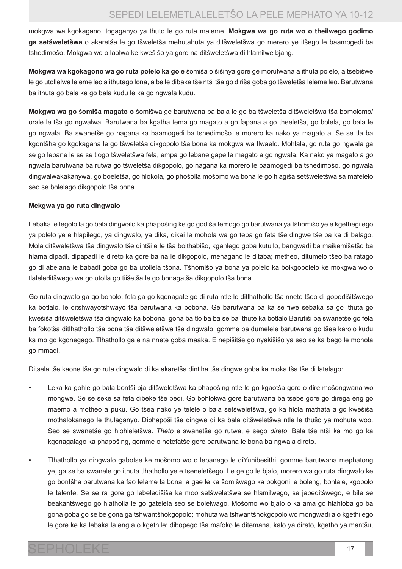mokgwa wa kgokagano, togaganyo ya thuto le go ruta maleme. **Mokgwa wa go ruta wo o theilwego godimo ga setšweletšwa** o akaretša le go tšweletša mehutahuta ya ditšweletšwa go merero ye itšego le baamogedi ba tshedimošo. Mokgwa wo o laolwa ke kwešišo ya gore na ditšweletšwa di hlamilwe bjang.

**Mokgwa wa kgokagono wa go ruta polelo ka go e** šomiša o šišinya gore ge morutwana a ithuta polelo, a tsebišwe le go utollelwa leleme leo a ithutago lona, a be le dibaka tše ntši tša go diriša goba go tšweletša leleme leo. Barutwana ba ithuta go bala ka go bala kudu le ka go ngwala kudu.

**Mokgwa wa go** š**omiša magato o** šomišwa ge barutwana ba bala le ge ba tšweletša ditšweletšwa tša bomolomo/ orale le tša go ngwalwa. Barutwana ba kgatha tema go magato a go fapana a go theeletša, go bolela, go bala le go ngwala. Ba swanetše go nagana ka baamogedi ba tshedimošo le morero ka nako ya magato a. Se se tla ba kgontšha go kgokagana le go tšweletša dikgopolo tša bona ka mokgwa wa tlwaelo. Mohlala, go ruta go ngwala ga se go lebane le se se tlogo tšweletšwa fela, empa go lebane gape le magato a go ngwala. Ka nako ya magato a go ngwala barutwana ba rutwa go tšweletša dikgopolo, go nagana ka morero le baamogedi ba tshedimošo, go ngwala dingwalwakakanywa, go boeletša, go hlokola, go phošolla mošomo wa bona le go hlagiša setšweletšwa sa mafelelo seo se bolelago dikgopolo tša bona.

#### **Mekgwa ya go ruta dingwalo**

Lebaka le legolo la go bala dingwalo ka phapošing ke go godiša temogo go barutwana ya tšhomišo ye e kgethegilego ya polelo ye e hlapilego, ya dingwalo, ya dika, dikai le mohola wa go teba go feta tše dingwe tše ba ka di balago. Mola ditšweletšwa tša dingwalo tše dintši e le tša boithabišo, kgahlego goba kutullo, bangwadi ba maikemišetšo ba hlama dipadi, dipapadi le direto ka gore ba na le dikgopolo, menagano le ditaba; metheo, ditumelo tšeo ba ratago go di abelana le babadi goba go ba utollela tšona. Tšhomišo ya bona ya polelo ka boikgopolelo ke mokgwa wo o tlaleleditšwego wa go utolla go tiišetša le go bonagatša dikgopolo tša bona.

Go ruta dingwalo ga go bonolo, fela ga go kgonagale go di ruta ntle le ditlhathollo tša nnete tšeo di gopodišitšwego ka botlalo, le ditshwayotshwayo tša barutwana ka bobona. Ge barutwana ba ka se fiwe sebaka sa go ithuta go kwešiša ditšweletšwa tša dingwalo ka bobona, gona ba tlo ba ba se ba ithute ka botlalo Barutiši ba swanetše go fela ba fokotša ditlhathollo tša bona tša ditšweletšwa tša dingwalo, gomme ba dumelele barutwana go tšea karolo kudu ka mo go kgonegago. Tlhathollo ga e na nnete goba maaka. E nepišitše go nyakišišo ya seo se ka bago le mohola go mmadi.

Ditsela tše kaone tša go ruta dingwalo di ka akaretša dintlha tše dingwe goba ka moka tša tše di latelago:

- Leka ka gohle go bala bontši bja ditšweletšwa ka phapošing ntle le go kgaotša gore o dire mošongwana wo mongwe. Se se seke sa feta dibeke tše pedi. Go bohlokwa gore barutwana ba tsebe gore go direga eng go maemo a motheo a puku. Go tšea nako ye telele o bala setšweletšwa, go ka hlola mathata a go kwešiša mothalokanego le thulaganyo. Diphapoši tše dingwe di ka bala ditšweletšwa ntle le thušo ya mohuta woo. Seo se swanetše go hlohleletšwa. *Theto* e swanetše go rutwa, e sego *direto*. Bala tše ntši ka mo go ka kgonagalago ka phapošing, gomme o netefatše gore barutwana le bona ba ngwala direto.
- Tlhathollo ya dingwalo gabotse ke mošomo wo o lebanego le diYunibesithi, gomme barutwana mephatong ye, ga se ba swanele go ithuta tlhathollo ye e tseneletšego. Le ge go le bjalo, morero wa go ruta dingwalo ke go bontšha barutwana ka fao leleme la bona la gae le ka šomišwago ka bokgoni le boleng, bohlale, kgopolo le talente. Se se ra gore go lebeledišiša ka moo setšweletšwa se hlamilwego, se jabeditšwego, e bile se beakantšwego go hlatholla le go gatelela seo se bolelwago. Mošomo wo bjalo o ka ama go hlahloba go ba gona goba go se be gona ga tshwantšhokgopolo; mohuta wa tshwantšhokgopolo wo mongwadi a o kgethilego le gore ke ka lebaka la eng a o kgethile; dibopego tša mafoko le ditemana, kalo ya direto, kgetho ya mantšu,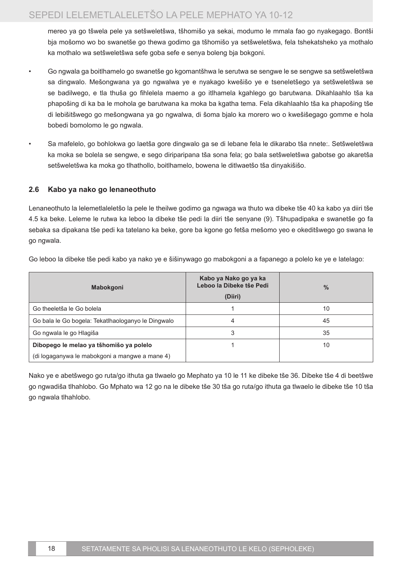mereo ya go tšwela pele ya setšweletšwa, tšhomišo ya sekai, modumo le mmala fao go nyakegago. Bontši bja mošomo wo bo swanetše go thewa godimo ga tšhomišo ya setšweletšwa, fela tshekatsheko ya mothalo ka mothalo wa setšweletšwa sefe goba sefe e senya boleng bja bokgoni.

- Go ngwala ga boitlhamelo go swanetše go kgomantšhwa le serutwa se sengwe le se sengwe sa setšweletšwa sa dingwalo. Mešongwana ya go ngwalwa ye e nyakago kwešišo ye e tseneletšego ya setšweletšwa se se badilwego, e tla thuša go fihlelela maemo a go itlhamela kgahlego go barutwana. Dikahlaahlo tša ka phapošing di ka ba le mohola ge barutwana ka moka ba kgatha tema. Fela dikahlaahlo tša ka phapošing tše di lebišitšwego go mešongwana ya go ngwalwa, di šoma bjalo ka morero wo o kwešišegago gomme e hola bobedi bomolomo le go ngwala.
- Sa mafelelo, go bohlokwa go laetša gore dingwalo ga se di lebane fela le dikarabo tša nnete:. Setšweletšwa ka moka se bolela se sengwe, e sego diriparipana tša sona fela; go bala setšweletšwa gabotse go akaretša setšweletšwa ka moka go tlhathollo, boitlhamelo, bowena le ditlwaetšo tša dinyakišišo.

#### **2.6 Kabo ya nako go lenaneothuto**

Lenaneothuto la lelemetlaleletšo la pele le theilwe godimo ga ngwaga wa thuto wa dibeke tše 40 ka kabo ya diiri tše 4.5 ka beke. Leleme le rutwa ka leboo la dibeke tše pedi la diiri tše senyane (9). Tšhupadipaka e swanetše go fa sebaka sa dipakana tše pedi ka tatelano ka beke, gore ba kgone go fetša mešomo yeo e okeditšwego go swana le go ngwala.

| <b>Mabokgoni</b>                                   | Kabo ya Nako go ya ka<br>Leboo la Dibeke tše Pedi<br>(Diiri) | $\frac{0}{0}$ |
|----------------------------------------------------|--------------------------------------------------------------|---------------|
| Go theeletša le Go bolela                          |                                                              | 10            |
| Go bala le Go bogela: Tekatlhaologanyo le Dingwalo |                                                              | 45            |
| Go ngwala le go Hlagiša                            | 3                                                            | 35            |
| Dibopego le melao ya tšhomišo ya polelo            |                                                              | 10            |
| (di logaganywa le mabokgoni a mangwe a mane 4)     |                                                              |               |

Go leboo la dibeke tše pedi kabo ya nako ye e šišinywago go mabokgoni a a fapanego a polelo ke ye e latelago:

Nako ye e abetšwego go ruta/go ithuta ga tlwaelo go Mephato ya 10 le 11 ke dibeke tše 36. Dibeke tše 4 di beetšwe go ngwadiša tlhahlobo. Go Mphato wa 12 go na le dibeke tše 30 tša go ruta/go ithuta ga tlwaelo le dibeke tše 10 tša go ngwala tlhahlobo.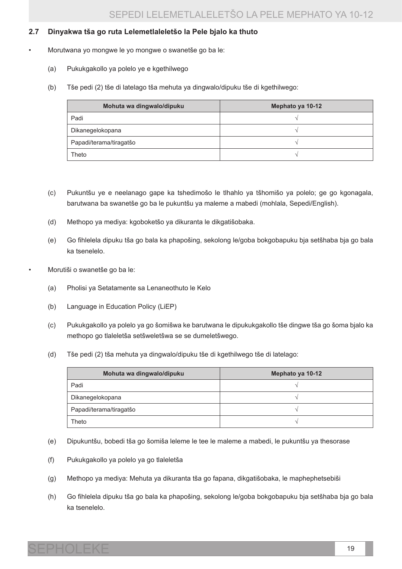### **2.7 Dinyakwa tša go ruta Lelemetlaleletšo la Pele bjalo ka thuto**

- Morutwana yo mongwe le yo mongwe o swanetše go ba le:
	- (a) Pukukgakollo ya polelo ye e kgethilwego
	- (b) Tše pedi (2) tše di latelago tša mehuta ya dingwalo/dipuku tše di kgethilwego:

| Mohuta wa dingwalo/dipuku | Mephato ya 10-12 |
|---------------------------|------------------|
| Padi                      |                  |
| Dikanegelokopana          |                  |
| Papadi/terama/tiragatšo   |                  |
| Theto                     |                  |

- (c) Pukuntšu ye e neelanago gape ka tshedimošo le tlhahlo ya tšhomišo ya polelo; ge go kgonagala, barutwana ba swanetše go ba le pukuntšu ya maleme a mabedi (mohlala, Sepedi/English).
- (d) Methopo ya mediya: kgoboketšo ya dikuranta le dikgatišobaka.
- (e) Go fihlelela dipuku tša go bala ka phapošing, sekolong le/goba bokgobapuku bja setšhaba bja go bala ka tsenelelo.
- Morutiši o swanetše go ba le:
	- (a) Pholisi ya Setatamente sa Lenaneothuto le Kelo
	- (b) Language in Education Policy (LiEP)
	- (c) Pukukgakollo ya polelo ya go šomišwa ke barutwana le dipukukgakollo tše dingwe tša go šoma bjalo ka methopo go tlaleletša setšweletšwa se se dumeletšwego.
	- (d) Tše pedi (2) tša mehuta ya dingwalo/dipuku tše di kgethilwego tše di latelago:

| Mohuta wa dingwalo/dipuku | Mephato ya 10-12 |
|---------------------------|------------------|
| Padi                      |                  |
| Dikanegelokopana          |                  |
| Papadi/terama/tiragatšo   |                  |
| Theto                     |                  |

- (e) Dipukuntšu, bobedi tša go šomiša leleme le tee le maleme a mabedi, le pukuntšu ya thesorase
- (f) Pukukgakollo ya polelo ya go tlaleletša
- (g) Methopo ya mediya: Mehuta ya dikuranta tša go fapana, dikgatišobaka, le maphephetsebiši
- (h) Go fihlelela dipuku tša go bala ka phapošing, sekolong le/goba bokgobapuku bja setšhaba bja go bala ka tsenelelo.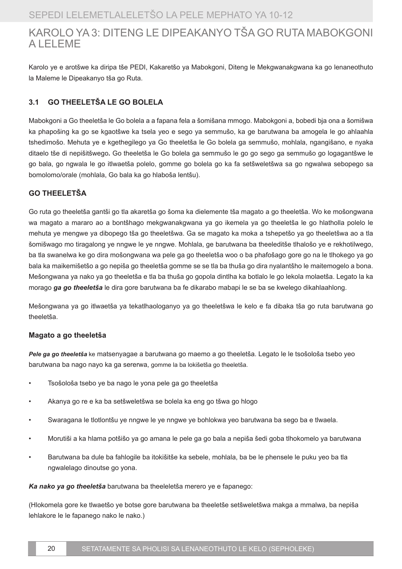## KAROLO YA 3: DITENG LE DIPEAKANYO TŠA GO RUTA MABOKGONI A LELEME

Karolo ye e arotšwe ka diripa tše PEDI, Kakaretšo ya Mabokgoni, Diteng le Mekgwanakgwana ka go lenaneothuto la Maleme le Dipeakanyo tša go Ruta.

### **3.1 GO THEELETŠA LE GO BOLELA**

Mabokgoni a Go theeletša le Go bolela a a fapana fela a šomišana mmogo. Mabokgoni a, bobedi bja ona a šomišwa ka phapošing ka go se kgaotšwe ka tsela yeo e sego ya semmušo, ka ge barutwana ba amogela le go ahlaahla tshedimošo. Mehuta ye e kgethegilego ya Go theeletša le Go bolela ga semmušo, mohlala, ngangišano, e nyaka ditaelo tše di nepišitšwego**.** Go theeletša le Go bolela ga semmušo le go go sego ga semmušo go logagantšwe le go bala, go ngwala le go itlwaetša polelo, gomme go bolela go ka fa setšweletšwa sa go ngwalwa sebopego sa bomolomo/orale (mohlala, Go bala ka go hlaboša lentšu).

### **GO THEELETŠA**

Go ruta go theeletša gantši go tla akaretša go šoma ka dielemente tša magato a go theeletša. Wo ke mošongwana wa magato a mararo ao a bontšhago mekgwanakgwana ya go ikemela ya go theeletša le go hlatholla polelo le mehuta ye mengwe ya dibopego tša go theeletšwa. Ga se magato ka moka a tshepetšo ya go theeletšwa ao a tla šomišwago mo tiragalong ye nngwe le ye nngwe. Mohlala, ge barutwana ba theeleditše tlhalošo ye e rekhotilwego, ba tla swanelwa ke go dira mošongwana wa pele ga go theeletša woo o ba phafošago gore go na le tlhokego ya go bala ka maikemišetšo a go nepiša go theeletša gomme se se tla ba thuša go dira nyalantšho le maitemogelo a bona. Mešongwana ya nako ya go theeletša e tla ba thuša go gopola dintlha ka botlalo le go lekola molaetša. Legato la ka morago *ga go theeletša* le dira gore barutwana ba fe dikarabo mabapi le se ba se kwelego dikahlaahlong.

Mešongwana ya go itlwaetša ya tekatlhaologanyo ya go theeletšwa le kelo e fa dibaka tša go ruta barutwana go theeletša.

#### **Magato a go theeletša**

*Pele ga go theeletša* ke matsenyagae a barutwana go maemo a go theeletša. Legato le le tsošološa tsebo yeo barutwana ba nago nayo ka ga sererwa, gomme la ba lokišetša go theeletša.

- Tsošološa tsebo ye ba nago le yona pele ga go theeletša
- Akanya go re e ka ba setšweletšwa se bolela ka eng go tšwa go hlogo
- Swaragana le tlotlontšu ye nngwe le ye nngwe ye bohlokwa yeo barutwana ba sego ba e tlwaela.
- Morutiši a ka hlama potšišo ya go amana le pele ga go bala a nepiša šedi goba tlhokomelo ya barutwana
- Barutwana ba dule ba fahlogile ba itokišitše ka sebele, mohlala, ba be le phensele le puku yeo ba tla ngwalelago dinoutse go yona.

#### *Ka nako ya go theeletša* barutwana ba theeleletša merero ye e fapanego:

(Hlokomela gore ke tlwaetšo ye botse gore barutwana ba theeletše setšweletšwa makga a mmalwa, ba nepiša lehlakore le le fapanego nako le nako.)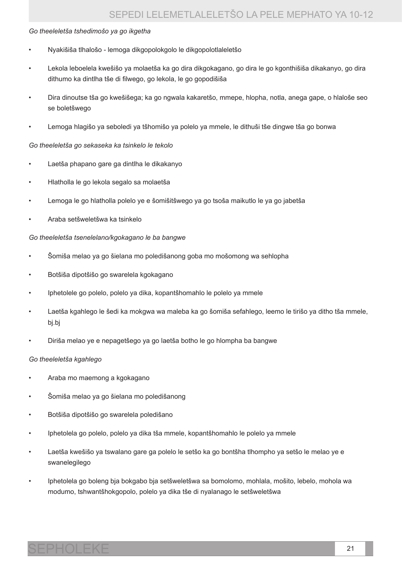#### *Go theeleletša tshedimošo ya go ikgetha*

- Nyakišiša tlhalošo lemoga dikgopolokgolo le dikgopolotlaleletšo
- Lekola leboelela kwešišo ya molaetša ka go dira dikgokagano, go dira le go kgonthišiša dikakanyo, go dira dithumo ka dintlha tše di filwego, go lekola, le go gopodišiša
- Dira dinoutse tša go kwešišega; ka go ngwala kakaretšo, mmepe, hlopha, notla, anega gape, o hlaloše seo se boletšwego
- Lemoga hlagišo ya seboledi ya tšhomišo ya polelo ya mmele, le dithuši tše dingwe tša go bonwa

#### *Go theeleletša go sekaseka ka tsinkelo le tekolo*

- Laetša phapano gare ga dintlha le dikakanyo
- Hlatholla le go lekola segalo sa molaetša
- Lemoga le go hlatholla polelo ye e šomišitšwego ya go tsoša maikutlo le ya go jabetša
- Araba setšweletšwa ka tsinkelo

#### *Go theeleletša tsenelelano/kgokagano le ba bangwe*

- Šomiša melao ya go šielana mo poledišanong goba mo mošomong wa sehlopha
- Botšiša dipotšišo go swarelela kgokagano
- Iphetolele go polelo, polelo ya dika, kopantšhomahlo le polelo ya mmele
- Laetša kgahlego le šedi ka mokgwa wa maleba ka go šomiša sefahlego, leemo le tirišo ya ditho tša mmele, bj.bj
- Diriša melao ye e nepagetšego ya go laetša botho le go hlompha ba bangwe

#### *Go theeleletša kgahlego*

- Araba mo maemong a kgokagano
- Šomiša melao ya go šielana mo poledišanong
- Botšiša dipotšišo go swarelela poledišano
- Iphetolela go polelo, polelo ya dika tša mmele, kopantšhomahlo le polelo ya mmele
- Laetša kwešišo ya tswalano gare ga polelo le setšo ka go bontšha tlhompho ya setšo le melao ye e swanelegilego
- Iphetolela go boleng bja bokgabo bja setšweletšwa sa bomolomo, mohlala, mošito, lebelo, mohola wa modumo, tshwantšhokgopolo, polelo ya dika tše di nyalanago le setšweletšwa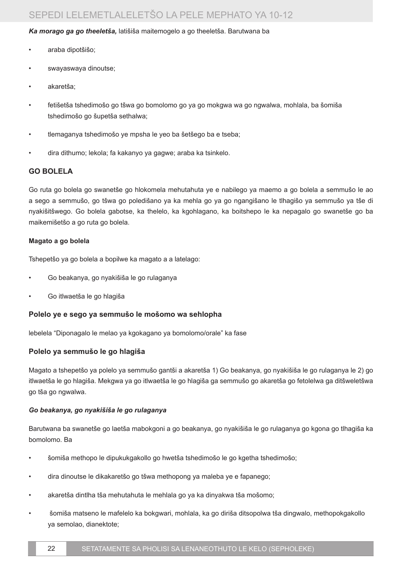#### *Ka morago ga go theeletša,* latišiša maitemogelo a go theeletša. Barutwana ba

- araba dipotšišo;
- swayaswaya dinoutse;
- akaretša;
- fetišetša tshedimošo go tšwa go bomolomo go ya go mokgwa wa go ngwalwa, mohlala, ba šomiša tshedimošo go šupetša sethalwa;
- tlemaganya tshedimošo ye mpsha le yeo ba šetšego ba e tseba;
- dira dithumo; lekola; fa kakanyo ya gagwe; araba ka tsinkelo.

#### **GO BOLELA**

Go ruta go bolela go swanetše go hlokomela mehutahuta ye e nabilego ya maemo a go bolela a semmušo le ao a sego a semmušo, go tšwa go poledišano ya ka mehla go ya go ngangišano le tlhagišo ya semmušo ya tše di nyakišitšwego. Go bolela gabotse, ka thelelo, ka kgohlagano, ka boitshepo le ka nepagalo go swanetše go ba maikemišetšo a go ruta go bolela.

#### **Magato a go bolela**

Tshepetšo ya go bolela a bopilwe ka magato a a latelago:

- Go beakanya, go nyakišiša le go rulaganya
- Go itlwaetša le go hlagiša

#### **Polelo ye e sego ya semmušo le mošomo wa sehlopha**

lebelela "Diponagalo le melao ya kgokagano ya bomolomo/orale" ka fase

#### **Polelo ya semmušo le go hlagiša**

Magato a tshepetšo ya polelo ya semmušo gantši a akaretša 1) Go beakanya, go nyakišiša le go rulaganya le 2) go itlwaetša le go hlagiša. Mekgwa ya go itlwaetša le go hlagiša ga semmušo go akaretša go fetolelwa ga ditšweletšwa go tša go ngwalwa.

#### *Go beakanya, go nyakišiša le go rulaganya*

Barutwana ba swanetše go laetša mabokgoni a go beakanya, go nyakišiša le go rulaganya go kgona go tlhagiša ka bomolomo. Ba

- šomiša methopo le dipukukgakollo go hwetša tshedimošo le go kgetha tshedimošo;
- dira dinoutse le dikakaretšo go tšwa methopong ya maleba ye e fapanego;
- akaretša dintlha tša mehutahuta le mehlala go ya ka dinyakwa tša mošomo;
- šomiša matseno le mafelelo ka bokgwari, mohlala, ka go diriša ditsopolwa tša dingwalo, methopokgakollo ya semolao, dianektote;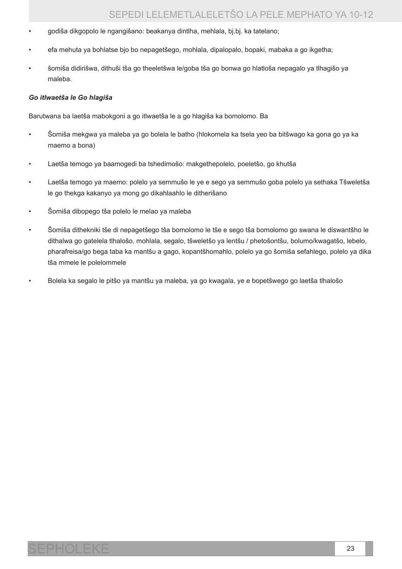- godiša dikgopolo le ngangišano: beakanya dintlha, mehlala, bj.bj. ka tatelano;
- efa mehuta ya bohlatse bjo bo nepagetšego, mohlala, dipalopalo, bopaki, mabaka a go ikgetha;
- šomiša didirišwa, dithuši tša go theeletšwa le/goba tša go bonwa go hlatloša nepagalo ya tlhagišo ya maleba.

#### *Go itlwaetša le Go hlagiša*

Barutwana ba laetša mabokgoni a go itlwaetša le a go hlagiša ka bomolomo. Ba

- Šomiša mekgwa ya maleba ya go bolela le batho (hlokomela ka tsela yeo ba bitšwago ka gona go ya ka maemo a bona)
- Laetša temogo ya baamogedi ba tshedimošo: makgethepolelo, poeletšo, go khutša
- Laetša temogo ya maemo: polelo ya semmušo le ye e sego ya semmušo goba polelo ya sethaka Tšweletša le go thekga kakanyo ya mong go dikahlaahlo le ditherišano
- Šomiša dibopego tša polelo le melao ya maleba
- Šomiša dithekniki tše di nepagetšego tša bomolomo le tše e sego tša bomolomo go swana le diswantšho le dithalwa go gatelela tlhalošo, mohlala, segalo, tšweletšo ya lentšu / phetošontšu, bolumo/kwagatšo, lebelo, pharafreisa/go bega taba ka mantšu a gago, kopantšhomahlo, polelo ya go šomiša sefahlego, polelo ya dika tša mmele le polelommele
- Bolela ka segalo le pitšo ya mantšu ya maleba, ya go kwagala, ye e bopetšwego go laetša tlhalošo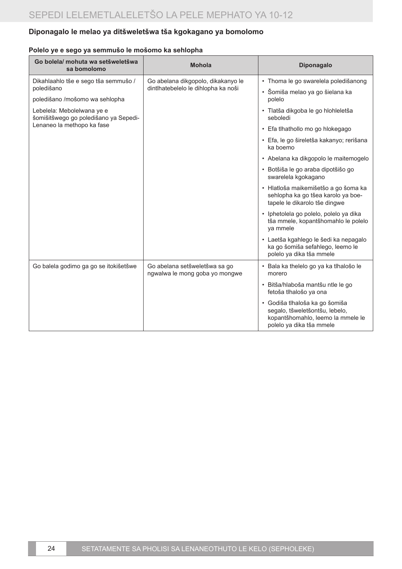### **Diponagalo le melao ya ditšweletšwa tša kgokagano ya bomolomo**

#### **Polelo ye e sego ya semmušo le mošomo ka sehlopha**

| Go bolela/ mohuta wa setšweletšwa<br>sa bomolomo                    | <b>Mohola</b>                                                   | <b>Diponagalo</b>                                                                                                                 |
|---------------------------------------------------------------------|-----------------------------------------------------------------|-----------------------------------------------------------------------------------------------------------------------------------|
| Dikahlaahlo tše e sego tša semmušo /                                | Go abelana dikgopolo, dikakanyo le                              | · Thoma le go swarelela poledišanong                                                                                              |
| poledišano<br>poledišano /mošomo wa sehlopha                        | dintlhatebelelo le dihlopha ka noši                             | · Šomiša melao ya go šielana ka<br>polelo                                                                                         |
| Lebelela: Mebolelwana ye e<br>šomišitšwego go poledišano ya Sepedi- |                                                                 | · Tlatša dikgoba le go hlohleletša<br>seboledi                                                                                    |
| Lenaneo la methopo ka fase                                          |                                                                 | · Efa tlhathollo mo go hlokegago                                                                                                  |
|                                                                     |                                                                 | · Efa, le go šireletša kakanyo; rerišana<br>ka boemo                                                                              |
|                                                                     |                                                                 | · Abelana ka dikgopolo le maitemogelo                                                                                             |
|                                                                     |                                                                 | · Botšiša le go araba dipotšišo go<br>swarelela kgokagano                                                                         |
|                                                                     |                                                                 | · Hlatloša maikemišetšo a go šoma ka<br>sehlopha ka go tšea karolo ya boe-<br>tapele le dikarolo tše dingwe                       |
|                                                                     |                                                                 | · Iphetolela go polelo, polelo ya dika<br>tša mmele, kopantšhomahlo le polelo<br>ya mmele                                         |
|                                                                     |                                                                 | · Laetša kgahlego le šedi ka nepagalo<br>ka go šomiša sefahlego, leemo le<br>polelo ya dika tša mmele                             |
| Go balela godimo ga go se itokišetšwe                               | Go abelana setšweletšwa sa go<br>ngwalwa le mong goba yo mongwe | · Bala ka thelelo go ya ka tlhalošo le<br>morero                                                                                  |
|                                                                     |                                                                 | · Bitša/hlaboša mantšu ntle le go<br>fetoša tlhalošo ya ona                                                                       |
|                                                                     |                                                                 | · Godiša tlhaloša ka go šomiša<br>segalo, tšweletšontšu, lebelo,<br>kopantšhomahlo, leemo la mmele le<br>polelo ya dika tša mmele |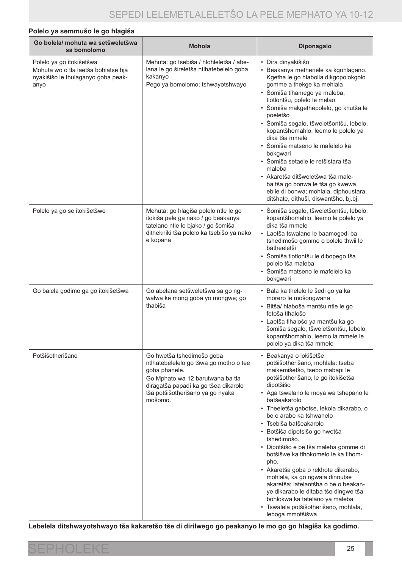#### **Polelo ya semmušo le go hlagiša**

| Go bolela/ mohuta wa setšweletšwa<br>sa bomolomo                                                              | <b>Mohola</b>                                                                                                                                                                                                   | <b>Diponagalo</b>                                                                                                                                                                                                                                                                                                                                                                                                                                                                                                                                                                                                                                                                                      |
|---------------------------------------------------------------------------------------------------------------|-----------------------------------------------------------------------------------------------------------------------------------------------------------------------------------------------------------------|--------------------------------------------------------------------------------------------------------------------------------------------------------------------------------------------------------------------------------------------------------------------------------------------------------------------------------------------------------------------------------------------------------------------------------------------------------------------------------------------------------------------------------------------------------------------------------------------------------------------------------------------------------------------------------------------------------|
| Polelo ya go itokišetšwa<br>Mohuta wo o tla laetša bohlatse bja<br>nyakišišo le thulaganyo goba peak-<br>anyo | Mehuta: go tsebiša / hlohleletša / abe-<br>lana le go šireletša ntlhatebelelo goba<br>kakanyo<br>Pego ya bomolomo; tshwayotshwayo                                                                               | · Dira dinyakišišo<br>· Beakanya metheriele ka kgohlagano.<br>Kgetha le go hlabolla dikgopolokgolo<br>gomme a thekge ka mehlala<br>· Šomiša tlhamego ya maleba,<br>tlotlontšu, polelo le melao<br>· Šomiša makgethepolelo, go khutša le<br>poeletšo<br>· Šomiša segalo, tšweletšontšu, lebelo,<br>kopantšhomahlo, leemo le polelo ya<br>dika tša mmele<br>· Šomiša matseno le mafelelo ka<br>bokgwari<br>· Šomiša setaele le retšistara tša<br>maleba<br>· Akaretša ditšweletšwa tša male-<br>ba tša go bonwa le tša go kwewa<br>ebile di bonwa; mohlala, diphoustara,<br>ditšhate, dithuši, diswantšho, bj.bj.                                                                                        |
| Polelo ya go se itokišetšwe                                                                                   | Mehuta: go hlagiša polelo ntle le go<br>itokiša pele ga nako / go beakanya<br>tatelano ntle le bjako / go šomiša<br>dithekniki tša polelo ka tsebišo ya nako<br>e kopana                                        | · Šomiša segalo, tšweletšontšu, lebelo,<br>kopantšhomahlo, leemo le polelo ya<br>dika tša mmele<br>· Laetša tswalano le baamogedi ba<br>tshedimošo gomme o bolele thwii le<br>batheeletši<br>· Šomiša tlotlontšu le dibopego tša<br>polelo tša maleba<br>· Šomiša matseno le mafelelo ka<br>bokgwari                                                                                                                                                                                                                                                                                                                                                                                                   |
| Go balela godimo ga go itokišetšwa                                                                            | Go abelana setšweletšwa sa go ng-<br>walwa ke mong goba yo mongwe; go<br>thabiša                                                                                                                                | · Bala ka thelelo le šedi go ya ka<br>morero le mošongwana<br>· Bitša/ hlaboša mantšu ntle le go<br>fetoša tlhalošo<br>· Laetša tlhalošo ya mantšu ka go<br>šomiša segalo, tšweletšontšu, lebelo,<br>kopantšhomahlo, leemo la mmele le<br>polelo ya dika tša mmele                                                                                                                                                                                                                                                                                                                                                                                                                                     |
| Potšišotherišano                                                                                              | Go hwetša tshedimošo goba<br>ntlhatebelelelo go tšwa go motho o tee<br>goba phanele.<br>Go Mphato wa 12 barutwana ba tla<br>diragatša papadi ka go tšea dikarolo<br>tša potšišotherišano ya go nyaka<br>mošomo. | · Beakanya o lokišetše<br>potšišotherišano, mohlala: tseba<br>maikemišetšo, tsebo mabapi le<br>potšišotherišano, le go itokišetša<br>dipotšišo<br>· Aga tswalano le moya wa tshepano le<br>batšeakarolo<br>· Theeletša gabotse, lekola dikarabo, o<br>be o arabe ka tshwanelo<br>· Tsebiša batšeakarolo<br>· Botšiša dipotsišo go hwetša<br>tshedimošo.<br>· Dipotšišo e be tša maleba gomme di<br>botšišwe ka tlhokomelo le ka tlhom-<br>pho.<br>· Akaretša goba o rekhote dikarabo,<br>mohlala, ka go ngwala dinoutse<br>akaretša; latelantšha o be o beakan-<br>ye dikarabo le ditaba tše dingwe tša<br>bohlokwa ka tatelano ya maleba<br>· Tswalela potšišotherišano, mohlala,<br>leboga mmotšišwa |

**Lebelela ditshwayotshwayo tša kakaretšo tše di dirilwego go peakanyo le mo go go hlagiša ka godimo.**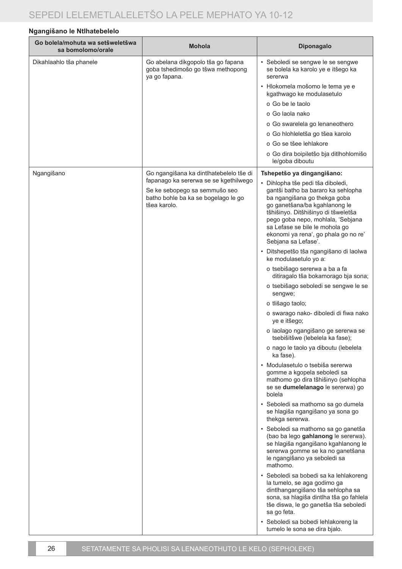### **Ngangišano le Ntlhatebelelo**

| Go bolela/mohuta wa setšweletšwa<br>sa bomolomo/orale | <b>Mohola</b>                                                                                                                 | <b>Diponagalo</b>                                                                                                                                                                                                                                                                                                     |
|-------------------------------------------------------|-------------------------------------------------------------------------------------------------------------------------------|-----------------------------------------------------------------------------------------------------------------------------------------------------------------------------------------------------------------------------------------------------------------------------------------------------------------------|
| Dikahlaahlo tša phanele                               | Go abelana dikgopolo tša go fapana<br>goba tshedimošo go tšwa methopong<br>ya go fapana.                                      | · Seboledi se sengwe le se sengwe<br>se bolela ka karolo ye e itšego ka<br>sererwa                                                                                                                                                                                                                                    |
|                                                       |                                                                                                                               | · Hlokomela mošomo le tema ye e<br>kgathwago ke modulasetulo                                                                                                                                                                                                                                                          |
|                                                       |                                                                                                                               | o Go be le taolo                                                                                                                                                                                                                                                                                                      |
|                                                       |                                                                                                                               | o Go laola nako                                                                                                                                                                                                                                                                                                       |
|                                                       |                                                                                                                               | o Go swarelela go lenaneothero                                                                                                                                                                                                                                                                                        |
|                                                       |                                                                                                                               | o Go hlohleletša go tšea karolo                                                                                                                                                                                                                                                                                       |
|                                                       |                                                                                                                               | o Go se tšee lehlakore                                                                                                                                                                                                                                                                                                |
|                                                       |                                                                                                                               | o Go dira boipiletšo bja ditlhohlomišo<br>le/goba diboutu                                                                                                                                                                                                                                                             |
| Ngangišano                                            | Go ngangišana ka dintlhatebelelo tše di                                                                                       | Tshepetšo ya dingangišano:                                                                                                                                                                                                                                                                                            |
|                                                       | fapanago ka sererwa se se kgethilwego<br>Se ke sebopego sa semmušo seo<br>batho bohle ba ka se bogelago le go<br>tšea karolo. | · Dihlopha tše pedi tša diboledi,<br>gantši batho ba bararo ka sehlopha<br>ba ngangišana go thekga goba<br>go ganetšana/ba kgahlanong le<br>tšhišinyo. Ditšhišinyo di tšweletša<br>pego goba nepo, mohlala, 'Sebjana<br>sa Lefase se bile le mohola go<br>ekonomi ya rena', go phala go no re'<br>Sebjana sa Lefase'. |
|                                                       |                                                                                                                               | · Ditshepetšo tša ngangišano di laolwa<br>ke modulasetulo yo a:                                                                                                                                                                                                                                                       |
|                                                       |                                                                                                                               | o tsebišago sererwa a ba a fa<br>ditiragalo tša bokamorago bja sona;                                                                                                                                                                                                                                                  |
|                                                       |                                                                                                                               | o tsebišago seboledi se sengwe le se<br>sengwe;                                                                                                                                                                                                                                                                       |
|                                                       |                                                                                                                               | o tlišago taolo;                                                                                                                                                                                                                                                                                                      |
|                                                       |                                                                                                                               | o swarago nako- diboledi di fiwa nako<br>ye e itšego;                                                                                                                                                                                                                                                                 |
|                                                       |                                                                                                                               | o laolago ngangišano ge sererwa se<br>tsebišitšwe (lebelela ka fase);                                                                                                                                                                                                                                                 |
|                                                       |                                                                                                                               | o nago le taolo ya diboutu (lebelela<br>ka fase).                                                                                                                                                                                                                                                                     |
|                                                       |                                                                                                                               | · Modulasetulo o tsebiša sererwa<br>gomme a kgopela seboledi sa<br>mathomo go dira tšhišinyo (sehlopha<br>se se dumelelanago le sererwa) go<br>bolela                                                                                                                                                                 |
|                                                       |                                                                                                                               | · Seboledi sa mathomo sa go dumela<br>se hlagiša ngangišano ya sona go<br>thekga sererwa.                                                                                                                                                                                                                             |
|                                                       |                                                                                                                               | · Seboledi sa mathomo sa go ganetša<br>(bao ba lego gahlanong le sererwa).<br>se hlagiša ngangišano kgahlanong le<br>sererwa gomme se ka no ganetšana<br>le ngangišano ya seboledi sa<br>mathomo.                                                                                                                     |
|                                                       |                                                                                                                               | · Seboledi sa bobedi sa ka lehlakoreng<br>la tumelo, se aga godimo ga<br>dintlhangangišano tša sehlopha sa<br>sona, sa hlagiša dintlha tša go fahlela<br>tše diswa, le go ganetša tša seboledi<br>sa go feta.                                                                                                         |
|                                                       |                                                                                                                               | · Seboledi sa bobedi lehlakoreng la<br>tumelo le sona se dira bjalo.                                                                                                                                                                                                                                                  |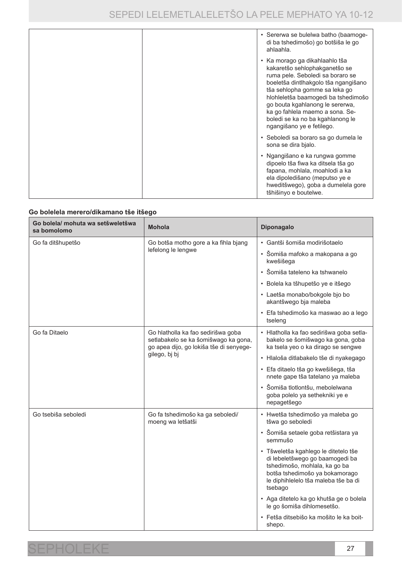|  | • Sererwa se bulelwa batho (baamoge-<br>di ba tshedimošo) go botšiša le go<br>ahlaahla.                                                                                                                                                                                                                                                                    |
|--|------------------------------------------------------------------------------------------------------------------------------------------------------------------------------------------------------------------------------------------------------------------------------------------------------------------------------------------------------------|
|  | • Ka morago ga dikahlaahlo tša<br>kakaretšo sehlophakganetšo se<br>ruma pele. Seboledi sa boraro se<br>boeletša dintlhakgolo tša ngangišano<br>tša sehlopha gomme sa leka go<br>hlohleletša baamogedi ba tshedimošo<br>go bouta kgahlanong le sererwa,<br>ka go fahlela maemo a sona. Se-<br>boledi se ka no ba kgahlanong le<br>ngangišano ye e fetilego. |
|  | • Seboledi sa boraro sa go dumela le<br>sona se dira bjalo.                                                                                                                                                                                                                                                                                                |
|  | · Ngangišano e ka rungwa gomme<br>dipoelo tša fiwa ka ditsela tša go<br>fapana, mohlala, moahlodi a ka<br>ela dipoledišano (meputso ye e<br>hweditšwego), goba a dumelela gore<br>tšhišinyo e boutelwe.                                                                                                                                                    |

### **Go bolelela merero/dikamano tše itšego**

| Go bolela/ mohuta wa setšweletšwa<br>sa bomolomo | <b>Mohola</b>                                                                                                         | <b>Diponagalo</b>                                                                                                                                                                             |
|--------------------------------------------------|-----------------------------------------------------------------------------------------------------------------------|-----------------------------------------------------------------------------------------------------------------------------------------------------------------------------------------------|
| Go fa ditšhupetšo                                | Go botša motho gore a ka fihla bjang<br>lefelong le lengwe                                                            | · Gantši šomiša modirišotaelo                                                                                                                                                                 |
|                                                  |                                                                                                                       | · Šomiša mafoko a makopana a go<br>kwešišega                                                                                                                                                  |
|                                                  |                                                                                                                       | · Šomiša tateleno ka tshwanelo                                                                                                                                                                |
|                                                  |                                                                                                                       | · Bolela ka tšhupetšo ye e itšego                                                                                                                                                             |
|                                                  |                                                                                                                       | · Laetša monabo/bokgole bjo bo<br>akantšwego bja maleba                                                                                                                                       |
|                                                  |                                                                                                                       | · Efa tshedimošo ka maswao ao a lego<br>tseleng                                                                                                                                               |
| Go fa Ditaelo<br>gilego, bj bj                   | Go hlatholla ka fao sedirišwa goba<br>setlabakelo se ka šomišwago ka gona,<br>go apea dijo, go lokiša tše di senyege- | · Hlatholla ka fao sedirišwa goba setla-<br>bakelo se šomišwago ka gona, goba<br>ka tsela yeo o ka dirago se sengwe                                                                           |
|                                                  |                                                                                                                       | · Hlaloša ditlabakelo tše di nyakegago                                                                                                                                                        |
|                                                  |                                                                                                                       | · Efa ditaelo tša go kwešišega, tša<br>nnete gape tša tatelano ya maleba                                                                                                                      |
|                                                  |                                                                                                                       | · Šomiša tlotlontšu, mebolelwana<br>goba polelo ya sethekniki ye e<br>nepagetšego                                                                                                             |
| Go tsebiša seboledi                              | Go fa tshedimošo ka ga seboledi/<br>moeng wa letšatši                                                                 | · Hwetša tshedimošo ya maleba go<br>tšwa go seboledi                                                                                                                                          |
|                                                  |                                                                                                                       | · Šomiša setaele goba retšistara ya<br>semmušo                                                                                                                                                |
|                                                  |                                                                                                                       | · Tšweletša kgahlego le ditetelo tše<br>di lebeletšwego go baamogedi ba<br>tshedimošo, mohlala, ka go ba<br>botša tshedimošo ya bokamorago<br>le diphihlelelo tša maleba tše ba di<br>tsebago |
|                                                  |                                                                                                                       | · Aga ditetelo ka go khutša ge o bolela<br>le go šomiša dihlomesetšo.                                                                                                                         |
|                                                  |                                                                                                                       | · Fetša ditsebišo ka mošito le ka boit-<br>shepo.                                                                                                                                             |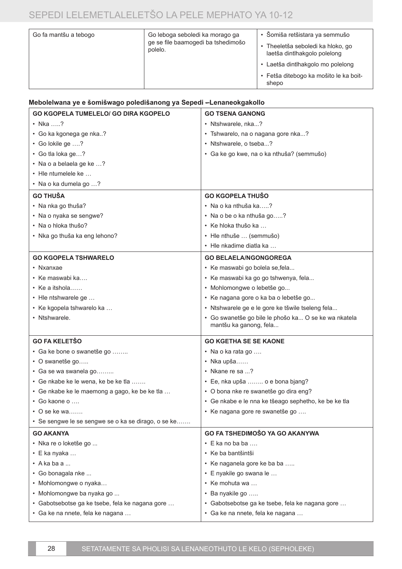| Go fa mantšu a tebogo<br>Go leboga seboledi ka morago ga<br>ge se file baamogedi ba tshedimošo<br>polelo. | · Šomiša retšistara ya semmušo                                  |
|-----------------------------------------------------------------------------------------------------------|-----------------------------------------------------------------|
|                                                                                                           | Theeletša seboledi ka hloko, go<br>laetša dintlhakgolo polelong |
|                                                                                                           | · Laetša dintlhakgolo mo polelong                               |
|                                                                                                           | • Fetša ditebogo ka mošito le ka boit-<br>shepo                 |

### **Mebolelwana ye e šomišwago poledišanong ya Sepedi - Lenaneokgakollo**

| <b>GO KGOPELA TUMELELO/ GO DIRA KGOPELO</b>         | <b>GO TSENA GANONG</b>                               |
|-----------------------------------------------------|------------------------------------------------------|
| • Nka ?                                             | • Ntshwarele, nka?                                   |
| · Go ka kgonega ge nka?                             | · Tshwarelo, na o nagana gore nka?                   |
| • Go lokile ge ?                                    | • Ntshwarele, o tseba?                               |
| · Go tla loka ge?                                   | · Ga ke go kwe, na o ka nthuša? (semmušo)            |
| • Na o a belaela ge ke ?                            |                                                      |
| • Hie ntumelele ke                                  |                                                      |
| • Na o ka dumela go ?                               |                                                      |
| <b>GO THUŠA</b>                                     | <b>GO KGOPELA THUŠO</b>                              |
| · Na nka go thuša?                                  | $\cdot$ Na o ka nthuša ka?                           |
| • Na o nyaka se sengwe?                             | · Na o be o ka nthuša go?                            |
| · Na o hloka thušo?                                 | • Ke hloka thušo ka                                  |
| • Nka go thuša ka eng lehono?                       | · Hle nthuše  (semmušo)                              |
|                                                     | • Hie nkadime diatla ka                              |
| <b>GO KGOPELA TSHWARELO</b>                         | <b>GO BELAELA/NGONGOREGA</b>                         |
| • Nxanxae                                           | • Ke maswabi go bolela se, fela                      |
| • Ke maswabi ka                                     | · Ke maswabi ka go go tshwenya, fela                 |
| $\cdot$ Ke a itshola                                | · Mohlomongwe o lebetše go                           |
| • Hie ntshwarele ge                                 | · Ke nagana gore o ka ba o lebetše go                |
| • Ke kgopela tshwarelo ka                           | · Ntshwarele ge e le gore ke tšwile tseleng fela     |
| • Ntshwarele.                                       | · Go swanetše go bile le phošo ka O se ke wa nkatela |
|                                                     | mantšu ka ganong, fela                               |
| <b>GO FA KELETŠO</b>                                | <b>GO KGETHA SE SE KAONE</b>                         |
| · Ga ke bone o swanetše go                          | $\cdot$ Na o ka rata go                              |
| • O swanetše go                                     | · Nka upša                                           |
| · Ga se wa swanela go                               | • Nkane re sa ?                                      |
| • Ge nkabe ke le wena, ke be ke tla                 | · Ee, nka upša  o e bona bjang?                      |
| • Ge nkabe ke le maemong a gago, ke be ke tla       |                                                      |
| $\cdot$ Go kaone o                                  | · O bona nke re swanetše go dira eng?                |
|                                                     | · Ge nkabe e le nna ke tšeago sephetho, ke be ke tla |
| O se ke wa                                          | · Ke nagana gore re swanetše go                      |
| • Se sengwe le se sengwe se o ka se dirago, o se ke |                                                      |
| <b>GO AKANYA</b>                                    | GO FA TSHEDIMOŠO YA GO AKANYWA                       |
| · Nka re o loketše go                               | $\cdot$ E ka no ba ba                                |
| $\cdot$ E ka nyaka                                  | • Ke ba bantšintši                                   |
| $\bullet$ A ka ba a                                 | • Ke naganela gore ke ba ba                          |
| • Go bonagala nke                                   | · E nyakile go swana le                              |
| · Mohlomongwe o nyaka                               | • Ke mohuta wa                                       |
| • Mohlomongwe ba nyaka go                           | • Ba nyakile go                                      |
| · Gabotsebotse ga ke tsebe, fela ke nagana gore     | · Gabotsebotse ga ke tsebe, fela ke nagana gore      |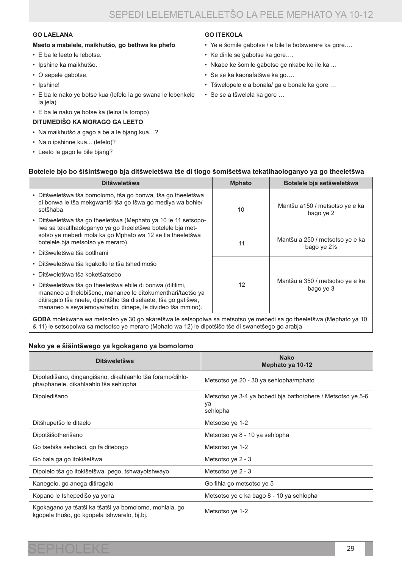| <b>GO LAELANA</b>                                                        | <b>GO ITEKOLA</b>                                    |
|--------------------------------------------------------------------------|------------------------------------------------------|
| Maeto a matelele, maikhutšo, go bethwa ke phefo                          | • Ye e šomile gabotse / e bile le botswerere ka gore |
| $\cdot$ E ba le leeto le lebotse.                                        | $\cdot$ Ke dirile se gabotse ka gore                 |
| • Ipshine ka maikhutšo.                                                  | • Nkabe ke šomile gabotse ge nkabe ke ile ka         |
| • O sepele gabotse.                                                      | · Se se ka kaonafatšwa ka go                         |
| • Ipshine!                                                               | · Tšwelopele e a bonala/ ga e bonale ka gore         |
| • E ba le nako ye botse kua (lefelo la go swana le lebenkele<br>la jela) | · Se se a tšwelela ka gore                           |
| • E ba le nako ye botse ka (leina la toropo)                             |                                                      |
| DITUMEDIŠO KA MORAGO GA LEETO                                            |                                                      |
| · Na maikhutšo a gago a be a le bjang kua?                               |                                                      |
| • Na o ipshinne kua (lefelo)?                                            |                                                      |
| • Leeto la gago le bile bjang?                                           |                                                      |
|                                                                          |                                                      |

#### **Botelele bjo bo šišintšwego bja ditšweletšwa tše di tlogo šomišetšwa tekatlhaologanyo ya go theeletšwa**

| <b>Ditšweletšwa</b>                                                                                                                                                                                                                                      | <b>Mphato</b>                | Botelele bja setšweletšwa                    |
|----------------------------------------------------------------------------------------------------------------------------------------------------------------------------------------------------------------------------------------------------------|------------------------------|----------------------------------------------|
| · Ditšweletšwa tša bomolomo, tša go bonwa, tša go theeletšwa<br>di bonwa le tša mekgwantši tša go tšwa go mediya wa bohle/<br>setšhaba                                                                                                                   | 10                           | Mantšu a150 / metsotso ye e ka<br>bago ye 2  |
| • Ditšweletšwa tša go theeletšwa (Mephato ya 10 le 11 setsopo-<br>Iwa sa tekatlhaologanyo ya go theeletšwa botelele bja met-                                                                                                                             |                              |                                              |
| sotso ye mebedi mola ka go Mphato wa 12 se tla theeletšwa<br>botelele bja metsotso ye meraro)                                                                                                                                                            | 11<br>bago ye $2\frac{1}{2}$ | Mantšu a 250 / metsotso ye e ka              |
| • Ditšweletšwa tša botlhami                                                                                                                                                                                                                              |                              |                                              |
| • Ditšweletšwa tša kgakollo le tša tshedimošo                                                                                                                                                                                                            |                              |                                              |
| • Ditšweletšwa tša koketšatsebo                                                                                                                                                                                                                          | 12                           | Mantšu a 350 / metsotso ye e ka<br>bago ye 3 |
| · Ditšweletšwa tša go theeletšwa ebile di bonwa (difilimi,<br>mananeo a thelebišene, mananeo le ditokumenthari/taetšo ya<br>ditiragalo tša nnete, dipontšho tša diselaete, tša go gatišwa,<br>mananeo a seyalemoya/radio, dinepe, le divideo tša mmino). |                              |                                              |
|                                                                                                                                                                                                                                                          |                              |                                              |

**GOBA** molekwana wa metsotso ye 30 go akaretšwa le setsopolwa sa metsotso ye mebedi sa go theeletšwa (Mephato ya 10 & 11) le setsopolwa sa metsotso ye meraro (Mphato wa 12) le dipotšišo tše di swanetšego go arabja

#### **Nako ye e šišintšwego ya kgokagano ya bomolomo**

| <b>Ditšweletšwa</b>                                                                                   | <b>Nako</b><br>Mephato ya 10-12                                               |
|-------------------------------------------------------------------------------------------------------|-------------------------------------------------------------------------------|
| Dipoledišano, dingangišano, dikahlaahlo tša foramo/dihlo-<br>pha/phanele, dikahlaahlo tša sehlopha    | Metsotso ye 20 - 30 ya sehlopha/mphato                                        |
| Dipoledišano                                                                                          | Metsotso ye 3-4 ya bobedi bja batho/phere / Metsotso ye 5-6<br>ya<br>sehlopha |
| Ditšhupetšo le ditaelo                                                                                | Metsotso ye 1-2                                                               |
| Dipotšišotherišano                                                                                    | Metsotso ye 8 - 10 ya sehlopha                                                |
| Go tsebiša seboledi, go fa ditebogo                                                                   | Metsotso ye 1-2                                                               |
| Go bala ga go itokišetšwa                                                                             | Metsotso ye 2 - 3                                                             |
| Dipolelo tša go itokišetšwa, pego, tshwayotshwayo                                                     | Metsotso ye 2 - 3                                                             |
| Kanegelo, go anega ditiragalo                                                                         | Go fihla go metsotso ye 5                                                     |
| Kopano le tshepedišo ya yona                                                                          | Metsotso ye e ka bago 8 - 10 ya sehlopha                                      |
| Kgokagano ya tšatši ka tšatši ya bomolomo, mohlala, go<br>kgopela thušo, go kgopela tshwarelo, bj.bj. | Metsotso ye 1-2                                                               |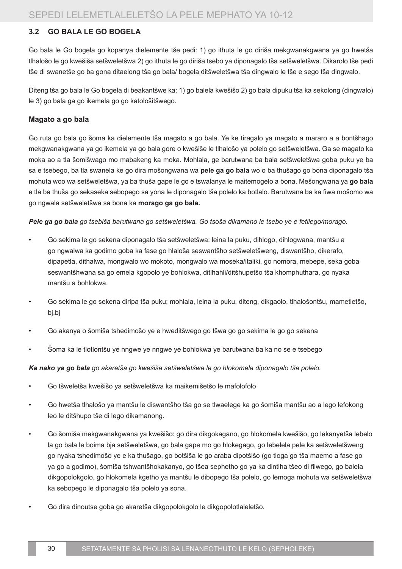#### $3.2$ **3.2 GO BALA LE GO BOGELA**

Go bala le Go bogela go kopanya dielemente tše pedi: 1) go ithuta le go diriša mekgwanakgwana ya go hwetša tlhalošo le go kwešiša setšweletšwa 2) go ithuta le go diriša tsebo ya diponagalo tša setšweletšwa. Dikarolo tše pedi tše di swanetše go ba gona ditaelong tša go bala/ bogela ditšweletšwa tša dingwalo le tše e sego tša dingwalo.

Diteng tša go bala le Go bogela di beakantšwe ka: 1) go balela kwešišo 2) go bala dipuku tša ka sekolong (dingwalo) le 3) go bala ga go ikemela go go katološitšwego.

#### **Magato a go bala**

Go ruta go bala go šoma ka dielemente tša magato a go bala. Ye ke tiragalo ya magato a mararo a a bontšhago mekgwanakgwana ya go ikemela ya go bala gore o kwešiše le tlhalošo ya polelo go setšweletšwa. Ga se magato ka moka ao a tla šomišwago mo mabakeng ka moka. Mohlala, ge barutwana ba bala setšweletšwa goba puku ye ba sa e tsebego, ba tla swanela ke go dira mošongwana wa **pele ga go bala** wo o ba thušago go bona diponagalo tša mohuta woo wa setšweletšwa, ya ba thuša gape le go e tswalanya le maitemogelo a bona. Mešongwana ya **go bala** e tla ba thuša go sekaseka sebopego sa yona le diponagalo tša polelo ka botlalo. Barutwana ba ka fiwa mošomo wa go ngwala setšweletšwa sa bona ka **morago ga go bala.**

*Pele ga go bala go tsebiša barutwana go setšweletšwa. Go tsoša dikamano le tsebo ye e fetilego/morago.*

- Go sekima le go sekena diponagalo tša setšweletšwa: leina la puku, dihlogo, dihlogwana, mantšu a go ngwalwa ka godimo goba ka fase go hlaloša seswantšho setšweletšweng, diswantšho, dikerafo, dipapetla, dithalwa, mongwalo wo mokoto, mongwalo wa moseka/italiki, go nomora, mebepe, seka goba seswantšhwana sa go emela kgopolo ye bohlokwa, ditlhahli/ditšhupetšo tša khomphuthara, go nyaka mantšu a bohlokwa.
- Go sekima le go sekena diripa tša puku; mohlala, leina la puku, diteng, dikgaolo, tlhalošontšu, mametletšo, bj.bj
- Go akanya o šomiša tshedimošo ye e hweditšwego go tšwa go go sekima le go go sekena
- Šoma ka le tlotlontšu ye nngwe ye nngwe ye bohlokwa ye barutwana ba ka no se e tsebego

#### *Ka nako ya go bala go akaretša go kwešiša setšweletšwa le go hlokomela diponagalo tša polelo.*

- Go tšweletša kwešišo ya setšweletšwa ka maikemišetšo le mafolofolo
- Go hwetša tlhalošo ya mantšu le diswantšho tša go se tlwaelege ka go šomiša mantšu ao a lego lefokong leo le ditšhupo tše di lego dikamanong.
- Go šomiša mekgwanakgwana ya kwešišo: go dira dikgokagano, go hlokomela kwešišo, go lekanyetša lebelo la go bala le boima bja setšweletšwa, go bala gape mo go hlokegago, go lebelela pele ka setšweletšweng go nyaka tshedimošo ye e ka thušago, go botšiša le go araba dipotšišo (go tloga go tša maemo a fase go ya go a godimo), šomiša tshwantšhokakanyo, go tšea sephetho go ya ka dintlha tšeo di filwego, go balela dikgopolokgolo, go hlokomela kgetho ya mantšu le dibopego tša polelo, go lemoga mohuta wa setšweletšwa ka sebopego le diponagalo tša polelo ya sona.
- Go dira dinoutse goba go akaretša dikgopolokgolo le dikgopolotlaleletšo.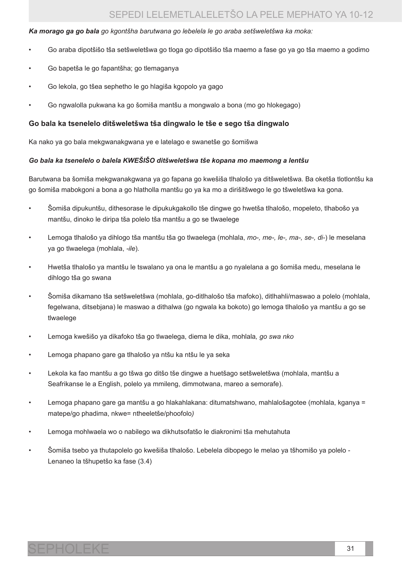#### *Ka morago ga go bala go kgontšha barutwana go lebelela le go araba setšweletšwa ka moka:*

- Go araba dipotšišo tša setšweletšwa go tloga go dipotšišo tša maemo a fase go ya go tša maemo a godimo
- Go bapetša le go fapantšha; go tlemaganya
- Go lekola, go tšea sephetho le go hlagiša kgopolo ya gago
- Go ngwalolla pukwana ka go šomiša mantšu a mongwalo a bona (mo go hlokegago)

#### **Go bala ka tsenelelo ditšweletšwa tša dingwalo le tše e sego tša dingwalo**

Ka nako ya go bala mekgwanakgwana ye e latelago e swanetše go šomišwa

#### *Go bala ka tsenelelo o balela KWEŠIŠO ditšweletšwa tše kopana mo maemong a lentšu*

Barutwana ba šomiša mekgwanakgwana ya go fapana go kwešiša tlhalošo ya ditšweletšwa. Ba oketša tlotlontšu ka go šomiša mabokgoni a bona a go hlatholla mantšu go ya ka mo a dirišitšwego le go tšweletšwa ka gona.

- Šomiša dipukuntšu, dithesorase le dipukukgakollo tše dingwe go hwetša tlhalošo, mopeleto, tlhabošo ya mantšu, dinoko le diripa tša polelo tša mantšu a go se tlwaelege
- Lemoga tlhalošo ya dihlogo tša mantšu tša go tlwaelega (mohlala, *mo-, me-, le-, ma-, se-, di-*) le meselana ya go tlwaelega (mohlala, *-ile*).
- Hwetša tlhalošo ya mantšu le tswalano ya ona le mantšu a go nyalelana a go šomiša medu, meselana le dihlogo tša go swana
- Šomiša dikamano tša setšweletšwa (mohlala, go-ditlhalošo tša mafoko), ditlhahli/maswao a polelo (mohlala, fegelwana, ditsebjana) le maswao a dithalwa (go ngwala ka bokoto) go lemoga tlhalošo ya mantšu a go se tlwaelege
- Lemoga kwešišo ya dikafoko tša go tlwaelega, diema le dika, mohlala*, go swa nko*
- Lemoga phapano gare ga tlhalošo ya ntšu ka ntšu le ya seka
- Lekola ka fao mantšu a go tšwa go ditšo tše dingwe a huetšago setšweletšwa (mohlala, mantšu a Seafrikanse le a English, polelo ya mmileng, dimmotwana, mareo a semorafe).
- Lemoga phapano gare ga mantšu a go hlakahlakana: ditumatshwano, mahlalošagotee (mohlala, kganya = matepe/go phadima, nkwe= ntheeletše/phoofolo*)*
- Lemoga mohlwaela wo o nabilego wa dikhutsofatšo le diakronimi tša mehutahuta
- Šomiša tsebo ya thutapolelo go kwešiša tlhalošo. Lebelela dibopego le melao ya tšhomišo ya polelo Lenaneo la tšhupetšo ka fase (3.4)

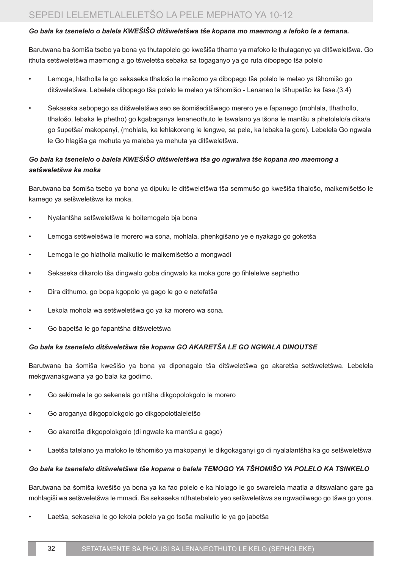#### *Go bala ka tsenelelo o balela KWEŠIŠO ditšweletšwa tše kopana mo maemong a lefoko le a temana.*

Barutwana ba šomiša tsebo ya bona ya thutapolelo go kwešiša tlhamo ya mafoko le thulaganyo ya ditšweletšwa. Go ithuta setšweletšwa maemong a go tšweletša sebaka sa togaganyo ya go ruta dibopego tša polelo

- Lemoga, hlatholla le go sekaseka tlhalošo le mešomo ya dibopego tša polelo le melao ya tšhomišo go ditšweletšwa. Lebelela dibopego tša polelo le melao ya tšhomišo - Lenaneo la tšhupetšo ka fase.(3.4)
- Sekaseka sebopego sa ditšweletšwa seo se šomišeditšwego merero ye e fapanego (mohlala, tlhathollo, tlhalošo, lebaka le phetho) go kgabaganya lenaneothuto le tswalano ya tšona le mantšu a phetolelo/a dika/a go šupetša/ makopanyi, (mohlala, ka lehlakoreng le lengwe, sa pele, ka lebaka la gore). Lebelela Go ngwala le Go hlagiša ga mehuta ya maleba ya mehuta ya ditšweletšwa.

#### *Go bala ka tsenelelo o balela KWEŠIŠO ditšweletšwa tša go ngwalwa tše kopana mo maemong a setšweletšwa ka moka*

Barutwana ba šomiša tsebo ya bona ya dipuku le ditšweletšwa tša semmušo go kwešiša tlhalošo, maikemišetšo le kamego ya setšweletšwa ka moka.

- Nyalantšha setšweletšwa le boitemogelo bja bona
- Lemoga setšwelešwa le morero wa sona, mohlala, phenkgišano ye e nyakago go goketša
- Lemoga le go hlatholla maikutlo le maikemišetšo a mongwadi
- Sekaseka dikarolo tša dingwalo goba dingwalo ka moka gore go fihlelelwe sephetho
- Dira dithumo, go bopa kgopolo ya gago le go e netefatša
- Lekola mohola wa setšweletšwa go ya ka morero wa sona.
- Go bapetša le go fapantšha ditšweletšwa

#### *Go bala ka tsenelelo ditšweletšwa tše kopana GO AKARETŠA LE GO NGWALA DINOUTSE*

Barutwana ba šomiša kwešišo ya bona ya diponagalo tša ditšweletšwa go akaretša setšweletšwa. Lebelela mekgwanakgwana ya go bala ka godimo.

- Go sekimela le go sekenela go ntšha dikgopolokgolo le morero
- Go aroganya dikgopolokgolo go dikgopolotlaleletšo
- Go akaretša dikgopolokgolo (di ngwale ka mantšu a gago)
- Laetša tatelano ya mafoko le tšhomišo ya makopanyi le dikgokaganyi go di nyalalantšha ka go setšweletšwa

#### *Go bala ka tsenelelo ditšweletšwa tše kopana o balela TEMOGO YA TŠHOMIŠO YA POLELO KA TSINKELO*

Barutwana ba šomiša kwešišo ya bona ya ka fao polelo e ka hlolago le go swarelela maatla a ditswalano gare ga mohlagiši wa setšweletšwa le mmadi. Ba sekaseka ntlhatebelelo yeo setšweletšwa se ngwadilwego go tšwa go yona.

• Laetša, sekaseka le go lekola polelo ya go tsoša maikutlo le ya go jabetša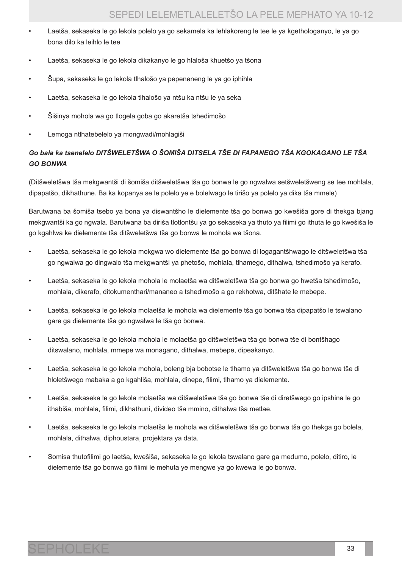- Laetša, sekaseka le go lekola polelo ya go sekamela ka lehlakoreng le tee le ya kgethologanyo, le ya go bona dilo ka leihlo le tee
- Laetša, sekaseka le go lekola dikakanyo le go hlaloša khuetšo ya tšona
- Šupa, sekaseka le go lekola tlhalošo ya pepeneneng le ya go iphihla
- Laetša, sekaseka le go lekola tlhalošo ya ntšu ka ntšu le ya seka
- Šišinya mohola wa go tlogela goba go akaretša tshedimošo
- Lemoga ntlhatebelelo ya mongwadi/mohlagiši

#### *Go bala ka tsenelelo DITŠWELETŠWA O ŠOMIŠA DITSELA TŠE DI FAPANEGO TŠA KGOKAGANO LE TŠA GO BONWA*

(Ditšweletšwa tša mekgwantši di šomiša ditšweletšwa tša go bonwa le go ngwalwa setšweletšweng se tee mohlala, dipapatšo, dikhathune. Ba ka kopanya se le polelo ye e bolelwago le tirišo ya polelo ya dika tša mmele)

Barutwana ba šomiša tsebo ya bona ya diswantšho le dielemente tša go bonwa go kwešiša gore di thekga bjang mekgwantši ka go ngwala. Barutwana ba diriša tlotlontšu ya go sekaseka ya thuto ya filimi go ithuta le go kwešiša le go kgahlwa ke dielemente tša ditšweletšwa tša go bonwa le mohola wa tšona.

- Laetša, sekaseka le go lekola mokgwa wo dielemente tša go bonwa di logagantšhwago le ditšweletšwa tša go ngwalwa go dingwalo tša mekgwantši ya phetošo, mohlala, tlhamego, dithalwa, tshedimošo ya kerafo.
- Laetša, sekaseka le go lekola mohola le molaetša wa ditšweletšwa tša go bonwa go hwetša tshedimošo, mohlala, dikerafo, ditokumenthari/mananeo a tshedimošo a go rekhotwa, ditšhate le mebepe.
- Laetša, sekaseka le go lekola molaetša le mohola wa dielemente tša go bonwa tša dipapatšo le tswalano gare ga dielemente tša go ngwalwa le tša go bonwa.
- Laetša, sekaseka le go lekola mohola le molaetša go ditšweletšwa tša go bonwa tše di bontšhago ditswalano, mohlala, mmepe wa monagano, dithalwa, mebepe, dipeakanyo.
- Laetša, sekaseka le go lekola mohola, boleng bja bobotse le tlhamo ya ditšweletšwa tša go bonwa tše di hloletšwego mabaka a go kgahliša, mohlala, dinepe, filimi, tlhamo ya dielemente.
- Laetša, sekaseka le go lekola molaetša wa ditšweletšwa tša go bonwa tše di diretšwego go ipshina le go ithabiša, mohlala, filimi, dikhathuni, divideo tša mmino, dithalwa tša metlae.
- Laetša, sekaseka le go lekola molaetša le mohola wa ditšweletšwa tša go bonwa tša go thekga go bolela, mohlala, dithalwa, diphoustara, projektara ya data.
- Somisa thutofilimi go laetša**,** kwešiša, sekaseka le go lekola tswalano gare ga medumo, polelo, ditiro, le dielemente tša go bonwa go filimi le mehuta ye mengwe ya go kwewa le go bonwa.

# SEPHOLEKE 33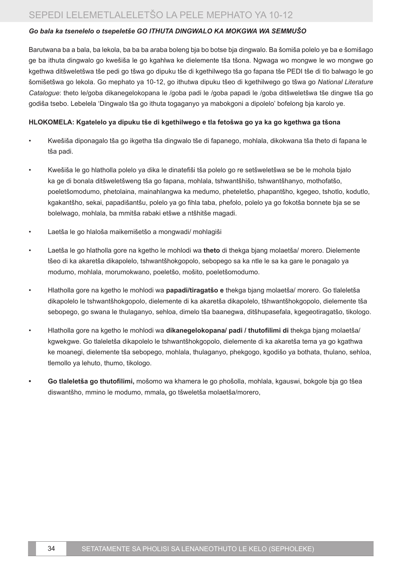#### *Go bala ka tsenelelo o tsepeletše GO ITHUTA DINGWALO KA MOKGWA WA SEMMUšO*

Barutwana ba a bala, ba lekola, ba ba ba araba boleng bja bo botse bja dingwalo. Ba šomiša polelo ye ba e šomišago ge ba ithuta dingwalo go kwešiša le go kgahlwa ke dielemente tša tšona. Ngwaga wo mongwe le wo mongwe go kgethwa ditšweletšwa tše pedi go tšwa go dipuku tše di kgethilwego tša go fapana tše PEDI tše di tlo balwago le go šomišetšwa go lekola. Go mephato ya 10-12, go ithutwa dipuku tšeo di kgethilwego go tšwa go *National Literature Catalogue*: theto le/goba dikanegelokopana le /goba padi le /goba papadi le /goba ditšweletšwa tše dingwe tša go godiša tsebo. Lebelela 'Dingwalo tša go ithuta togaganyo ya mabokgoni a dipolelo' bofelong bja karolo ye.

#### **HLOKOMELA: Kgatelelo ya dipuku tše di kgethilwego e tla fetošwa go ya ka go kgethwa ga tšona**

- Kwešiša diponagalo tša go ikgetha tša dingwalo tše di fapanego, mohlala, dikokwana tša theto di fapana le tša padi.
- Kwešiša le go hlatholla polelo ya dika le dinatefiši tša polelo go re setšweletšwa se be le mohola bjalo ka ge di bonala ditšweletšweng tša go fapana, mohlala, tshwantšhišo, tshwantšhanyo, mothofatšo, poeletšomodumo, phetolaina, mainahlangwa ka medumo, pheteletšo, phapantšho, kgegeo, tshotlo, kodutlo, kgakantšho, sekai, papadišantšu, polelo ya go fihla taba, phefolo, polelo ya go fokotša bonnete bja se se bolelwago, mohlala, ba mmitša rabaki etšwe a ntšhitše magadi.
- Laetša le go hlaloša maikemišetšo a mongwadi/ mohlagiši
- Laetša le go hlatholla gore na kgetho le mohlodi wa **theto** di thekga bjang molaetša/ morero. Dielemente tšeo di ka akaretša dikapolelo, tshwantšhokgopolo, sebopego sa ka ntle le sa ka gare le ponagalo ya modumo, mohlala, morumokwano, poeletšo, mošito, poeletšomodumo.
- Hlatholla gore na kgetho le mohlodi wa **papadi/tiragatšo e** thekga bjang molaetša/ morero. Go tlaleletša dikapolelo le tshwantšhokgopolo, dielemente di ka akaretša dikapolelo, tšhwantšhokgopolo, dielemente tša sebopego, go swana le thulaganyo, sehloa, dimelo tša baanegwa, ditšhupasefala, kgegeotiragatšo, tikologo.
- Hlatholla gore na kgetho le mohlodi wa **dikanegelokopana/ padi / thutofilimi di** thekga bjang molaetša/ kgwekgwe. Go tlaleletša dikapolelo le tshwantšhokgopolo, dielemente di ka akaretša tema ya go kgathwa ke moanegi, dielemente tša sebopego, mohlala, thulaganyo, phekgogo, kgodišo ya bothata, thulano, sehloa, tlemollo ya lehuto, thumo, tikologo.
- **• Go tlaleletša go thutofilimi,** mošomo wa khamera le go phošolla, mohlala, kgauswi, bokgole bja go tšea diswantšho, mmino le modumo, mmala**,** go tšweletša molaetša/morero,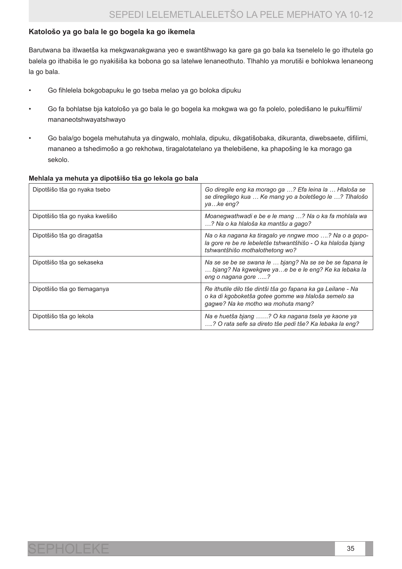#### **Katološo ya go bala le go bogela ka go ikemela**

Barutwana ba itlwaetša ka mekgwanakgwana yeo e swantšhwago ka gare ga go bala ka tsenelelo le go ithutela go balela go ithabiša le go nyakišiša ka bobona go sa latelwe lenaneothuto. Tlhahlo ya morutiši e bohlokwa lenaneong la go bala.

- Go fihlelela bokgobapuku le go tseba melao ya go boloka dipuku
- Go fa bohlatse bja katološo ya go bala le go bogela ka mokgwa wa go fa polelo, poledišano le puku/filimi/ mananeotshwayatshwayo
- Go bala/go bogela mehutahuta ya dingwalo, mohlala, dipuku, dikgatišobaka, dikuranta, diwebsaete, difilimi, mananeo a tshedimošo a go rekhotwa, tiragalotatelano ya thelebišene, ka phapošing le ka morago ga sekolo.

#### **Mehlala ya mehuta ya dipotšišo tša go lekola go bala**

| Dipotšišo tša go nyaka tsebo   | Go diregile eng ka morago ga ? Efa leina la  Hlaloša se<br>se diregilego kua  Ke mang yo a boletšego le ? Tihalošo<br>yake eng?                           |
|--------------------------------|-----------------------------------------------------------------------------------------------------------------------------------------------------------|
| Dipotšišo tša go nyaka kwešišo | Moanegwathwadi e be e le mang ? Na o ka fa mohlala wa<br>? Na o ka hlaloša ka mantšu a gago?                                                              |
| Dipotšišo tša go diragatša     | Na o ka nagana ka tiragalo ye nngwe moo ? Na o a gopo-<br>la gore re be re lebeletše tshwantšhišo - O ka hlaloša bjang<br>tshwantšhišo mothalothetong wo? |
| Dipotšišo tša go sekaseka      | Na se se be se swana le  bjang? Na se se be se fapana le<br>bjang? Na kgwekgwe yae be e le eng? Ke ka lebaka la<br>eng o nagana gore ?                    |
| Dipotšišo tša go tlemaganya    | Re ithutile dilo tše dintši tša go fapana ka ga Leilane - Na<br>o ka di kgoboketša gotee gomme wa hlaloša semelo sa<br>gagwe? Na ke motho wa mohuta mang? |
| Dipotšišo tša go lekola        | Na e huetša bjang ? O ka nagana tsela ye kaone ya<br>? O rata sefe sa direto tše pedi tše? Ka lebaka la eng?                                              |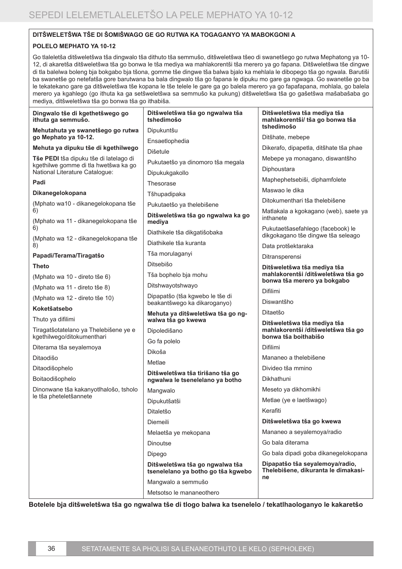#### **DITŠWELETŠWA TŠE DI ŠOMIŠWAGO GE GO RUTWA KA TOGAGANYO YA MABOKGONI A**

#### **POLELO MEPHATO YA 10-12**

Γ

Go tlaleletša ditšweletšwa tša dingwalo tša dithuto tša semmušo, ditšweletšwa tšeo di swanetšego go rutwa Mephatong ya 10- 12, di akaretša ditšweletšwa tša go bonwa le tša mediya wa mahlakorentši tša merero ya go fapana. Ditšweletšwa tše dingwe di tla balelwa boleng bja bokgabo bja tšona, gomme tše dingwe tša balwa bjalo ka mehlala le dibopego tša go ngwala. Barutiši ba swanetše go netefatša gore barutwana ba bala dingwalo tša go fapana le dipuku mo gare ga ngwaga. Go swanetše go ba le tekatekano gare ga ditšweletšwa tše kopana le tše telele le gare ga go balela merero ya go fapafapana, mohlala, go balela merero ya kgahlego (go ithuta ka ga setšweletšwa sa semmušo ka pukung) ditšweletšwa tša go gašetšwa mašabašaba go mediya, ditšweletšwa tša go bonwa tša go ithabiša.

| Dingwalo tše di kgethetšwego go<br>ithuta ga semmušo.                          | Ditšweletšwa tša go ngwalwa tša<br>tshedimošo                         | Ditšweletšwa tša mediya tša<br>mahlakorentši/ tša go bonwa tša          |
|--------------------------------------------------------------------------------|-----------------------------------------------------------------------|-------------------------------------------------------------------------|
| Mehutahuta ye swanetšego go rutwa                                              | Dipukuntšu                                                            | tshedimošo                                                              |
| go Mephato ya 10-12.                                                           | Ensaetlophedia                                                        | Ditšhate, mebepe                                                        |
| Mehuta ya dipuku tše di kgethilwego                                            | <b>Dišetule</b>                                                       | Dikerafo, dipapetla, ditšhate tša phae                                  |
| Tše PEDI tša dipuku tše di latelago di<br>kgethilwe gomme di tla hwetšwa ka go | Pukutaetšo ya dinomoro tša megala                                     | Mebepe ya monagano, diswantšho                                          |
| National Literature Catalogue:                                                 | Dipukukgakollo                                                        | Diphoustara                                                             |
| Padi                                                                           | Thesorase                                                             | Maphephetsebiši, diphamfolete                                           |
| Dikanegelokopana                                                               | Tšhupadipaka                                                          | Maswao le dika                                                          |
| (Mphato wa10 - dikanegelokopana tše                                            | Pukutaetšo ya thelebišene                                             | Ditokumenthari tša thelebišene                                          |
| 6)<br>(Mphato wa 11 - dikanegelokopana tše                                     | Ditšweletšwa tša go ngwalwa ka go<br>mediya                           | Matlakala a kgokagano (web), saete ya<br>inthanete                      |
| 6)                                                                             | Diathikele tša dikgatišobaka                                          | Pukutaetšasefahlego (facebook) le<br>dikgokagano tše dingwe tša seleago |
| (Mphato wa 12 - dikanegelokopana tše<br>8)                                     | Diathikele tša kuranta                                                | Data protšektaraka                                                      |
| Papadi/Terama/Tiragatšo                                                        | Tša morulaganyi                                                       | Ditransperensi                                                          |
| <b>Theto</b>                                                                   | Ditsebišo                                                             | Ditšweletšwa tša mediya tša                                             |
| (Mphato wa 10 - direto tše 6)                                                  | Tša bophelo bja mohu                                                  | mahlakorentši /ditšweletšwa tša go<br>bonwa tša merero ya bokgabo       |
| (Mphato wa 11 - direto tše 8)                                                  | Ditshwayotshwayo                                                      | Difilimi                                                                |
| (Mphato wa 12 - direto tše 10)                                                 | Dipapatšo (tša kgwebo le tše di<br>beakantšwego ka dikaroganyo)       | Diswantšho                                                              |
| Koketšatsebo                                                                   | Mehuta ya ditšweletšwa tša go ng-                                     | Ditaetšo                                                                |
| Thuto ya difilimi                                                              | walwa tša go kwewa                                                    | Ditšweletšwa tša mediya tša                                             |
| Tiragatšotatelano ya Thelebišene ye e<br>kgethilwego/ditokumenthari            | Dipoledišano                                                          | mahlakorentši /ditšweletšwa tša go<br>bonwa tša boithabišo              |
|                                                                                | Go fa polelo                                                          | Difilimi                                                                |
| Diterama tša seyalemoya                                                        | Dikoša                                                                |                                                                         |
| Ditaodišo                                                                      | Metlae                                                                | Mananeo a thelebišene                                                   |
| Ditaodišophelo                                                                 | Ditšweletšwa tša tirišano tša go                                      | Divideo tša mmino                                                       |
| Boitaodišophelo                                                                | ngwalwa le tsenelelano ya botho                                       | Dikhathuni                                                              |
| Dinonwane tša kakanyotlhalošo, tsholo<br>le tša pheteletšannete                | Mangwalo                                                              | Meseto ya dikhomikhi                                                    |
|                                                                                | Dipukutšatši                                                          | Metlae (ye e laetšwago)                                                 |
|                                                                                | Ditaletšo                                                             | Kerafiti                                                                |
|                                                                                | Diemeili                                                              | Ditšweletšwa tša go kwewa                                               |
|                                                                                | Melaetša ye mekopana                                                  | Mananeo a seyalemoya/radio                                              |
|                                                                                | <b>Dinoutse</b>                                                       | Go bala diterama                                                        |
|                                                                                | Dipego                                                                | Go bala dipadi goba dikanegelokopana                                    |
|                                                                                | Ditšweletšwa tša go ngwalwa tša<br>tsenelelano ya botho go tša kgwebo | Dipapatšo tša seyalemoya/radio,<br>Thelebišene, dikuranta le dimakasi-  |
|                                                                                | Mangwalo a semmušo                                                    | ne                                                                      |
|                                                                                | Metsotso le mananeothero                                              |                                                                         |

**Botelele bja ditšweletšwa tša go ngwalwa tše di tlogo balwa ka tsenelelo / tekatlhaologanyo le kakaretšo**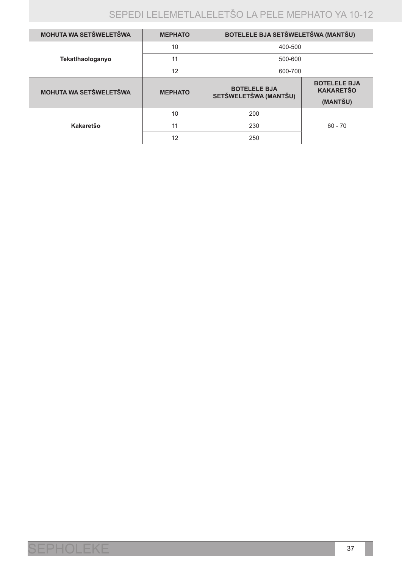| MOHUTA WA SETŠWELETŠWA        | <b>MEPHATO</b> | BOTELELE BJA SETŠWELETŠWA (MANTŠU)           |                                                     |
|-------------------------------|----------------|----------------------------------------------|-----------------------------------------------------|
| Tekatlhaologanyo              | 10             | 400-500                                      |                                                     |
|                               | 11             | 500-600                                      |                                                     |
|                               | 12             | 600-700                                      |                                                     |
| <b>MOHUTA WA SETŠWELETŠWA</b> | <b>MEPHATO</b> | <b>BOTELELE BJA</b><br>SETŠWELETŠWA (MANTŠU) | <b>BOTELELE BJA</b><br><b>KAKARETŠO</b><br>(MANTŠU) |
| Kakaretšo                     | 10             | 200                                          |                                                     |
|                               | 11             | 230                                          | $60 - 70$                                           |
|                               | 12             | 250                                          |                                                     |

### EPHOLEKE 37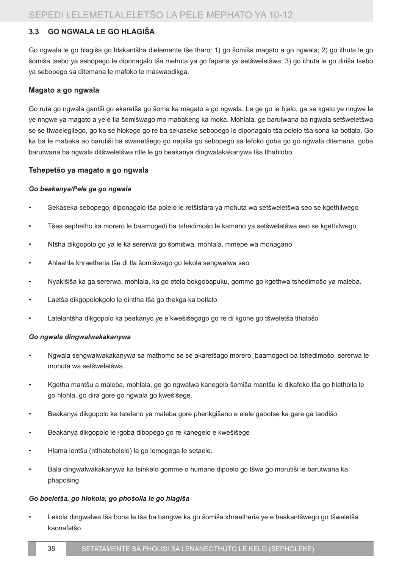#### $3.3$ **3.3 GO NGWALA LE GO HLAGIŠA**

Go ngwala le go hlagiša go hlakantšha dielemente tše tharo: 1) go šomiša magato a go ngwala; 2) go ithuta le go šomiša tsebo ya sebopego le diponagalo tša mehuta ya go fapana ya setšweletšwa; 3) go ithuta le go diriša tsebo ya sebopego sa ditemana le mafoko le maswaodikga.

#### **Magato a go ngwala**

Go ruta go ngwala gantši go akaretša go šoma ka magato a go ngwala. Le ge go le bjalo, ga se kgato ye nngwe le ye nngwe ya magato a ye e tla šomišwago mo mabakeng ka moka. Mohlala, ge barutwana ba ngwala setšweletšwa se se tlwaelegilego, go ka se hlokege go re ba sekaseke sebopego le diponagalo tša polelo tša sona ka botlalo. Go ka ba le mabaka ao barutiši ba swanetšego go nepiša go sebopego sa lefoko goba go go ngwala ditemana, goba barutwana ba ngwala ditšweletšwa ntle le go beakanya dingwalakakanywa tša tlhahlobo.

#### **Tshepetšo ya magato a go ngwala**

#### *Go beakanya/Pele ga go ngwala*

- Sekaseka sebopego, diponagalo tša polelo le retšistara ya mohuta wa setšweletšwa seo se kgethilwego
- Tšea sephetho ka morero le baamogedi ba tshedimošo le kamano ya setšweletšwa seo se kgethilwego
- Ntšha dikgopolo go ya le ka sererwa go šomišwa, mohlala, mmepe wa monagano
- Ahlaahla khraetheria tše di tla šomišwago go lekola sengwalwa seo
- Nyakišiša ka ga sererwa, mohlala, ka go etela bokgobapuku, gomme go kgethwa tshedimošo ya maleba.
- Laetša dikgopolokgolo le dintlha tša go thekga ka botlalo
- Latelantšha dikgopolo ka peakanyo ye e kwešišegago go re di kgone go tšweletša tlhalošo

#### *Go ngwala dingwalwakakanywa*

- Ngwala sengwalwakakanywa sa mathomo se se akaretšago morero, baamogedi ba tshedimošo, sererwa le mohuta wa setšweletšwa.
- Kgetha mantšu a maleba, mohlala, ge go ngwalwa kanegelo šomiša mantšu le dikafoko tša go hlatholla le go hlohla, go dira gore go ngwala go kwešišege.
- Beakanya dikgopolo ka tatelano ya maleba gore phenkgišano e elele gabotse ka gare ga taodišo
- Beakanya dikgopolo le /goba dibopego go re kanegelo e kwešišege
- Hlama lentšu (ntlhatebelelo) la go lemogega le setaele.
- Bala dingwalwakakanywa ka tsinkelo gomme o humane dipoelo go tšwa go morutiši le barutwana ka phapošing

#### *Go boeletša, go hlokola, go phošolla le go hlagiša*

• Lekola dingwalwa tša bona le tša ba bangwe ka go šomiša khraetheria ye e beakantšwego go tšweletša kaonafatšo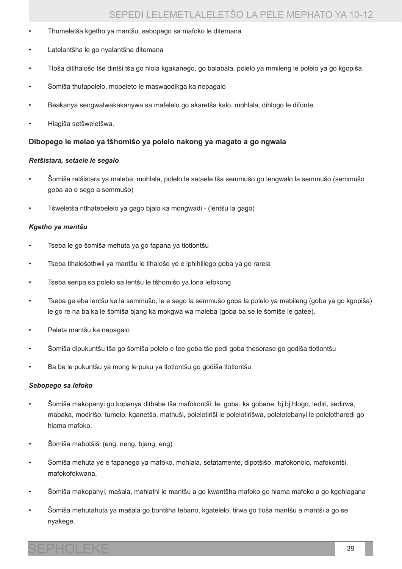- Thumeletša kgetho ya mantšu, sebopego sa mafoko le ditemana
- Latelantšha le go nyalantšha ditemana
- Tloša ditlhalošo tše dintši tša go hlola kgakanego, go balabala, polelo ya mmileng le polelo ya go kgopiša
- Šomiša thutapolelo, mopeleto le maswaodikga ka nepagalo
- Beakanya sengwalwakakanywa sa mafelelo go akaretša kalo, mohlala, dihlogo le difonte
- Hlagiša setšweletšwa.

#### **Dibopego le melao ya tšhomišo ya polelo nakong ya magato a go ngwala**

#### *Retšistara, setaele le segalo*

- Šomiša retšistara ya maleba: mohlala, polelo le setaele tša semmušo go lengwalo la semmušo (semmušo goba ao e sego a semmušo)
- Tšweletša ntlhatebelelo ya gago bjalo ka mongwadi (lentšu la gago)

#### *Kgetho ya mantšu*

- Tseba le go šomiša mehuta ya go fapana ya tlotlontšu
- Tseba tlhalošothwii ya mantšu le tlhalošo ye e iphihlilego goba ya go rarela
- Tseba seripa sa polelo sa lentšu le tšhomišo ya lona lefokong
- Tseba ge eba lentšu ke la semmušo, le e sego la semmušo goba la polelo ya mebileng (goba ya go kgopiša) le go re na ba ka le šomiša bjang ka mokgwa wa maleba (goba ba se le šomiše le gatee).
- Peleta mantšu ka nepagalo
- Šomiša dipukuntšu tša go šomiša polelo e tee goba tše pedi goba thesorase go godiša tlotlontšu
- Ba be le pukuntšu ya mong le puku ya tlotlontšu go godiša tlotlontšu

#### *Sebopego sa lefoko*

- Šomiša makopanyi go kopanya dithabe tša mafokontši: le, goba, ka gobane, bj.bj.hlogo, lediri, sedirwa, mabaka, modirišo, tumelo, kganetšo, mathuši, polelotiriši le polelotirišwa, polelotebanyi le polelotharedi go hlama mafoko.
- Šomiša mabotšiši (eng, neng, bjang, eng)
- Šomiša mehuta ye e fapanego ya mafoko, mohlala, setatamente, dipotšišo, mafokonolo, mafokontši, mafokofokwana.
- Šomiša makopanyi, mašala, mahlathi le mantšu a go kwantšha mafoko go hlama mafoko a go kgohlagana
- Šomiša mehutahuta ya mašala go bontšha tebano, kgatelelo, tirwa go tloša mantšu a mantši a go se nyakege.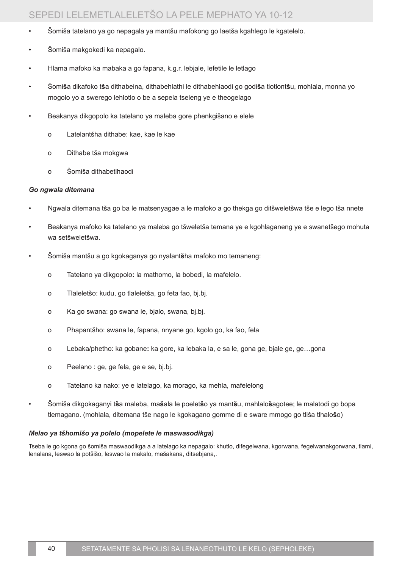- <sup>.</sup> • Šomiša tatelano ya go nepagala ya mantšu mafokong go laetša kgahlego le kgatelelo.
- Šomiša makgokedi ka nepagalo.
- Hlama mafoko ka mabaka a go fapana, k.g.r. lebjale, lefetile le letlago
- Šomi**š**a dikafoko t**š**a dithabeina, dithabehlathi le dithabehlaodi go godi**š**a tlotlont**š**u, mohlala, monna yo mogolo yo a swerego lehlotlo o be a sepela tseleng ye e theogelago
- Beakanya dikgopolo ka tatelano ya maleba gore phenkgišano e elele
	- o Latelantšha dithabe: kae, kae le kae
	- o Dithabe tša mokgwa
	- o Šomiša dithabetlhaodi

#### *Go ngwala ditemana*

- Ngwala ditemana tša go ba le matsenyagae a le mafoko a go thekga go ditšweletšwa tše e lego tša nnete
- Beakanya mafoko ka tatelano ya maleba go tšweletša temana ye e kgohlaganeng ye e swanetšego mohuta wa setšweletšwa.
- Šomiša mantšu a go kgokaganya go nyalant**š**ha mafoko mo temaneng:
	- o Tatelano ya dikgopolo**:** la mathomo, la bobedi, la mafelelo.
	- o Tlaleletšo: kudu, go tlaleletša, go feta fao, bj.bj.
	- o Ka go swana: go swana le, bjalo, swana, bj.bj.
	- o Phapantšho: swana le, fapana, nnyane go, kgolo go, ka fao, fela
	- o Lebaka/phetho: ka gobane**:** ka gore, ka lebaka la, e sa le, gona ge, bjale ge, ge…gona
	- o Peelano : ge, ge fela, ge e se, bj.bj.
	- o Tatelano ka nako: ye e latelago, ka morago, ka mehla, mafelelong
- Šomiša dikgokaganyi t**š**a maleba, ma**š**ala le poelet**š**o ya mant**š**u, mahlalo**š**agotee; le malatodi go bopa tlemagano. (mohlala, ditemana tše nago le kgokagano gomme di e sware mmogo go tliša tlhalo**š**o)

#### *Melao ya tšhomišo ya polelo (mopelete le maswasodikga)*

Tseba le go kgona go šomiša maswaodikga a a latelago ka nepagalo: khutlo, difegelwana, kgorwana, fegelwanakgorwana, tlami, lenalana, leswao la potšišo, leswao la makalo, mašakana, ditsebjana,.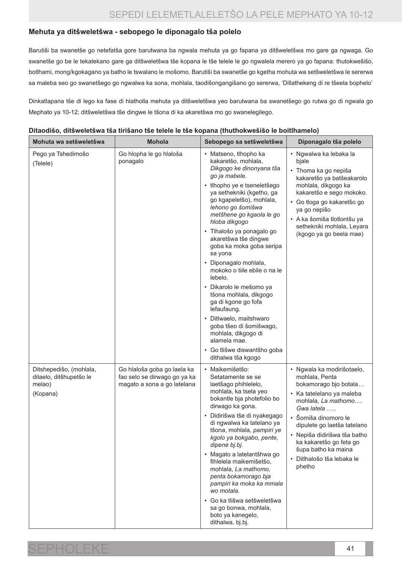#### **Mehuta ya ditšweletšwa - sebopego le diponagalo tša polelo**

Barutiši ba swanetše go netefatša gore barutwana ba ngwala mehuta ya go fapana ya ditšweletšwa mo gare ga ngwaga. Go swanetše go be le tekatekano gare ga ditšweletšwa tše kopana le tše telele le go ngwalela merero ya go fapana: thutokwešišo, botlhami, mong/kgokagano ya batho le tswalano le mošomo. Barutiši ba swanetše go kgetha mohuta wa setšweletšwa le sererwa sa maleba seo go swanetšego go ngwalwa ka sona, mohlala, taodišongangišano go sererwa, 'Dillathekeng di re tšeela bophelo'

Dinkatlapana tše di lego ka fase di hlatholla mehuta ya ditšweletšwa yeo barutwana ba swanetšego go rutwa go di ngwala go Mephato ya 10-12; ditšweletšwa tše dingwe le tšona di ka akaretšwa mo go swanelegilego.

| Mohuta wa setšweletšwa                                                   | <b>Mohola</b>                                                                              | Sebopego sa setšweletšwa                                                                                                                                                                                                                                                                                                                                                                                                                                                                                                                                                                                                                                              | Diponagalo tša polelo                                                                                                                                                                                                                                                                                                  |
|--------------------------------------------------------------------------|--------------------------------------------------------------------------------------------|-----------------------------------------------------------------------------------------------------------------------------------------------------------------------------------------------------------------------------------------------------------------------------------------------------------------------------------------------------------------------------------------------------------------------------------------------------------------------------------------------------------------------------------------------------------------------------------------------------------------------------------------------------------------------|------------------------------------------------------------------------------------------------------------------------------------------------------------------------------------------------------------------------------------------------------------------------------------------------------------------------|
| Pego ya Tshedimošo<br>(Telele)                                           | Go hlopha le go hlaloša<br>ponagalo                                                        | • Matseno, tlhopho ka<br>kakaretšo, mohlala,<br>Dikgogo ke dinonyana tša<br>go ja mabele.<br>• tlhopho ye e tseneletšego<br>ya sethekniki (kgetho, ga<br>go kgapeletšo), mohlala,<br>lehono go šomišwa<br>metšhene go kgaola le go<br>hloba dikgogo<br>Tlhalošo ya ponagalo go<br>akaretšwa tše dingwe<br>goba ka moka goba seripa<br>sa yona<br>Diponagalo mohlala,<br>mokoko o tiile ebile o na le<br>lebelo.<br>Dikarolo le mešomo ya<br>$\bullet$<br>tšona mohlala, dikgogo<br>ga di kgone go fofa<br>lefaufaung.<br>Ditlwaelo, maitshwaro<br>goba tšeo di šomišwago,<br>mohlala, dikgogo di<br>alamela mae.<br>• Go tlišwe diswantšho goba<br>dithalwa tša kgogo | • Ngwalwa ka lebaka la<br>bjale<br>· Thoma ka go nepiša<br>kakaretšo ya batšeakarolo<br>mohlala, dikgogo ka<br>kakaretšo e sego mokoko.<br>· Go tloga go kakaretšo go<br>ya go nepišo<br>· A ka šomiša tlotlontšu ya<br>sethekniki mohlala, Leyara<br>(kgogo ya go beela mae)                                          |
| Ditshepedišo, (mohlala,<br>ditaelo, ditšhupetšo le<br>melao)<br>(Kopana) | Go hlaloša goba go laela ka<br>fao selo se dirwago go ya ka<br>magato a sona a go latelana | · Maikemišetšo:<br>Setatamente se se<br>laetšago phihlelelo,<br>mohlala, ka tsela yeo<br>bokantle bja photefolio bo<br>dirwago ka gona.<br>Didirišwa tše di nyakegago<br>di ngwalwa ka tatelano ya<br>tšona, mohlala, pampiri ye<br>kgolo ya bokgabo, pente,<br>dipene bj.bj.<br>· Magato a latelantšhwa go<br>fihlelela maikemišetšo,<br>mohlala, La mathomo,<br>penta bokamorago bja<br>pampiri ka moka ka mmala<br>wo motala.<br>· Go ka tlišwa setšweletšwa<br>sa go bonwa, mohlala,<br>boto ya kanegelo,<br>dithalwa, bj.bj.                                                                                                                                     | · Ngwala ka modirišotaelo,<br>mohlala, Penta<br>bokamorago bjo botala<br>• Ka tatelelano ya maleba<br>mohlala, La mathomo<br>Gwa latela<br>· Šomiša dinomoro le<br>dipulete go laetša tatelano<br>• Nepiša didirišwa tša batho<br>ka kakaretšo go feta go<br>šupa batho ka maina<br>Ditlhalošo tša lebaka le<br>phetho |

| Ditaodišo, ditšweletšwa tša tirišano tše telele le tše kopana (thuthokwešišo le boitlhamelo) |  |  |  |  |
|----------------------------------------------------------------------------------------------|--|--|--|--|
|----------------------------------------------------------------------------------------------|--|--|--|--|

# SEPHOLEKE <sup>41</sup>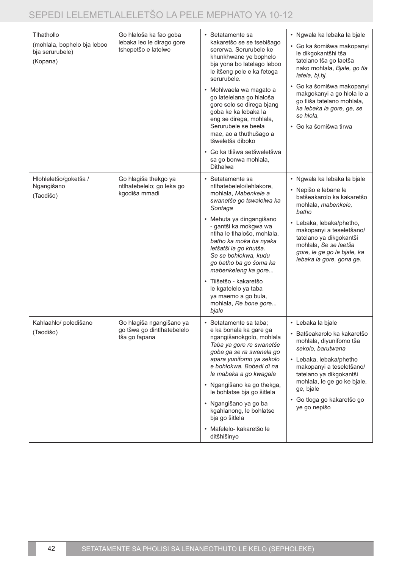| Tihathollo<br>(mohlala, bophelo bja leboo<br>bja serurubele)<br>(Kopana) | Go hlaloša ka fao goba<br>lebaka leo le dirago gore<br>tshepetšo e latelwe | • Setatamente sa<br>kakaretšo se se tsebišago<br>sererwa. Serurubele ke<br>khunkhwane ye bophelo<br>bja yona bo latelago leboo<br>le itšeng pele e ka fetoga<br>serurubele.<br>· Mohlwaela wa magato a<br>go latelelana go hlaloša<br>gore selo se direga bjang<br>goba ke ka lebaka la<br>eng se direga, mohlala,<br>Serurubele se beela<br>mae, ao a thuthušago a<br>tšweletša diboko<br>• Go ka tlišwa setšweletšwa<br>sa go bonwa mohlala,<br><b>Dithalwa</b> | • Ngwala ka lebaka la bjale<br>· Go ka šomišwa makopanyi<br>le dikgokantšhi tša<br>tatelano tša go laetša<br>nako mohlala, Bjale, go tla<br>latela, bj.bj.<br>· Go ka šomišwa makopanyi<br>makgokanyi a go hlola le a<br>go tliša tatelano mohlala,<br>ka lebaka la gore, ge, se<br>se hlola,<br>• Go ka šomišwa tirwa |
|--------------------------------------------------------------------------|----------------------------------------------------------------------------|-------------------------------------------------------------------------------------------------------------------------------------------------------------------------------------------------------------------------------------------------------------------------------------------------------------------------------------------------------------------------------------------------------------------------------------------------------------------|------------------------------------------------------------------------------------------------------------------------------------------------------------------------------------------------------------------------------------------------------------------------------------------------------------------------|
| Hlohleletšo/goketša /<br>Ngangišano<br>(Taodišo)                         | Go hlagiša thekgo ya<br>ntlhatebelelo; go leka go<br>kgodiša mmadi         | • Setatamente sa<br>ntlhatebelelo/lehlakore,<br>mohlala. Mabenkele a<br>swanetše go tswalelwa ka<br>Sontaga<br>· Mehuta ya dingangišano<br>- gantši ka mokgwa wa<br>ntlha le tlhalošo, mohlala,<br>batho ka moka ba nyaka<br>letšatši la go khutša.<br>Se se bohlokwa, kudu<br>go batho ba go šoma ka<br>mabenkeleng ka gore<br>· Tiišetšo - kakaretšo<br>le kgatelelo ya taba<br>ya maemo a go bula,<br>mohlala, Re bone gore<br>bjale                           | · Ngwala ka lebaka la bjale<br>• Nepišo e lebane le<br>batšeakarolo ka kakaretšo<br>mohlala, mabenkele,<br>batho<br>• Lebaka, lebaka/phetho,<br>makopanyi a teseletšano/<br>tatelano ya dikgokantši<br>mohlala, Se se laetša<br>gore, le ge go le bjale, ka<br>lebaka la gore, gona ge.                                |
| Kahlaahlo/ poledišano<br>(Taodišo)                                       | Go hlagiša ngangišano ya<br>go tšwa go dintlhatebelelo<br>tša go fapana    | • Setatamente sa taba:<br>e ka bonala ka gare ga<br>ngangišanokgolo, mohlala<br>Taba ya gore re swanetše<br>goba ga se ra swanela go<br>apara yunifomo ya sekolo<br>e bohlokwa. Bobedi di na<br>le mabaka a go kwagala<br>· Ngangišano ka go thekga,<br>le bohlatse bja go šitlela<br>· Ngangišano ya go ba<br>kgahlanong, le bohlatse<br>bja go šitlela<br>· Mafelelo- kakaretšo le<br>ditšhišinyo                                                               | • Lebaka la bjale<br>· Batšeakarolo ka kakaretšo<br>mohlala, diyunifomo tša<br>sekolo, barutwana<br>• Lebaka, lebaka/phetho<br>makopanyi a teseletšano/<br>tatelano ya dikgokantši<br>mohlala, le ge go ke bjale,<br>ge, bjale<br>· Go tloga go kakaretšo go<br>ye go nepišo                                           |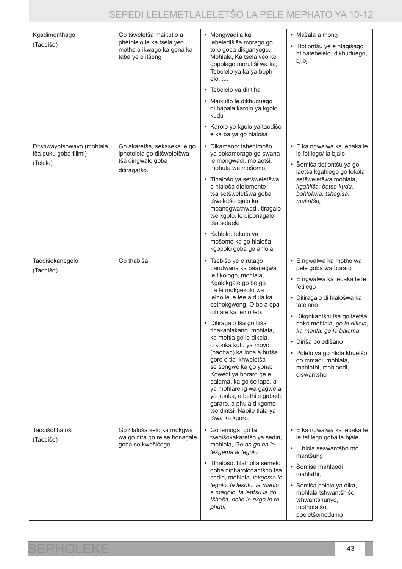| Kgadimonthago<br>(Taodišo)                                      | Go tšweletša maikutlo a<br>phetolelo le ka tsela yeo<br>motho a ikwago ka gona ka<br>taba ye e itšeng | • Mongwadi a ka<br>lebeledišiša morago go<br>toro goba dikganyogo,<br>Mohlala, Ka tsela yeo ke<br>gopolago morutiši wa ka;<br>Tebelelo ya ka ya boph-<br>elo<br>• Tebelelo ya dintlha<br>· Maikutlo le dikhuduego<br>di bapala karolo ya kgolo<br>kudu<br>· Karolo ye kgolo ya taodišo<br>e ka ba ya go hlaloša                                                                                                                                                                                                                                                                          | • Mašala a mong<br>· Tlotlontšu ye e hlagišago<br>ntlhatebelelo, dikhuduego,<br>bj.bj.                                                                                                                                                                                                                                                           |
|-----------------------------------------------------------------|-------------------------------------------------------------------------------------------------------|------------------------------------------------------------------------------------------------------------------------------------------------------------------------------------------------------------------------------------------------------------------------------------------------------------------------------------------------------------------------------------------------------------------------------------------------------------------------------------------------------------------------------------------------------------------------------------------|--------------------------------------------------------------------------------------------------------------------------------------------------------------------------------------------------------------------------------------------------------------------------------------------------------------------------------------------------|
| Ditshwayotshwayo (mohlala,<br>tša puku goba filimi)<br>(Telele) | Go akaretša, sekaseka le go<br>iphetolela go ditšweletšwa<br>tša dingwalo goba<br>ditiragatšo.        | · Dikamano: tshedimošo<br>ya bokamorago go swana<br>le mongwadi, molaetši,<br>mohuta wa mošomo,<br>· Tlhalošo ya setšweletšwa:<br>e hlaloša dielemente<br>tša setšweletšwa goba<br>tšweletšo bjalo ka<br>moanegwathwadi, tiragalo<br>tše kgolo, le diponagalo<br>tša setaele<br>• Kahlolo: tekolo ya<br>mošomo ka go hlaloša<br>kgopolo goba go ahlola                                                                                                                                                                                                                                   | • E ka ngwalwa ka lebaka le<br>le fetilego/ la bjale<br>· Šomiša tlotlontšu ya go<br>laetša kgahlego go lekola<br>setšweletšwa mohlala,<br>kgahliša, botse kudu,<br>bohlokwa, tshegiša,<br>makatša,                                                                                                                                              |
| Taodišokanegelo<br>(Taodišo)                                    | Go thabiša                                                                                            | · Tsebišo ye e rutago<br>barutwana ka baanegwa<br>le tikologo, mohlala,<br>Kgalekgale go be go<br>na le mokgekolo wa<br>leino le le tee a dula ka<br>sethokgweng. O be a epa<br>dihlare ka leino leo.<br>· Ditiragalo tša go tliša<br>tlhakahlakano, mohlala,<br>ka mehla ge le dikela,<br>o konka kutu ya moyo<br>(baobab) ka lona a hutša<br>gore o tla ikhweletša<br>se sengwe ka go yona:<br>Kgwedi ya boraro ge e<br>balama, ka go se lape, a<br>ya mohlareng wa gagwe a<br>yo konka, o bethile gabedi,<br>gararo, a phula dikgomo<br>tše dintši. Napile tlala ya<br>tšwa ka kgoro. | • E ngwalwa ka motho wa<br>pele goba wa boraro<br>• E ngwalwa ka lebaka le le<br>fetilego<br>• Ditiragalo di hlalošwa ka<br>tatelano<br>· Dikgokantšhi tša go laetša<br>nako mohlala, ge le dikela,<br>ka mehla, ge le balama.<br>· Diriša poledišano<br>· Polelo ya go hlola khuetšo<br>go mmadi, mohlala,<br>mahlathi, mahlaodi,<br>diswantšho |
| Taodišotlhaloši<br>(Taodišo)                                    | Go hlaloša selo ka mokgwa<br>wa go dira go re se bonagale<br>goba se kwešišege                        | • Go lemoga: go fa<br>tsebišokakaretšo ya sediri,<br>mohlala, Go be go na le<br>lekgema le legolo<br>· Tihalošo: hlatholla semelo<br>goba dipharologantšho tša<br>sediri, mohlala, lekgema le<br>legolo, le lekoto, la mahlo<br>a magolo, la lentšu la go<br>tšhoša, ebile le nkga le re<br>phuu!                                                                                                                                                                                                                                                                                        | • E ka ngwalwa ka lebaka le<br>le fetilego goba la bjale<br>• E hlola seswantšho mo<br>mantšung<br>· Šomiša mahlaodi<br>mahlathi,<br>· Somiša polelo ya dika,<br>mohlala tshwantšhišo,<br>tshwantšhanyo,<br>mothofatšo,<br>poeletšomodumo                                                                                                        |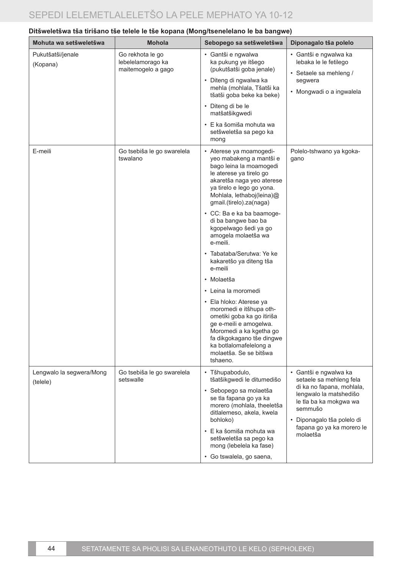#### **Ditšweletšwa tša tirišano tše telele le tše kopana (Mong/tsenelelano le ba bangwe)**

| Mohuta wa setšweletšwa               | <b>Mohola</b>                                               | Sebopego sa setšweletšwa                                                                                                                                                                                                                                                                                                                                                                                                                                                                                                                                                                                                                                                                 | Diponagalo tša polelo                                                                                                                                                                                               |
|--------------------------------------|-------------------------------------------------------------|------------------------------------------------------------------------------------------------------------------------------------------------------------------------------------------------------------------------------------------------------------------------------------------------------------------------------------------------------------------------------------------------------------------------------------------------------------------------------------------------------------------------------------------------------------------------------------------------------------------------------------------------------------------------------------------|---------------------------------------------------------------------------------------------------------------------------------------------------------------------------------------------------------------------|
| Pukutšatši/jenale<br>(Kopana)        | Go rekhota le go<br>lebelelamorago ka<br>maitemogelo a gago | • Gantši e ngwalwa<br>ka pukung ye itšego<br>(pukutšatši goba jenale)<br>• Diteng di ngwalwa ka<br>mehla (mohlala, Tšatši ka<br>tšatši goba beke ka beke)<br>• Diteng di be le<br>matšatšikgwedi<br>• E ka šomiša mohuta wa<br>setšweletša sa pego ka<br>mong                                                                                                                                                                                                                                                                                                                                                                                                                            | · Gantši e ngwalwa ka<br>lebaka le le fetilego<br>· Setaele sa mehleng /<br>segwera<br>· Mongwadi o a ingwalela                                                                                                     |
| E-meili                              | Go tsebiša le go swarelela<br>tswalano                      | • Aterese ya moamogedi-<br>yeo mabakeng a mantši e<br>bago leina la moamogedi<br>le aterese ya tirelo go<br>akaretša naga yeo aterese<br>ya tirelo e lego go yona.<br>Mohlala, lethaboj(leina)@<br>gmail.(tirelo).za(naga)<br>• CC: Ba e ka ba baamoge-<br>di ba bangwe bao ba<br>kgopelwago šedi ya go<br>amogela molaetša wa<br>e-meili.<br>• Tabataba/Serutwa: Ye ke<br>kakaretšo ya diteng tša<br>e-meili<br>• Molaetša<br>• Leina la moromedi<br>• Ela hloko: Aterese ya<br>moromedi e itšhupa oth-<br>ometiki goba ka go itiriša<br>ge e-meili e amogelwa.<br>Moromedi a ka kgetha go<br>fa dikgokagano tše dingwe<br>ka botlalomafelelong a<br>molaetša. Se se bitšwa<br>tshaeno. | Polelo-tshwano ya kgoka-<br>gano                                                                                                                                                                                    |
| Lengwalo la segwera/Mong<br>(telele) | Go tsebiša le go swarelela<br>setswalle                     | · Tšhupabodulo,<br>tšatšikgwedi le ditumedišo<br>· Sebopego sa molaetša<br>se tla fapana go ya ka<br>morero (mohlala, theeletša<br>ditlalemeso, akela, kwela<br>bohloko)<br>• E ka šomiša mohuta wa<br>setšweletša sa pego ka<br>mong (lebelela ka fase)<br>· Go tswalela, go saena,                                                                                                                                                                                                                                                                                                                                                                                                     | · Gantši e ngwalwa ka<br>setaele sa mehleng fela<br>di ka no fapana, mohlala,<br>lengwalo la matshedišo<br>le tla ba ka mokgwa wa<br>semmušo<br>· Diponagalo tša polelo di<br>fapana go ya ka morero le<br>molaetša |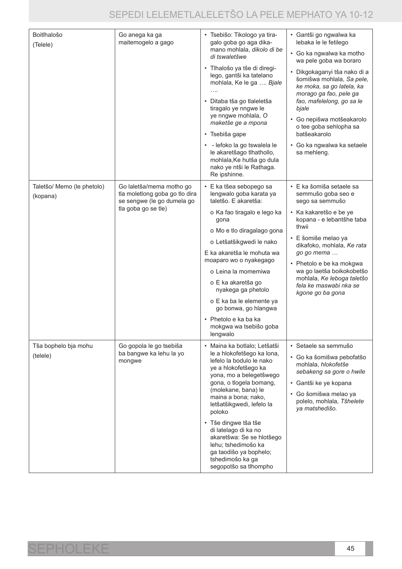| Boitlhalošo<br>(Telele)                | Go anega ka ga<br>maitemogelo a gago                                                                            | · Tsebišo: Tikologo ya tira-<br>galo goba go aga dika-<br>mano mohlala, dikolo di be<br>di tswaletšwe<br>· Tlhalošo ya tše di diregi-<br>lego, gantši ka tatelano<br>mohlala, Ke le ga  Bjale<br>.<br>· Ditaba tša go tlaleletša<br>tiragalo ye nngwe le<br>ye nngwe mohlala, O<br>maketše ge a mpona<br>• Tsebiša gape<br>· - lefoko la go tswalela le<br>le akaretšago tlhathollo,<br>mohlala, Ke hutša go dula<br>nako ye ntši le Rathaga.<br>Re ipshinne. | · Gantši go ngwalwa ka<br>lebaka le le fetilego<br>• Go ka ngwalwa ka motho<br>wa pele goba wa boraro<br>• Dikgokaganyi tša nako di a<br>šomišwa mohlala, Sa pele,<br>ke moka, sa go latela, ka<br>morago ga fao, pele ga<br>fao, mafelelong, go sa le<br>bjale<br>· Go nepišwa motšeakarolo<br>o tee goba sehlopha sa<br>batšeakarolo<br>• Go ka ngwalwa ka setaele<br>sa mehleng. |
|----------------------------------------|-----------------------------------------------------------------------------------------------------------------|---------------------------------------------------------------------------------------------------------------------------------------------------------------------------------------------------------------------------------------------------------------------------------------------------------------------------------------------------------------------------------------------------------------------------------------------------------------|-------------------------------------------------------------------------------------------------------------------------------------------------------------------------------------------------------------------------------------------------------------------------------------------------------------------------------------------------------------------------------------|
| Taletšo/ Memo (le phetolo)<br>(kopana) | Go laletša/mema motho go<br>tla moletlong goba go tlo dira<br>se sengwe (le go dumela go<br>tla goba go se tle) | • E ka tšea sebopego sa<br>lengwalo goba karata ya<br>taletšo. E akaretša:<br>o Ka fao tiragalo e lego ka<br>gona<br>o Mo e tlo diragalago gona<br>o Letšatšikgwedi le nako<br>E ka akaretša le mohuta wa<br>moaparo wo o nyakegago<br>o Leina la momemiwa<br>o E ka akaretša go<br>nyakega ga phetolo<br>o E ka ba le elemente ya<br>go bonwa, go hlangwa<br>• Phetolo e ka ba ka<br>mokgwa wa tsebišo goba<br>lengwalo                                      | • E ka šomiša setaele sa<br>semmušo goba seo e<br>sego sa semmušo<br>• Ka kakaretšo e be ye<br>kopana - e lebantšhe taba<br>thwii<br>• E šomiše melao ya<br>dikafoko, mohlala, Ke rata<br>go go mema<br>• Phetolo e be ka mokgwa<br>wa go laetša boikokobetšo<br>mohlala, Ke leboga taletšo<br>fela ke maswabi nka se<br>kgone go ba gona                                           |
| Tša bophelo bja mohu<br>(telele)       | Go gopola le go tsebiša<br>ba bangwe ka lehu la yo<br>mongwe                                                    | • Maina ka botlalo; Letšatši<br>le a hlokofetšego ka lona,<br>lefelo la bodulo le nako<br>ye a hlokofetšego ka<br>yona, mo a belegetšwego<br>gona, o tlogela bomang,<br>(molekane, bana) le<br>maina a bona; nako,<br>letšatšikgwedi, lefelo la<br>poloko<br>· Tše dingwe tša tše<br>di latelago di ka no<br>akaretšwa: Se se hlotšego<br>lehu; tshedimošo ka<br>ga taodišo ya bophelo;<br>tshedimošo ka ga<br>segopotšo sa tlhompho                          | · Setaele sa semmušo<br>· Go ka šomišwa pebofatšo<br>mohlala, hlokofetše<br>sebakeng sa gore o hwile<br>· Gantši ke ye kopana<br>· Go šomišwa melao ya<br>polelo, mohlala, Tšhelete<br>ya matshedišo.                                                                                                                                                                               |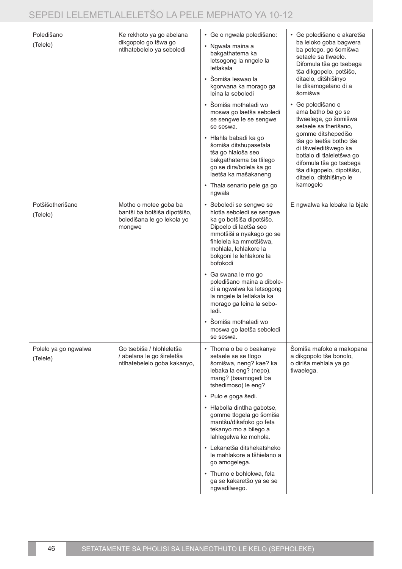| Poledišano<br>(Telele)           | Ke rekhoto ya go abelana<br>dikgopolo go tšwa go<br>ntlhatebelelo ya seboledi                 | · Ge o ngwala poledišano:<br>• Ngwala maina a<br>bakgathatema ka<br>letsogong la nngele la<br>letlakala<br>· Šomiša leswao la<br>kgorwana ka morago ga<br>leina la seboledi<br>· Šomiša mothaladi wo<br>moswa go laetša seboledi<br>se sengwe le se sengwe<br>se seswa.<br>· Hlahla babadi ka go<br>šomiša ditshupasefala<br>tša go hlaloša seo<br>bakgathatema ba tlilego<br>go se dira/bolela ka go<br>laetša ka mašakaneng<br>· Thala senario pele ga go<br>ngwala | · Ge poledišano e akaretša<br>ba leloko goba bagwera<br>ba potego, go šomišwa<br>setaele sa tlwaelo.<br>Difomula tša go tsebega<br>tša dikgopelo, potšišo,<br>ditaelo, ditšhišinyo<br>le dikamogelano di a<br>šomišwa<br>· Ge poledišano e<br>ama batho ba go se<br>tlwaelege, go šomišwa<br>setaele sa therišano,<br>gomme ditshepedišo<br>tša go laetša botho tše<br>di tšweleditšwego ka<br>botlalo di tlaleletšwa go<br>difomula tša go tsebega<br>tša dikgopelo, dipotšišo,<br>ditaelo, ditšhišinyo le<br>kamogelo |
|----------------------------------|-----------------------------------------------------------------------------------------------|-----------------------------------------------------------------------------------------------------------------------------------------------------------------------------------------------------------------------------------------------------------------------------------------------------------------------------------------------------------------------------------------------------------------------------------------------------------------------|-------------------------------------------------------------------------------------------------------------------------------------------------------------------------------------------------------------------------------------------------------------------------------------------------------------------------------------------------------------------------------------------------------------------------------------------------------------------------------------------------------------------------|
| Potšišotherišano<br>(Telele)     | Motho o motee goba ba<br>bantši ba botšiša dipotšišo,<br>boledišana le go lekola yo<br>mongwe | • Seboledi se sengwe se<br>hlotla seboledi se sengwe<br>ka go botšiša dipotšišo.<br>Dipoelo di laetša seo<br>mmotšiši a nyakago go se<br>fihlelela ka mmotšišwa,<br>mohlala, lehlakore la<br>bokgoni le lehlakore la<br>bofokodi<br>· Ga swana le mo go<br>poledišano maina a dibole-<br>di a ngwalwa ka letsogong<br>la nngele la letlakala ka<br>morago ga leina la sebo-<br>ledi.<br>· Šomiša mothaladi wo<br>moswa go laetša seboledi<br>se seswa.                | E ngwalwa ka lebaka la bjale                                                                                                                                                                                                                                                                                                                                                                                                                                                                                            |
| Polelo ya go ngwalwa<br>(Telele) | Go tsebiša / hlohleletša<br>/ abelana le go šireletša<br>ntlhatebelelo goba kakanyo,          | • Thoma o be o beakanye<br>setaele se se tlogo<br>šomišwa, neng? kae? ka<br>lebaka la eng? (nepo),<br>mang? (baamogedi ba<br>tshedimoso) le eng?<br>· Pulo e goga šedi.<br>· Hlabolla dintlha gabotse,<br>gomme tlogela go šomiša<br>mantšu/dikafoko go feta<br>tekanyo mo a bilego a<br>lahlegelwa ke mohola.<br>• Lekanetša ditshekatsheko<br>le mahlakore a tšhielano a<br>go amogelega.<br>• Thumo e bohlokwa, fela<br>ga se kakaretšo ya se se<br>ngwadilwego.   | Šomiša mafoko a makopana<br>a dikgopolo tše bonolo,<br>o diriša mehlala ya go<br>tlwaelega.                                                                                                                                                                                                                                                                                                                                                                                                                             |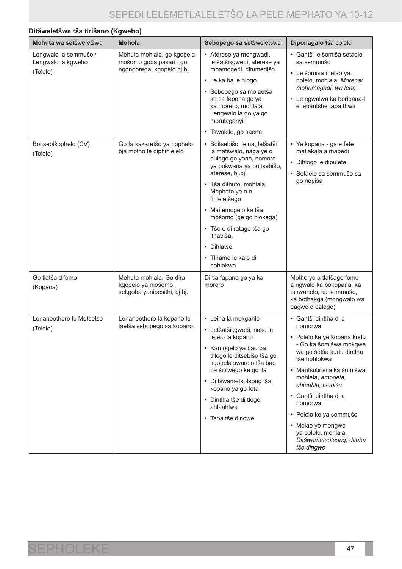| Mohuta wa setšweletšwa                                  | <b>Mohola</b>                                                                       | Sebopego sa setšweletšwa                                                                                                                                                                                                                                                                                                                   | Diponagalo tša polelo                                                                                                                                                                                                                                                                                                                                             |
|---------------------------------------------------------|-------------------------------------------------------------------------------------|--------------------------------------------------------------------------------------------------------------------------------------------------------------------------------------------------------------------------------------------------------------------------------------------------------------------------------------------|-------------------------------------------------------------------------------------------------------------------------------------------------------------------------------------------------------------------------------------------------------------------------------------------------------------------------------------------------------------------|
| Lengwalo la semmušo /<br>Lengwalo la kgwebo<br>(Telele) | Mehuta mohlala, go kgopela<br>mošomo goba pasari ; go<br>ngongorega, kgopelo bj.bj. | • Aterese ya mongwadi,<br>letšatšikgwedi, aterese ya<br>moamogedi, ditumedišo<br>• Le ka ba le hlogo<br>· Sebopego sa molaetša<br>se tla fapana go ya<br>ka morero, mohlala,<br>Lengwalo la go ya go<br>morulaganyi<br>· Tswalelo, go saena                                                                                                | · Gantši le šomiša setaele<br>sa semmušo<br>· Le šomiša melao ya<br>polelo, mohlala, Morena/<br>mohumagadi, wa lena<br>• Le ngwalwa ka boripana-l<br>e lebantšhe taba thwii                                                                                                                                                                                       |
| Boitsebišophelo (CV)<br>(Telele)                        | Go fa kakaretšo ya bophelo<br>bja motho le diphihlelelo                             | · Boitsebišo: leina, letšatši<br>la matswalo, naga ye o<br>dulago go yona, nomoro<br>ya pukwana ya boitsebišo,<br>aterese, bj.bj.<br>· Tša dithuto, mohlala,<br>Mephato ye o e<br>fihleletšego<br>· Maitemogelo ka tša<br>mošomo (ge go hlokega)<br>· Tše o di ratago tša go<br>ithabiša.<br>• Dihlatse<br>• Tihamo le kalo di<br>bohlokwa | • Ye kopana - ga e fete<br>matlakala a mabedi<br>• Dihlogo le dipulete<br>· Setaele sa semmušo sa<br>go nepiša                                                                                                                                                                                                                                                    |
| Go tlatša difomo<br>(Kopana)                            | Mehuta mohlala, Go dira<br>kgopelo ya mošomo,<br>sekgoba yunibesithi, bj.bj.        | Di tla fapana go ya ka<br>morero                                                                                                                                                                                                                                                                                                           | Motho yo a tlatšago fomo<br>a ngwale ka bokopana, ka<br>tshwanelo, ka semmušo,<br>ka bothakga (mongwalo wa<br>gagwe o balege)                                                                                                                                                                                                                                     |
| Lenaneothero le Metsotso<br>(Telele)                    | Lenaneothero la kopano le<br>laetša sebopego sa kopano                              | • Leina la mokgahlo<br>· Letšatšikgwedi, nako le<br>lefelo la kopano<br>• Kamogelo ya bao ba<br>tlilego le ditsebišo tša go<br>kgopela swarelo tša bao<br>ba šitilwego ke go tla<br>• Di tšwametsotsong tša<br>kopano ya go feta<br>• Dintlha tše di tlogo<br>ahlaahlwa<br>• Taba tše dingwe                                               | · Gantši dintlha di a<br>nomorwa<br>• Polelo ke ye kopana kudu<br>- Go ka šomišwa mokgwa<br>wa go šetša kudu dintlha<br>tše bohlokwa<br>· Mantšutiriši a ka šomišwa<br>mohlala, amogela,<br>ahlaahla, tsebiša<br>· Gantši dintlha di a<br>nomorwa<br>· Polelo ke ya semmušo<br>• Melao ye mengwe<br>ya polelo, mohlala,<br>Ditšwametsotsong; ditaba<br>tše dingwe |

#### **Ditšweletšwa tša tirišano (Kgwebo)**

# SEPHOLEKE <sup>47</sup>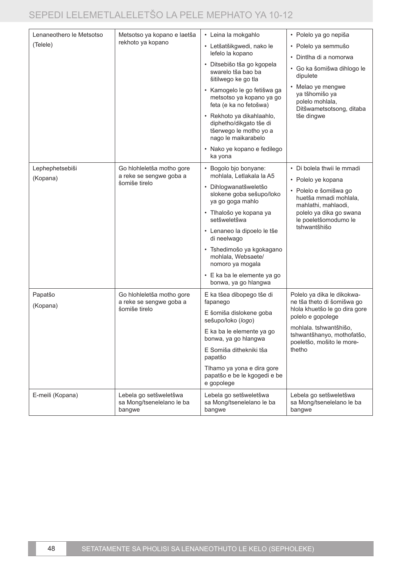| Lenaneothero le Metsotso    | Metsotso ya kopano e laetša<br>rekhoto ya kopano              | • Leina la mokgahlo                                                                                   | · Polelo ya go nepiša                                                                                                                                                                                         |
|-----------------------------|---------------------------------------------------------------|-------------------------------------------------------------------------------------------------------|---------------------------------------------------------------------------------------------------------------------------------------------------------------------------------------------------------------|
| (Telele)                    |                                                               | · Letšatšikgwedi, nako le                                                                             | • Polelo ya semmušo                                                                                                                                                                                           |
|                             |                                                               | lefelo la kopano                                                                                      | • Dintlha di a nomorwa                                                                                                                                                                                        |
|                             |                                                               | · Ditsebišo tša go kgopela<br>swarelo tša bao ba<br>šitilwego ke go tla                               | · Go ka šomišwa dihlogo le<br>dipulete                                                                                                                                                                        |
|                             |                                                               | · Kamogelo le go fetišwa ga<br>metsotso ya kopano ya go<br>feta (e ka no fetošwa)                     | • Melao ye mengwe<br>ya tšhomišo ya<br>polelo mohlala,<br>Ditšwametsotsong, ditaba                                                                                                                            |
|                             |                                                               | • Rekhoto ya dikahlaahlo,<br>diphetho/dikgato tše di<br>tšerwego le motho yo a<br>nago le maikarabelo | tše dingwe                                                                                                                                                                                                    |
|                             |                                                               | · Nako ye kopano e fedilego<br>ka yona                                                                |                                                                                                                                                                                                               |
| Lephephetsebiši<br>(Kopana) | Go hlohleletša motho gore<br>a reke se sengwe goba a          | · Bogolo bjo bonyane:<br>mohlala, Letlakala la A5                                                     | • Di bolela thwii le mmadi<br>• Polelo ye kopana                                                                                                                                                              |
|                             | šomiše tirelo                                                 | • Dihlogwanatšweletšo<br>slokene goba sešupo/loko<br>ya go goga mahlo                                 | · Polelo e šomišwa go<br>huetša mmadi mohlala,<br>mahlathi, mahlaodi,                                                                                                                                         |
|                             |                                                               | · Tlhalošo ye kopana ya<br>setšweletšwa                                                               | polelo ya dika go swana<br>le poeletšomodumo le                                                                                                                                                               |
|                             |                                                               | · Lenaneo la dipoelo le tše<br>di neelwago                                                            | tshwantšhišo                                                                                                                                                                                                  |
|                             |                                                               | · Tshedimošo ya kgokagano<br>mohlala, Websaete/<br>nomoro ya mogala                                   |                                                                                                                                                                                                               |
|                             |                                                               | • E ka ba le elemente ya go<br>bonwa, ya go hlangwa                                                   |                                                                                                                                                                                                               |
| Papatšo<br>(Kopana)         | Go hlohleletša motho gore<br>a reke se sengwe goba a          | E ka tšea dibopego tše di<br>fapanego                                                                 | Polelo ya dika le dikokwa-<br>ne tša theto di šomišwa go<br>hlola khuetšo le go dira gore<br>polelo e gopolege<br>mohlala. tshwantšhišo,<br>tshwantšhanyo, mothofatšo,<br>poeletšo, mošito le more-<br>thetho |
|                             | šomiše tirelo                                                 | E šomiša dislokene goba<br>sešupo/loko (logo)                                                         |                                                                                                                                                                                                               |
|                             |                                                               | E ka ba le elemente ya go<br>bonwa, ya go hlangwa                                                     |                                                                                                                                                                                                               |
|                             |                                                               | E Somiša dithekniki tša<br>papatšo                                                                    |                                                                                                                                                                                                               |
|                             |                                                               | Tlhamo ya yona e dira gore<br>papatšo e be le kgogedi e be<br>e gopolege                              |                                                                                                                                                                                                               |
| E-meili (Kopana)            | Lebela go setšweletšwa<br>sa Mong/tsenelelano le ba<br>bangwe | Lebela go setšweletšwa<br>sa Mong/tsenelelano le ba<br>bangwe                                         | Lebela go setšweletšwa<br>sa Mong/tsenelelano le ba<br>bangwe                                                                                                                                                 |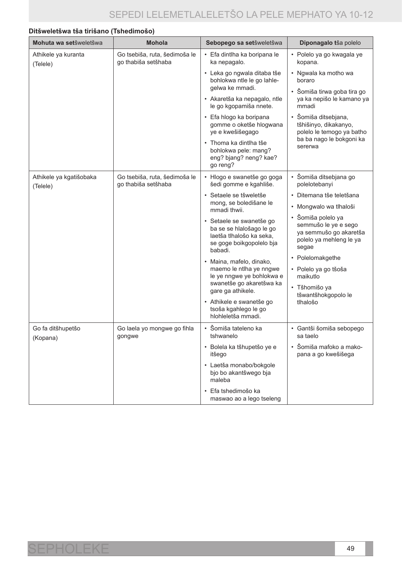#### **Ditšweletšwa tša tirišano (Tshedimošo)**

| Mohuta wa setšweletšwa              | <b>Mohola</b>                                        | Sebopego sa setšweletšwa                                                                                                                                                                                                                                                                                                                                                                                                                     | Diponagalo tša polelo                                                                                                                                                                                                                                                                                                 |
|-------------------------------------|------------------------------------------------------|----------------------------------------------------------------------------------------------------------------------------------------------------------------------------------------------------------------------------------------------------------------------------------------------------------------------------------------------------------------------------------------------------------------------------------------------|-----------------------------------------------------------------------------------------------------------------------------------------------------------------------------------------------------------------------------------------------------------------------------------------------------------------------|
| Athikele ya kuranta<br>(Telele)     | Go tsebiša, ruta, šedimoša le<br>go thabiša setšhaba | • Efa dintlha ka boripana le<br>ka nepagalo.                                                                                                                                                                                                                                                                                                                                                                                                 | · Polelo ya go kwagala ye<br>kopana.                                                                                                                                                                                                                                                                                  |
|                                     |                                                      | • Leka go ngwala ditaba tše<br>bohlokwa ntle le go lahle-<br>gelwa ke mmadi.<br>· Akaretša ka nepagalo, ntle<br>le go kgopamiša nnete.<br>• Efa hlogo ka boripana<br>gomme o oketše hlogwana<br>ye e kwešišegago<br>• Thoma ka dintlha tše                                                                                                                                                                                                   | • Ngwala ka motho wa<br>boraro<br>• Šomiša tirwa goba tira go<br>ya ka nepišo le kamano ya<br>mmadi<br>· Šomiša ditsebjana,<br>tšhišinyo, dikakanyo,<br>polelo le temogo ya batho<br>ba ba nago le bokgoni ka                                                                                                         |
|                                     |                                                      | bohlokwa pele: mang?<br>eng? bjang? neng? kae?<br>go reng?                                                                                                                                                                                                                                                                                                                                                                                   | sererwa                                                                                                                                                                                                                                                                                                               |
| Athikele ya kgatišobaka<br>(Telele) | Go tsebiša, ruta, šedimoša le<br>go thabiša setšhaba | · Hlogo e swanetše go goga<br>šedi gomme e kgahliše.<br>· Setaele se tšweletše<br>mong, se boledišane le<br>mmadi thwii.<br>· Setaele se swanetše go<br>ba se se hlalošago le go<br>laetša tlhalošo ka seka,<br>se goge boikgopolelo bja<br>babadi.<br>· Maina, mafelo, dinako,<br>maemo le ntlha ye nngwe<br>le ye nngwe ye bohlokwa e<br>swanetše go akaretšwa ka<br>gare ga athikele.<br>• Athikele e swanetše go<br>tsoša kgahlego le go | · Šomiša ditsebjana go<br>polelotebanyi<br>· Ditemana tše teletšana<br>· Mongwalo wa tlhaloši<br>· Šomiša polelo ya<br>semmušo le ye e sego<br>ya semmušo go akaretša<br>polelo ya mehleng le ya<br>segae<br>• Polelomakgethe<br>· Polelo ya go tšoša<br>maikutlo<br>• Tšhomišo ya<br>tšwantšhokgopolo le<br>tlhalošo |
| Go fa ditšhupetšo<br>(Kopana)       | Go laela yo mongwe go fihla<br>gongwe                | hlohleletša mmadi.<br>· Šomiša tateleno ka<br>tshwanelo<br>· Bolela ka tšhupetšo ye e<br>itšego<br>· Laetša monabo/bokgole<br>bjo bo akantšwego bja<br>maleba<br>• Efa tshedimošo ka<br>maswao ao a lego tseleng                                                                                                                                                                                                                             | · Gantši šomiša sebopego<br>sa taelo<br>Šomiša mafoko a mako-<br>$\bullet$<br>pana a go kwešišega                                                                                                                                                                                                                     |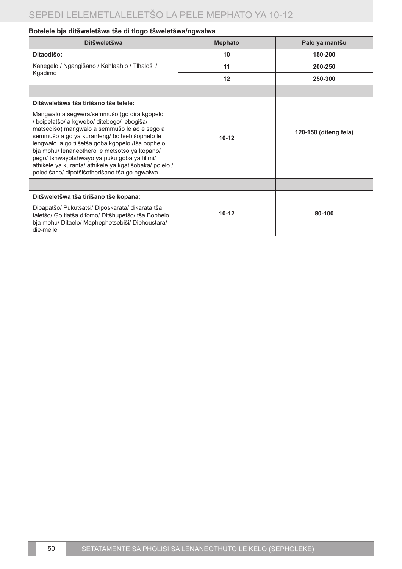#### **Botelele bja ditšweletšwa tše di tlogo tšweletšwa/ngwalwa**

| <b>Ditšweletšwa</b>                                                                                                                                                                                                                                                                                                                                                                                                                                          | <b>Mephato</b> | Palo ya mantšu        |
|--------------------------------------------------------------------------------------------------------------------------------------------------------------------------------------------------------------------------------------------------------------------------------------------------------------------------------------------------------------------------------------------------------------------------------------------------------------|----------------|-----------------------|
| Ditaodišo:                                                                                                                                                                                                                                                                                                                                                                                                                                                   | 10             | 150-200               |
| Kanegelo / Ngangišano / Kahlaahlo / Tlhaloši /                                                                                                                                                                                                                                                                                                                                                                                                               | 11             | 200-250               |
| Kgadimo                                                                                                                                                                                                                                                                                                                                                                                                                                                      | 12             | 250-300               |
|                                                                                                                                                                                                                                                                                                                                                                                                                                                              |                |                       |
| Ditšweletšwa tša tirišano tše telele:                                                                                                                                                                                                                                                                                                                                                                                                                        |                |                       |
| Mangwalo a segwera/semmušo (go dira kgopelo<br>/ boipelatšo/ a kgwebo/ ditebogo/ lebogiša/<br>matsedišo) mangwalo a semmušo le ao e sego a<br>semmušo a go ya kuranteng/ boitsebišophelo le<br>lengwalo la go tiišetša goba kgopelo /tša bophelo<br>bja mohu/ lenaneothero le metsotso ya kopano/<br>pego/ tshwayotshwayo ya puku goba ya filimi/<br>athikele ya kuranta/ athikele ya kgatišobaka/ polelo /<br>poledišano/ dipotšišotherišano tša go ngwalwa | $10-12$        | 120-150 (diteng fela) |
|                                                                                                                                                                                                                                                                                                                                                                                                                                                              |                |                       |
| Ditšweletšwa tša tirišano tše kopana:                                                                                                                                                                                                                                                                                                                                                                                                                        |                |                       |
| Dipapatšo/ Pukutšatši/ Diposkarata/ dikarata tša<br>taletšo/ Go tlatša difomo/ Ditšhupetšo/ tša Bophelo<br>bja mohu/ Ditaelo/ Maphephetsebiši/ Diphoustara/<br>die-meile                                                                                                                                                                                                                                                                                     | $10-12$        | 80-100                |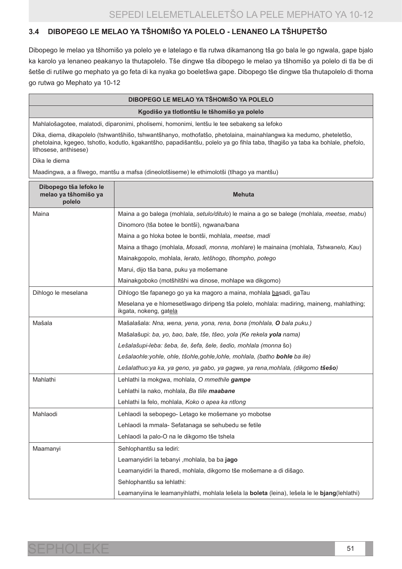### **3.4 DIBOPEGO LE MELAO YA TŠHOMIŠO YA POLELO - LENANEO LA TŠHUPETŠO**

Dibopego le melao ya tšhomišo ya polelo ye e latelago e tla rutwa dikamanong tša go bala le go ngwala, gape bjalo ka karolo ya lenaneo peakanyo la thutapolelo. Tše dingwe tša dibopego le melao ya tšhomišo ya polelo di tla be di šetše di rutilwe go mephato ya go feta di ka nyaka go boeletšwa gape. Dibopego tše dingwe tša thutapolelo di thoma go rutwa go Mephato ya 10-12

#### **DIBOPEGO LE MELAO YA TŠHOMIŠO YA POLELO**

#### **Kgodišo ya tlotlontšu le tšhomišo ya polelo**

Mahlalošagotee, malatodi, diparonimi, pholisemi, homonimi, lentšu le tee sebakeng sa lefoko

Dika, diema, dikapolelo (tshwantšhišo, tshwantšhanyo, mothofatšo, phetolaina, mainahlangwa ka medumo, pheteletšo, phetolaina, kgegeo, tshotlo, kodutlo, kgakantšho, papadišantšu, polelo ya go fihla taba, tlhagišo ya taba ka bohlale, phefolo, lithosese, anthisese)

Dika le diema

Maadingwa, a a filwego, mantšu a mafsa (dineolotšiseme) le ethimolotši (tlhago ya mantšu)

| Dibopego tša lefoko le<br>melao ya tšhomišo ya<br>polelo | <b>Mehuta</b>                                                                                                      |
|----------------------------------------------------------|--------------------------------------------------------------------------------------------------------------------|
| Maina                                                    | Maina a go balega (mohlala, setulo/ditulo) le maina a go se balege (mohlala, meetse, mabu)                         |
|                                                          | Dinomoro (tša botee le bontši), ngwana/bana                                                                        |
|                                                          | Maina a go hloka botee le bontši, mohlala, meetse, madi                                                            |
|                                                          | Maina a tlhago (mohlala, Mosadi, monna, mohlare) le mainaina (mohlala, Tshwanelo, Kau)                             |
|                                                          | Mainakgopolo, mohlala, lerato, letšhogo, tlhompho, potego                                                          |
|                                                          | Marui, dijo tša bana, puku ya mošemane                                                                             |
|                                                          | Mainakgoboko (motšhitšhi wa dinose, mohlape wa dikgomo)                                                            |
| Dihlogo le meselana                                      | Dihlogo tše fapanego go ya ka magoro a maina, mohlala basadi, gaTau                                                |
|                                                          | Meselana ye e hlomesetšwago diripeng tša polelo, mohlala: madiring, maineng, mahlathing;<br>ikgata, nokeng, gatela |
| Mašala                                                   | Mašalašala: Nna, wena, yena, yona, rena, bona (mohlala, O bala puku.)                                              |
|                                                          | Mašalašupi: ba, yo, bao, bale, tše, tšeo, yola (Ke rekela yola nama)                                               |
|                                                          | Lešalašupi-leba: šeba, še, šefa, šele, šedio, mohlala (monna šo)                                                   |
|                                                          | Lešalaohle: yohle, ohle, tšohle, gohle, lohle, mohlala, (batho bohle ba ile)                                       |
|                                                          | Lešalathuo: ya ka, ya geno, ya gabo, ya gagwe, ya rena, mohlala, (dikgomo tšešo)                                   |
| Mahlathi                                                 | Lehlathi la mokgwa, mohlala, O mmethile gampe                                                                      |
|                                                          | Lehlathi la nako, mohlala, Ba tlile maabane                                                                        |
|                                                          | Lehlathi la felo, mohlala, Koko o apea ka ntlong                                                                   |
| Mahlaodi                                                 | Lehlaodi la sebopego- Letago ke mošemane yo mobotse                                                                |
|                                                          | Lehlaodi la mmala- Sefatanaga se sehubedu se fetile                                                                |
|                                                          | Lehlaodi la palo-O na le dikgomo tše tshela                                                                        |
| Maamanyi                                                 | Sehlophantšu sa lediri:                                                                                            |
|                                                          | Leamanyidiri la tebanyi , mohlala, ba ba jago                                                                      |
|                                                          | Leamanyidiri la tharedi, mohlala, dikgomo tše mošemane a di dišago.                                                |
|                                                          | Sehlophantšu sa lehlathi:                                                                                          |
|                                                          | Leamanyiina le leamanyihlathi, mohlala lešela la boleta (leina), lešela le le bjang(lehlathi)                      |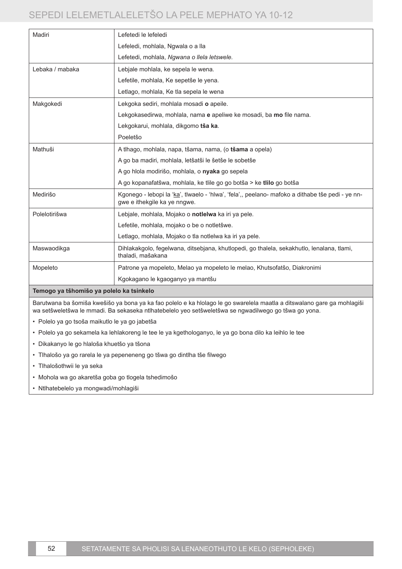| Madiri                                   | Lefetedi le lefeledi                                                                                                             |
|------------------------------------------|----------------------------------------------------------------------------------------------------------------------------------|
|                                          | Lefeledi, mohlala, Ngwala o a lla                                                                                                |
|                                          | Lefetedi, mohlala, Ngwana o Ilela letswele.                                                                                      |
| Lebaka / mabaka                          | Lebjale mohlala, ke sepela le wena.                                                                                              |
|                                          | Lefetile, mohlala, Ke sepetše le yena.                                                                                           |
|                                          | Letlago, mohlala, Ke tla sepela le wena                                                                                          |
| Makgokedi                                | Lekgoka sediri, mohlala mosadi o apeile.                                                                                         |
|                                          | Lekgokasedirwa, mohlala, nama e apeliwe ke mosadi, ba mo file nama.                                                              |
|                                          | Lekgokarui, mohlala, dikgomo tša ka.                                                                                             |
|                                          | Poeletšo                                                                                                                         |
| Mathuši                                  | A tlhago, mohlala, napa, tšama, nama, (o tšama a opela)                                                                          |
|                                          | A go ba madiri, mohlala, letšatši le šetše le sobetše                                                                            |
|                                          | A go hlola modirišo, mohlala, o nyaka go sepela                                                                                  |
|                                          | A go kopanafatšwa, mohlala, ke tlile go go botša > ke tlilo go botša                                                             |
| Medirišo                                 | Kgonego - lebopi la 'ka', tlwaelo - 'hlwa', 'fela',, peelano- mafoko a dithabe tše pedi - ye nn-<br>gwe e ithekgile ka ye nngwe. |
| Polelotirišwa                            | Lebjale, mohlala, Mojako o notlelwa ka iri ya pele.                                                                              |
|                                          | Lefetile, mohlala, mojako o be o notletšwe.                                                                                      |
|                                          | Letlago, mohlala, Mojako o tla notlelwa ka iri ya pele.                                                                          |
| Maswaodikga                              | Dihlakakgolo, fegelwana, ditsebjana, khutlopedi, go thalela, sekakhutlo, lenalana, tlami,<br>thaladi, mašakana                   |
| Mopeleto                                 | Patrone ya mopeleto, Melao ya mopeleto le melao, Khutsofatšo, Diakronimi                                                         |
|                                          | Kgokagano le kgaoganyo ya mantšu                                                                                                 |
| Temogo ya tšhomišo ya polelo ka tsinkelo |                                                                                                                                  |

Barutwana ba šomiša kwešišo ya bona ya ka fao polelo e ka hlolago le go swarelela maatla a ditswalano gare ga mohlagiši wa setšweletšwa le mmadi. Ba sekaseka ntlhatebelelo yeo setšweletšwa se ngwadilwego go tšwa go yona.

- Polelo ya go tsoša maikutlo le ya go jabetša
- Polelo ya go sekamela ka lehlakoreng le tee le ya kgethologanyo, le ya go bona dilo ka leihlo le tee
- Dikakanyo le go hlaloša khuetšo ya tšona
- Tlhalošo ya go rarela le ya pepeneneng go tšwa go dintlha tše filwego
- Tlhalošothwii le ya seka
- Mohola wa go akaretša goba go tlogela tshedimošo
- Ntlhatebelelo ya mongwadi/mohlagiši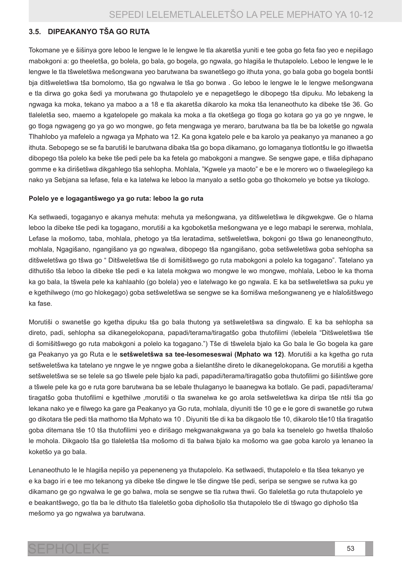#### **3.5. DIPEAKANYO TšA GO RUTA**

Tokomane ye e šišinya gore leboo le lengwe le le lengwe le tla akaretša yuniti e tee goba go feta fao yeo e nepišago mabokgoni a: go theeletša, go bolela, go bala, go bogela, go ngwala, go hlagiša le thutapolelo. Leboo le lengwe le le lengwe le tla tšweletšwa mešongwana yeo barutwana ba swanetšego go ithuta yona, go bala goba go bogela bontši bja ditšweletšwa tša bomolomo, tša go ngwalwa le tša go bonwa . Go leboo le lengwe le le lengwe mešongwana e tla dirwa go goka šedi ya morutwana go thutapolelo ye e nepagetšego le dibopego tša dipuku. Mo lebakeng la ngwaga ka moka, tekano ya maboo a a 18 e tla akaretša dikarolo ka moka tša lenaneothuto ka dibeke tše 36. Go tlaleletša seo, maemo a kgatelopele go makala ka moka a tla oketšega go tloga go kotara go ya go ye nngwe, le go tloga ngwageng go ya go wo mongwe, go feta mengwaga ye meraro, barutwana ba tla be ba loketše go ngwala Tlhahlobo ya mafelelo a ngwaga ya Mphato wa 12. Ka gona kgatelo pele e ba karolo ya peakanyo ya mananeo a go ithuta. Sebopego se se fa barutiši le barutwana dibaka tša go bopa dikamano, go lomaganya tlotlontšu le go itlwaetša dibopego tša polelo ka beke tše pedi pele ba ka fetela go mabokgoni a mangwe. Se sengwe gape, e tliša diphapano gomme e ka dirišetšwa dikgahlego tša sehlopha. Mohlala, "Kgwele ya maoto" e be e le morero wo o tlwaelegilego ka nako ya Sebjana sa lefase, fela e ka latelwa ke leboo la manyalo a setšo goba go tlhokomelo ye botse ya tikologo.

#### **Polelo ye e logagantšwego ya go ruta: leboo la go ruta**

Ka setlwaedi, togaganyo e akanya mehuta: mehuta ya mešongwana, ya ditšweletšwa le dikgwekgwe. Ge o hlama leboo la dibeke tše pedi ka togagano, morutiši a ka kgoboketša mešongwana ye e lego mabapi le sererwa, mohlala, Lefase la mošomo, taba, mohlala, phetogo ya tša leratadima, setšweletšwa, bokgoni go tšwa go lenaneongthuto, mohlala, Ngagišano, ngangišano ya go ngwalwa, dibopego tša ngangišano, goba setšweletšwa goba sehlopha sa ditšweletšwa go tšwa go " Ditšweletšwa tše di šomišitšwego go ruta mabokgoni a polelo ka togagano". Tatelano ya dithutišo tša leboo la dibeke tše pedi e ka latela mokgwa wo mongwe le wo mongwe, mohlala, Leboo le ka thoma ka go bala, la tšwela pele ka kahlaahlo (go bolela) yeo e latelwago ke go ngwala. E ka ba setšweletšwa sa puku ye e kgethilwego (mo go hlokegago) goba setšweletšwa se sengwe se ka šomišwa mešongwaneng ye e hlalošitšwego ka fase.

Morutiši o swanetše go kgetha dipuku tša go bala thutong ya setšweletšwa sa dingwalo. E ka ba sehlopha sa direto, padi, sehlopha sa dikanegelokopana, papadi/terama/tiragatšo goba thutofilimi (lebelela "Ditšweletšwa tše di šomišitšwego go ruta mabokgoni a polelo ka togagano.") Tše di tšwelela bjalo ka Go bala le Go bogela ka gare ga Peakanyo ya go Ruta e le **setšweletšwa sa tee-lesomeseswai (Mphato wa 12)**. Morutiši a ka kgetha go ruta setšweletšwa ka tatelano ye nngwe le ye nngwe goba a šielantšhe direto le dikanegelokopana**.** Ge morutiši a kgetha setšweletšwa se se telele sa go tšwele pele bjalo ka padi, papadi/terama/tiragatšo goba thutofilimi go šišintšwe gore a tšwele pele ka go e ruta gore barutwana ba se lebale thulaganyo le baanegwa ka botlalo. Ge padi, papadi/terama/ tiragatšo goba thutofilimi e kgethilwe ,morutiši o tla swanelwa ke go arola setšweletšwa ka diripa tše ntši tša go lekana nako ye e filwego ka gare ga Peakanyo ya Go ruta, mohlala, diyuniti tše 10 ge e le gore di swanetše go rutwa go dikotara tše pedi tša mathomo tša Mphato wa 10 . Diyuniti tše di ka ba dikgaolo tše 10, dikarolo tše10 tša tiragatšo goba ditemana tše 10 tša thutofilimi yeo e dirišago mekgwanakgwana ya go bala ka tsenelelo go hwetša tlhalošo le mohola. Dikgaolo tša go tlaleletša tša mošomo di tla balwa bjalo ka mošomo wa gae goba karolo ya lenaneo la koketšo ya go bala.

Lenaneothuto le le hlagiša nepišo ya pepeneneng ya thutapolelo. Ka setlwaedi, thutapolelo e tla tšea tekanyo ye e ka bago iri e tee mo tekanong ya dibeke tše dingwe le tše dingwe tše pedi, seripa se sengwe se rutwa ka go dikamano ge go ngwalwa le ge go balwa, mola se sengwe se tla rutwa thwii. Go tlaleletša go ruta thutapolelo ye e beakantšwego, go tla ba le dithuto tša tlaleletšo goba diphošollo tša thutapolelo tše di tšwago go diphošo tša mešomo ya go ngwalwa ya barutwana.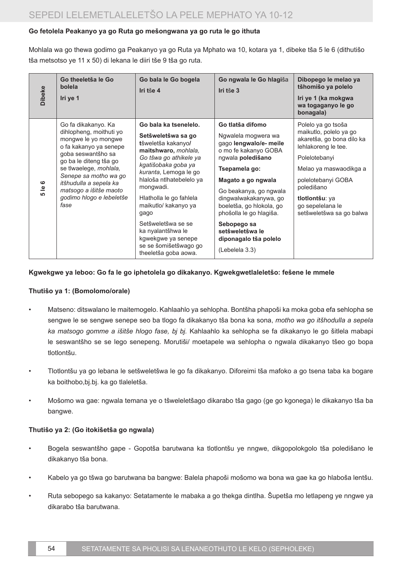#### **Go fetolela Peakanyo ya go Ruta go mešongwana ya go ruta le go ithuta**

Mohlala wa go thewa godimo ga Peakanyo ya go Ruta ya Mphato wa 10, kotara ya 1, dibeke tša 5 le 6 (dithutišo tša metsotso ye 11 x 50) di lekana le diiri tše 9 tša go ruta.

| <b>Dibeke</b> | Go theeletša le Go<br>bolela<br>Iri ye 1                                                                                                                                                                                                                                                   | Go bala le Go bogela<br>Iri tše 4                                                                                                                                                                                                                                                                                                                                                         | Go ngwala le Go hlagiša<br>Iri tše 3                                                                                                                                                                                                                                                                                                         | Dibopego le melao ya<br>tšhomišo ya polelo<br>Iri ye 1 (ka mokgwa<br>wa togaganyo le go<br>bonagala)                                                                                                                                              |
|---------------|--------------------------------------------------------------------------------------------------------------------------------------------------------------------------------------------------------------------------------------------------------------------------------------------|-------------------------------------------------------------------------------------------------------------------------------------------------------------------------------------------------------------------------------------------------------------------------------------------------------------------------------------------------------------------------------------------|----------------------------------------------------------------------------------------------------------------------------------------------------------------------------------------------------------------------------------------------------------------------------------------------------------------------------------------------|---------------------------------------------------------------------------------------------------------------------------------------------------------------------------------------------------------------------------------------------------|
| ဖ<br>5le      | Go fa dikakanyo. Ka<br>dihlopheng, moithuti yo<br>mongwe le yo mongwe<br>o fa kakanyo ya senepe<br>goba seswantšho sa<br>go ba le diteng tša go<br>se tlwaelege, mohlala,<br>Senepe sa motho wa go<br>itšhudulla a sepela ka<br>matsogo a išitše maoto<br>godimo hlogo e lebeletše<br>fase | Go bala ka tsenelelo.<br>Setšweletšwa sa go<br>tšweletša kakanyo/<br>maitshwaro, mohlala,<br>Go tšwa go athikele ya<br>kgatišobaka goba ya<br>kuranta, Lemoga le go<br>hlaloša ntlhatebelelo ya<br>mongwadi.<br>Hlatholla le go fahlela<br>maikutlo/ kakanyo ya<br>gago<br>Setšweletšwa se se<br>ka nyalantšhwa le<br>kgwekgwe ya senepe<br>se se šomišetšwago go<br>theeletša goba aowa. | Go tlatša difomo<br>Ngwalela mogwera wa<br>gago lengwalo/e- meile<br>o mo fe kakanyo GOBA<br>ngwala poledišano<br>Tsepamela go:<br>Magato a go ngwala<br>Go beakanya, go ngwala<br>dingwalwakakanywa, go<br>boeletša, go hlokola, go<br>phošolla le go hlagiša.<br>Sebopego sa<br>setšweletšwa le<br>diponagalo tša polelo<br>(Lebelela 3.3) | Polelo ya go tsoša<br>maikutlo, polelo ya go<br>akaretša, go bona dilo ka<br>lehlakoreng le tee.<br>Polelotebanyi<br>Melao ya maswaodikga a<br>polelotebanyi GOBA<br>poledišano<br>tlotlontšu: ya<br>go sepelelana le<br>setšweletšwa sa go balwa |

**Kgwekgwe ya leboo: Go fa le go iphetolela go dikakanyo. Kgwekgwetlaleletšo: fešene le mmele**

#### **Thutišo ya 1: (Bomolomo/orale)**

- Matseno: ditswalano le maitemogelo. Kahlaahlo ya sehlopha. Bontšha phapoši ka moka goba efa sehlopha se sengwe le se sengwe senepe seo ba tlogo fa dikakanyo tša bona ka sona, *motho wa go itšhodulla a sepela ka matsogo gomme a išitše hlogo fase, bj bj.* Kahlaahlo ka sehlopha se fa dikakanyo le go šitlela mabapi le seswantšho se se lego senepeng. Morutiši/ moetapele wa sehlopha o ngwala dikakanyo tšeo go bopa tlotlontšu.
- Tlotlontšu ya go lebana le setšweletšwa le go fa dikakanyo. Diforeimi tša mafoko a go tsena taba ka bogare ka boithobo,bj.bj. ka go tlaleletša.
- Mošomo wa gae: ngwala temana ye o tšweleletšago dikarabo tša gago (ge go kgonega) le dikakanyo tša ba bangwe.

#### **Thutišo ya 2: (Go itokišetša go ngwala)**

- Bogela seswantšho gape Gopotša barutwana ka tlotlontšu ye nngwe, dikgopolokgolo tša poledišano le dikakanyo tša bona.
- Kabelo ya go tšwa go barutwana ba bangwe: Balela phapoši mošomo wa bona wa gae ka go hlaboša lentšu.
- Ruta sebopego sa kakanyo: Setatamente le mabaka a go thekga dintlha. Šupetša mo letlapeng ye nngwe ya dikarabo tša barutwana.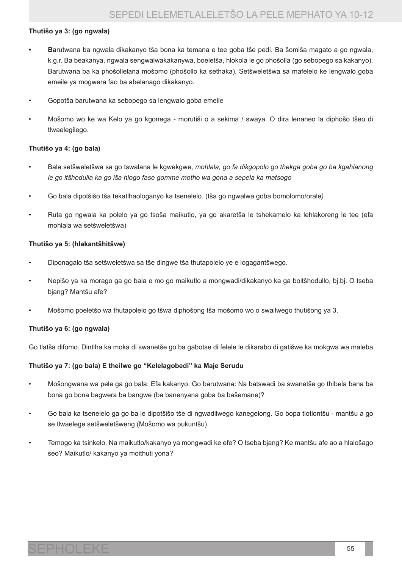#### **Thutišo ya 3: (go ngwala)**

- **Barutwana ba ngwala dikakanyo tša bona ka temana e tee goba tše pedi. Ba šomiša magato a go ngwala,** k.g.r. Ba beakanya, ngwala sengwalwakakanywa, boeletša, hlokola le go phošolla (go sebopego sa kakanyo). Barutwana ba ka phošollelana mošomo (phošollo ka sethaka). Setšweletšwa sa mafelelo ke lengwalo goba emeile ya mogwera fao ba abelanago dikakanyo.
- Gopotša barutwana ka sebopego sa lengwalo goba emeile
- Mošomo wo ke wa Kelo ya go kgonega morutiši o a sekima / swaya. O dira lenaneo la diphošo tšeo di tlwaelegilego.

#### **Thutišo ya 4: (go bala)**

- Bala setšweletšwa sa go tswalana le kgwekgwe, *mohlala, go fa dikgopolo go thekga goba go ba kgahlanong le go itšhodulla ka go iša hlogo fase gomme motho wa gona a sepela ka matsogo*
- Go bala dipotšišo tša tekatlhaologanyo ka tsenelelo. (tša go ngwalwa goba bomolomo/orale*)*
- Ruta go ngwala ka polelo ya go tsoša maikutlo, ya go akaretša le tshekamelo ka lehlakoreng le tee (efa mohlala wa setšweletšwa)

#### **Thutišo ya 5: (hlakantšhitšwe)**

- Diponagalo tša setšweletšwa sa tše dingwe tša thutapolelo ye e logagantšwego.
- Nepišo ya ka morago ga go bala e mo go maikutlo a mongwadi/dikakanyo ka ga boitšhodullo, bj.bj. O tseba bjang? Mantšu afe?
- Mošomo poeletšo wa thutapolelo go tšwa diphošong tša mošomo wo o swailwego thutišong ya 3.

#### **Thutišo ya 6: (go ngwala)**

Go tlatša difomo. Dintlha ka moka di swanetše go ba gabotse di felele le dikarabo di gatišwe ka mokgwa wa maleba

#### **Thutišo ya 7: (go bala) E theilwe go "Kelelagobedi" ka Maje Serudu**

- Mošongwana wa pele ga go bala: Efa kakanyo. Go barutwana: Na batswadi ba swanetše go thibela bana ba bona go bona bagwera ba bangwe (ba banenyana goba ba bašemane)?
- Go bala ka tsenelelo ga go ba le dipotšišo tše di ngwadilwego kanegelong. Go bopa tlotlontšu mantšu a go se tlwaelege setšweletšweng (Mošomo wa pukuntšu)
- Temogo ka tsinkelo. Na maikutlo/kakanyo ya mongwadi ke efe? O tseba bjang? Ke mantšu afe ao a hlalošago seo? Maikutlo/ kakanyo ya moithuti yona?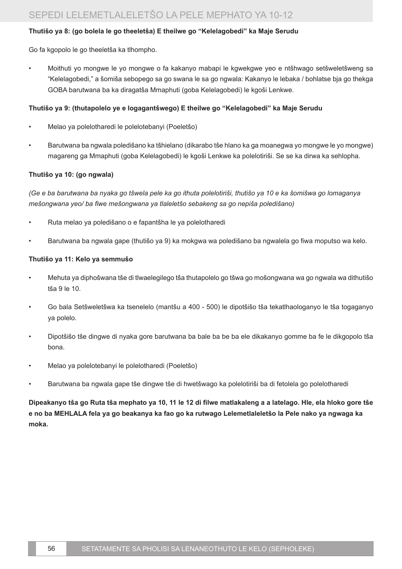#### **Thutišo ya 8: (go bolela le go theeletša) E theilwe go "Kelelagobedi" ka Maje Serudu**

Go fa kgopolo le go theeletša ka tlhompho.

• Moithuti yo mongwe le yo mongwe o fa kakanyo mabapi le kgwekgwe yeo e ntšhwago setšweletšweng sa "Kelelagobedi," a šomiša sebopego sa go swana le sa go ngwala: Kakanyo le lebaka / bohlatse bja go thekga GOBA barutwana ba ka diragatša Mmaphuti (goba Kelelagobedi) le kgoši Lenkwe.

#### **Thutišo ya 9: (thutapolelo ye e logagantšwego) E theilwe go "Kelelagobedi" ka Maje Serudu**

- Melao ya polelotharedi le polelotebanyi (Poeletšo)
- Barutwana ba ngwala poledišano ka tšhielano (dikarabo tše hlano ka ga moanegwa yo mongwe le yo mongwe) magareng ga Mmaphuti (goba Kelelagobedi) le kgoši Lenkwe ka polelotiriši. Se se ka dirwa ka sehlopha.

#### **Thutišo ya 10: (go ngwala)**

*(Ge e ba barutwana ba nyaka go tšwela pele ka go ithuta polelotiriši, thutišo ya 10 e ka šomišwa go lomaganya mešongwana yeo/ ba fiwe mešongwana ya tlaleletšo sebakeng sa go nepiša poledišano)*

- Ruta melao ya poledišano o e fapantšha le ya polelotharedi
- Barutwana ba ngwala gape (thutišo ya 9) ka mokgwa wa poledišano ba ngwalela go fiwa moputso wa kelo.

#### **Thutišo ya 11: Kelo ya semmušo**

- Mehuta ya diphošwana tše di tlwaelegilego tša thutapolelo go tšwa go mošongwana wa go ngwala wa dithutišo tša 9 le 10.
- Go bala Setšweletšwa ka tsenelelo (mantšu a 400 500) le dipotšišo tša tekatlhaologanyo le tša togaganyo ya polelo.
- Dipotšišo tše dingwe di nyaka gore barutwana ba bale ba be ba ele dikakanyo gomme ba fe le dikgopolo tša bona.
- Melao ya polelotebanyi le polelotharedi (Poeletšo)
- Barutwana ba ngwala gape tše dingwe tše di hwetšwago ka polelotiriši ba di fetolela go polelotharedi

Dipeakanyo tša go Ruta tša mephato ya 10, 11 le 12 di filwe matlakaleng a a latelago. Hle, ela hloko gore tše **e no ba MEHLALA fela ya go beakanya ka fao go ka rutwago Lelemetlaleletšo la Pele nako ya ngwaga ka moka.**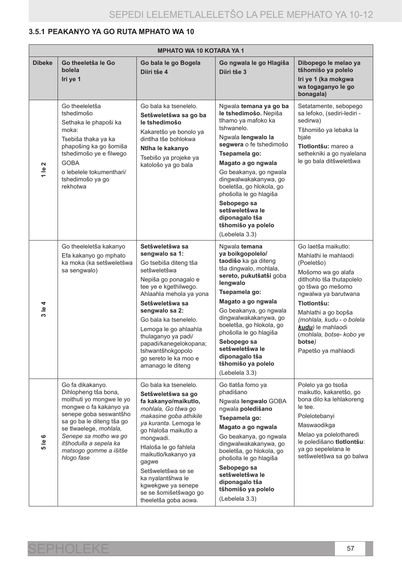### **3.5.1 PEAKANYO YA GO RUTA MPHATO WA 10**

|               | <b>MPHATO WA 10 KOTARA YA 1</b>                                                                                                                                                                                                                                            |                                                                                                                                                                                                                                                                                                                                                                   |                                                                                                                                                                                                                                                                                                                                                                                   |                                                                                                                                                                                                                                                                                                                |  |
|---------------|----------------------------------------------------------------------------------------------------------------------------------------------------------------------------------------------------------------------------------------------------------------------------|-------------------------------------------------------------------------------------------------------------------------------------------------------------------------------------------------------------------------------------------------------------------------------------------------------------------------------------------------------------------|-----------------------------------------------------------------------------------------------------------------------------------------------------------------------------------------------------------------------------------------------------------------------------------------------------------------------------------------------------------------------------------|----------------------------------------------------------------------------------------------------------------------------------------------------------------------------------------------------------------------------------------------------------------------------------------------------------------|--|
| <b>Dibeke</b> | Go theeletša le Go<br>bolela<br>Iri ye 1                                                                                                                                                                                                                                   | Go bala le go Bogela<br>Diiri tše 4                                                                                                                                                                                                                                                                                                                               | Go ngwala le go Hlagiša<br>Diiri tše 3                                                                                                                                                                                                                                                                                                                                            | Dibopego le melao ya<br>tšhomišo ya polelo<br>Iri ye 1 (ka mokgwa<br>wa togaganyo le go<br>bonagala)                                                                                                                                                                                                           |  |
| $1$ le $2$    | Go theeleletša<br>tshedimošo<br>Sethaka le phapoši ka<br>moka:<br>Tsebiša thaka ya ka<br>phapošing ka go šomiša<br>tshedimošo ye e filwego<br><b>GOBA</b><br>o lebelele tokumenthari/<br>tshedimošo ya go<br>rekhotwa                                                      | Go bala ka tsenelelo.<br>Setšweletšwa sa go ba<br>le tshedimošo<br>Kakaretšo ye bonolo ya<br>dintlha tše bohlokwa<br>Ntlha le kakanyo<br>Tsebišo ya projeke ya<br>katološo ya go bala                                                                                                                                                                             | Ngwala temana ya go ba<br>le tshedimošo. Nepiša<br>tlhamo ya mafoko ka<br>tshwanelo.<br>Ngwala lengwalo la<br>segwera o fe tshedimošo<br>Tsepamela go:<br>Magato a go ngwala<br>Go beakanya, go ngwala<br>dingwalwakakanywa, go<br>boeletša, go hlokola, go<br>phošolla le go hlagiša<br>Sebopego sa<br>setšweletšwa le<br>diponagalo tša<br>tšhomišo ya polelo<br>(Lebelela 3.3) | Setatamente, sebopego<br>sa lefoko, (sediri-lediri -<br>sedirwa)<br>Tšhomišo ya lebaka la<br>bjale<br>Tlotlontšu: mareo a<br>sethekniki a go nyalelana<br>le go bala ditšweletšwa                                                                                                                              |  |
| $3 \leq 4$    | Go theeleletša kakanyo<br>Efa kakanyo go mphato<br>ka moka (ka setšweletšwa<br>sa sengwalo)                                                                                                                                                                                | Setšweletšwa sa<br>sengwalo sa 1:<br>Go tsebiša diteng tša<br>setšweletšwa<br>Nepiša go ponagalo e<br>tee ye e kgethilwego.<br>Ahlaahla mehola ya yona<br>Setšweletšwa sa<br>sengwalo sa 2:<br>Go bala ka tsenelelo.<br>Lemoga le go ahlaahla<br>thulaganyo ya padi/<br>papadi/kanegelokopana;<br>tshwantšhokgopolo<br>go sereto le ka moo e<br>amanago le diteng | Ngwala temana<br>ya boikgopolelo/<br>taodišo ka ga diteng<br>tša dingwalo, mohlala,<br>sereto, pukutšatši goba<br>lengwalo<br>Tsepamela go:<br>Magato a go ngwala<br>Go beakanya, go ngwala<br>dingwalwakakanywa, go<br>boeletša, go hlokola, go<br>phošolla le go hlagiša<br>Sebopego sa<br>setšweletšwa le<br>diponagalo tša<br>tšhomišo ya polelo<br>(Lebelela 3.3)            | Go laetša maikutlo:<br>Mahlathi le mahlaodi<br>(Poeletšo)<br>Mošomo wa go alafa<br>ditlhohlo tša thutapolelo<br>go tšwa go mešomo<br>ngwalwa ya barutwana<br>Tlotlontšu:<br>Mahlathi a go bopša<br>(mohlala, kudu - o bolela<br>kudu) le mahlaodi<br>(mohlala, botse- kobo ye<br>botse)<br>Papetšo ya mahlaodi |  |
| 5 le 6        | Go fa dikakanyo.<br>Dihlopheng tša bona,<br>moithuti yo mongwe le yo<br>mongwe o fa kakanyo ya<br>senepe goba seswantšho<br>sa go ba le diteng tša go<br>se tlwaelege, mohlala,<br>Senepe sa motho wa go<br>itšhodulla a sepela ka<br>matsogo gomme a išitše<br>hlogo fase | Go bala ka tsenelelo.<br>Setšweletšwa sa go<br>fa kakanyo/maikutlo,<br>mohlala, Go tšwa go<br>makasine goba athikile<br>ya kuranta. Lemoga le<br>go hlaloša maikutlo a<br>mongwadi.<br>Hlaloša le go fahlela<br>maikutlo/kakanyo ya<br>gagwe<br>Setšweletšwa se se<br>ka nyalantšhwa le<br>kgwekgwe ya senepe<br>se se šomišetšwago go<br>theeletša goba aowa.    | Go tlatša fomo ya<br>phadišano<br>Ngwala lengwalo GOBA<br>ngwala poledišano<br>Tsepamela go:<br>Magato a go ngwala<br>Go beakanya, go ngwala<br>dingwalwakakanywa, go<br>boeletša, go hlokola, go<br>phošolla le go hlagiša<br>Sebopego sa<br>setšweletšwa le<br>diponagalo tša<br>tšhomišo ya polelo<br>(Lebelela 3.3)                                                           | Polelo ya go tsoša<br>maikutlo, kakaretšo, go<br>bona dilo ka lehlakoreng<br>le tee.<br>Polelotebanyi<br>Maswaodikga<br>Melao ya polelotharedi<br>le poledišano tlotlontšu:<br>ya go sepelelana le<br>setšweletšwa sa go balwa                                                                                 |  |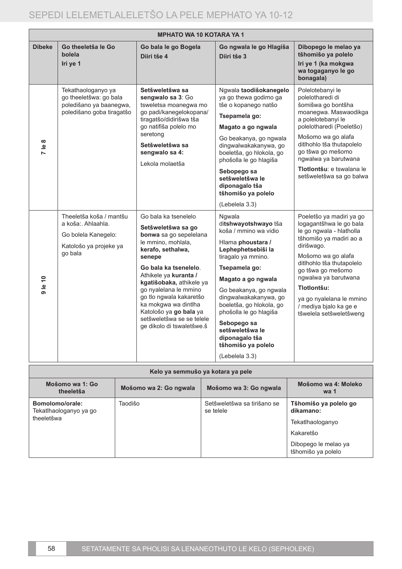| <b>MPHATO WA 10 KOTARA YA 1</b> |                                                                                                          |                                                                                                                                                                                                                                                                                                                                                                         |                                                                                                                                                                                                                                                                                                                                                                      |                                                                                                                                                                                                                                                                                                                          |
|---------------------------------|----------------------------------------------------------------------------------------------------------|-------------------------------------------------------------------------------------------------------------------------------------------------------------------------------------------------------------------------------------------------------------------------------------------------------------------------------------------------------------------------|----------------------------------------------------------------------------------------------------------------------------------------------------------------------------------------------------------------------------------------------------------------------------------------------------------------------------------------------------------------------|--------------------------------------------------------------------------------------------------------------------------------------------------------------------------------------------------------------------------------------------------------------------------------------------------------------------------|
| <b>Dibeke</b>                   | Go theeletša le Go<br>bolela<br>Iri ye 1                                                                 | Go bala le go Bogela<br>Diiri tše 4                                                                                                                                                                                                                                                                                                                                     | Go ngwala le go Hlagiša<br>Diiri tše 3                                                                                                                                                                                                                                                                                                                               | Dibopego le melao ya<br>tšhomišo ya polelo<br>Iri ye 1 (ka mokgwa<br>wa togaganyo le go<br>bonagala)                                                                                                                                                                                                                     |
| 7 le 8                          | Tekathaologanyo ya<br>go theeletšwa: go bala<br>poledišano ya baanegwa,<br>poledišano goba tiragatšo     | Setšweletšwa sa<br>sengwalo sa 3: Go<br>tsweletsa moanegwa mo<br>go padi/kanegelokopana/<br>tiragatšo/didirišwa tša<br>go natifiša polelo mo<br>seretong<br>Setšweletšwa sa<br>sengwalo sa 4:<br>Lekola molaetša                                                                                                                                                        | Ngwala taodišokanegelo<br>ya go thewa godimo ga<br>tše o kopanego natšo<br>Tsepamela go:<br>Magato a go ngwala<br>Go beakanya, go ngwala<br>dingwalwakakanywa, go<br>boeletša, go hlokola, go<br>phošolla le go hlagiša<br>Sebopego sa<br>setšweletšwa le<br>diponagalo tša<br>tšhomišo ya polelo<br>(Lebelela 3.3)                                                  | Polelotebanyi le<br>polelotharedi di<br>šomišwa go bontšha<br>moanegwa. Maswaodikga<br>a polelotebanyi le<br>polelotharedi (Poeletšo)<br>Mošomo wa go alafa<br>ditlhohlo tša thutapolelo<br>go tšwa go mešomo<br>ngwalwa ya barutwana<br>Tlotlontšu: e tswalana le<br>setšweletšwa sa go balwa                           |
| 9 le 10                         | Theeletša koša / mantšu<br>a koša: Ahlaahla.<br>Go bolela Kanegelo:<br>Katološo ya projeke ya<br>go bala | Go bala ka tsenelelo<br>Setšweletšwa sa go<br>bonwa sa go sepelelana<br>le mmino, mohlala,<br>kerafo, sethalwa,<br>senepe<br>Go bala ka tsenelelo.<br>Athikele ya kuranta /<br>kgatišobaka, athikele ya<br>go nyalelana le mmino<br>go tlo ngwala kakaretšo<br>ka mokgwa wa dintlha<br>Katološo ya go bala ya<br>setšweletšwa se se telele<br>ge dikolo di tswaletšwe.š | Ngwala<br>ditshwayotshwayo tša<br>koša / mmino wa vidio<br>Hlama phoustara /<br>Lephephetsebiši la<br>tiragalo ya mmino.<br>Tsepamela go:<br>Magato a go ngwala<br>Go beakanya, go ngwala<br>dingwalwakakanywa, go<br>boeletša, go hlokola, go<br>phošolla le go hlagiša<br>Sebopego sa<br>setšweletšwa le<br>diponagalo tša<br>tšhomišo ya polelo<br>(Lebelela 3.3) | Poeletšo ya madiri ya go<br>logagantšhwa le go bala<br>le go ngwala - hlatholla<br>tšhomišo ya madiri ao a<br>dirišwago.<br>Mošomo wa go alafa<br>ditlhohlo tša thutapolelo<br>go tšwa go mešomo<br>ngwalwa ya barutwana<br>Tlotlontšu:<br>ya go nyalelana le mmino<br>/ mediya bjalo ka ge e<br>tšwelela setšweletšweng |

| Kelo ya semmušo ya kotara ya pele         |                        |                                          |                                            |  |
|-------------------------------------------|------------------------|------------------------------------------|--------------------------------------------|--|
| Mošomo wa 1: Go<br>theeletša              | Mošomo wa 2: Go ngwala | Mošomo wa 3: Go ngwala                   | Mošomo wa 4: Moleko<br>wa 1                |  |
| Bomolomo/orale:<br>Tekatlhaologanyo ya go | Taodišo                | Setšweletšwa sa tirišano se<br>se telele | Tšhomišo ya polelo go<br>dikamano:         |  |
| theeletšwa                                |                        |                                          | Tekatlhaologanyo                           |  |
|                                           |                        |                                          | Kakaretšo                                  |  |
|                                           |                        |                                          | Dibopego le melao ya<br>tšhomišo ya polelo |  |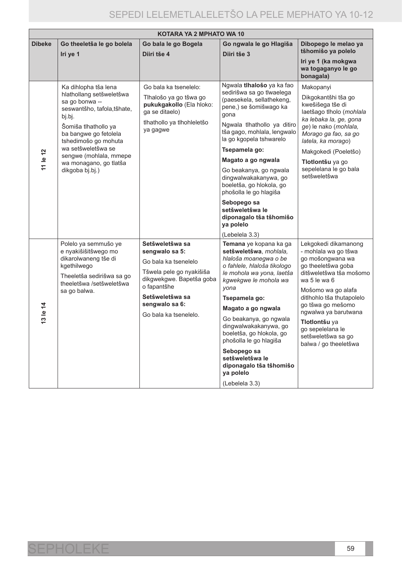|               | <b>KOTARA YA 2 MPHATO WA 10</b>                                                                                                                                                                                                                                                   |                                                                                                                                                                                                |                                                                                                                                                                                                                                                                                                                                                                                                                                          |                                                                                                                                                                                                                                                                                                                       |  |  |
|---------------|-----------------------------------------------------------------------------------------------------------------------------------------------------------------------------------------------------------------------------------------------------------------------------------|------------------------------------------------------------------------------------------------------------------------------------------------------------------------------------------------|------------------------------------------------------------------------------------------------------------------------------------------------------------------------------------------------------------------------------------------------------------------------------------------------------------------------------------------------------------------------------------------------------------------------------------------|-----------------------------------------------------------------------------------------------------------------------------------------------------------------------------------------------------------------------------------------------------------------------------------------------------------------------|--|--|
| <b>Dibeke</b> | Go theeletša le go bolela<br>Iri ye 1                                                                                                                                                                                                                                             | Go bala le go Bogela<br>Diiri tše 4                                                                                                                                                            | Go ngwala le go Hlagiša<br>Diiri tše 3                                                                                                                                                                                                                                                                                                                                                                                                   | Dibopego le melao ya<br>tšhomišo ya polelo                                                                                                                                                                                                                                                                            |  |  |
|               |                                                                                                                                                                                                                                                                                   |                                                                                                                                                                                                |                                                                                                                                                                                                                                                                                                                                                                                                                                          | Iri ye 1 (ka mokgwa<br>wa togaganyo le go<br>bonagala)                                                                                                                                                                                                                                                                |  |  |
| 11 le 12      | Ka dihlopha tša lena<br>hlathollang setšweletšwa<br>sa go bonwa --<br>seswantšho, tafola, tšhate,<br>bj.bj.<br>Šomiša tlhathollo ya<br>ba bangwe go fetolela<br>tshedimošo go mohuta<br>wa setšweletšwa se<br>sengwe (mohlala, mmepe<br>wa monagano, go tlatša<br>dikgoba bj.bj.) | Go bala ka tsenelelo:<br>Tlhalošo ya go tšwa go<br>pukukgakollo (Ela hloko:<br>ga se ditaelo)<br>tlhathollo ya tlhohleletšo<br>ya gagwe                                                        | Ngwala tlhalošo ya ka fao<br>sedirišwa sa go tlwaelega<br>(paesekela, sellathekeng,<br>pene,) se šomišwago ka<br>gona<br>Ngwala tlhathollo ya ditiro<br>tša gago, mohlala, lengwalo<br>la go kgopela tshwarelo<br>Tsepamela go:<br>Magato a go ngwala<br>Go beakanya, go ngwala<br>dingwalwakakanywa, go<br>boeletša, go hlokola, go<br>phošolla le go hlagiša<br>Sebopego sa<br>setšweletšwa le<br>diponagalo tša tšhomišo<br>ya polelo | Makopanyi<br>Dikgokantšhi tša go<br>kwešišega tše di<br>laetšago tlholo (mohlala<br>ka lebaka la, ge, gona<br>ge) le nako (mohlala,<br>Morago ga fao, sa go<br>latela, ka morago)<br>Makgokedi (Poeletšo)<br>Tlotlontšu ya go<br>sepelelana le go bala<br>setšweletšwa                                                |  |  |
| 13 le 14      | Polelo ya semmušo ye<br>e nyakišišitšwego mo<br>dikarolwaneng tše di<br>kgethilwego<br>Theeletša sedirišwa sa go<br>theeletšwa /setšweletšwa<br>sa go balwa.                                                                                                                      | Setšweletšwa sa<br>sengwalo sa 5:<br>Go bala ka tsenelelo<br>Tšwela pele go nyakišiša<br>dikgwekgwe. Bapetša goba<br>o fapantšhe<br>Setšweletšwa sa<br>sengwalo sa 6:<br>Go bala ka tsenelelo. | (Lebelela 3.3)<br>Temana ye kopana ka ga<br>setšweletšwa, mohlala,<br>hlaloša moanegwa o be<br>o fahlele, hlaloša tikologo<br>le mohola wa yona, laetša<br>kgwekgwe le mohola wa<br>yona<br>Tsepamela go:<br>Magato a go ngwala<br>Go beakanya, go ngwala<br>dingwalwakakanywa, go<br>boeletša, go hlokola, go<br>phošolla le go hlagiša<br>Sebopego sa<br>setšweletšwa le<br>diponagalo tša tšhomišo<br>ya polelo                       | Lekgokedi dikamanong<br>- mohlala wa go tšwa<br>go mošongwana wa<br>go theeletšwa goba<br>ditšweletšwa tša mošomo<br>wa 5 le wa 6<br>Mošomo wa go alafa<br>ditlhohlo tša thutapolelo<br>go tšwa go mešomo<br>ngwalwa ya barutwana<br>Tlotlontšu ya<br>go sepelelana le<br>setšweletšwa sa go<br>balwa / go theeletšwa |  |  |
|               |                                                                                                                                                                                                                                                                                   |                                                                                                                                                                                                | (Lebelela 3.3)                                                                                                                                                                                                                                                                                                                                                                                                                           |                                                                                                                                                                                                                                                                                                                       |  |  |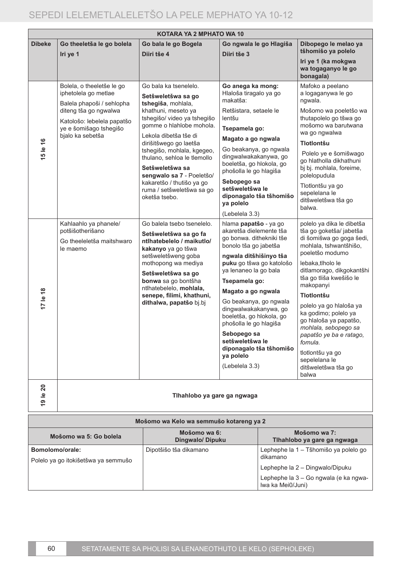|               | <b>KOTARA YA 2 MPHATO WA 10</b>                                                                                                                                                     |                                                                                                                                                                                                                                                                                                                                                                                                |                                                                                                                                                                                                                                                                                                                                                                                                                                  |                                                                                                                                                                                                                                                                                                                                                                                                                                                       |  |
|---------------|-------------------------------------------------------------------------------------------------------------------------------------------------------------------------------------|------------------------------------------------------------------------------------------------------------------------------------------------------------------------------------------------------------------------------------------------------------------------------------------------------------------------------------------------------------------------------------------------|----------------------------------------------------------------------------------------------------------------------------------------------------------------------------------------------------------------------------------------------------------------------------------------------------------------------------------------------------------------------------------------------------------------------------------|-------------------------------------------------------------------------------------------------------------------------------------------------------------------------------------------------------------------------------------------------------------------------------------------------------------------------------------------------------------------------------------------------------------------------------------------------------|--|
| <b>Dibeke</b> | Go theeletša le go bolela<br>Iri ye 1                                                                                                                                               | Go bala le go Bogela<br>Diiri tše 4                                                                                                                                                                                                                                                                                                                                                            | Go ngwala le go Hlagiša<br>Diiri tše 3                                                                                                                                                                                                                                                                                                                                                                                           | Dibopego le melao ya<br>tšhomišo ya polelo                                                                                                                                                                                                                                                                                                                                                                                                            |  |
|               |                                                                                                                                                                                     |                                                                                                                                                                                                                                                                                                                                                                                                |                                                                                                                                                                                                                                                                                                                                                                                                                                  | Iri ye 1 (ka mokgwa<br>wa togaganyo le go<br>bonagala)                                                                                                                                                                                                                                                                                                                                                                                                |  |
| 15 le 16      | Bolela, o theeletše le go<br>iphetolela go metlae<br>Balela phapoši / sehlopha<br>diteng tša go ngwalwa<br>Katološo: lebelela papatšo<br>ye e šomišago tshegišo<br>bjalo ka sebetša | Go bala ka tsenelelo.<br>Setšweletšwa sa go<br>tshegiša, mohlala,<br>khathuni, meseto ya<br>tshegišo/ video ya tshegišo<br>gomme o hlahlobe mohola.<br>Lekola dibetša tše di<br>dirišitšwego go laetša<br>tshegišo, mohlala, kgegeo,<br>thulano, sehloa le tlemollo<br>Setšweletšwa sa<br>sengwalo sa 7 - Poeletšo/<br>kakaretšo / thutišo ya go<br>ruma / setšweletšwa sa go<br>oketša tsebo. | Go anega ka mong:<br>Hlaloša tiragalo ya go<br>makatša:<br>Retšistara, setaele le<br>lentšu<br>Tsepamela go:<br>Magato a go ngwala<br>Go beakanya, go ngwala<br>dingwalwakakanywa, go<br>boeletša, go hlokola, go<br>phošolla le go hlagiša<br>Sebopego sa<br>setšweletšwa le<br>diponagalo tša tšhomišo<br>ya polelo<br>(Lebelela 3.3)                                                                                          | Mafoko a peelano<br>a logaganywa le go<br>ngwala.<br>Mošomo wa poeletšo wa<br>thutapolelo go tšwa go<br>mošomo wa barutwana<br>wa go ngwalwa<br>Tlotlontšu<br>Polelo ye e šomišwago<br>go hlatholla dikhathuni<br>bj bj. mohlala, foreime,<br>polelopudula<br>Tlotlontšu ya go<br>sepelelana le<br>ditšweletšwa tša go<br>balwa.                                                                                                                      |  |
| 17 le 18      | Kahlaahlo ya phanele/<br>potšišotherišano<br>Go theeleletša maitshwaro<br>le maemo                                                                                                  | Go balela tsebo tsenelelo.<br>Setšweletšwa sa go fa<br>ntlhatebelelo / maikutlo/<br>kakanyo ya go tšwa<br>setšweletšweng goba<br>mothopong wa mediya<br>Setšweletšwa sa go<br>bonwa sa go bontšha<br>ntlhatebelelo, mohlala,<br>senepe, filimi, khathuni,<br>dithalwa, papatšo bj.bj                                                                                                           | hlama papatšo - ya go<br>akaretša dielemente tša<br>go bonwa. dithekniki tše<br>bonolo tša go jabetša<br>ngwala ditšhišinyo tša<br>puku go tšwa go katološo<br>ya lenaneo la go bala<br>Tsepamela go:<br>Magato a go ngwala<br>Go beakanya, go ngwala<br>dingwalwakakanywa, go<br>boeletša, go hlokola, go<br>phošolla le go hlagiša<br>Sebopego sa<br>setšweletšwa le<br>diponagalo tša tšhomišo<br>ya polelo<br>(Lebelela 3.3) | polelo ya dika le dibetša<br>tša go goketša/ jabetša<br>di šomišwa go goga šedi,<br>mohlala, tshwantšhišo,<br>poeletšo modumo<br>lebaka, tlholo le<br>ditlamorago, dikgokantšhi<br>tša go tliša kwešišo le<br>makopanyi<br>Tlotlontšu<br>polelo ya go hlaloša ya<br>ka godimo; polelo ya<br>go hlaloša ya papatšo,<br>mohlala, sebopego sa<br>papatšo ye ba e ratago,<br>fomula.<br>tlotlontšu ya go<br>sepelelana le<br>ditšweletšwa tša go<br>balwa |  |
| 19 le 20      |                                                                                                                                                                                     | Tihahlobo ya gare ga ngwaga                                                                                                                                                                                                                                                                                                                                                                    |                                                                                                                                                                                                                                                                                                                                                                                                                                  |                                                                                                                                                                                                                                                                                                                                                                                                                                                       |  |

| Mošomo wa Kelo wa semmušo kotareng ya 2                |                                 |                                                            |  |  |
|--------------------------------------------------------|---------------------------------|------------------------------------------------------------|--|--|
| Mošomo wa 5: Go bolela                                 | Mošomo wa 6:<br>Dingwalo/Dipuku | Mošomo wa 7:<br>Tihahlobo ya gare ga ngwaga                |  |  |
| Bomolomo/orale:<br>Polelo ya go itokišetšwa ya semmušo | Dipotšišo tša dikamano          | Lephephe la 1 – Tšhomišo ya polelo go<br>dikamano          |  |  |
|                                                        |                                 | Lephephe la 2 - Dingwalo/Dipuku                            |  |  |
|                                                        |                                 | Lephephe la 3 - Go ngwala (e ka ngwa-<br>Iwa ka Mei0/Juni) |  |  |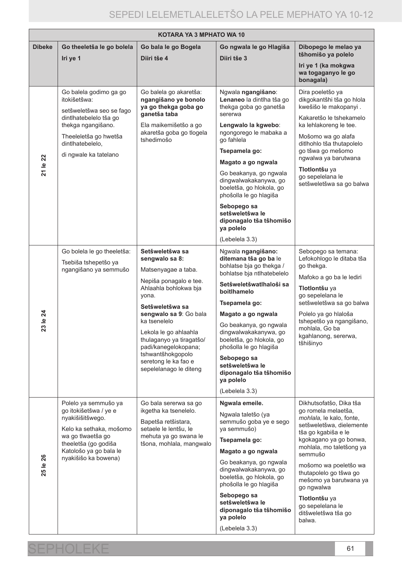| <b>KOTARA YA 3 MPHATO WA 10</b> |                                                                                                                                                                                             |                                                                                                                                                                                                                                                                                                                                       |                                                                                                                                                                                                                                                                                                                                                                                                 |                                                                                                                                                                                                                                                                                                                                                                 |
|---------------------------------|---------------------------------------------------------------------------------------------------------------------------------------------------------------------------------------------|---------------------------------------------------------------------------------------------------------------------------------------------------------------------------------------------------------------------------------------------------------------------------------------------------------------------------------------|-------------------------------------------------------------------------------------------------------------------------------------------------------------------------------------------------------------------------------------------------------------------------------------------------------------------------------------------------------------------------------------------------|-----------------------------------------------------------------------------------------------------------------------------------------------------------------------------------------------------------------------------------------------------------------------------------------------------------------------------------------------------------------|
| <b>Dibeke</b>                   | Go theeletša le go bolela                                                                                                                                                                   | Go bala le go Bogela                                                                                                                                                                                                                                                                                                                  | Go ngwala le go Hlagiša                                                                                                                                                                                                                                                                                                                                                                         | Dibopego le melao ya<br>tšhomišo ya polelo                                                                                                                                                                                                                                                                                                                      |
|                                 | Iri ye 1                                                                                                                                                                                    | Diiri tše 4                                                                                                                                                                                                                                                                                                                           | Diiri tše 3                                                                                                                                                                                                                                                                                                                                                                                     | Iri ye 1 (ka mokgwa<br>wa togaganyo le go<br>bonagala)                                                                                                                                                                                                                                                                                                          |
| 21 le 22                        | Go balela godimo ga go<br>itokišetšwa:<br>setšweletšwa seo se fago<br>dintlhatebelelo tša go<br>thekga ngangišano.<br>Theeleletša go hwetša<br>dintlhatebelelo,<br>di ngwale ka tatelano    | Go balela go akaretša:<br>ngangišano ye bonolo<br>ya go thekga goba go<br>ganetša taba<br>Ela maikemišetšo a go<br>akaretša goba go tlogela<br>tshedimošo                                                                                                                                                                             | Ngwala ngangišano:<br>Lenaneo la dintlha tša go<br>thekga goba go ganetša<br>sererwa<br>Lengwalo la kgwebo:<br>ngongorego le mabaka a<br>go fahlela<br>Tsepamela go:<br>Magato a go ngwala<br>Go beakanya, go ngwala<br>dingwalwakakanywa, go<br>boeletša, go hlokola, go<br>phošolla le go hlagiša<br>Sebopego sa<br>setšweletšwa le<br>diponagalo tša tšhomišo<br>ya polelo<br>(Lebelela 3.3) | Dira poeletšo ya<br>dikgokantšhi tša go hlola<br>kwešišo le makopanyi.<br>Kakaretšo le tshekamelo<br>ka lehlakoreng le tee.<br>Mošomo wa go alafa<br>ditlhohlo tša thutapolelo<br>go tšwa go mešomo<br>ngwalwa ya barutwana<br>Tlotlontšu ya<br>go sepelelana le<br>setšweletšwa sa go balwa                                                                    |
| 23 le 24                        | Go bolela le go theeletša:<br>Tsebiša tshepetšo ya<br>ngangišano ya semmušo                                                                                                                 | Setšweletšwa sa<br>sengwalo sa 8:<br>Matsenyagae a taba.<br>Nepiša ponagalo e tee.<br>Ahlaahla bohlokwa bja<br>vona.<br>Setšweletšwa sa<br>sengwalo sa 9: Go bala<br>ka tsenelelo<br>Lekola le go ahlaahla<br>thulaganyo ya tiragatšo/<br>padi/kanegelokopana;<br>tshwantšhokgopolo<br>seretong le ka fao e<br>sepelelanago le diteng | Ngwala ngangišano:<br>ditemana tša go ba le<br>bohlatse bja go thekga /<br>bohlatse bja ntlhatebelelo<br>Setšweletšwatlhaloši sa<br>boitlhamelo<br>Tsepamela go:<br>Magato a go ngwala<br>Go beakanya, go ngwala<br>dingwalwakakanywa, go<br>boeletša, go hlokola, go<br>phošolla le go hlagiša<br>Sebopego sa<br>setšweletšwa le<br>diponagalo tša tšhomišo<br>ya polelo<br>(Lebelela 3.3)     | Sebopego sa temana:<br>Lefokohlogo le ditaba tša<br>go thekga.<br>Mafoko a go ba le lediri<br>Tlotlontšu ya<br>go sepelelana le<br>setšweletšwa sa go balwa<br>Polelo ya go hlaloša<br>tshepetšo ya ngangišano,<br>mohlala, Go ba<br>kgahlanong, sererwa,<br>tšhišinyo                                                                                          |
| 25 le 26                        | Polelo ya semmušo ya<br>go itokišetšwa / ye e<br>nyakišišitšwego.<br>Kelo ka sethaka, mošomo<br>wa go tlwaetša go<br>theeletša (go godiša<br>Katološo ya go bala le<br>nyakišišo ka bowena) | Go bala sererwa sa go<br>ikgetha ka tsenelelo.<br>Bapetša retšistara,<br>setaele le lentšu, le<br>mehuta ya go swana le<br>tšona, mohlala, mangwalo                                                                                                                                                                                   | Ngwala emeile.<br>Ngwala taletšo (ya<br>semmušo goba ye e sego<br>ya semmušo)<br>Tsepamela go:<br>Magato a go ngwala<br>Go beakanya, go ngwala<br>dingwalwakakanywa, go<br>boeletša, go hlokola, go<br>phošolla le go hlagiša<br>Sebopego sa<br>setšweletšwa le<br>diponagalo tša tšhomišo<br>ya polelo<br>(Lebelela 3.3)                                                                       | Dikhutsofatšo, Dika tša<br>go romela melaetša,<br>mohlala, le kalo, fonte,<br>setšweletšwa, dielemente<br>tša go kgabiša e le<br>kgokagano ya go bonwa,<br>mohlala, mo taletšong ya<br>semmušo<br>mošomo wa poeletšo wa<br>thutapolelo go tšwa go<br>mešomo ya barutwana ya<br>go ngwalwa<br>Tlotlontšu ya<br>go sepelelana le<br>ditšweletšwa tša go<br>balwa. |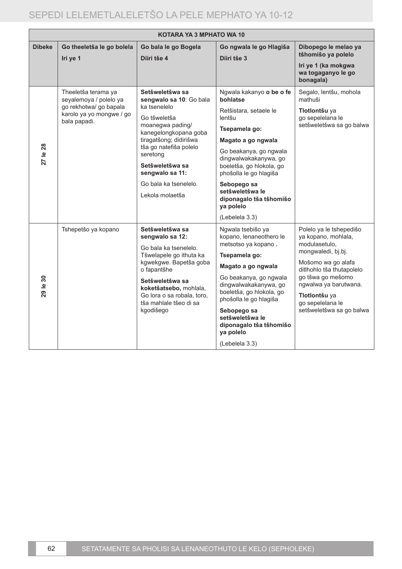| <b>KOTARA YA 3 MPHATO WA 10</b> |                                                                                                                     |                                                                                                                                                                                                                                                                           |                                                                                                                                                                                                                                                                                                                      |                                                                                                                                                                                                                                                         |
|---------------------------------|---------------------------------------------------------------------------------------------------------------------|---------------------------------------------------------------------------------------------------------------------------------------------------------------------------------------------------------------------------------------------------------------------------|----------------------------------------------------------------------------------------------------------------------------------------------------------------------------------------------------------------------------------------------------------------------------------------------------------------------|---------------------------------------------------------------------------------------------------------------------------------------------------------------------------------------------------------------------------------------------------------|
| <b>Dibeke</b>                   | Go theeletša le go bolela<br>Iri ye 1                                                                               | Go bala le go Bogela<br>Diiri tše 4                                                                                                                                                                                                                                       | Go ngwala le go Hlagiša<br>Diiri tše 3                                                                                                                                                                                                                                                                               | Dibopego le melao ya<br>tšhomišo ya polelo                                                                                                                                                                                                              |
|                                 |                                                                                                                     |                                                                                                                                                                                                                                                                           |                                                                                                                                                                                                                                                                                                                      | Iri ye 1 (ka mokgwa<br>wa togaganyo le go<br>bonagala)                                                                                                                                                                                                  |
| 27 le 28                        | Theeletša terama ya<br>seyalemoya / polelo ya<br>go rekhotwa/ go bapala<br>karolo ya yo mongwe / go<br>bala papadi. | Setšweletšwa sa<br>sengwalo sa 10: Go bala<br>ka tsenelelo<br>Go tšweletša<br>moanegwa pading/<br>kanegelongkopana goba<br>tiragatšong; didirišwa<br>tša go natefiša polelo<br>seretong<br>Setšweletšwa sa<br>sengwalo sa 11:<br>Go bala ka tsenelelo.<br>Lekola molaetša | Ngwala kakanyo o be o fe<br>bohlatse<br>Retšistara, setaele le<br>lentšu<br>Tsepamela go:<br>Magato a go ngwala<br>Go beakanya, go ngwala<br>dingwalwakakanywa, go<br>boeletša, go hlokola, go<br>phošolla le go hlagiša<br>Sebopego sa<br>setšweletšwa le<br>diponagalo tša tšhomišo<br>ya polelo<br>(Lebelela 3.3) | Segalo, lentšu, mohola<br>mathuši<br>Tlotlontšu ya<br>go sepelelana le<br>setšweletšwa sa go balwa                                                                                                                                                      |
| 29 le 30                        | Tshepetšo ya kopano                                                                                                 | Setšweletšwa sa<br>sengwalo sa 12:<br>Go bala ka tsenelelo.<br>Tšwelapele go ithuta ka<br>kgwekgwe. Bapetša goba<br>o fapantšhe<br>Setšweletšwa sa<br>koketšatsebo, mohlala,<br>Go lora o sa robala, toro,<br>tša mahlale tšeo di sa<br>kgodišego                         | Ngwala tsebišo ya<br>kopano, lenaneothero le<br>metsotso ya kopano.<br>Tsepamela go:<br>Magato a go ngwala<br>Go beakanya, go ngwala<br>dingwalwakakanywa, go<br>boeletša, go hlokola, go<br>phošolla le go hlagiša<br>Sebopego sa<br>setšweletšwa le<br>diponagalo tša tšhomišo<br>ya polelo<br>(Lebelela 3.3)      | Polelo ya le tshepedišo<br>ya kopano, mohlala,<br>modulasetulo,<br>mongwaledi, bj.bj.<br>Mošomo wa go alafa<br>ditlhohlo tša thutapolelo<br>go tšwa go mešomo<br>ngwalwa ya barutwana.<br>Tlotlontšu ya<br>go sepelelana le<br>setšweletšwa sa go balwa |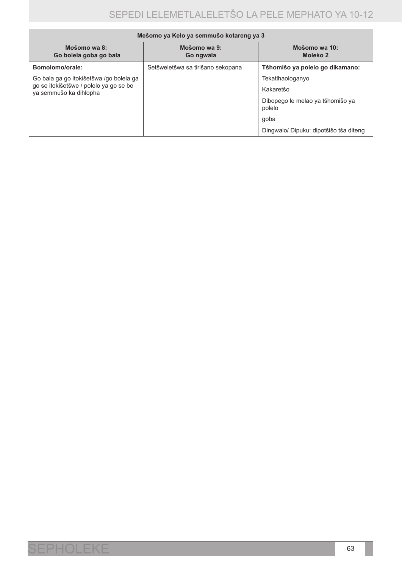| Mešomo ya Kelo ya semmušo kotareng ya 3                          |                                   |                                            |  |
|------------------------------------------------------------------|-----------------------------------|--------------------------------------------|--|
| Mošomo wa 8:<br>Go bolela goba go bala                           | Mošomo wa 9:<br>Go ngwala         | Mošomo wa 10:<br>Moleko <sub>2</sub>       |  |
| Bomolomo/orale:                                                  | Setšweletšwa sa tirišano sekopana | Tšhomišo ya polelo go dikamano:            |  |
| Go bala ga go itokišetšwa /go bolela ga                          |                                   | Tekatlhaologanyo                           |  |
| go se itokišetšwe / polelo ya go se be<br>ya semmušo ka dihlopha |                                   | Kakaretšo                                  |  |
|                                                                  |                                   | Dibopego le melao ya tšhomišo ya<br>polelo |  |
|                                                                  |                                   | qoba                                       |  |
|                                                                  |                                   | Dingwalo/ Dipuku: dipotšišo tša diteng     |  |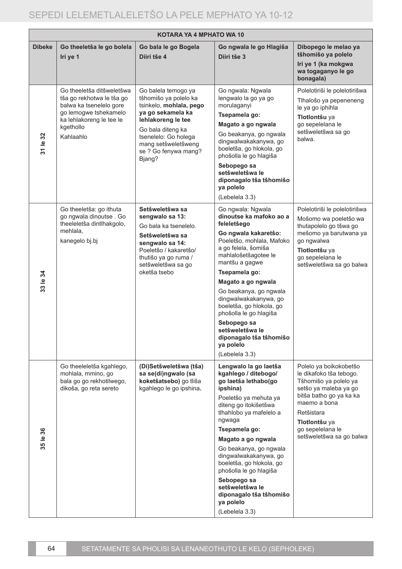| KOTARA YA 4 MPHATO WA 10 |                                                                                                                                                                  |                                                                                                                                                                                                                          |                                                                                                                                                                                                                                                                                                                                                                                                                               |                                                                                                                                                                                                                               |
|--------------------------|------------------------------------------------------------------------------------------------------------------------------------------------------------------|--------------------------------------------------------------------------------------------------------------------------------------------------------------------------------------------------------------------------|-------------------------------------------------------------------------------------------------------------------------------------------------------------------------------------------------------------------------------------------------------------------------------------------------------------------------------------------------------------------------------------------------------------------------------|-------------------------------------------------------------------------------------------------------------------------------------------------------------------------------------------------------------------------------|
| <b>Dibeke</b>            | Go theeletša le go bolela<br>Iri ye 1                                                                                                                            | Go bala le go Bogela<br>Diiri tše 4                                                                                                                                                                                      | Go ngwala le go Hlagiša<br>Diiri tše 3                                                                                                                                                                                                                                                                                                                                                                                        | Dibopego le melao ya<br>tšhomišo ya polelo<br>Iri ye 1 (ka mokgwa<br>wa togaganyo le go<br>bonagala)                                                                                                                          |
| 31 le 32                 | Go theeletša ditšweletšwa<br>tša go rekhotwa le tša go<br>balwa ka tsenelelo gore<br>go lemogwe tshekamelo<br>ka lehlakoreng le tee le<br>kgethollo<br>Kahlaahlo | Go balela temogo ya<br>tšhomišo ya polelo ka<br>tsinkelo, mohlala, pego<br>ya go sekamela ka<br>lehlakoreng le tee<br>Go bala diteng ka<br>tsenelelo: Go holega<br>mang setšweletšweng<br>se ? Go fenywa mang?<br>Bjang? | Go ngwala: Ngwala<br>lengwalo la go ya go<br>morulaganyi<br>Tsepamela go:<br>Magato a go ngwala<br>Go beakanya, go ngwala<br>dingwalwakakanywa, go<br>boeletša, go hlokola, go<br>phošolla le go hlagiša<br>Sebopego sa<br>setšweletšwa le<br>diponagalo tša tšhomišo<br>ya polelo<br>(Lebelela 3.3)                                                                                                                          | Polelotiriši le polelotirišwa<br>Tlhalošo ya pepeneneng<br>le ya go iphihla<br>Tlotlontšu ya<br>go sepelelana le<br>setšweletšwa sa go<br>balwa.                                                                              |
| 33 le 34                 | Go theeletša: go ithuta<br>go ngwala dinoutse. Go<br>theeleletša dintlhakgolo,<br>mehlala,<br>kanegelo bj.bj                                                     | Setšweletšwa sa<br>sengwalo sa 13:<br>Go bala ka tsenelelo.<br>Setšweletšwa sa<br>sengwalo sa 14:<br>Poeletšo / kakaretšo/<br>thutišo ya go ruma /<br>setšweletšwa sa go<br>oketša tsebo                                 | Go ngwala: Ngwala<br>dinoutse ka mafoko ao a<br>feleletšego<br>Go ngwala kakaretšo:<br>Poeletšo, mohlala, Mafoko<br>a go felela, šomiša<br>mahlalošetšagotee le<br>mantšu a gagwe<br>Tsepamela go:<br>Magato a go ngwala<br>Go beakanya, go ngwala<br>dingwalwakakanywa, go<br>boeletša, go hlokola, go<br>phošolla le go hlagiša<br>Sebopego sa<br>setšweletšwa le<br>diponagalo tša tšhomišo<br>ya polelo<br>(Lebelela 3.3) | Polelotiriši le polelotirišwa<br>Mošomo wa poeletšo wa<br>thutapolelo go tšwa go<br>mešomo ya barutwana ya<br>go ngwalwa<br>Tlotlontšu ya<br>go sepelelana le<br>setšweletšwa sa go balwa                                     |
| 36<br>$35$ le            | Go theeleletša kgahlego,<br>mohlala, mmino, go<br>bala go go rekhotilwego,<br>dikoša, go reta sereto                                                             | (Di)Setšweletšwa (tša)<br>sa se(di)ngwalo (sa<br>koketšatsebo) go tliša<br>kgahlego le go ipshina.                                                                                                                       | Lengwalo la go laetša<br>kgahlego / ditebogo/<br>go laetša lethabo(go<br>ipshina)<br>Poeletšo ya mehuta ya<br>diteng go itokišetšwa<br>tlhahlobo ya mafelelo a<br>ngwaga<br>Tsepamela go:<br>Magato a go ngwala<br>Go beakanya, go ngwala<br>dingwalwakakanywa, go<br>boeletša, go hlokola, go<br>phošolla le go hlagiša<br>Sebopego sa<br>setšweletšwa le<br>diponagalo tša tšhomišo<br>ya polelo<br>(Lebelela 3.3)          | Polelo ya boikokobetšo<br>le dikafoko tša tebogo.<br>Tšhomišo ya polelo ya<br>setšo ya maleba ya go<br>bitša batho go ya ka ka<br>maemo a bona<br>Retšistara<br>Tlotlontšu ya<br>go sepelelana le<br>setšweletšwa sa go balwa |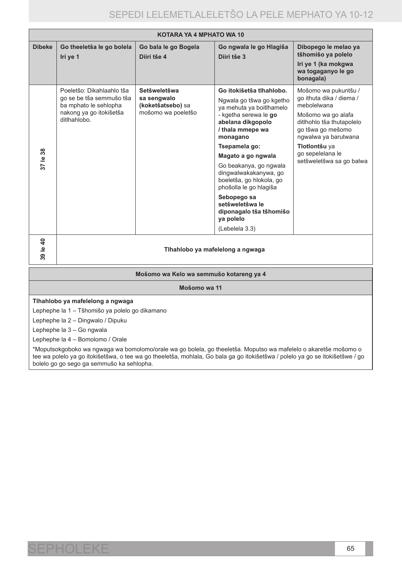| KOTARA YA 4 MPHATO WA 10                                                                                                                             |                                                                                                                           |                                                                        |                                                                                                                                                                                                                                                                                                                                                                                                            |                                                                                                                                                                                                                                  |  |
|------------------------------------------------------------------------------------------------------------------------------------------------------|---------------------------------------------------------------------------------------------------------------------------|------------------------------------------------------------------------|------------------------------------------------------------------------------------------------------------------------------------------------------------------------------------------------------------------------------------------------------------------------------------------------------------------------------------------------------------------------------------------------------------|----------------------------------------------------------------------------------------------------------------------------------------------------------------------------------------------------------------------------------|--|
| <b>Dibeke</b>                                                                                                                                        | Go theeletša le go bolela<br>Iri ye 1                                                                                     | Go bala le go Bogela<br>Diiri tše 4                                    | Go ngwala le go Hlagiša<br>Diiri tše 3                                                                                                                                                                                                                                                                                                                                                                     | Dibopego le melao ya<br>tšhomišo ya polelo<br>Iri ye 1 (ka mokgwa<br>wa togaganyo le go<br>bonagala)                                                                                                                             |  |
| 37 le 38                                                                                                                                             | Poeletšo: Dikahlaahlo tša<br>go se be tša semmušo tša<br>ba mphato le sehlopha<br>nakong ya go itokišetša<br>ditlhahlobo. | Setšweletšwa<br>sa sengwalo<br>(koketšatsebo) sa<br>mošomo wa poeletšo | Go itokišetša tlhahlobo.<br>Ngwala go tšwa go kgetho<br>ya mehuta ya boitlhamelo<br>- kgetha serewa le go<br>abelana dikgopolo<br>/ thala mmepe wa<br>monagano<br>Tsepamela go:<br>Magato a go ngwala<br>Go beakanya, go ngwala<br>dingwalwakakanywa, go<br>boeletša, go hlokola, go<br>phošolla le go hlagiša<br>Sebopego sa<br>setšweletšwa le<br>diponagalo tša tšhomišo<br>ya polelo<br>(Lebelela 3.3) | Mošomo wa pukuntšu /<br>go ithuta dika / diema /<br>mebolelwana<br>Mošomo wa go alafa<br>ditlhohlo tša thutapolelo<br>go tšwa go mešomo<br>ngwalwa ya barutwana<br>Tlotlontšu ya<br>go sepelelana le<br>setšweletšwa sa go balwa |  |
| 39 le 40                                                                                                                                             | Tihahlobo ya mafelelong a ngwaga                                                                                          |                                                                        |                                                                                                                                                                                                                                                                                                                                                                                                            |                                                                                                                                                                                                                                  |  |
| Mošomo wa Kelo wa semmušo kotareng ya 4                                                                                                              |                                                                                                                           |                                                                        |                                                                                                                                                                                                                                                                                                                                                                                                            |                                                                                                                                                                                                                                  |  |
| Mošomo wa 11                                                                                                                                         |                                                                                                                           |                                                                        |                                                                                                                                                                                                                                                                                                                                                                                                            |                                                                                                                                                                                                                                  |  |
| Tihahlobo ya mafelelong a ngwaga<br>Lephephe la 1 - Tšhomišo ya polelo go dikamano<br>Lephephe la 2 - Dingwalo / Dipuku<br>Lephephe la 3 - Go ngwala |                                                                                                                           |                                                                        |                                                                                                                                                                                                                                                                                                                                                                                                            |                                                                                                                                                                                                                                  |  |
|                                                                                                                                                      | Lephephe la 4 - Bomolomo / Orale                                                                                          |                                                                        |                                                                                                                                                                                                                                                                                                                                                                                                            |                                                                                                                                                                                                                                  |  |

\*Moputsokgoboko wa ngwaga wa bomolomo/orale wa go bolela, go theeletša. Moputso wa mafelelo o akaretše mošomo o tee wa polelo ya go itokišetšwa, o tee wa go theeletša, mohlala, Go bala ga go itokišetšwa / polelo ya go se itokišetšwe / go bolelo go go sego ga semmušo ka sehlopha.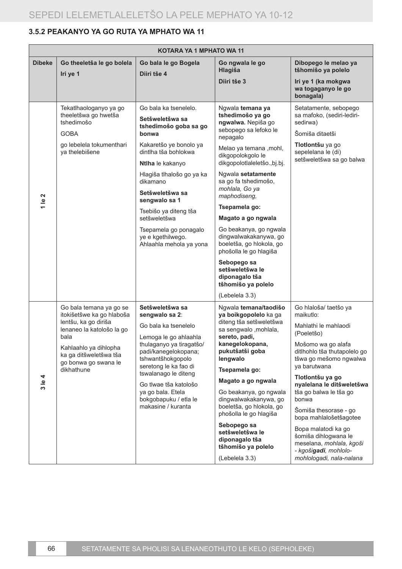#### **3.5.2 PEAKANYO YA GO RUTA YA MPHATO WA 11**

| <b>KOTARA YA 1 MPHATO WA 11</b> |                                                                                                                                                                                                            |                                                                                                                                                                                                                                                                                                                                                 |                                                                                                                                                                                                                                                                                                                                                                                                                                                                                                            |                                                                                                                                                                                                                                                                                                                                                                                                                                                 |
|---------------------------------|------------------------------------------------------------------------------------------------------------------------------------------------------------------------------------------------------------|-------------------------------------------------------------------------------------------------------------------------------------------------------------------------------------------------------------------------------------------------------------------------------------------------------------------------------------------------|------------------------------------------------------------------------------------------------------------------------------------------------------------------------------------------------------------------------------------------------------------------------------------------------------------------------------------------------------------------------------------------------------------------------------------------------------------------------------------------------------------|-------------------------------------------------------------------------------------------------------------------------------------------------------------------------------------------------------------------------------------------------------------------------------------------------------------------------------------------------------------------------------------------------------------------------------------------------|
| <b>Dibeke</b>                   | Go theeletša le go bolela<br>Iri ye 1                                                                                                                                                                      | Go bala le go Bogela<br>Diiri tše 4                                                                                                                                                                                                                                                                                                             | Go ngwala le go<br>Hlagiša<br>Diiri tše 3                                                                                                                                                                                                                                                                                                                                                                                                                                                                  | Dibopego le melao ya<br>tšhomišo ya polelo<br>Iri ye 1 (ka mokgwa<br>wa togaganyo le go<br>bonagala)                                                                                                                                                                                                                                                                                                                                            |
| $1$ le $2$                      | Tekatlhaologanyo ya go<br>theeletšwa go hwetša<br>tshedimošo<br><b>GOBA</b><br>go lebelela tokumenthari<br>ya thelebišene                                                                                  | Go bala ka tsenelelo.<br>Setšweletšwa sa<br>tshedimošo goba sa go<br>bonwa<br>Kakaretšo ye bonolo ya<br>dintlha tša bohlokwa<br>Ntlha le kakanyo<br>Hlagiša tlhalošo go ya ka<br>dikamano<br>Setšweletšwa sa<br>sengwalo sa 1<br>Tsebišo ya diteng tša<br>setšweletšwa<br>Tsepamela go ponagalo<br>ye e kgethilwego.<br>Ahlaahla mehola ya yona | Ngwala temana ya<br>tshedimošo ya go<br>ngwalwa. Nepiša go<br>sebopego sa lefoko le<br>nepagalo<br>Melao ya temana , mohl,<br>dikgopolokgolo le<br>dikgopolotlaleletšo.,bj.bj.<br>Ngwala setatamente<br>sa go fa tshedimošo,<br>mohlala, Go ya<br>maphodiseng,<br>Tsepamela go:<br>Magato a go ngwala<br>Go beakanya, go ngwala<br>dingwalwakakanywa, go<br>boeletša, go hlokola, go<br>phošolla le go hlagiša<br>Sebopego sa<br>setšweletšwa le<br>diponagalo tša<br>tšhomišo ya polelo<br>(Lebelela 3.3) | Setatamente, sebopego<br>sa mafoko, (sediri-lediri-<br>sedirwa)<br>Šomiša ditaetši<br>Tlotlontšu ya go<br>sepelelana le (di)<br>setšweletšwa sa go balwa                                                                                                                                                                                                                                                                                        |
| $3 \leq 4$                      | Go bala temana ya go se<br>itokišetšwe ka go hlaboša<br>lentšu, ka go diriša<br>lenaneo la katološo la go<br>bala<br>Kahlaahlo ya dihlopha<br>ka ga ditšweletšwa tša<br>go bonwa go swana le<br>dikhathune | Setšweletšwa sa<br>sengwalo sa 2:<br>Go bala ka tsenelelo<br>Lemoga le go ahlaahla<br>thulaganyo ya tiragatšo/<br>padi/kanegelokopana;<br>tshwantšhokgopolo<br>seretong le ka fao di<br>tswalanago le diteng<br>Go tlwae tša katološo<br>ya go bala. Etela<br>bokgobapuku / etla le<br>makasine / kuranta                                       | Ngwala temana/taodišo<br>ya boikgopolelo ka ga<br>diteng tša setšweletšwa<br>sa sengwalo , mohlala,<br>sereto, padi,<br>kanegelokopana,<br>pukutšatši goba<br>lengwalo<br>Tsepamela go:<br>Magato a go ngwala<br>Go beakanya, go ngwala<br>dingwalwakakanywa, go<br>boeletša, go hlokola, go<br>phošolla le go hlagiša<br>Sebopego sa<br>setšweletšwa le<br>diponagalo tša<br>tšhomišo ya polelo<br>(Lebelela 3.3)                                                                                         | Go hlaloša/ taetšo ya<br>maikutlo:<br>Mahlathi le mahlaodi<br>(Poeletšo)<br>Mošomo wa go alafa<br>ditlhohlo tša thutapolelo go<br>tšwa go mešomo ngwalwa<br>ya barutwana<br>Tlotlontšu ya go<br>nyalelana le ditšweletšwa<br>tša go balwa le tša go<br>bonwa<br>Šomiša thesorase - go<br>bopa mahlalošetšagotee<br>Bopa malatodi ka go<br>šomiša dihlogwana le<br>meselana, mohlala, kgoši<br>- kgošigadi, mohlolo-<br>mohlologadi, nala-nalana |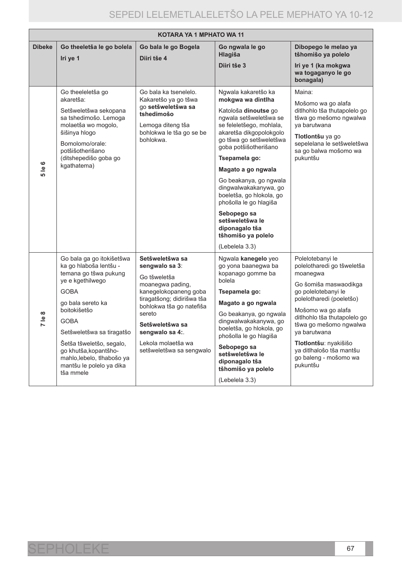| <b>KOTARA YA 1 MPHATO WA 11</b> |                                                                                                                                                                                                                                                                                                                              |                                                                                                                                                                                                                                                            |                                                                                                                                                                                                                                                                                                                                                                                                                                                   |                                                                                                                                                                                                                                                                                                                                  |
|---------------------------------|------------------------------------------------------------------------------------------------------------------------------------------------------------------------------------------------------------------------------------------------------------------------------------------------------------------------------|------------------------------------------------------------------------------------------------------------------------------------------------------------------------------------------------------------------------------------------------------------|---------------------------------------------------------------------------------------------------------------------------------------------------------------------------------------------------------------------------------------------------------------------------------------------------------------------------------------------------------------------------------------------------------------------------------------------------|----------------------------------------------------------------------------------------------------------------------------------------------------------------------------------------------------------------------------------------------------------------------------------------------------------------------------------|
| <b>Dibeke</b>                   | Go theeletša le go bolela<br>Iri ye 1                                                                                                                                                                                                                                                                                        | Go bala le go Bogela<br>Diiri tše 4                                                                                                                                                                                                                        | Go ngwala le go<br>Hlagiša                                                                                                                                                                                                                                                                                                                                                                                                                        | Dibopego le melao ya<br>tšhomišo ya polelo                                                                                                                                                                                                                                                                                       |
|                                 |                                                                                                                                                                                                                                                                                                                              |                                                                                                                                                                                                                                                            | Diiri tše 3                                                                                                                                                                                                                                                                                                                                                                                                                                       | Iri ye 1 (ka mokgwa<br>wa togaganyo le go<br>bonagala)                                                                                                                                                                                                                                                                           |
| 5 le 6                          | Go theeleletša go<br>akaretša:<br>Setšweletšwa sekopana<br>sa tshedimošo. Lemoga<br>molaetša wo mogolo,<br>šišinya hlogo<br>Bomolomo/orale:<br>potšišotherišano<br>(ditshepedišo goba go<br>kgathatema)                                                                                                                      | Go bala ka tsenelelo.<br>Kakaretšo ya go tšwa<br>go setšweletšwa sa<br>tshedimošo<br>Lemoga diteng tša<br>bohlokwa le tša go se be<br>bohlokwa.                                                                                                            | Ngwala kakaretšo ka<br>mokgwa wa dintlha<br>Katološa dinoutse go<br>ngwala setšweletšwa se<br>se feleletšego, mohlala,<br>akaretša dikgopolokgolo<br>go tšwa go setšweletšwa<br>goba potšišotherišano<br>Tsepamela go:<br>Magato a go ngwala<br>Go beakanya, go ngwala<br>dingwalwakakanywa, go<br>boeletša, go hlokola, go<br>phošolla le go hlagiša<br>Sebopego sa<br>setšweletšwa le<br>diponagalo tša<br>tšhomišo ya polelo<br>(Lebelela 3.3) | Maina:<br>Mošomo wa go alafa<br>ditlhohlo tša thutapolelo go<br>tšwa go mešomo ngwalwa<br>ya barutwana<br>Tlotlontšu ya go<br>sepelelana le setšweletšwa<br>sa go balwa mošomo wa<br>pukuntšu                                                                                                                                    |
| 7 le 8                          | Go bala ga go itokišetšwa<br>ka go hlaboša lentšu -<br>temana go tšwa pukung<br>ye e kgethilwego<br><b>GOBA</b><br>go bala sereto ka<br>boitokišetšo<br><b>GOBA</b><br>Setšweletšwa sa tiragatšo<br>Setša tšweletšo, segalo,<br>go khutša, kopantšho-<br>mahlo, lebelo, tlhabošo ya<br>mantšu le polelo ya dika<br>tša mmele | Setšweletšwa sa<br>sengwalo sa 3:<br>Go tšweletša<br>moanegwa pading,<br>kanegelokopaneng goba<br>tiragatšong; didirišwa tša<br>bohlokwa tša go natefiša<br>sereto<br>Setšweletšwa sa<br>sengwalo sa 4:.<br>Lekola molaetša wa<br>setšweletšwa sa sengwalo | Ngwala kanegelo yeo<br>go yona baanegwa ba<br>kopanago gomme ba<br>bolela<br>Tsepamela go:<br>Magato a go ngwala<br>Go beakanya, go ngwala<br>dingwalwakakanywa, go<br>boeletša, go hlokola, go<br>phošolla le go hlagiša<br>Sebopego sa<br>setšweletšwa le<br>diponagalo tša<br>tšhomišo ya polelo<br>(Lebelela 3.3)                                                                                                                             | Polelotebanyi le<br>polelotharedi go tšweletša<br>moanegwa<br>Go šomiša maswaodikga<br>go polelotebanyi le<br>polelotharedi (poeletšo)<br>Mošomo wa go alafa<br>ditlhohlo tša thutapolelo go<br>tšwa go mešomo ngwalwa<br>ya barutwana<br>Tlotlontšu: nyakišišo<br>ya ditlhalošo tša mantšu<br>go baleng - mošomo wa<br>pukuntšu |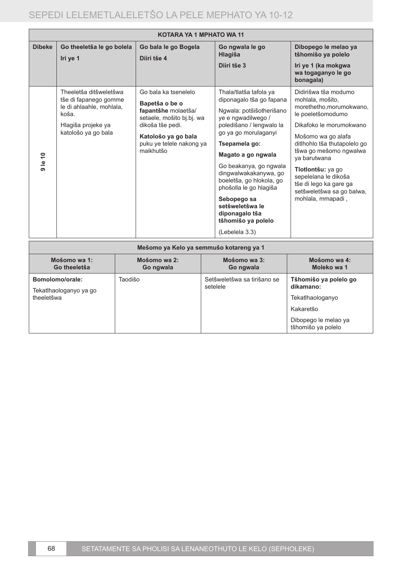|                              | <b>KOTARA YA 1 MPHATO WA 11</b>                                                                                                   |                                                                                                                                                                                |                                                                                                                                                                                                                                                                                                                                                                                                      |                                                                                                                                                                                                                                                                                                                                               |  |
|------------------------------|-----------------------------------------------------------------------------------------------------------------------------------|--------------------------------------------------------------------------------------------------------------------------------------------------------------------------------|------------------------------------------------------------------------------------------------------------------------------------------------------------------------------------------------------------------------------------------------------------------------------------------------------------------------------------------------------------------------------------------------------|-----------------------------------------------------------------------------------------------------------------------------------------------------------------------------------------------------------------------------------------------------------------------------------------------------------------------------------------------|--|
| <b>Dibeke</b>                | Go theeletša le go bolela<br>Iri ye 1                                                                                             | Go bala le go Bogela<br>Diiri tše 4                                                                                                                                            | Go ngwala le go<br>Hlagiša                                                                                                                                                                                                                                                                                                                                                                           | Dibopego le melao ya<br>tšhomišo ya polelo                                                                                                                                                                                                                                                                                                    |  |
|                              |                                                                                                                                   |                                                                                                                                                                                | Diiri tše 3                                                                                                                                                                                                                                                                                                                                                                                          | Iri ye 1 (ka mokgwa<br>wa togaganyo le go<br>bonagala)                                                                                                                                                                                                                                                                                        |  |
| $\tilde{=}$<br>$\frac{1}{9}$ | Theeletša ditšweletšwa<br>tše di fapanego gomme<br>le di ahlaahle, mohlala,<br>koša.<br>Hlagiša projeke ya<br>katološo ya go bala | Go bala ka tsenelelo<br>Bapetša o be o<br>fapantšhe molaetša/<br>setaele, mošito bj.bj. wa<br>dikoša tše pedi.<br>Katološo ya go bala<br>puku ye telele nakong ya<br>maikhutšo | Thala/tlatša tafola ya<br>diponagalo tša go fapana<br>Ngwala: potšišotherišano<br>ye e ngwadilwego /<br>poledišano / lengwalo la<br>go ya go morulaganyi<br>Tsepamela go:<br>Magato a go ngwala<br>Go beakanya, go ngwala<br>dingwalwakakanywa, go<br>boeletša, go hlokola, go<br>phošolla le go hlagiša<br>Sebopego sa<br>setšweletšwa le<br>diponagalo tša<br>tšhomišo ya polelo<br>(Lebelela 3.3) | Didirišwa tša modumo<br>mohlala, mošito,<br>morethetho, morumokwano,<br>le poeletšomodumo<br>Dikafoko le morumokwano<br>Mošomo wa go alafa<br>ditlhohlo tša thutapolelo go<br>tšwa go mešomo ngwalwa<br>ya barutwana<br>Tlotlontšu: ya go<br>sepelelana le dikoša<br>tše di lego ka gare ga<br>setšweletšwa sa go balwa,<br>mohlala, mmapadi, |  |

| Mešomo ya Kelo ya semmušo kotareng ya 1                 |                           |                                         |                                                                                                                   |  |  |
|---------------------------------------------------------|---------------------------|-----------------------------------------|-------------------------------------------------------------------------------------------------------------------|--|--|
| Mošomo wa 1:<br>Go theeletša                            | Mošomo wa 2:<br>Go ngwala | Mošomo wa 3:<br>Go ngwala               | Mošomo wa 4:<br>Moleko wa 1                                                                                       |  |  |
| Bomolomo/orale:<br>Tekatlhaologanyo ya go<br>theeletšwa | Taodišo                   | Setšweletšwa sa tirišano se<br>setelele | Tšhomišo ya polelo go<br>dikamano:<br>Tekatlhaologanyo<br>Kakaretšo<br>Dibopego le melao ya<br>tšhomišo ya polelo |  |  |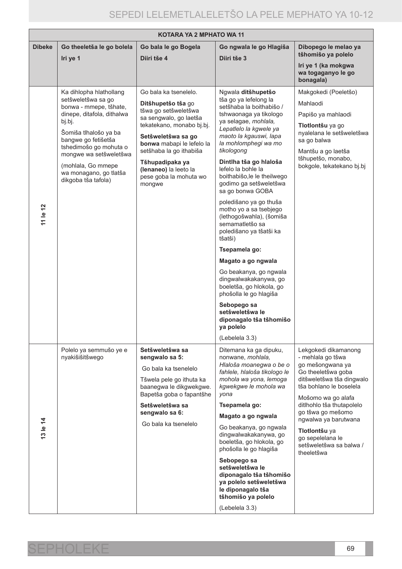|               | <b>KOTARA YA 2 MPHATO WA 11</b>                                                                                                                                                                                                                                                            |                                                                                                                                                                                                                                                                                          |                                                                                                                                                                                                                                                                                                                                                                                                                                                                                                                                                                                                                                                                                                                                       |                                                                                                                                                                                                                                                                                                                           |  |
|---------------|--------------------------------------------------------------------------------------------------------------------------------------------------------------------------------------------------------------------------------------------------------------------------------------------|------------------------------------------------------------------------------------------------------------------------------------------------------------------------------------------------------------------------------------------------------------------------------------------|---------------------------------------------------------------------------------------------------------------------------------------------------------------------------------------------------------------------------------------------------------------------------------------------------------------------------------------------------------------------------------------------------------------------------------------------------------------------------------------------------------------------------------------------------------------------------------------------------------------------------------------------------------------------------------------------------------------------------------------|---------------------------------------------------------------------------------------------------------------------------------------------------------------------------------------------------------------------------------------------------------------------------------------------------------------------------|--|
| <b>Dibeke</b> | Go theeletša le go bolela                                                                                                                                                                                                                                                                  | Go bala le go Bogela                                                                                                                                                                                                                                                                     | Go ngwala le go Hlagiša                                                                                                                                                                                                                                                                                                                                                                                                                                                                                                                                                                                                                                                                                                               | Dibopego le melao ya<br>tšhomišo ya polelo                                                                                                                                                                                                                                                                                |  |
|               | Iri ye 1                                                                                                                                                                                                                                                                                   | Diiri tše 4                                                                                                                                                                                                                                                                              | Diiri tše 3                                                                                                                                                                                                                                                                                                                                                                                                                                                                                                                                                                                                                                                                                                                           | Iri ye 1 (ka mokgwa<br>wa togaganyo le go<br>bonagala)                                                                                                                                                                                                                                                                    |  |
| 11 le 12      | Ka dihlopha hlathollang<br>setšweletšwa sa go<br>bonwa - mmepe, tšhate,<br>dinepe, ditafola, dithalwa<br>bj.bj.<br>Šomiša tlhalošo ya ba<br>bangwe go fetišetša<br>tshedimošo go mohuta o<br>mongwe wa setšweletšwa<br>(mohlala, Go mmepe<br>wa monagano, go tlatša<br>dikgoba tša tafola) | Go bala ka tsenelelo.<br>Ditšhupetšo tša go<br>tšwa go setšweletšwa<br>sa sengwalo, go laetša<br>tekatekano, monabo bj.bj.<br>Setšweletšwa sa go<br>bonwa mabapi le lefelo la<br>setšhaba la go ithabiša<br>Tšhupadipaka ya<br>(lenaneo) la leeto la<br>pese goba la mohuta wo<br>mongwe | Ngwala ditšhupetšo<br>tša go ya lefelong la<br>setšhaba la boithabišo /<br>tshwaonaga ya tikologo<br>ya selagae, mohlala,<br>Lepatlelo la kgwele ya<br>maoto la kgauswi, lapa<br>la mohlomphegi wa mo<br>tikologong<br>Dintlha tša go hlaloša<br>lefelo la bohle la<br>boithabišo, le le theilwego<br>godimo ga setšweletšwa<br>sa go bonwa GOBA<br>poledišano ya go thuša<br>motho yo a sa tsebjego<br>(lethogošwahla), (šomiša<br>semamatletšo sa<br>poledišano ya tšatši ka<br>tšatši)<br>Tsepamela go:<br>Magato a go ngwala<br>Go beakanya, go ngwala<br>dingwalwakakanywa, go<br>boeletša, go hlokola, go<br>phošolla le go hlagiša<br>Sebopego sa<br>setšweletšwa le<br>diponagalo tša tšhomišo<br>ya polelo<br>(Lebelela 3.3) | Makgokedi (Poeletšo)<br>Mahlaodi<br>Papišo ya mahlaodi<br>Tlotlontšu ya go<br>nyalelana le setšweletšwa<br>sa go balwa<br>Mantšu a go laetša<br>tšhupetšo, monabo,<br>bokgole, tekatekano bj.bj                                                                                                                           |  |
| 13 le 14      | Polelo ya semmušo ye e<br>nyakišišitšwego                                                                                                                                                                                                                                                  | Setšweletšwa sa<br>sengwalo sa 5:<br>Go bala ka tsenelelo<br>Tšwela pele go ithuta ka<br>baanegwa le dikgwekgwe.<br>Bapetša goba o fapantšhe<br>Setšweletšwa sa<br>sengwalo sa 6:<br>Go bala ka tsenelelo                                                                                | Ditemana ka ga dipuku,<br>nonwane, mohlala,<br>Hlaloša moanegwa o be o<br>fahlele, hlaloša tikologo le<br>mohola wa yona, lemoga<br>kgwekgwe le mohola wa<br>yona<br>Tsepamela go:<br>Magato a go ngwala<br>Go beakanya, go ngwala<br>dingwalwakakanywa, go<br>boeletša, go hlokola, go<br>phošolla le go hlagiša<br>Sebopego sa<br>setšweletšwa le<br>diponagalo tša tšhomišo<br>ya polelo setšweletšwa<br>le diponagalo tša<br>tšhomišo ya polelo<br>(Lebelela 3.3)                                                                                                                                                                                                                                                                 | Lekgokedi dikamanong<br>- mehlala go tšwa<br>go mešongwana ya<br>Go theeletšwa goba<br>ditšweletšwa tša dingwalo<br>tša bohlano le boselela<br>Mošomo wa go alafa<br>ditlhohlo tša thutapolelo<br>go tšwa go mešomo<br>ngwalwa ya barutwana<br>Tlotlontšu ya<br>go sepelelana le<br>setšweletšwa sa balwa /<br>theeletšwa |  |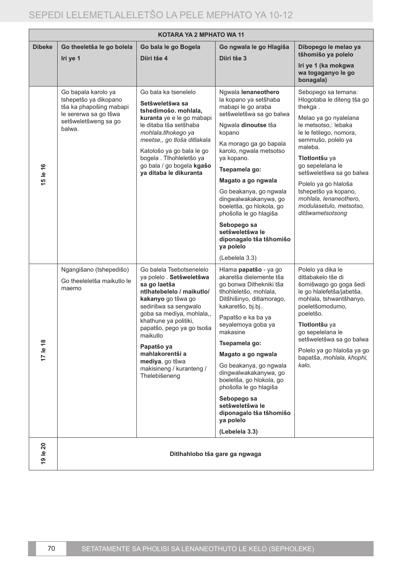|               | <b>KOTARA YA 2 MPHATO WA 11</b>                                                                                                    |                                                                                                                                                                                                                                                                                                                                                  |                                                                                                                                                                                                                                                                                                                                                                                                                                                                   |                                                                                                                                                                                                                                                                                                                                                                     |  |
|---------------|------------------------------------------------------------------------------------------------------------------------------------|--------------------------------------------------------------------------------------------------------------------------------------------------------------------------------------------------------------------------------------------------------------------------------------------------------------------------------------------------|-------------------------------------------------------------------------------------------------------------------------------------------------------------------------------------------------------------------------------------------------------------------------------------------------------------------------------------------------------------------------------------------------------------------------------------------------------------------|---------------------------------------------------------------------------------------------------------------------------------------------------------------------------------------------------------------------------------------------------------------------------------------------------------------------------------------------------------------------|--|
| <b>Dibeke</b> | Go theeletša le go bolela<br>Iri ye 1                                                                                              | Go bala le go Bogela<br>Diiri tše 4                                                                                                                                                                                                                                                                                                              | Go ngwala le go Hlagiša<br>Diiri tše 3                                                                                                                                                                                                                                                                                                                                                                                                                            | Dibopego le melao ya<br>tšhomišo ya polelo<br>Iri ye 1 (ka mokgwa<br>wa togaganyo le go                                                                                                                                                                                                                                                                             |  |
|               |                                                                                                                                    |                                                                                                                                                                                                                                                                                                                                                  |                                                                                                                                                                                                                                                                                                                                                                                                                                                                   | bonagala)                                                                                                                                                                                                                                                                                                                                                           |  |
| 15 le 16      | Go bapala karolo ya<br>tshepetšo ya dikopano<br>tša ka phapošing mabapi<br>le sererwa sa go tšwa<br>setšweletšweng sa go<br>balwa. | Go bala ka tsenelelo<br>Setšweletšwa sa<br>tshedimošo. mohlala,<br>kuranta ye e le go mabapi<br>le ditaba tša setšhaba<br>mohlala, tlhokego ya<br>meetse,, go tloša ditlakala<br>Katološo ya go bala le go<br>bogela. Tlhohleletšo ya<br>go bala / go bogela kgašo<br>ya ditaba le dikuranta                                                     | Ngwala lenaneothero<br>la kopano ya setšhaba<br>mabapi le go araba<br>setšweletšwa sa go balwa<br>Ngwala dinoutse tša<br>kopano<br>Ka morago ga go bapala<br>karolo, ngwala metsotso<br>ya kopano.<br>Tsepamela go:<br>Magato a go ngwala<br>Go beakanya, go ngwala<br>dingwalwakakanywa, go<br>boeletša, go hlokola, go<br>phošolla le go hlagiša<br>Sebopego sa<br>setšweletšwa le<br>diponagalo tša tšhomišo<br>ya polelo<br>(Lebelela 3.3)                    | Sebopego sa temana:<br>Hlogotaba le diteng tša go<br>thekga.<br>Melao ya go nyalelana<br>le metsotso,: lebaka<br>le le fetilego, nomora,<br>semmušo, polelo ya<br>maleba.<br>Tlotlontšu ya<br>go sepelelana le<br>setšweletšwa sa go balwa<br>Polelo ya go hlaloša<br>tshepetšo ya kopano,<br>mohlala, lenaneothero,<br>modulasetulo, metsotso,<br>ditšwametsotsong |  |
| 17 le 18      | Ngangišano (tshepedišo)<br>Go theeleletša maikutlo le<br>maemo                                                                     | Go balela Tsebotsenelelo<br>ya polelo . Setšweletšwa<br>sa go laetša<br>ntlhatebelelo / maikutlo/<br>kakanyo go tšwa go<br>sedirišwa sa sengwalo<br>goba sa mediya, mohlala,,<br>khathune ya politiki,<br>papatšo, pego ya go tsoša<br>maikutlo<br>Papatšo ya<br>mahlakorentši a<br>mediya, go tšwa<br>makisineng / kuranteng /<br>Thelebišeneng | Hlama <b>papatšo</b> - ya go<br>akaretša dielemente tša<br>go bonwa Dithekniki tša<br>tlhohleletšo, mohlala,<br>Ditšhišinyo, ditlamorago,<br>kakaretšo, bj.bj<br>Papatšo e ka ba ya<br>seyalemoya goba ya<br>makasine<br>Tsepamela go:<br>Magato a go ngwala<br>Go beakanya, go ngwala<br>dingwalwakakanywa, go<br>boeletša, go hlokola, go<br>phošolla le go hlagiša<br>Sebopego sa<br>setšweletšwa le<br>diponagalo tša tšhomišo<br>ya polelo<br>(Lebelela 3.3) | Polelo ya dika le<br>ditlabakelo tše di<br>šomišwago go goga šedi<br>le go hlalefetša/jabetša,<br>mohlala, tshwantšhanyo,<br>poeletšomodumo,<br>poeletšo.<br>Tlotlontšu ya<br>go sepelelana le<br>setšweletšwa sa go balwa<br>Polelo ya go hlaloša ya go<br>bapatša, mohlala, khophi,<br>kalo,                                                                      |  |
| 20<br>19 le   |                                                                                                                                    |                                                                                                                                                                                                                                                                                                                                                  | Ditlhahlobo tša gare ga ngwaga                                                                                                                                                                                                                                                                                                                                                                                                                                    |                                                                                                                                                                                                                                                                                                                                                                     |  |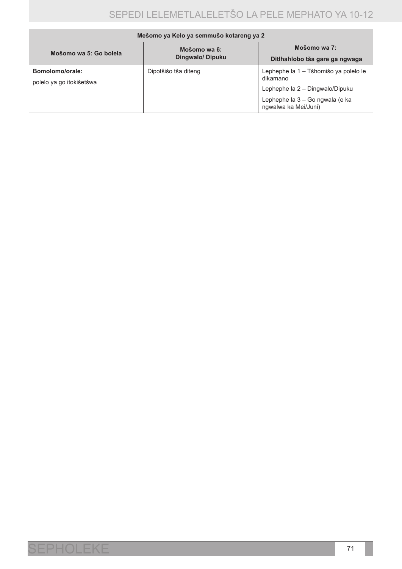| Mešomo ya Kelo ya semmušo kotareng ya 2     |                                 |                                                                                                                         |  |
|---------------------------------------------|---------------------------------|-------------------------------------------------------------------------------------------------------------------------|--|
| Mošomo wa 5: Go bolela                      | Mošomo wa 6:<br>Dingwalo/Dipuku | Mošomo wa 7:<br>Ditlhahlobo tša gare ga ngwaga                                                                          |  |
| Bomolomo/orale:<br>polelo ya go itokišetšwa | Dipotšišo tša diteng            | Lephephe la 1 – Tšhomišo ya polelo le<br>dikamano<br>Lephephe la 2 - Dingwalo/Dipuku<br>Lephephe la 3 – Go ngwala (e ka |  |
|                                             |                                 | ngwalwa ka Mei/Juni)                                                                                                    |  |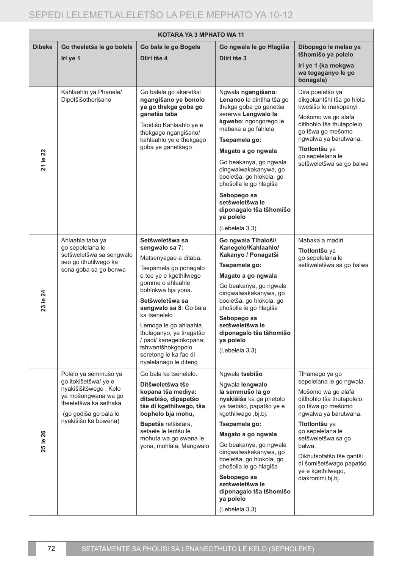|               | KOTARA YA 3 MPHATO WA 11                                                                                                                                               |                                                                                                                                                                                                                                                                                                                                                                             |                                                                                                                                                                                                                                                                                                                                                                                              |                                                                                                                                                                                                                                                                                                                     |  |
|---------------|------------------------------------------------------------------------------------------------------------------------------------------------------------------------|-----------------------------------------------------------------------------------------------------------------------------------------------------------------------------------------------------------------------------------------------------------------------------------------------------------------------------------------------------------------------------|----------------------------------------------------------------------------------------------------------------------------------------------------------------------------------------------------------------------------------------------------------------------------------------------------------------------------------------------------------------------------------------------|---------------------------------------------------------------------------------------------------------------------------------------------------------------------------------------------------------------------------------------------------------------------------------------------------------------------|--|
| <b>Dibeke</b> | Go theeletša le go bolela                                                                                                                                              | Go bala le go Bogela                                                                                                                                                                                                                                                                                                                                                        | Go ngwala le go Hlagiša                                                                                                                                                                                                                                                                                                                                                                      | Dibopego le melao ya<br>tšhomišo ya polelo                                                                                                                                                                                                                                                                          |  |
|               | Iri ye 1                                                                                                                                                               | Diiri tše 4                                                                                                                                                                                                                                                                                                                                                                 | Diiri tše 3                                                                                                                                                                                                                                                                                                                                                                                  | Iri ye 1 (ka mokgwa<br>wa togaganyo le go<br>bonagala)                                                                                                                                                                                                                                                              |  |
| 21 le 22      | Kahlaahlo ya Phanele/<br>Dipotšišotherišano                                                                                                                            | Go balela go akaretša:<br>ngangišano ye bonolo<br>ya go thekga goba go<br>ganetša taba<br>Taodišo Kahlaahlo ye e<br>thekgago ngangišano/<br>kahlaahlo ye e thekgago<br>goba ye ganetšago                                                                                                                                                                                    | Ngwala ngangišano:<br>Lenaneo la dintlha tša go<br>thekga goba go ganetša<br>sererwa Lengwalo la<br>kgwebo: ngongorego le<br>mabaka a go fahlela<br>Tsepamela go:<br>Magato a go ngwala<br>Go beakanya, go ngwala<br>dingwalwakakanywa, go<br>boeletša, go hlokola, go<br>phošolla le go hlagiša<br>Sebopego sa<br>setšweletšwa le<br>diponagalo tša tšhomišo<br>ya polelo<br>(Lebelela 3.3) | Dira poeletšo ya<br>dikgokantšhi tša go hlola<br>kwešišo le makopanyi.<br>Mošomo wa go alafa<br>ditlhohlo tša thutapolelo<br>go tšwa go mešomo<br>ngwalwa ya barutwana.<br>Tlotlontšu ya<br>go sepelelana le<br>setšweletšwa sa go balwa                                                                            |  |
| 23 le 24      | Ahlaahla taba ya<br>go sepelelana le<br>setšweletšwa sa sengwalo<br>seo go ithutilwego ka<br>sona goba sa go bonwa                                                     | Setšweletšwa sa<br>sengwalo sa 7:<br>Matsenyagae a ditaba.<br>Tsepamela go ponagalo<br>e tee ye e kgethilwego<br>gomme o ahlaahle<br>bohlokwa bja yona.<br>Setšweletšwa sa<br>sengwalo sa 8: Go bala<br>ka tsenelelo<br>Lemoga le go ahlaahla<br>thulaganyo, ya tiragatšo<br>/ padi/ kanegelokopana;<br>tshwantšhokgopolo<br>seretong le ka fao di<br>nyalelanago le diteng | Go ngwala Tlhaloši/<br>Kanegelo/Kahlaahlo/<br>Kakanyo / Ponagatši<br>Tsepamela go:<br>Magato a go ngwala<br>Go beakanya, go ngwala<br>dingwalwakakanywa, go<br>boeletša, go hlokola, go<br>phošolla le go hlagiša<br>Sebopego sa<br>setšweletšwa le<br>diponagalo tša tšhomišo<br>va polelo<br>(Lebelela 3.3)                                                                                | Mabaka a madiri<br>Tlotlontšu ya<br>go sepelelana le<br>setšweletšwa sa go balwa                                                                                                                                                                                                                                    |  |
| 25 le 26      | Polelo ya semmušo ya<br>go itokišetšwa/ ye e<br>nyakišišitšwego. Kelo<br>ya mošongwana wa go<br>theeletšwa ka sethaka<br>(go godiša go bala le<br>nyakišišo ka bowena) | Go bala ka tsenelelo.<br>Ditšweletšwa tše<br>kopana tša mediya:<br>ditsebišo, dipapatšo<br>tše di kgethilwego, tša<br>bophelo bja mohu,<br>Bapetša retšistara,<br>setaele le lentšu le<br>mohuta wa go swana le<br>yona, mohlala, Mangwalo                                                                                                                                  | Ngwala tsebišo<br>Ngwala lengwalo<br>la semmušo la go<br>nyakišiša ka ga phetolo<br>ya tsebišo, papatšo ye e<br>kgethilwago, bj.bj.<br>Tsepamela go:<br>Magato a go ngwala<br>Go beakanya, go ngwala<br>dingwalwakakanywa, go<br>boeletša, go hlokola, go<br>phošolla le go hlagiša<br>Sebopego sa<br>setšweletšwa le<br>diponagalo tša tšhomišo<br>ya polelo<br>(Lebelela 3.3)              | Tlhamego ya go<br>sepelelana le go ngwala.<br>Mošomo wa go alafa<br>ditlhohlo tša thutapolelo<br>go tšwa go mešomo<br>ngwalwa ya barutwana.<br>Tlotlontšu ya<br>go sepelelana le<br>setšweletšwa sa go<br>balwa.<br>Dikhutsofatšo tše gantši<br>di šomišetšwago papatšo<br>ye e kgethilwego,<br>diakronimi, bj. bj. |  |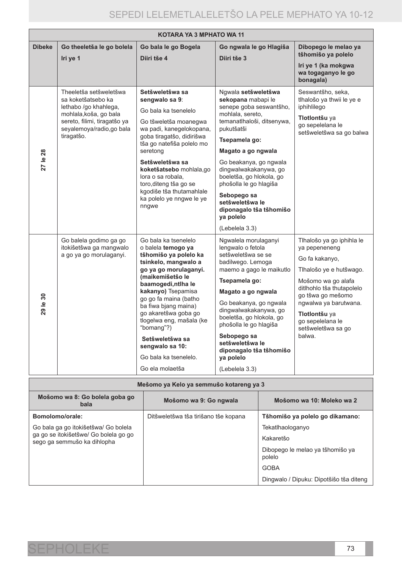| KOTARA YA 3 MPHATO WA 11 |                                                                                                                                                                           |                                                                                                                                                                                                                                                                                                                                                                                            |                                                                                                                                                                                                                                                                                                                                                                                  |                                                                                                                                                                                                                                                               |
|--------------------------|---------------------------------------------------------------------------------------------------------------------------------------------------------------------------|--------------------------------------------------------------------------------------------------------------------------------------------------------------------------------------------------------------------------------------------------------------------------------------------------------------------------------------------------------------------------------------------|----------------------------------------------------------------------------------------------------------------------------------------------------------------------------------------------------------------------------------------------------------------------------------------------------------------------------------------------------------------------------------|---------------------------------------------------------------------------------------------------------------------------------------------------------------------------------------------------------------------------------------------------------------|
| <b>Dibeke</b>            | Go theeletša le go bolela<br>Iri ye 1                                                                                                                                     | Go bala le go Bogela<br>Diiri tše 4                                                                                                                                                                                                                                                                                                                                                        | Go ngwala le go Hlagiša<br>Diiri tše 3                                                                                                                                                                                                                                                                                                                                           | Dibopego le melao ya<br>tšhomišo ya polelo                                                                                                                                                                                                                    |
|                          |                                                                                                                                                                           |                                                                                                                                                                                                                                                                                                                                                                                            |                                                                                                                                                                                                                                                                                                                                                                                  | Iri ye 1 (ka mokgwa<br>wa togaganyo le go<br>bonagala)                                                                                                                                                                                                        |
| 27 le 28                 | Theeletša setšweletšwa<br>sa koketšatsebo ka<br>lethabo /go khahlega,<br>mohlala, koša, go bala<br>sereto, filimi, tiragatšo ya<br>seyalemoya/radio,go bala<br>tiragatšo. | Setšweletšwa sa<br>sengwalo sa 9:<br>Go bala ka tsenelelo<br>Go tšweletša moanegwa<br>wa padi, kanegelokopana,<br>goba tiragatšo, didirišwa<br>tša go natefiša polelo mo<br>seretong<br>Setšweletšwa sa<br>koketšatsebo mohlala,go<br>lora o sa robala,<br>toro, diteng tša go se<br>kgodiše tša thutamahlale<br>ka polelo ye nngwe le ye<br>nngwe                                         | Ngwala setšweletšwa<br>sekopana mabapi le<br>senepe goba seswantšho,<br>mohlala, sereto,<br>temanatlhaloši, ditsenywa,<br>pukutšatši<br>Tsepamela go:<br>Magato a go ngwala<br>Go beakanya, go ngwala<br>dingwalwakakanywa, go<br>boeletša, go hlokola, go<br>phošolla le go hlagiša<br>Sebopego sa<br>setšweletšwa le<br>diponagalo tša tšhomišo<br>ya polelo<br>(Lebelela 3.3) | Seswantšho, seka,<br>tlhalošo ya thwii le ye e<br>iphihlilego<br>Tlotlontšu ya<br>go sepelelana le<br>setšweletšwa sa go balwa                                                                                                                                |
| 29 le 30                 | Go balela godimo ga go<br>itokišetšwa ga mangwalo<br>a go ya go morulaganyi.                                                                                              | Go bala ka tsenelelo<br>o balela temogo ya<br>tšhomišo ya polelo ka<br>tsinkelo, mangwalo a<br>go ya go morulaganyi.<br>(maikemišetšo le<br>baamogedi, ntlha le<br>kakanyo) Tsepamisa<br>go go fa maina (batho<br>ba fiwa bjang maina)<br>go akaretšwa goba go<br>tlogelwa eng, mašala (ke<br>"bomang"?)<br>Setšweletšwa sa<br>sengwalo sa 10:<br>Go bala ka tsenelelo.<br>Go ela molaetša | Ngwalela morulaganyi<br>lengwalo o fetola<br>setšweletšwa se se<br>badilwego. Lemoga<br>maemo a gago le maikutlo<br>Tsepamela go:<br>Magato a go ngwala<br>Go beakanya, go ngwala<br>dingwalwakakanywa, go<br>boeletša, go hlokola, go<br>phošolla le go hlagiša<br>Sebopego sa<br>setšweletšwa le<br>diponagalo tša tšhomišo<br>ya polelo<br>(Lebelela 3.3)                     | Tlhalošo ya go iphihla le<br>ya pepeneneng<br>Go fa kakanyo,<br>Tlhalošo ye e hutšwago.<br>Mošomo wa go alafa<br>ditlhohlo tša thutapolelo<br>go tšwa go mešomo<br>ngwalwa ya barutwana.<br>Tlotlontšu ya<br>go sepelelana le<br>setšweletšwa sa go<br>balwa. |

| Mešomo ya Kelo ya semmušo kotareng ya 3                              |                                      |                                            |  |  |
|----------------------------------------------------------------------|--------------------------------------|--------------------------------------------|--|--|
| Mošomo wa 8: Go bolela goba go<br>bala                               | Mošomo wa 9: Go ngwala               | Mošomo wa 10: Moleko wa 2                  |  |  |
| Bomolomo/orale:                                                      | Ditšweletšwa tša tirišano tše kopana | Tšhomišo ya polelo go dikamano:            |  |  |
| Go bala ga go itokišetšwa/ Go bolela                                 |                                      | Tekatlhaologanyo                           |  |  |
| ga go se itokišetšwe/ Go bolela go go<br>sego ga semmušo ka dihlopha |                                      | Kakaretšo                                  |  |  |
|                                                                      |                                      | Dibopego le melao va tšhomišo va<br>polelo |  |  |
|                                                                      |                                      | <b>GOBA</b>                                |  |  |
|                                                                      |                                      | Dingwalo / Dipuku: Dipotšišo tša diteng    |  |  |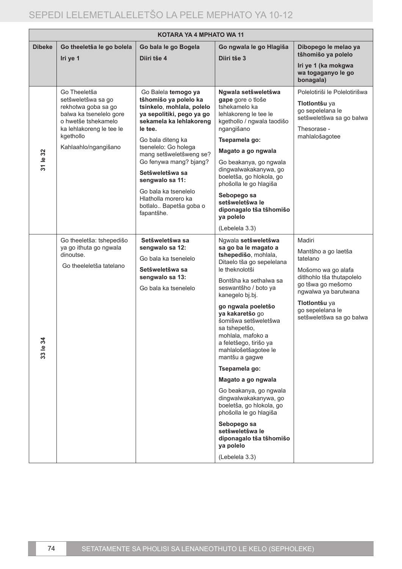| <b>KOTARA YA 4 MPHATO WA 11</b> |                                                                                                                                                                              |                                                                                                                                                                                                                                                                                                                                                                             |                                                                                                                                                                                                                                                                                                                                                                                                                                                                                                                                                                                                                |                                                                                                                                                                                                            |
|---------------------------------|------------------------------------------------------------------------------------------------------------------------------------------------------------------------------|-----------------------------------------------------------------------------------------------------------------------------------------------------------------------------------------------------------------------------------------------------------------------------------------------------------------------------------------------------------------------------|----------------------------------------------------------------------------------------------------------------------------------------------------------------------------------------------------------------------------------------------------------------------------------------------------------------------------------------------------------------------------------------------------------------------------------------------------------------------------------------------------------------------------------------------------------------------------------------------------------------|------------------------------------------------------------------------------------------------------------------------------------------------------------------------------------------------------------|
| <b>Dibeke</b>                   | Go theeletša le go bolela<br>Iri ye 1                                                                                                                                        | Go bala le go Bogela<br>Diiri tše 4                                                                                                                                                                                                                                                                                                                                         | Go ngwala le go Hlagiša<br>Diiri tše 3                                                                                                                                                                                                                                                                                                                                                                                                                                                                                                                                                                         | Dibopego le melao ya<br>tšhomišo ya polelo<br>Iri ye 1 (ka mokgwa<br>wa togaganyo le go<br>bonagala)                                                                                                       |
| 31 le 32                        | Go Theeletša<br>setšweletšwa sa go<br>rekhotwa goba sa go<br>balwa ka tsenelelo gore<br>o hwetše tshekamelo<br>ka lehlakoreng le tee le<br>kgethollo<br>Kahlaahlo/ngangišano | Go Balela temogo ya<br>tšhomišo ya polelo ka<br>tsinkelo, mohlala, polelo<br>ya sepolitiki, pego ya go<br>sekamela ka lehlakoreng<br>le tee.<br>Go bala diteng ka<br>tsenelelo: Go holega<br>mang setšweletšweng se?<br>Go fenywa mang? bjang?<br>Setšweletšwa sa<br>sengwalo sa 11:<br>Go bala ka tsenelelo<br>Hlatholla morero ka<br>botlalo Bapetša goba o<br>fapantšhe. | Ngwala setšweletšwa<br>gape gore o tloše<br>tshekamelo ka<br>lehlakoreng le tee le<br>kgethollo / ngwala taodišo<br>ngangišano<br>Tsepamela go:<br>Magato a go ngwala<br>Go beakanya, go ngwala<br>dingwalwakakanywa, go<br>boeletša, go hlokola, go<br>phošolla le go hlagiša<br>Sebopego sa<br>setšweletšwa le<br>diponagalo tša tšhomišo<br>ya polelo<br>(Lebelela 3.3)                                                                                                                                                                                                                                     | Polelotiriši le Polelotirišwa<br>Tlotlontšu ya<br>go sepelelana le<br>setšweletšwa sa go balwa<br>Thesorase -<br>mahlalošagotee                                                                            |
| 33 le 34                        | Go theeletša: tshepedišo<br>ya go ithuta go ngwala<br>dinoutse.<br>Go theeleletša tatelano                                                                                   | Setšweletšwa sa<br>sengwalo sa 12:<br>Go bala ka tsenelelo<br>Setšweletšwa sa<br>sengwalo sa 13:<br>Go bala ka tsenelelo                                                                                                                                                                                                                                                    | Ngwala setšweletšwa<br>sa go ba le magato a<br>tshepedišo, mohlala,<br>Ditaelo tša go sepelelana<br>le theknolotši<br>Bontšha ka sethalwa sa<br>seswantšho / boto ya<br>kanegelo bj.bj.<br>go ngwala poeletšo<br>ya kakaretšo go<br>šomišwa setšweletšwa<br>sa tshepetšo,<br>mohlala, mafoko a<br>a feletšego, tirišo ya<br>mahlalošetšagotee le<br>mantšu a gagwe<br>Tsepamela go:<br>Magato a go ngwala<br>Go beakanya, go ngwala<br>dingwalwakakanywa, go<br>boeletša, go hlokola, go<br>phošolla le go hlagiša<br>Sebopego sa<br>setšweletšwa le<br>diponagalo tša tšhomišo<br>ya polelo<br>(Lebelela 3.3) | Madiri<br>Mantšho a go laetša<br>tatelano<br>Mošomo wa go alafa<br>ditlhohlo tša thutapolelo<br>go tšwa go mešomo<br>ngwalwa ya barutwana<br>Tlotlontšu ya<br>go sepelelana le<br>setšweletšwa sa go balwa |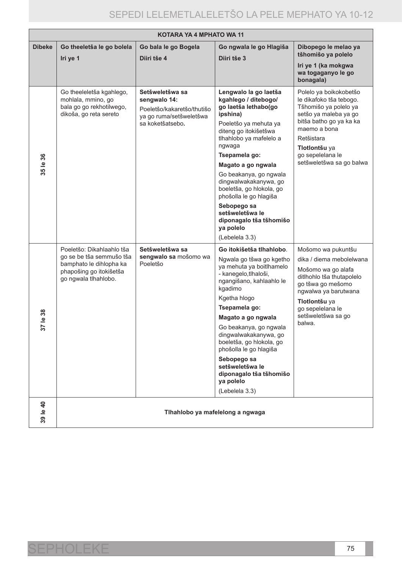|               | <b>KOTARA YA 4 MPHATO WA 11</b>                                                                                                     |                                                                                                              |                                                                                                                                                                                                                                                                                                                                                                                                                      |                                                                                                                                                                                                                               |  |
|---------------|-------------------------------------------------------------------------------------------------------------------------------------|--------------------------------------------------------------------------------------------------------------|----------------------------------------------------------------------------------------------------------------------------------------------------------------------------------------------------------------------------------------------------------------------------------------------------------------------------------------------------------------------------------------------------------------------|-------------------------------------------------------------------------------------------------------------------------------------------------------------------------------------------------------------------------------|--|
| <b>Dibeke</b> | Go theeletša le go bolela<br>Iri ye 1                                                                                               | Go bala le go Bogela<br>Diiri tše 4                                                                          | Go ngwala le go Hlagiša<br>Diiri tše 3                                                                                                                                                                                                                                                                                                                                                                               | Dibopego le melao ya<br>tšhomišo ya polelo                                                                                                                                                                                    |  |
|               |                                                                                                                                     |                                                                                                              |                                                                                                                                                                                                                                                                                                                                                                                                                      | Iri ye 1 (ka mokgwa<br>wa togaganyo le go<br>bonagala)                                                                                                                                                                        |  |
| 35 le 36      | Go theeleletša kgahlego,<br>mohlala, mmino, go<br>bala go go rekhotilwego,<br>dikoša, go reta sereto                                | Setšweletšwa sa<br>sengwalo 14:<br>Poeletšo/kakaretšo/thutišo<br>ya go ruma/setšweletšwa<br>sa koketšatsebo. | Lengwalo la go laetša<br>kgahlego / ditebogo/<br>go laetša lethabo(go<br>ipshina)<br>Poeletšo ya mehuta ya<br>diteng go itokišetšwa<br>tlhahlobo ya mafelelo a<br>ngwaga<br>Tsepamela go:<br>Magato a go ngwala<br>Go beakanya, go ngwala<br>dingwalwakakanywa, go<br>boeletša, go hlokola, go<br>phošolla le go hlagiša<br>Sebopego sa<br>setšweletšwa le<br>diponagalo tša tšhomišo<br>ya polelo<br>(Lebelela 3.3) | Polelo ya boikokobetšo<br>le dikafoko tša tebogo.<br>Tšhomišo ya polelo ya<br>setšo ya maleba ya go<br>bitša batho go ya ka ka<br>maemo a bona<br>Retšistara<br>Tlotlontšu ya<br>go sepelelana le<br>setšweletšwa sa go balwa |  |
| 37 le 38      | Poeletšo: Dikahlaahlo tša<br>go se be tša semmušo tša<br>bamphato le dihlopha ka<br>phapošing go itokišetša<br>go ngwala tlhahlobo. | Setšweletšwa sa<br>sengwalo sa mošomo wa<br>Poeletšo                                                         | Go itokišetša tlhahlobo.<br>Ngwala go tšwa go kgetho<br>ya mehuta ya boitlhamelo<br>- kanegelo, tlhaloši,<br>ngangišano, kahlaahlo le<br>kgadimo<br>Kgetha hlogo<br>Tsepamela go:<br>Magato a go ngwala<br>Go beakanya, go ngwala<br>dingwalwakakanywa, go<br>boeletša, go hlokola, go<br>phošolla le go hlagiša<br>Sebopego sa<br>setšweletšwa le<br>diponagalo tša tšhomišo<br>ya polelo<br>(Lebelela 3.3)         | Mošomo wa pukuntšu<br>dika / diema mebolelwana<br>Mošomo wa go alafa<br>ditlhohlo tša thutapolelo<br>go tšwa go mešomo<br>ngwalwa ya barutwana<br>Tlotlontšu ya<br>go sepelelana le<br>setšweletšwa sa go<br>balwa.           |  |
| 39 le 40      |                                                                                                                                     |                                                                                                              | Tihahlobo ya mafelelong a ngwaga                                                                                                                                                                                                                                                                                                                                                                                     |                                                                                                                                                                                                                               |  |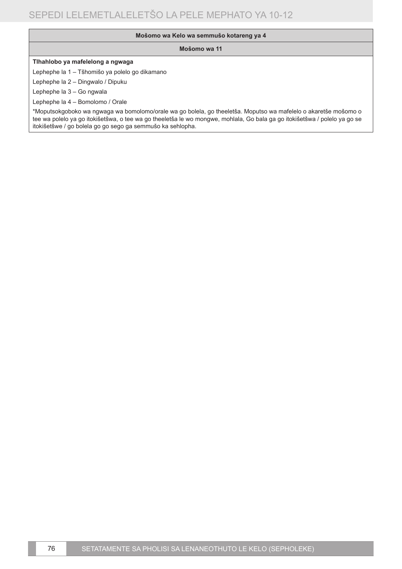#### **Mošomo wa Kelo wa semmušo kotareng ya 4**

#### **Mošomo wa 11**

#### **Tlhahlobo ya mafelelong a ngwaga**

Lephephe la 1 – Tšhomišo ya polelo go dikamano

Lephephe la 2 – Dingwalo / Dipuku

Lephephe la 3 – Go ngwala

ſ

Lephephe la 4 – Bomolomo / Orale

\*Moputsokgoboko wa ngwaga wa bomolomo/orale wa go bolela, go theeletša. Moputso wa mafelelo o akaretše mošomo o tee wa polelo ya go itokišetšwa, o tee wa go theeletša le wo mongwe, mohlala, Go bala ga go itokišetšwa / polelo ya go se itokišetšwe / go bolela go go sego ga semmušo ka sehlopha.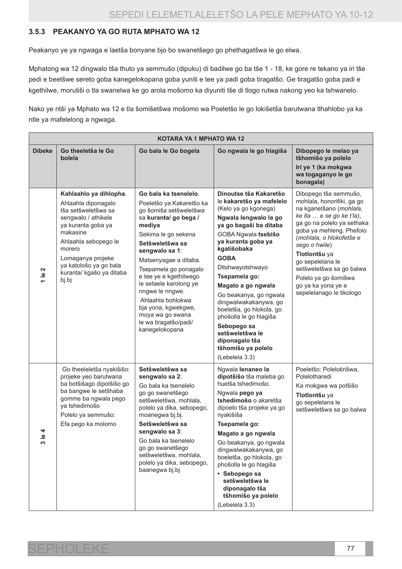# **3.5.3 PEAKANYO YA GO RUTA MPHATO WA 12**

Peakanyo ye ya ngwaga e laetša bonyane bjo bo swanetšego go phethagatšwa le go elwa.

Mphatong wa 12 dingwalo tša thuto ya semmušo (dipuku) di badilwe go ba tše 1 - 18, ke gore re tekano ya iri tše pedi e beetšwe sereto goba kanegelokopana goba yuniti e tee ya padi goba tiragatšo. Ge tiragatšo goba padi e kgethilwe, morutiši o tla swanelwa ke go arola mošomo ka diyuniti tše di tlogo rutwa nakong yeo ka tshwanelo.

Nako ye ntši ya Mphato wa 12 e tla šomišetšwa mošomo wa Poeletšo le go lokišetša barutwana tlhahlobo ya ka ntle ya mafelelong a ngwaga.

| <b>KOTARA YA 1 MPHATO WA 12</b> |                                                                                                                                                                                                                                                     |                                                                                                                                                                                                                                                                                                                                                                                                                |                                                                                                                                                                                                                                                                                                                                                                                                                                                                          |                                                                                                                                                                                                                                                                                                                                                               |
|---------------------------------|-----------------------------------------------------------------------------------------------------------------------------------------------------------------------------------------------------------------------------------------------------|----------------------------------------------------------------------------------------------------------------------------------------------------------------------------------------------------------------------------------------------------------------------------------------------------------------------------------------------------------------------------------------------------------------|--------------------------------------------------------------------------------------------------------------------------------------------------------------------------------------------------------------------------------------------------------------------------------------------------------------------------------------------------------------------------------------------------------------------------------------------------------------------------|---------------------------------------------------------------------------------------------------------------------------------------------------------------------------------------------------------------------------------------------------------------------------------------------------------------------------------------------------------------|
| <b>Dibeke</b>                   | Go theeletša le Go<br>bolela                                                                                                                                                                                                                        | Go bala le Go bogela                                                                                                                                                                                                                                                                                                                                                                                           | Go ngwala le go hlagiša                                                                                                                                                                                                                                                                                                                                                                                                                                                  | Dibopego le melao ya<br>tšhomišo ya polelo<br>Iri ye 1 (ka mokgwa<br>wa togaganyo le go<br>bonagala)                                                                                                                                                                                                                                                          |
| $1$ le $2$                      | Kahlaahlo ya dihlopha.<br>Ahlaahla diponagalo<br>tša setšweletšwa sa<br>sengwalo / athikele<br>ya kuranta goba ya<br>makasine<br>Ahlaahla sebopego le<br>morero<br>Lomaganya projeke<br>ya katološo ya go bala<br>kuranta/ kgašo ya ditaba<br>bj.bj | Go bala ka tsenelelo.<br>Poeletšo ya Kakaretšo ka<br>go šomiša setšweletšwa<br>sa kuranta/ go bega /<br>mediya<br>Sekima le go sekena<br>Setšweletšwa sa<br>sengwalo sa 1:<br>Matsenyagae a ditaba.<br>Tsepamela go ponagalo<br>e tee ye e kgethilwego<br>le setaele karolong ye<br>nngwe le nngwe.<br>Ahlaahla bohlokwa<br>bja yona, kgwekgwe,<br>moya wa go swana<br>le wa tiragatšo/padi/<br>kanegelokopana | Dinoutse tša Kakaretšo<br>le kakaretšo ya mafelelo<br>(Kelo ya go kgonega)<br>Ngwala lengwalo la go<br>ya go bagaši ba ditaba<br>GOBA Ngwala tsebišo<br>ya kuranta goba ya<br>kgatišobaka<br><b>GOBA</b><br>Ditshwayotshwayo<br>Tsepamela go:<br>Magato a go ngwala<br>Go beakanya, go ngwala<br>dingwalwakakanywa, go<br>boeletša, go hlokola, go<br>phošolla le go hlagiša<br>Sebopego sa<br>setšweletšwa le<br>diponagalo tša<br>tšhomišo ya polelo<br>(Lebelela 3.3) | Dibopego tša semmušo,<br>mohlala, honorifiki, ga go<br>na kganetšano (mohlala,<br>ke tla  e se go ke t'la),<br>ga go na polelo ya sethaka<br>goba ya mehleng. Phefolo<br>(mohlala, o hlokofetše e<br>sego o hwile)<br>Tlotlontšu ya<br>go sepelelana le<br>setšweletšwa sa go balwa<br>Polelo ya go šomišwa<br>go ya ka yona ye e<br>sepelelanago le tikologo |
| 4<br>$\frac{1}{3}$              | Go theeleletša nyakišišo:<br>projeke yeo barutwana<br>ba botšišago dipotšišo go<br>ba bangwe le setšhaba<br>gomme ba ngwala pego<br>ya tshedimošo<br>Polelo ya semmušo:<br>Efa pego ka molomo                                                       | Setšweletšwa sa<br>sengwalo sa 2:<br>Go bala ka tsenelelo<br>go go swanetšego<br>setšweletšwa, mohlala,<br>polelo ya dika, sebopego,<br>moanegwa bj.bj.<br>Setšweletšwa sa<br>sengwalo sa 3:<br>Go bala ka tsenelelo<br>go go swanetšego<br>setšweletšwa, mohlala,<br>polelo ya dika, sebopego,<br>baanegwa bj.bj                                                                                              | Ngwala lenaneo la<br>dipotšišo tša maleba go<br>huetša tshedimošo.<br>Ngwala pego ya<br>tshedimošo o akaretša<br>dipoelo tša projeke ya go<br>nyakišiša<br>Tsepamela go:<br>Magato a go ngwala<br>Go beakanya, go ngwala<br>dingwalwakakanywa, go<br>boeletša, go hlokola, go<br>phošolla le go hlagiša<br>• Sebopego sa<br>setšweletšwa le<br>diponagalo tša<br>tšhomišo ya polelo<br>(Lebelela 3.3)                                                                    | Poeletšo: Polelotirišwa,<br>Polelotharedi<br>Ka mokgwa wa potšišo<br>Tlotlontšu ya<br>go sepelelana le<br>setšweletšwa sa go balwa                                                                                                                                                                                                                            |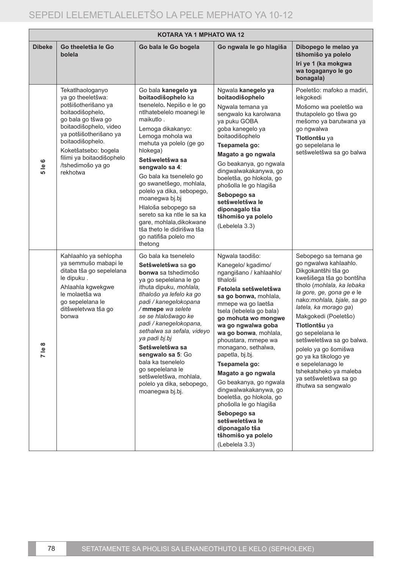| KOTARA YA 1 MPHATO WA 12    |                                                                                                                                                                                                                                                                      |                                                                                                                                                                                                                                                                                                                                                                                                                                                                                              |                                                                                                                                                                                                                                                                                                                                                                                                                                                                                                                                                                     |                                                                                                                                                                                                                                                                                                                                                                                                                                                              |
|-----------------------------|----------------------------------------------------------------------------------------------------------------------------------------------------------------------------------------------------------------------------------------------------------------------|----------------------------------------------------------------------------------------------------------------------------------------------------------------------------------------------------------------------------------------------------------------------------------------------------------------------------------------------------------------------------------------------------------------------------------------------------------------------------------------------|---------------------------------------------------------------------------------------------------------------------------------------------------------------------------------------------------------------------------------------------------------------------------------------------------------------------------------------------------------------------------------------------------------------------------------------------------------------------------------------------------------------------------------------------------------------------|--------------------------------------------------------------------------------------------------------------------------------------------------------------------------------------------------------------------------------------------------------------------------------------------------------------------------------------------------------------------------------------------------------------------------------------------------------------|
| <b>Dibeke</b>               | Go theeletša le Go<br>bolela                                                                                                                                                                                                                                         | Go bala le Go bogela                                                                                                                                                                                                                                                                                                                                                                                                                                                                         | Go ngwala le go hlagiša                                                                                                                                                                                                                                                                                                                                                                                                                                                                                                                                             | Dibopego le melao ya<br>tšhomišo ya polelo<br>Iri ye 1 (ka mokgwa<br>wa togaganyo le go<br>bonagala)                                                                                                                                                                                                                                                                                                                                                         |
| $\frac{6}{2}$<br>မာ         | Tekatlhaologanyo<br>ya go theeletšwa:<br>potšišotherišano ya<br>boitaodišophelo,<br>go bala go tšwa go<br>boitaodišophelo, video<br>ya potšišotherišano ya<br>boitaodišophelo.<br>Koketšatsebo: bogela<br>filimi ya boitaodišophelo<br>/tshedimošo ya go<br>rekhotwa | Go bala kanegelo ya<br>boitaodišophelo ka<br>tsenelelo. Nepišo e le go<br>ntlhatebelelo moanegi le<br>maikutlo.<br>Lemoga dikakanyo:<br>Lemoga mohola wa<br>mehuta ya polelo (ge go<br>hlokega)<br>Setšweletšwa sa<br>sengwalo sa 4:<br>Go bala ka tsenelelo go<br>go swanetšego, mohlala,<br>polelo ya dika, sebopego,<br>moanegwa bj.bj<br>Hlaloša sebopego sa<br>sereto sa ka ntle le sa ka<br>gare, mohlala, dikokwane<br>tša theto le didirišwa tša<br>go natifiša polelo mo<br>thetong | Ngwala kanegelo ya<br>boitaodišophelo<br>Ngwala temana ya<br>sengwalo ka karolwana<br>ya puku GOBA<br>goba kanegelo ya<br>boitaodišophelo<br>Tsepamela go:<br>Magato a go ngwala<br>Go beakanya, go ngwala<br>dingwalwakakanywa, go<br>boeletša, go hlokola, go<br>phošolla le go hlagiša<br>Sebopego sa<br>setšweletšwa le<br>diponagalo tša<br>tšhomišo ya polelo<br>(Lebelela 3.3)                                                                                                                                                                               | Poeletšo: mafoko a madiri,<br>lekgokedi<br>Mošomo wa poeletšo wa<br>thutapolelo go tšwa go<br>mešomo ya barutwana ya<br>go ngwalwa<br>Tlotlontšu ya<br>go sepelelana le<br>setšweletšwa sa go balwa                                                                                                                                                                                                                                                          |
| $\infty$<br>$7 \text{ le }$ | Kahlaahlo ya sehlopha<br>ya semmušo mabapi le<br>ditaba tša go sepelelana<br>le dipuku.<br>Ahlaahla kgwekgwe<br>le molaetša wa<br>go sepelelana le<br>ditšweletvwa tša go<br>bonwa                                                                                   | Go bala ka tsenelelo<br>Setšweletšwa sa go<br>bonwa sa tshedimošo<br>ya go sepelelana le go<br>ithuta dipuku, mohlala,<br>tlhalošo ya lefelo ka go<br>padi / kanegelokopana<br>/ mmepe wa selete<br>se se hlalošwago ke<br>padi / kanegelokopana,<br>sethalwa sa sefala, videyo<br>ya padi bj.bj<br>Setšweletšwa sa<br>sengwalo sa 5: Go<br>bala ka tsenelelo<br>go sepelelana le<br>setšweletšwa, mohlala,<br>polelo ya dika, sebopego,<br>moanegwa bj.bj.                                  | Ngwala taodišo:<br>Kanegelo/ kgadimo/<br>ngangišano / kahlaahlo/<br>tlhaloši<br>Fetolela setšweletšwa<br>sa go bonwa, mohlala,<br>mmepe wa go laetša<br>tsela (lebelela go bala)<br>go mohuta wo mongwe<br>wa go ngwalwa goba<br>wa go bonwa, mohiala,<br>phoustara, mmepe wa<br>monagano, sethalwa,<br>papetla, bj.bj.<br>Tsepamela go:<br>Magato a go ngwala<br>Go beakanya, go ngwala<br>dingwalwakakanywa, go<br>boeletša, go hlokola, go<br>phošolla le go hlagiša<br>Sebopego sa<br>setšweletšwa le<br>diponagalo tša<br>tšhomišo ya polelo<br>(Lebelela 3.3) | Sebopego sa temana ge<br>go ngwalwa kahlaahlo.<br>Dikgokantšhi tša go<br>kwešišega tša go bontšha<br>tlholo (mohlala, ka lebaka<br>la gore, ge, gona ge e le<br>nako:mohlala, bjale, sa go<br>latela, ka morago ga)<br>Makgokedi (Poeletšo)<br>Tlotlontšu ya<br>go sepelelana le<br>setšweletšwa sa go balwa.<br>polelo ya go šomišwa<br>go ya ka tikologo ye<br>e sepelelanago le<br>tshekatsheko ya maleba<br>ya setšweletšwa sa go<br>ithutwa sa sengwalo |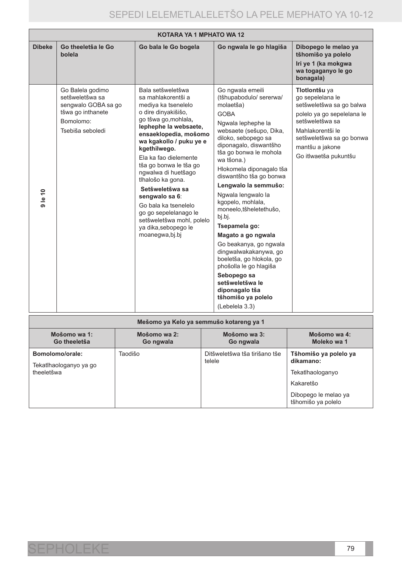| <b>KOTARA YA 1 MPHATO WA 12</b> |                                                                                                                  |                                                                                                                                                                                                                                                                                                                                                                                                                                                                        |                                                                                                                                                                                                                                                                                                                                                                                                                                                                                                                                                                                                                              |                                                                                                                                                                                                            |  |
|---------------------------------|------------------------------------------------------------------------------------------------------------------|------------------------------------------------------------------------------------------------------------------------------------------------------------------------------------------------------------------------------------------------------------------------------------------------------------------------------------------------------------------------------------------------------------------------------------------------------------------------|------------------------------------------------------------------------------------------------------------------------------------------------------------------------------------------------------------------------------------------------------------------------------------------------------------------------------------------------------------------------------------------------------------------------------------------------------------------------------------------------------------------------------------------------------------------------------------------------------------------------------|------------------------------------------------------------------------------------------------------------------------------------------------------------------------------------------------------------|--|
| <b>Dibeke</b>                   | Go theeletša le Go<br>bolela                                                                                     | Go bala le Go bogela                                                                                                                                                                                                                                                                                                                                                                                                                                                   | Go ngwala le go hlagiša                                                                                                                                                                                                                                                                                                                                                                                                                                                                                                                                                                                                      | Dibopego le melao ya<br>tšhomišo ya polelo<br>Iri ye 1 (ka mokgwa<br>wa togaganyo le go<br>bonagala)                                                                                                       |  |
| $9$ le $10$                     | Go Balela godimo<br>setšweletšwa sa<br>sengwalo GOBA sa go<br>tšwa go inthanete<br>Bomolomo:<br>Tsebiša seboledi | Bala setšweletšwa<br>sa mahlakorentši a<br>mediya ka tsenelelo<br>o dire dinyakišišo,<br>go tšwa go, mohlala,<br>lephephe la websaete,<br>ensaeklopedia, mošomo<br>wa kgakollo / puku ye e<br>kgethilwego.<br>Ela ka fao dielemente<br>tša go bonwa le tša go<br>ngwalwa di huetšago<br>tlhalošo ka gona.<br>Setšweletšwa sa<br>sengwalo sa 6:<br>Go bala ka tsenelelo<br>go go sepelelanago le<br>setšweletšwa mohl, polelo<br>ya dika, sebopego le<br>moanegwa,bj.bj | Go ngwala emeili<br>(tšhupabodulo/ sererwa/<br>molaetša)<br><b>GOBA</b><br>Ngwala lephephe la<br>websaete (sešupo, Dika,<br>diloko, sebopego sa<br>diponagalo, diswantšho<br>tša go bonwa le mohola<br>wa tšona.)<br>Hlokomela diponagalo tša<br>diswantšho tša go bonwa<br>Lengwalo la semmušo:<br>Ngwala lengwalo la<br>kgopelo, mohlala,<br>moneelo, tšheletethušo,<br>bj.bj.<br>Tsepamela go:<br>Magato a go ngwala<br>Go beakanya, go ngwala<br>dingwalwakakanywa, go<br>boeletša, go hlokola, go<br>phošolla le go hlagiša<br>Sebopego sa<br>setšweletšwa le<br>diponagalo tša<br>tšhomišo ya polelo<br>(Lebelela 3.3) | Tlotlontšu ya<br>go sepelelana le<br>setšweletšwa sa go balwa<br>polelo ya go sepelelana le<br>setšweletšwa sa<br>Mahlakorentši le<br>setšweletšwa sa go bonwa<br>mantšu a jakone<br>Go itlwaetša pukuntšu |  |

| Mešomo ya Kelo ya semmušo kotareng ya 1   |                           |                                         |                                            |  |  |
|-------------------------------------------|---------------------------|-----------------------------------------|--------------------------------------------|--|--|
| Mošomo wa 1:<br>Go theeletša              | Mošomo wa 2:<br>Go ngwala | Mošomo wa 3:<br>Go ngwala               | Mošomo wa 4:<br>Moleko wa 1                |  |  |
| Bomolomo/orale:<br>Tekatlhaologanyo ya go | Taodišo                   | Ditšweletšwa tša tirišano tše<br>telele | Tšhomišo ya polelo ya<br>dikamano:         |  |  |
| theeletšwa                                |                           |                                         | Tekatlhaologanyo                           |  |  |
|                                           |                           |                                         | Kakaretšo                                  |  |  |
|                                           |                           |                                         | Dibopego le melao ya<br>tšhomišo ya polelo |  |  |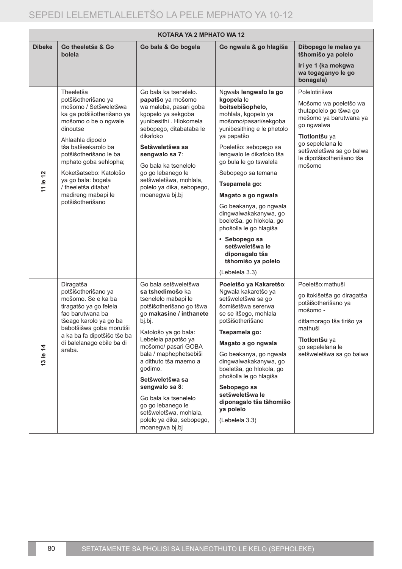| <b>KOTARA YA 2 MPHATO WA 12</b> |                                                                                                                                                                                                                                                                                                                                           |                                                                                                                                                                                                                                                                                                                                                                                                                                 |                                                                                                                                                                                                                                                                                                                                                                                                                                                                                                        |                                                                                                                                                                                                                  |
|---------------------------------|-------------------------------------------------------------------------------------------------------------------------------------------------------------------------------------------------------------------------------------------------------------------------------------------------------------------------------------------|---------------------------------------------------------------------------------------------------------------------------------------------------------------------------------------------------------------------------------------------------------------------------------------------------------------------------------------------------------------------------------------------------------------------------------|--------------------------------------------------------------------------------------------------------------------------------------------------------------------------------------------------------------------------------------------------------------------------------------------------------------------------------------------------------------------------------------------------------------------------------------------------------------------------------------------------------|------------------------------------------------------------------------------------------------------------------------------------------------------------------------------------------------------------------|
| <b>Dibeke</b>                   | Go theeletša & Go<br>bolela                                                                                                                                                                                                                                                                                                               | Go bala & Go bogela                                                                                                                                                                                                                                                                                                                                                                                                             | Go ngwala & go hlagiša                                                                                                                                                                                                                                                                                                                                                                                                                                                                                 | Dibopego le melao ya<br>tšhomišo ya polelo<br>Iri ye 1 (ka mokgwa<br>wa togaganyo le go<br>bonagala)                                                                                                             |
| 11 le 12                        | Theeletša<br>potšišotherišano ya<br>mošomo / Setšweletšwa<br>ka ga potšišotherišano ya<br>mošomo o be o ngwale<br>dinoutse<br>Ahlaahla dipoelo<br>tša batšeakarolo ba<br>potšišotherišano le ba<br>mphato goba sehlopha;<br>Koketšatsebo: Katološo<br>ya go bala: bogela<br>/ theeletša ditaba/<br>madireng mabapi le<br>potšišotherišano | Go bala ka tsenelelo.<br>papatšo ya mošomo<br>wa maleba, pasari goba<br>kgopelo ya sekgoba<br>yunibesithi . Hlokomela<br>sebopego, ditabataba le<br>dikafoko<br>Setšweletšwa sa<br>sengwalo sa 7:<br>Go bala ka tsenelelo<br>go go lebanego le<br>setšweletšwa, mohlala,<br>polelo ya dika, sebopego,<br>moanegwa bj.bj                                                                                                         | Ngwala lengwalo la go<br>kgopela le<br>boitsebišophelo,<br>mohlala, kgopelo ya<br>mošomo/pasari/sekgoba<br>yunibesithing e le phetolo<br>ya papatšo<br>Poeletšo: sebopego sa<br>lengwalo le dikafoko tša<br>go bula le go tswalela<br>Sebopego sa temana<br>Tsepamela go:<br>Magato a go ngwala<br>Go beakanya, go ngwala<br>dingwalwakakanywa, go<br>boeletša, go hlokola, go<br>phošolla le go hlagiša<br>• Sebopego sa<br>setšweletšwa le<br>diponagalo tša<br>tšhomišo ya polelo<br>(Lebelela 3.3) | Polelotirišwa<br>Mošomo wa poeletšo wa<br>thutapolelo go tšwa go<br>mešomo ya barutwana ya<br>go ngwalwa<br>Tlotlontšu ya<br>go sepelelana le<br>setšweletšwa sa go balwa<br>le dipotšisotherišano tša<br>mošomo |
| 13 le 14                        | Diragatša<br>potšišotherišano ya<br>mošomo. Se e ka ba<br>tiragatšo ya go felela<br>fao barutwana ba<br>tšeago karolo ya go ba<br>babotšišwa goba morutiši<br>a ka ba fa dipotšišo tše ba<br>di balelanago ebile ba di<br>araba.                                                                                                          | Go bala setšweletšwa<br>sa tshedimošo ka<br>tsenelelo mabapi le<br>potšišotherišano go tšwa<br>go makasine / inthanete<br>bj.bj.<br>Katološo ya go bala:<br>Lebelela papatšo ya<br>mošomo/ pasari GOBA<br>bala / maphephetsebiši<br>a dithuto tša maemo a<br>godimo.<br>Setšweletšwa sa<br>sengwalo sa 8:<br>Go bala ka tsenelelo<br>go go lebanego le<br>setšweletšwa, mohlala,<br>polelo ya dika, sebopego,<br>moanegwa bj.bj | Poeletšo ya Kakaretšo:<br>Ngwala kakaretšo ya<br>setšweletšwa sa go<br>šomišetšwa sererwa<br>se se itšego, mohlala<br>potšišotherišano<br>Tsepamela go:<br>Magato a go ngwala<br>Go beakanya, go ngwala<br>dingwalwakakanywa, go<br>boeletša, go hlokola, go<br>phošolla le go hlagiša<br>Sebopego sa<br>setšweletšwa le<br>diponagalo tša tšhomišo<br>ya polelo<br>(Lebelela 3.3)                                                                                                                     | Poeletšo: mathuši<br>go itokišetša go diragatša<br>potšišotherišano ya<br>mošomo -<br>ditlamorago tša tirišo ya<br>mathuši<br>Tlotlontšu ya<br>go sepelelana le<br>setšweletšwa sa go balwa                      |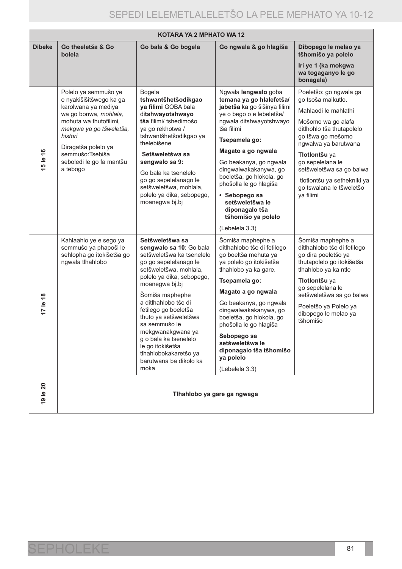| <b>KOTARA YA 2 MPHATO WA 12</b>        |                                                                                                                                                                                                                                                    |                                                                                                                                                                                                                                                                                                                                                                                                                     |                                                                                                                                                                                                                                                                                                                                                                                                     |                                                                                                                                                                                                                                                                                                               |
|----------------------------------------|----------------------------------------------------------------------------------------------------------------------------------------------------------------------------------------------------------------------------------------------------|---------------------------------------------------------------------------------------------------------------------------------------------------------------------------------------------------------------------------------------------------------------------------------------------------------------------------------------------------------------------------------------------------------------------|-----------------------------------------------------------------------------------------------------------------------------------------------------------------------------------------------------------------------------------------------------------------------------------------------------------------------------------------------------------------------------------------------------|---------------------------------------------------------------------------------------------------------------------------------------------------------------------------------------------------------------------------------------------------------------------------------------------------------------|
| <b>Dibeke</b>                          | Go theeletša & Go<br>bolela                                                                                                                                                                                                                        | Go bala & Go bogela                                                                                                                                                                                                                                                                                                                                                                                                 | Go ngwala & go hlagiša                                                                                                                                                                                                                                                                                                                                                                              | Dibopego le melao ya<br>tšhomišo ya polelo<br>Iri ye 1 (ka mokgwa<br>wa togaganyo le go<br>bonagala)                                                                                                                                                                                                          |
| 15 le 16                               | Polelo ya semmušo ye<br>e nyakišišitšwego ka ga<br>karolwana ya mediya<br>wa go bonwa, mohlala,<br>mohuta wa thutofilimi.<br>mekgwa ya go tšweletša,<br>histori<br>Diragatša polelo ya<br>semmušo: Tsebiša<br>seboledi le go fa mantšu<br>a tebogo | Bogela<br>tshwantšhetšodikgao<br>ya filimi GOBA bala<br>ditshwayotshwayo<br>tša filimi/ tshedimošo<br>ya go rekhotwa /<br>tshwantšhetšodikgao ya<br>thelebišene<br>Setšweletšwa sa<br>sengwalo sa 9:<br>Go bala ka tsenelelo<br>go go sepelelanago le<br>setšweletšwa, mohlala,<br>polelo ya dika, sebopego,<br>moanegwa bj.bj                                                                                      | Ngwala lengwalo goba<br>temana ya go hlalefetša/<br>jabetša ka go šišinya filimi<br>ye o bego o e lebeletše/<br>ngwala ditshwayotshwayo<br>tša filimi<br>Tsepamela go:<br>Magato a go ngwala<br>Go beakanya, go ngwala<br>dingwalwakakanywa, go<br>boeletša, go hlokola, go<br>phošolla le go hlagiša<br>• Sebopego sa<br>setšweletšwa le<br>diponagalo tša<br>tšhomišo ya polelo<br>(Lebelela 3.3) | Poeletšo: go ngwala ga<br>go tsoša maikutlo.<br>Mahlaodi le mahlathi<br>Mošomo wa go alafa<br>ditlhohlo tša thutapolelo<br>go tšwa go mešomo<br>ngwalwa ya barutwana<br>Tlotlontšu ya<br>go sepelelana le<br>setšweletšwa sa go balwa<br>tlotlontšu ya sethekniki ya<br>go tswalana le tšweletšo<br>ya filimi |
| 17 le 18                               | Kahlaahlo ye e sego ya<br>semmušo ya phapoši le<br>sehlopha go itokišetša go<br>ngwala tlhahlobo                                                                                                                                                   | Setšweletšwa sa<br>sengwalo sa 10: Go bala<br>setšweletšwa ka tsenelelo<br>go go sepelelanago le<br>setšweletšwa, mohlala,<br>polelo ya dika, sebopego,<br>moanegwa bj.bj<br>Šomiša maphephe<br>a ditlhahlobo tše di<br>fetilego go boeletša<br>thuto ya setšweletšwa<br>sa semmušo le<br>mekgwanakgwana ya<br>g o bala ka tsenelelo<br>le go itokišetša<br>tlhahlobokakaretšo ya<br>barutwana ba dikolo ka<br>moka | Šomiša maphephe a<br>ditlhahlobo tše di fetilego<br>go boeltša mehuta ya<br>ya polelo go itokišetša<br>tlhahlobo ya ka gare.<br>Tsepamela go:<br>Magato a go ngwala<br>Go beakanya, go ngwala<br>dingwalwakakanywa, go<br>boeletša, go hlokola, go<br>phošolla le go hlagiša<br>Sebopego sa<br>setšweletšwa le<br>diponagalo tša tšhomišo<br>ya polelo<br>(Lebelela 3.3)                            | Šomiša maphephe a<br>ditlhahlobo tše di fetilego<br>go dira poeletšo ya<br>thutapolelo go itokišetša<br>tlhahlobo ya ka ntle<br>Tlotlontšu ya<br>go sepelelana le<br>setšweletšwa sa go balwa<br>Poeletšo ya Polelo ya<br>dibopego le melao ya<br>tšhomišo                                                    |
| 20<br>$\overline{\bullet}$<br><u>ღ</u> | Tihahlobo ya gare ga ngwaga                                                                                                                                                                                                                        |                                                                                                                                                                                                                                                                                                                                                                                                                     |                                                                                                                                                                                                                                                                                                                                                                                                     |                                                                                                                                                                                                                                                                                                               |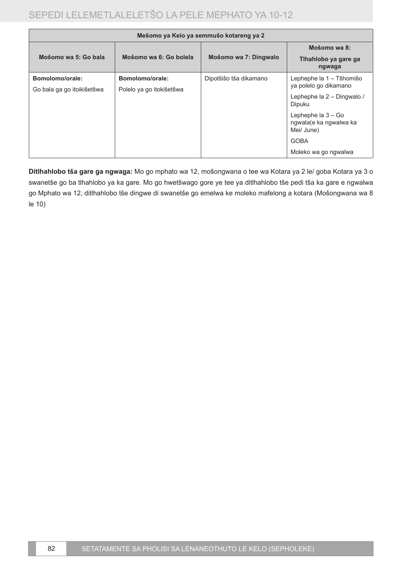| Mešomo ya Kelo ya semmušo kotareng ya 2       |                                             |                        |                                                                                                                                                                                                |  |  |
|-----------------------------------------------|---------------------------------------------|------------------------|------------------------------------------------------------------------------------------------------------------------------------------------------------------------------------------------|--|--|
| Mošomo wa 5: Go bala                          | Mošomo wa 6: Go bolela                      | Mošomo wa 7: Dingwalo  | Mošomo wa 8:<br>Tihahlobo ya gare ga<br>ngwaga                                                                                                                                                 |  |  |
| Bomolomo/orale:<br>Go bala ga go itoikišetšwa | Bomolomo/orale:<br>Polelo ya go itokišetšwa | Dipotšišo tša dikamano | Lephephe la 1 - Tšhomišo<br>ya polelo go dikamano<br>Lephephe la 2 - Dingwalo /<br>Dipuku<br>Lephephe la 3 - Go<br>ngwala(e ka ngwalwa ka<br>Mei/ June)<br><b>GOBA</b><br>Moleko wa go ngwalwa |  |  |

**Ditlhahlobo tša gare ga ngwaga:** Mo go mphato wa 12, mošongwana o tee wa Kotara ya 2 le/ goba Kotara ya 3 o swanetše go ba tlhahlobo ya ka gare. Mo go hwetšwago gore ye tee ya ditlhahlobo tše pedi tša ka gare e ngwalwa go Mphato wa 12, ditlhahlobo tše dingwe di swanetše go emelwa ke moleko mafelong a kotara (Mošongwana wa 8 le 10)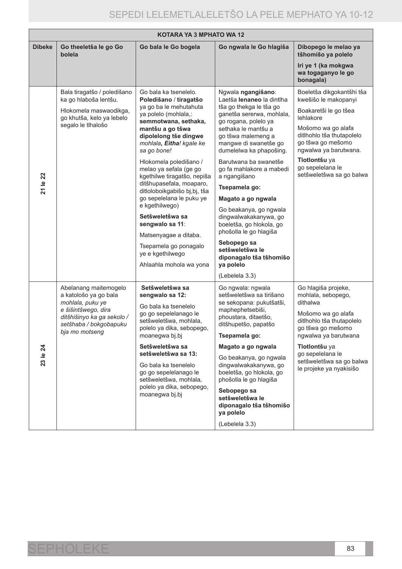| <b>KOTARA YA 3 MPHATO WA 12</b> |                                                                                                                                                                     |                                                                                                                                                                                                                                                                                                                                                                                                                                                                                                                                                        |                                                                                                                                                                                                                                                                                                                                                                                                                                                                                                                                                   |                                                                                                                                                                                                                                                           |  |
|---------------------------------|---------------------------------------------------------------------------------------------------------------------------------------------------------------------|--------------------------------------------------------------------------------------------------------------------------------------------------------------------------------------------------------------------------------------------------------------------------------------------------------------------------------------------------------------------------------------------------------------------------------------------------------------------------------------------------------------------------------------------------------|---------------------------------------------------------------------------------------------------------------------------------------------------------------------------------------------------------------------------------------------------------------------------------------------------------------------------------------------------------------------------------------------------------------------------------------------------------------------------------------------------------------------------------------------------|-----------------------------------------------------------------------------------------------------------------------------------------------------------------------------------------------------------------------------------------------------------|--|
| <b>Dibeke</b>                   | Go theeletša le go Go<br>bolela                                                                                                                                     | Go bala le Go bogela                                                                                                                                                                                                                                                                                                                                                                                                                                                                                                                                   | Go ngwala le Go hlagiša                                                                                                                                                                                                                                                                                                                                                                                                                                                                                                                           | Dibopego le melao ya<br>tšhomišo ya polelo                                                                                                                                                                                                                |  |
|                                 |                                                                                                                                                                     |                                                                                                                                                                                                                                                                                                                                                                                                                                                                                                                                                        |                                                                                                                                                                                                                                                                                                                                                                                                                                                                                                                                                   | Iri ye 1 (ka mokgwa<br>wa togaganyo le go<br>bonagala)                                                                                                                                                                                                    |  |
| 21 le 22                        | Bala tiragatšo / poledišano<br>ka go hlaboša lentšu.<br>Hlokomela maswaodikga,<br>go khutša, kelo ya lebelo<br>segalo le tlhalošo                                   | Go bala ka tsenelelo.<br>Poledišano / tiragatšo<br>ya go ba le mehutahuta<br>ya polelo (mohlala,:<br>semmotwana, sethaka,<br>mantšu a go tšwa<br>dipolelong tše dingwe<br>mohlala, Eitha! kgale ke<br>sa go bone!<br>Hlokomela poledišano /<br>melao ya sefala (ge go<br>kgethilwe tiragatšo, nepiša<br>ditšhupasefala, moaparo,<br>ditloloboikgabišo bj, bj, tša<br>go sepelelana le puku ye<br>e kgethilwego)<br>Setšweletšwa sa<br>sengwalo sa 11:<br>Matsenyagae a ditaba.<br>Tsepamela go ponagalo<br>ye e kgethilwego<br>Ahlaahla mohola wa yona | Ngwala ngangišano:<br>Laetša lenaneo la dintlha<br>tša go thekga le tša go<br>ganetša sererwa, mohlala,<br>go rogana, polelo ya<br>sethaka le mantšu a<br>go tšwa malemeng a<br>mangwe di swanetše go<br>dumelelwa ka phapošing.<br>Barutwana ba swanetše<br>go fa mahlakore a mabedi<br>a ngangišano<br>Tsepamela go:<br>Magato a go ngwala<br>Go beakanya, go ngwala<br>dingwalwakakanywa, go<br>boeletša, go hlokola, go<br>phošolla le go hlagiša<br>Sebopego sa<br>setšweletšwa le<br>diponagalo tša tšhomišo<br>ya polelo<br>(Lebelela 3.3) | Boeletša dikgokantšhi tša<br>kwešišo le makopanyi<br>Boakaretši le go tšea<br>lehlakore<br>Mošomo wa go alafa<br>ditlhohlo tša thutapolelo<br>go tšwa go mešomo<br>ngwalwa ya barutwana.<br>Tlotlontšu ya<br>go sepelelana le<br>setšweletšwa sa go balwa |  |
| 23 le 24                        | Abelanang maitemogelo<br>a katološo ya go bala<br>mohlala, puku ye<br>e šišintšwego, dira<br>ditšhišinyo ka ga sekolo /<br>setšhaba / bokgobapuku<br>bja mo motseng | Setšweletšwa sa<br>sengwalo sa 12:<br>Go bala ka tsenelelo<br>go go sepelelanago le<br>setšweletšwa, mohlala,<br>polelo ya dika, sebopego,<br>moanegwa bj.bj<br>Setšweletšwa sa<br>setšweletšwa sa 13:<br>Go bala ka tsenelelo<br>go go sepelelanago le<br>setšweletšwa, mohlala,<br>polelo ya dika, sebopego,<br>moanegwa bj.bj                                                                                                                                                                                                                       | Go ngwala: ngwala<br>setšweletšwa sa tirišano<br>se sekopana: pukutšatši,<br>maphephetsebiši,<br>phoustara, ditaetšo,<br>ditšhupetšo, papatšo<br>Tsepamela go:<br>Magato a go ngwala<br>Go beakanya, go ngwala<br>dingwalwakakanywa, go<br>boeletša, go hlokola, go<br>phošolla le go hlagiša<br>Sebopego sa<br>setšweletšwa le<br>diponagalo tša tšhomišo<br>ya polelo<br>(Lebelela 3.3)                                                                                                                                                         | Go hlagiša projeke,<br>mohlala, sebopego,<br>dithalwa<br>Mošomo wa go alafa<br>ditlhohlo tša thutapolelo<br>go tšwa go mešomo<br>ngwalwa ya barutwana<br>Tlotlontšu ya<br>go sepelelana le<br>setšweletšwa sa go balwa<br>le projeke ya nyakisišo         |  |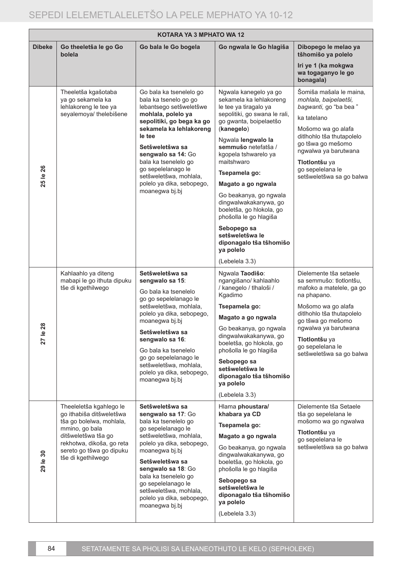|               | KOTARA YA 3 MPHATO WA 12                                                                                                                                                                                |                                                                                                                                                                                                                                                                                                                                     |                                                                                                                                                                                                                                                                                                                                                                                                                                                                                   |                                                                                                                                                                                                                                                               |  |
|---------------|---------------------------------------------------------------------------------------------------------------------------------------------------------------------------------------------------------|-------------------------------------------------------------------------------------------------------------------------------------------------------------------------------------------------------------------------------------------------------------------------------------------------------------------------------------|-----------------------------------------------------------------------------------------------------------------------------------------------------------------------------------------------------------------------------------------------------------------------------------------------------------------------------------------------------------------------------------------------------------------------------------------------------------------------------------|---------------------------------------------------------------------------------------------------------------------------------------------------------------------------------------------------------------------------------------------------------------|--|
| <b>Dibeke</b> | Go theeletša le go Go<br>bolela                                                                                                                                                                         | Go bala le Go bogela                                                                                                                                                                                                                                                                                                                | Go ngwala le Go hlagiša                                                                                                                                                                                                                                                                                                                                                                                                                                                           | Dibopego le melao ya<br>tšhomišo ya polelo<br>Iri ye 1 (ka mokgwa<br>wa togaganyo le go<br>bonagala)                                                                                                                                                          |  |
| 25 le 26      | Theeletša kgašotaba<br>ya go sekamela ka<br>lehlakoreng le tee ya<br>seyalemoya/ thelebišene                                                                                                            | Go bala ka tsenelelo go<br>bala ka tsenelo go go<br>lebantsego setšweletšwe<br>mohlala, polelo ya<br>sepolitiki, go bega ka go<br>sekamela ka lehlakoreng<br>le tee<br>Setšweletšwa sa<br>sengwalo sa 14: Go<br>bala ka tsenelelo go<br>go sepelelanago le<br>setšweletšwa, mohlala,<br>polelo ya dika, sebopego,<br>moanegwa bj.bj | Ngwala kanegelo ya go<br>sekamela ka lehlakoreng<br>le tee ya tiragalo ya<br>sepolitiki, go swana le rali,<br>go gwanta, boipelaetšo<br>(kanegelo)<br>Ngwala lengwalo la<br>semmušo netefatša /<br>kgopela tshwarelo ya<br>maitshwaro<br>Tsepamela go:<br>Magato a go ngwala<br>Go beakanya, go ngwala<br>dingwalwakakanywa, go<br>boeletša, go hlokola, go<br>phošolla le go hlagiša<br>Sebopego sa<br>setšweletšwa le<br>diponagalo tša tšhomišo<br>ya polelo<br>(Lebelela 3.3) | Šomiša mašala le maina,<br>mohlala, baipelaetši,<br>bagwanti, go "ba bea"<br>ka tatelano<br>Mošomo wa go alafa<br>ditlhohlo tša thutapolelo<br>go tšwa go mešomo<br>ngwalwa ya barutwana<br>Tlotlontšu ya<br>go sepelelana le<br>setšweletšwa sa go balwa     |  |
| 28<br>$27$ le | Kahlaahlo ya diteng<br>mabapi le go ithuta dipuku<br>tše di kgethilwego                                                                                                                                 | Setšweletšwa sa<br>sengwalo sa 15:<br>Go bala ka tsenelelo<br>go go sepelelanago le<br>setšweletšwa, mohlala,<br>polelo ya dika, sebopego,<br>moanegwa bj.bj<br>Setšweletšwa sa<br>sengwalo sa 16:<br>Go bala ka tsenelelo<br>go go sepelelanago le<br>setšweletšwa, mohlala,<br>polelo ya dika, sebopego,<br>moanegwa bj.bj        | Ngwala Taodišo:<br>ngangišano/ kahlaahlo<br>/ kanegelo / tlhaloši /<br>Kgadimo<br>Tsepamela go:<br>Magato a go ngwala<br>Go beakanya, go ngwala<br>dingwalwakakanywa, go<br>boeletša, go hlokola, go<br>phošolla le go hlagiša<br>Sebopego sa<br>setšweletšwa le<br>diponagalo tša tšhomišo<br>ya polelo<br>(Lebelela 3.3)                                                                                                                                                        | Dielemente tša setaele<br>sa semmušo: tlotlontšu,<br>mafoko a matelele, ga go<br>na phapano.<br>Mošomo wa go alafa<br>ditlhohlo tša thutapolelo<br>go tšwa go mešomo<br>ngwalwa ya barutwana<br>Tlotlontšu ya<br>go sepelelana le<br>setšweletšwa sa go balwa |  |
| 29 le 30      | Theeleletša kgahlego le<br>go ithabiša ditšweletšwa<br>tša go bolelwa, mohlala,<br>mmino, go bala<br>ditšweletšwa tša go<br>rekhotwa, dikoša, go reta<br>sereto go tšwa go dipuku<br>tše di kgethilwego | Setšweletšwa sa<br>sengwalo sa 17: Go<br>bala ka tsenelelo go<br>go sepelelanago le<br>setšweletšwa, mohlala,<br>polelo ya dika, sebopego,<br>moanegwa bj.bj<br>Setšweletšwa sa<br>sengwalo sa 18: Go<br>bala ka tsenelelo go<br>go sepelelanago le<br>setšweletšwa, mohlala,<br>polelo ya dika, sebopego,<br>moanegwa bj.bj        | Hlama phoustara/<br>khabara ya CD<br>Tsepamela go:<br>Magato a go ngwala<br>Go beakanya, go ngwala<br>dingwalwakakanywa, go<br>boeletša, go hlokola, go<br>phošolla le go hlagiša<br>Sebopego sa<br>setšweletšwa le<br>diponagalo tša tšhomišo<br>ya polelo<br>(Lebelela 3.3)                                                                                                                                                                                                     | Dielemente tša Setaele<br>tša go sepelelana le<br>mošomo wa go ngwalwa<br>Tlotlontšu ya<br>go sepelelana le<br>setšweletšwa sa go balwa                                                                                                                       |  |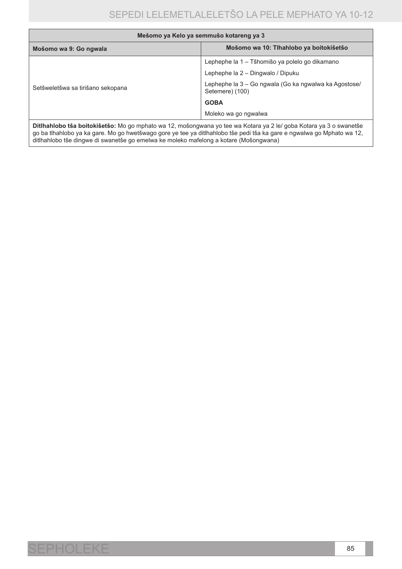| Mešomo ya Kelo ya semmušo kotareng ya 3                                                                                   |                                                                          |  |  |
|---------------------------------------------------------------------------------------------------------------------------|--------------------------------------------------------------------------|--|--|
| Mošomo wa 10: Tihahlobo ya boitokišetšo<br>Mošomo wa 9: Go ngwala                                                         |                                                                          |  |  |
|                                                                                                                           | Lephephe la 1 – Tšhomišo ya polelo go dikamano                           |  |  |
|                                                                                                                           | Lephephe la 2 - Dingwalo / Dipuku                                        |  |  |
| Setšweletšwa sa tirišano sekopana                                                                                         | Lephephe la 3 – Go ngwala (Go ka ngwalwa ka Agostose/<br>Setemere) (100) |  |  |
|                                                                                                                           | <b>GOBA</b>                                                              |  |  |
|                                                                                                                           | Moleko wa go ngwalwa                                                     |  |  |
| <b>Ditlhahlobo tša bojtokišetšo:</b> Mo go mphato wa 12. mošongwana vo tee wa Kotara ya 2 le/ goba Kotara ya 3 o swanetše |                                                                          |  |  |

**Ditlhahlobo tša boitokišetšo:** Mo go mphato wa 12, mošongwana yo tee wa Kotara ya 2 le/ goba Kotara ya 3 o swanetše go ba tlhahlobo ya ka gare. Mo go hwetšwago gore ye tee ya ditlhahlobo tše pedi tša ka gare e ngwalwa go Mphato wa 12, ditlhahlobo tše dingwe di swanetše go emelwa ke moleko mafelong a kotare (Mošongwana)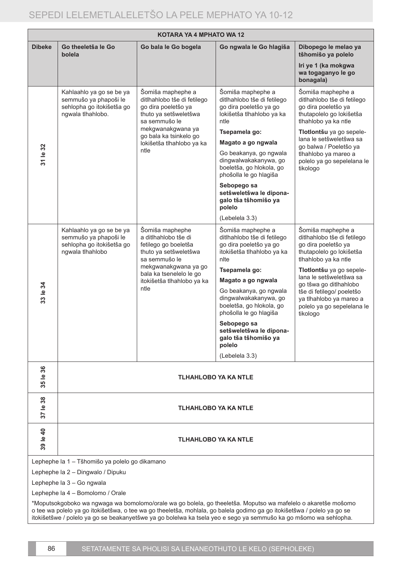| <b>KOTARA YA 4 MPHATO WA 12</b> |                                                                                                     |                                                                                                                                                                                                       |                                                                                                                                                                                                                                                                                                                                                                |                                                                                                                                                                                                                                                                                                                |  |
|---------------------------------|-----------------------------------------------------------------------------------------------------|-------------------------------------------------------------------------------------------------------------------------------------------------------------------------------------------------------|----------------------------------------------------------------------------------------------------------------------------------------------------------------------------------------------------------------------------------------------------------------------------------------------------------------------------------------------------------------|----------------------------------------------------------------------------------------------------------------------------------------------------------------------------------------------------------------------------------------------------------------------------------------------------------------|--|
| <b>Dibeke</b>                   | Go theeletša le Go<br>bolela                                                                        | Go bala le Go bogela                                                                                                                                                                                  | Go ngwala le Go hlagiša                                                                                                                                                                                                                                                                                                                                        | Dibopego le melao ya<br>tšhomišo ya polelo                                                                                                                                                                                                                                                                     |  |
|                                 |                                                                                                     |                                                                                                                                                                                                       |                                                                                                                                                                                                                                                                                                                                                                | Iri ye 1 (ka mokgwa<br>wa togaganyo le go<br>bonagala)                                                                                                                                                                                                                                                         |  |
| 31 le 32                        | Kahlaahlo ya go se be ya<br>semmušo ya phapoši le<br>sehlopha go itokišetša go<br>ngwala tlhahlobo. | Šomiša maphephe a<br>ditlhahlobo tše di fetilego<br>go dira poeletšo ya<br>thuto ya setšweletšwa<br>sa semmušo le<br>mekgwanakgwana ya<br>go bala ka tsinkelo go<br>lokišetša tlhahlobo ya ka<br>ntle | Šomiša maphephe a<br>ditlhahlobo tše di fetilego<br>go dira poeletšo ya go<br>lokišetša tlhahlobo ya ka<br>ntle<br>Tsepamela go:<br>Magato a go ngwala<br>Go beakanya, go ngwala<br>dingwalwakakanywa, go<br>boeletša, go hlokola, go<br>phošolla le go hlagiša<br>Sebopego sa<br>setšweletšwa le dipona-<br>galo tša tšhomišo ya<br>polelo<br>(Lebelela 3.3)  | Šomiša maphephe a<br>ditlhahlobo tše di fetilego<br>go dira poeletšo ya<br>thutapolelo go lokišetša<br>tlhahlobo ya ka ntle<br>Tlotlontšu ya go sepele-<br>lana le setšweletšwa sa<br>go balwa / Poeletšo ya<br>tlhahlobo ya mareo a<br>polelo ya go sepelelana le<br>tikologo                                 |  |
| 33 le 34                        | Kahlaahlo ya go se be ya<br>semmušo ya phapoši le<br>sehlopha go itokišetša go<br>ngwala tlhahlobo  | Šomiša maphephe<br>a ditlhahlobo tše di<br>fetilego go boeletša<br>thuto ya setšweletšwa<br>sa semmušo le<br>mekgwanakgwana ya go<br>bala ka tsenelelo le go<br>itokišetša tlhahlobo ya ka<br>ntle    | Šomiša maphephe a<br>ditlhahlobo tše di fetilego<br>go dira poeletšo ya go<br>itokišetša tlhahlobo ya ka<br>nlte<br>Tsepamela go:<br>Magato a go ngwala<br>Go beakanya, go ngwala<br>dingwalwakakanywa, go<br>boeletša, go hlokola, go<br>phošolla le go hlagiša<br>Sebopego sa<br>setšweletšwa le dipona-<br>galo tša tšhomišo ya<br>polelo<br>(Lebelela 3.3) | Šomiša maphephe a<br>ditlhahlobo tše di fetilego<br>go dira poeletšo ya<br>thutapolelo go lokišetša<br>tlhahlobo ya ka ntle<br>Tlotlontšu ya go sepele-<br>lana le setšweletšwa sa<br>go tšwa go ditlhahlobo<br>tše di fetilego/ poeletšo<br>ya tlhahlobo ya mareo a<br>polelo ya go sepelelana le<br>tikologo |  |
| 35 le 36                        |                                                                                                     |                                                                                                                                                                                                       | TLHAHLOBO YA KA NTLE                                                                                                                                                                                                                                                                                                                                           |                                                                                                                                                                                                                                                                                                                |  |
| $38$<br>37 le                   | <b>TLHAHLOBO YA KA NTLE</b>                                                                         |                                                                                                                                                                                                       |                                                                                                                                                                                                                                                                                                                                                                |                                                                                                                                                                                                                                                                                                                |  |
| 39 le 40                        | TLHAHLOBO YA KA NTLE                                                                                |                                                                                                                                                                                                       |                                                                                                                                                                                                                                                                                                                                                                |                                                                                                                                                                                                                                                                                                                |  |
|                                 | Lephephe la 1 - Tšhomišo ya polelo go dikamano                                                      |                                                                                                                                                                                                       |                                                                                                                                                                                                                                                                                                                                                                |                                                                                                                                                                                                                                                                                                                |  |
|                                 | Lephephe la 2 - Dingwalo / Dipuku<br>Lephephe la 3 - Go ngwala                                      |                                                                                                                                                                                                       |                                                                                                                                                                                                                                                                                                                                                                |                                                                                                                                                                                                                                                                                                                |  |
|                                 | Lephephe la 4 - Bomolomo / Orale                                                                    |                                                                                                                                                                                                       |                                                                                                                                                                                                                                                                                                                                                                |                                                                                                                                                                                                                                                                                                                |  |
|                                 |                                                                                                     |                                                                                                                                                                                                       | *Moputsokgoboko wa ngwaga wa bomolomo/orale wa go bolela, go theeletša. Moputso wa mafelelo o akaretše mošomo<br>o tee wa polelo ya go itokišetšwa, o tee wa go theeletša, mohlala, go balela godimo ga go itokišetšwa / polelo ya go se<br>itokišetšwe / polelo ya go se beakanyetšwe ya go bolelwa ka tsela yeo e sego ya semmušo ka go mšomo wa sehlopha.   |                                                                                                                                                                                                                                                                                                                |  |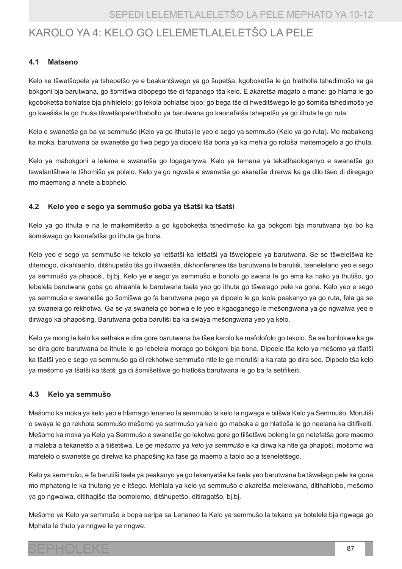# KAROLO YA 4: kelo go lelemetlaleletŠo la pele

# **4.1 Matseno**

Kelo ke tšwetšopele ya tshepetšo ye e beakantšwego ya go šupetša, kgoboketša le go hlatholla tshedimošo ka ga bokgoni bja barutwana, go šomišwa dibopego tše di fapanago tša kelo. E akaretša magato a mane: go hlama le go kgoboketša bohlatse bja phihlelelo; go lekola bohlatse bjoo; go bega tše di hweditšwego le go šomiša tshedimošo ye go kwešiša le go thuša tšwetšopele/tlhabollo ya barutwana go kaonafatša tshepetšo ya go ithuta le go ruta.

Kelo e swanetše go ba ya semmušo (Kelo ya go ithuta) le yeo e sego ya semmušo (Kelo ya go ruta). Mo mabakeng ka moka, barutwana ba swanetše go fiwa pego ya dipoelo tša bona ya ka mehla go rotoša maitemogelo a go ithuta.

Kelo ya mabokgoni a leleme e swanetše go logaganywa. Kelo ya temana ya tekatlhaologanyo e swanetše go tswalantšhwa le tšhomišo ya polelo. Kelo ya go ngwala e swanetše go akaretša direrwa ka ga dilo tšeo di diregago mo maemong a nnete a bophelo.

# **4.2 Kelo yeo e sego ya semmušo goba ya tšatši ka tšatši**

Kelo ya go ithuta e na le maikemišetšo a go kgoboketša tshedimošo ka ga bokgoni bja morutwana bjo bo ka šomišwago go kaonafatša go ithuta ga bona.

Kelo yeo e sego ya semmušo ke tekolo ya letšatši ka letšatši ya tšwelopele ya barutwana. Se se tšweletšwa ke ditemogo, dikahlaahlo, ditšhupetšo tša go itlwaetša, dikhonferense tša barutwana le barutiši, tsenelelano yeo e sego ya semmušo ya phapoši, bj.bj. Kelo ye e sego ya semmušo e bonolo go swana le go ema ka nako ya thutišo, go lebelela barutwana goba go ahlaahla le barutwana tsela yeo go ithuta go tšwelago pele ka gona. Kelo yeo e sego ya semmušo e swanetše go šomišwa go fa barutwana pego ya dipoelo le go laola peakanyo ya go ruta, fela ga se ya swanela go rekhotwa. Ga se ya swanela go bonwa e le yeo e kgaoganego le mešongwana ya go ngwalwa yeo e dirwago ka phapošing. Barutwana goba barutiši ba ka swaya mešongwana yeo ya kelo.

Kelo ya mong le kelo ka sethaka e dira gore barutwana ba tšee karolo ka mafolofolo go tekolo. Se se bohlokwa ka ge se dira gore barutwana ba ithute le go lebelela morago go bokgoni bja bona. Dipoelo tša kelo ya mešomo ya tšatši ka tšatši yeo e sego ya semmušo ga di rekhotwe semmušo ntle le ge morutiši a ka rata go dira seo. Dipoelo tša kelo ya mešomo ya tšatši ka tšatši ga di šomišetšwe go hlatloša barutwana le go ba fa setifikeiti.

# **4.3 Kelo ya semmušo**

Mešomo ka moka ya kelo yeo e hlamago lenaneo la semmušo la kelo la ngwaga e bitšwa Kelo ya Semmušo. Morutiši o swaya le go rekhota semmušo mešomo ya semmušo ya kelo go mabaka a go hlatloša le go neelana ka ditifikeiti. Mešomo ka moka ya Kelo ya Semmušo e swanetše go lekolwa gore go tiišetšwe boleng le go netefatša gore maemo a maleba a tekanetšo a a tiišetšwa. Le ge *mešomo ya kelo ya semmušo* e ka dirwa ka ntle ga phapoši, mošomo wa mafelelo o swanetše go direlwa ka phapošing ka fase ga maemo a taolo ao a tseneletšego.

Kelo ya semmušo, e fa barutiši tsela ya peakanyo ya go lekanyetša ka tsela yeo barutwana ba tšwelago pele ka gona mo mphatong le ka thutong ye e itšego. Mehlala ya kelo ya semmušo e akaretša melekwana, ditlhahlobo, mešomo ya go ngwalwa, ditlhagišo tša bomolomo, ditšhupetšo, ditiragatšo, bj.bj.

Mešomo ya Kelo ya semmušo e bopa seripa sa Lenaneo la Kelo ya semmušo la tekano ya botelele bja ngwaga go Mphato le thuto ye nngwe le ye nngwe.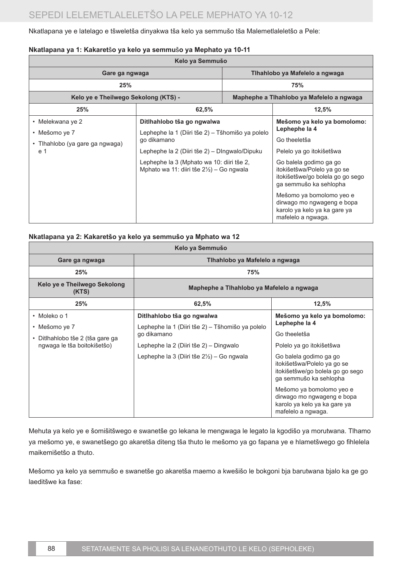Nkatlapana ye e latelago e tšweletša dinyakwa tša kelo ya semmušo tša Malemetlaleletšo a Pele:

### **Nkatlapana ya 1: Kakaret**š**o ya kelo ya semmu**š**o ya Mephato ya 10-11**

| Kelo ya Semmušo                                                                        |                                                                 |                                                                                                              |                                                                                                                     |  |  |
|----------------------------------------------------------------------------------------|-----------------------------------------------------------------|--------------------------------------------------------------------------------------------------------------|---------------------------------------------------------------------------------------------------------------------|--|--|
| Gare ga ngwaga                                                                         |                                                                 |                                                                                                              | Tihahlobo ya Mafelelo a ngwaga                                                                                      |  |  |
| 25%                                                                                    |                                                                 |                                                                                                              | 75%                                                                                                                 |  |  |
| Kelo ye e Theilwego Sekolong (KTS) -                                                   |                                                                 |                                                                                                              | Maphephe a Tihahlobo ya Mafelelo a ngwaga                                                                           |  |  |
| 25%                                                                                    | 62,5%                                                           |                                                                                                              | 12,5%                                                                                                               |  |  |
| • Melekwana ye 2                                                                       | Ditlhahlobo tša go ngwalwa                                      |                                                                                                              | Mešomo ya kelo ya bomolomo:<br>Lephephe la 4                                                                        |  |  |
| • Mešomo ye 7                                                                          | Lephephe la 1 (Diiri tše 2) – Tšhomišo ya polelo<br>go dikamano |                                                                                                              |                                                                                                                     |  |  |
| • Tihahlobo (ya gare ga ngwaga)                                                        |                                                                 |                                                                                                              | Go theeletša                                                                                                        |  |  |
| e 1                                                                                    | Lephephe la 2 (Diiri tše 2) – Dingwalo/Dipuku                   |                                                                                                              | Pelelo ya go itokišetšwa                                                                                            |  |  |
| Lephephe la 3 (Mphato wa 10: diiri tše 2,<br>Mphato wa 11: diiri tše 21/2) - Go ngwala |                                                                 |                                                                                                              | Go balela godimo ga go<br>itokišetšwa/Polelo ya go se<br>itokišetšwe/go bolela go go sego<br>ga semmušo ka sehlopha |  |  |
|                                                                                        |                                                                 | Mešomo ya bomolomo yeo e<br>dirwago mo ngwageng e bopa<br>karolo ya kelo ya ka gare ya<br>mafelelo a ngwaga. |                                                                                                                     |  |  |

### **Nkatlapana ya 2: Kakaretšo ya kelo ya semmušo ya Mphato wa 12**

| Kelo ya Semmušo                       |                                                                 |                                                                                                                     |  |  |
|---------------------------------------|-----------------------------------------------------------------|---------------------------------------------------------------------------------------------------------------------|--|--|
| Gare ga ngwaga                        | Tihahlobo ya Mafelelo a ngwaga                                  |                                                                                                                     |  |  |
| 25%                                   | <b>75%</b>                                                      |                                                                                                                     |  |  |
| Kelo ye e Theilwego Sekolong<br>(KTS) | Maphephe a Tihahlobo ya Mafelelo a ngwaga                       |                                                                                                                     |  |  |
| 25%                                   | 62,5%                                                           | 12.5%                                                                                                               |  |  |
| • Moleko o 1                          | Ditlhahlobo tša go ngwalwa                                      | Mešomo ya kelo ya bomolomo:                                                                                         |  |  |
| • Mešomo ye 7                         | Lephephe la 1 (Diiri tše 2) – Tšhomišo ya polelo<br>go dikamano | Lephephe la 4                                                                                                       |  |  |
| Ditlhahlobo tše 2 (tša gare ga<br>٠   |                                                                 | Go theeletša                                                                                                        |  |  |
| ngwaga le tša boitokišetšo)           | Lephephe la 2 (Diiri tše 2) – Dingwalo                          | Polelo ya go itokišetšwa                                                                                            |  |  |
|                                       | Lephephe la 3 (Diiri tše $2\frac{1}{2}$ ) – Go ngwala           | Go balela godimo ga go<br>itokišetšwa/Polelo ya go se<br>itokišetšwe/go bolela go go sego<br>ga semmušo ka sehlopha |  |  |
|                                       |                                                                 | Mešomo ya bomolomo yeo e<br>dirwago mo ngwageng e bopa<br>karolo ya kelo ya ka gare ya<br>mafelelo a ngwaga.        |  |  |

Mehuta ya kelo ye e šomišitšwego e swanetše go lekana le mengwaga le legato la kgodišo ya morutwana. Tlhamo ya mešomo ye, e swanetšego go akaretša diteng tša thuto le mešomo ya go fapana ye e hlametšwego go fihlelela maikemišetšo a thuto.

Mešomo ya kelo ya semmušo e swanetše go akaretša maemo a kwešišo le bokgoni bja barutwana bjalo ka ge go laeditšwe ka fase: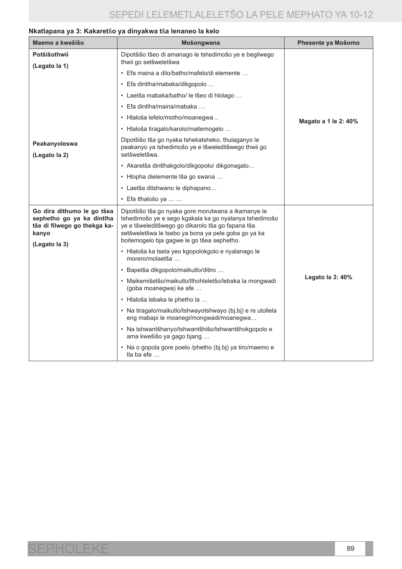### **Nkatlapana ya 3: Kakaret**š**o ya dinyakwa t**š**a lenaneo la kelo**

| Maemo a kwešišo                                                                                                   | Mošongwana                                                                                                                                                                                                                                                              | Phesente ya Mošomo   |
|-------------------------------------------------------------------------------------------------------------------|-------------------------------------------------------------------------------------------------------------------------------------------------------------------------------------------------------------------------------------------------------------------------|----------------------|
| Potšišothwii<br>(Legato la 1)                                                                                     | Dipotšišo tšeo di amanago le tshedimošo ye e begilwego<br>thwii go setšweletšwa                                                                                                                                                                                         |                      |
|                                                                                                                   | · Efa maina a dilo/batho/mafelo/di elemente                                                                                                                                                                                                                             |                      |
|                                                                                                                   | · Efa dintlha/mabaka/dikgopolo                                                                                                                                                                                                                                          |                      |
|                                                                                                                   | · Laetša mabaka/batho/ le tšeo di hlolago                                                                                                                                                                                                                               |                      |
|                                                                                                                   | $\cdot$ Efa dintlha/maina/mabaka                                                                                                                                                                                                                                        |                      |
|                                                                                                                   | · Hlaloša lefelo/motho/moanegwa                                                                                                                                                                                                                                         | Magato a 1 le 2: 40% |
|                                                                                                                   | · Hlaloša tiragalo/karolo/maitemogelo                                                                                                                                                                                                                                   |                      |
| Peakanyoleswa<br>(Legato la 2)                                                                                    | Dipotšišo tša go nyaka tshekatsheko, thulaganyo le<br>peakanyo ya tshedimošo ye e tšweleditšwego thwii go<br>setšweletšwa.                                                                                                                                              |                      |
|                                                                                                                   | · Akaretša dintlhakgolo/dikgopolo/ dikgonagalo                                                                                                                                                                                                                          |                      |
|                                                                                                                   | · Hlopha dielemente tša go swana                                                                                                                                                                                                                                        |                      |
|                                                                                                                   | · Laetša ditshwano le diphapano                                                                                                                                                                                                                                         |                      |
|                                                                                                                   | · Efa tlhalošo ya                                                                                                                                                                                                                                                       |                      |
| Go dira dithumo le go tšea<br>sephetho go ya ka dintlha<br>tše di filwego go thekga ka-<br>kanyo<br>(Legato la 3) | Dipotšišo tša go nyaka gore morutwana a ikamanye le<br>tshedimošo ye e sego kgakala ka go nyalanya tshedimošo<br>ye e tšweleditšwego go dikarolo tša go fapana tša<br>setšweletšwa le tsebo ya bona ya pele goba go ya ka<br>boitemogelo bja gagwe le go tšea sephetho. |                      |
|                                                                                                                   | · Hlaloša ka tsela yeo kgopolokgolo e nyalanago le<br>morero/molaetša                                                                                                                                                                                                   |                      |
|                                                                                                                   | · Bapetša dikgopolo/maikutlo/ditiro                                                                                                                                                                                                                                     |                      |
|                                                                                                                   | · Maikemišetšo/maikutlo/tlhohleletšo/lebaka la mongwadi<br>(goba moanegwa) ke afe                                                                                                                                                                                       | Legato la 3: 40%     |
|                                                                                                                   | · Hlaloša lebaka le phetho la                                                                                                                                                                                                                                           |                      |
|                                                                                                                   | · Na tiragalo/maikutlo/tshwayotshwayo (bj.bj) e re utollela<br>eng mabapi le moanegi/mongwadi/moanegwa                                                                                                                                                                  |                      |
|                                                                                                                   | · Na tshwantšhanyo/tshwantšhišo/tshwantšhokgopolo e<br>ama kwešišo ya gago bjang                                                                                                                                                                                        |                      |
|                                                                                                                   | • Na o gopola gore poelo /phetho (bj.bj) ya tiro/maemo e<br>tla ba efe                                                                                                                                                                                                  |                      |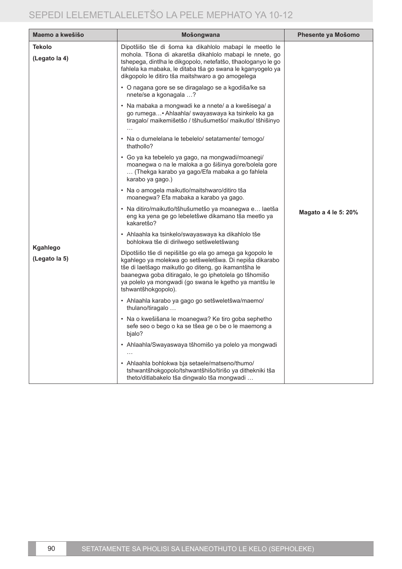| Maemo a kwešišo                | Mošongwana                                                                                                                                                                                                                                                                                                             | Phesente ya Mošomo   |
|--------------------------------|------------------------------------------------------------------------------------------------------------------------------------------------------------------------------------------------------------------------------------------------------------------------------------------------------------------------|----------------------|
| <b>Tekolo</b><br>(Legato la 4) | Dipotšišo tše di šoma ka dikahlolo mabapi le meetlo le<br>mohola. Tšona di akaretša dikahlolo mabapi le nnete, go<br>tshepega, dintlha le dikgopolo, netefatšo, tlhaologanyo le go<br>fahlela ka mabaka, le ditaba tša go swana le kganyogelo ya<br>dikgopolo le ditiro tša maitshwaro a go amogelega                  |                      |
|                                | · O nagana gore se se diragalago se a kgodiša/ke sa<br>nnete/se a kgonagala ?                                                                                                                                                                                                                                          |                      |
|                                | · Na mabaka a mongwadi ke a nnete/ a a kwešisega/ a<br>go rumega• Ahlaahla/ swayaswaya ka tsinkelo ka ga<br>tiragalo/ maikemišetšo / tšhušumetšo/ maikutlo/ tšhišinyo                                                                                                                                                  |                      |
|                                | • Na o dumelelana le tebelelo/ setatamente/ temogo/<br>thathollo?                                                                                                                                                                                                                                                      |                      |
|                                | · Go ya ka tebelelo ya gago, na mongwadi/moanegi/<br>moanegwa o na le maloka a go šišinya gore/bolela gore<br>(Thekga karabo ya gago/Efa mabaka a go fahlela<br>karabo ya gago.)                                                                                                                                       |                      |
|                                | · Na o amogela maikutlo/maitshwaro/ditiro tša<br>moanegwa? Efa mabaka a karabo ya gago.                                                                                                                                                                                                                                |                      |
|                                | · Na ditiro/maikutlo/tšhušumetšo ya moanegwa e laetša<br>eng ka yena ge go lebeletšwe dikamano tša meetlo ya<br>kakaretšo?                                                                                                                                                                                             | Magato a 4 le 5: 20% |
|                                | · Ahlaahla ka tsinkelo/swayaswaya ka dikahlolo tše<br>bohlokwa tše di dirilwego setšweletšwang                                                                                                                                                                                                                         |                      |
| Kgahlego<br>(Legato la 5)      | Dipotšišo tše di nepišitše go ela go amega ga kgopolo le<br>kgahlego ya molekwa go setšweletšwa. Di nepiša dikarabo<br>tše di laetšago maikutlo go diteng, go ikamantšha le<br>baanegwa goba ditiragalo, le go iphetolela go tšhomišo<br>ya polelo ya mongwadi (go swana le kgetho ya mantšu le<br>tshwantšhokgopolo). |                      |
|                                | · Ahlaahla karabo ya gago go setšweletšwa/maemo/<br>thulano/tiragalo                                                                                                                                                                                                                                                   |                      |
|                                | · Na o kwešišana le moanegwa? Ke tiro goba sephetho<br>sefe seo o bego o ka se tšea ge o be o le maemong a<br>bjalo?                                                                                                                                                                                                   |                      |
|                                | · Ahlaahla/Swayaswaya tšhomišo ya polelo ya mongwadi                                                                                                                                                                                                                                                                   |                      |
|                                | · Ahlaahla bohlokwa bja setaele/matseno/thumo/<br>tshwantšhokgopolo/tshwantšhišo/tirišo ya dithekniki tša<br>theto/ditlabakelo tša dingwalo tša mongwadi                                                                                                                                                               |                      |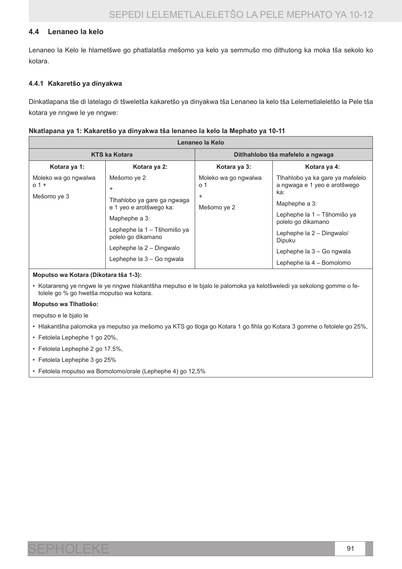# **4.4 Lenaneo la kelo**

Lenaneo la Kelo le hlametšwe go phatlalatša mešomo ya kelo ya semmušo mo dithutong ka moka tša sekolo ko kotara.

## **4.4.1 Kakaretšo ya dinyakwa**

Dinkatlapana tše di latelago di tšweletša kakaretšo ya dinyakwa tša Lenaneo la kelo tša Lelemetlaleletšo la Pele tša kotara ye nngwe le ye nngwe:

|  |  |  |  | Nkatlapana ya 1: Kakaretšo ya dinyakwa tša lenaneo la kelo la Mephato ya 10-11 |  |
|--|--|--|--|--------------------------------------------------------------------------------|--|
|--|--|--|--|--------------------------------------------------------------------------------|--|

| Lenaneo la Kelo                              |                                                                                                                                                                                                                   |                                                         |                                                                                                                                                                                                                                               |  |  |
|----------------------------------------------|-------------------------------------------------------------------------------------------------------------------------------------------------------------------------------------------------------------------|---------------------------------------------------------|-----------------------------------------------------------------------------------------------------------------------------------------------------------------------------------------------------------------------------------------------|--|--|
|                                              | <b>KTS ka Kotara</b>                                                                                                                                                                                              | Ditlhahlobo tša mafelelo a ngwaga                       |                                                                                                                                                                                                                                               |  |  |
| Kotara ya 1:                                 | Kotara ya 2:                                                                                                                                                                                                      | Kotara ya 3:                                            | Kotara ya 4:                                                                                                                                                                                                                                  |  |  |
| Moleko wa go ngwalwa<br>$01+$<br>Mešomo ye 3 | Mešomo ye 2<br>$\ddot{}$<br>Tihahlobo ya gare ga ngwaga<br>e 1 yeo e arotšwego ka:<br>Maphephe a 3:<br>Lephephe la 1 – Tšhomišo ya<br>polelo go dikamano<br>Lephephe la 2 - Dingwalo<br>Lephephe la 3 - Go ngwala | Moleko wa go ngwalwa<br>o 1<br>$\ddot{}$<br>Mešomo ye 2 | Tihahlobo ya ka gare ya mafelelo<br>a ngwaga e 1 yeo e arotšwego<br>ka:<br>Maphephe a 3:<br>Lephephe la 1 - Tšhomišo ya<br>polelo go dikamano<br>Lephephe la 2 - Dingwalo/<br>Dipuku<br>Lephephe la 3 - Go ngwala<br>Lephephe la 4 – Bomolomo |  |  |

#### **Moputso wa Kotara (Dikotara tša 1-3):**

• Kotarareng ye nngwe le ye nngwe hlakantšha meputso e le bjalo le palomoka ya kelotšweledi ya sekolong gomme o fetolele go % go hwetša moputso wa kotara.

#### **Moputso wa Tlhatlošo:**

meputso e le bjalo le

- Hlakantšha palomoka ya meputso ya mešomo ya KTS go tloga go Kotara 1 go fihla go Kotara 3 gomme o fetolele go 25%,
- Fetolela Lephephe 1 go 20%,
- Fetolela Lephephe 2 go 17.5%,
- Fetolela Lephephe 3 go 25%
- Fetolela moputso wa Bomolomo/orale (Lephephe 4) go 12,5%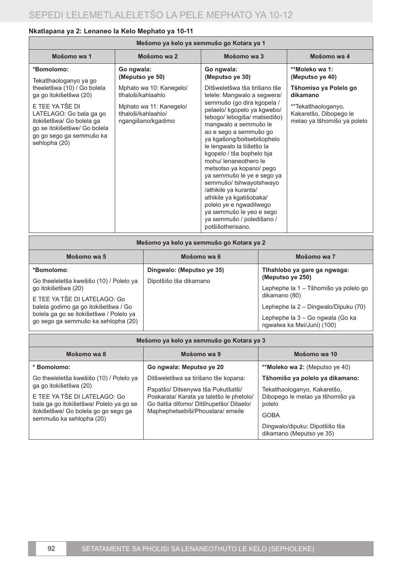### **Nkatlapana ya 2: Lenaneo la Kelo Mephato ya 10-11**

| Mešomo ya kelo ya semmušo go Kotara ya 1                                                                                                                                                                                                              |                                                                                                                                                        |                                                                                                                                                                                                                                                                                                                                                                                                                                                                                                                                                                  |                                                                                                                                                        |  |  |
|-------------------------------------------------------------------------------------------------------------------------------------------------------------------------------------------------------------------------------------------------------|--------------------------------------------------------------------------------------------------------------------------------------------------------|------------------------------------------------------------------------------------------------------------------------------------------------------------------------------------------------------------------------------------------------------------------------------------------------------------------------------------------------------------------------------------------------------------------------------------------------------------------------------------------------------------------------------------------------------------------|--------------------------------------------------------------------------------------------------------------------------------------------------------|--|--|
| Mošomo wa 1                                                                                                                                                                                                                                           | Mošomo wa 2                                                                                                                                            | Mošomo wa 3                                                                                                                                                                                                                                                                                                                                                                                                                                                                                                                                                      | Mošomo wa 4                                                                                                                                            |  |  |
| *Bomolomo:<br>Tekatlhaologanyo ya go<br>theeletšwa (10) / Go bolela<br>ga go itokišetšwa (20)<br>E TEE YA TŠE DI<br>LATELAGO: Go bala ga go<br>itokišetšwa/ Go bolela ga<br>go se itokišetšwe/ Go bolela<br>go go sego ga semmušo ka<br>sehlopha (20) | Go ngwala:<br>(Meputso ye 50)<br>Mphato wa 10: Kanegelo/<br>tlhaloši/kahlaahlo<br>Mphato wa 11: Kanegelo/<br>tlhaloši/kahlaahlo/<br>ngangišano/kgadimo | Go ngwala:<br>(Meputso ye 30)<br>Ditšweletšwa tša tirišano tše<br>telele: Mangwalo a segwera/<br>semmušo (go dira kgopela /<br>pelaelo/ kgopelo ya kgwebo/<br>tebogo/ lebogiša/ matsedišo)<br>mangwalo a semmušo le<br>ao e sego a semmušo go<br>ya kgašong/boitsebišophelo<br>le lengwalo la tiišetšo la<br>kgopelo / tša bophelo bja<br>mohu/ lenaneothero le<br>metsotso ya kopano/ pego<br>ya semmušo le ye e sego ya<br>semmušo/ tshwayotshwayo<br>/athikile ya kuranta/<br>athikile ya kgatišobaka/<br>polelo ye e ngwadilwego<br>ya semmušo le yeo e sego | **Moleko wa 1:<br>(Meputso ye 40)<br>Tšhomiso ya Polelo go<br>dikamano<br>**Tekatlhaologanyo,<br>Kakaretšo, Dibopego le<br>melao ya tšhomišo ya polelo |  |  |
|                                                                                                                                                                                                                                                       |                                                                                                                                                        | ya semmušo / poledišano /<br>potšišotherisano.                                                                                                                                                                                                                                                                                                                                                                                                                                                                                                                   |                                                                                                                                                        |  |  |

| Mešomo ya kelo ya semmušo go Kotara ya 2                                       |                           |                                                                |  |  |  |  |
|--------------------------------------------------------------------------------|---------------------------|----------------------------------------------------------------|--|--|--|--|
| Mošomo wa 5                                                                    | Mošomo wa 6               | Mošomo wa 7                                                    |  |  |  |  |
| *Bomolomo:                                                                     | Dingwalo: (Meputso ye 35) | Tihahlobo ya gare ga ngwaga:                                   |  |  |  |  |
| Go theeleletša kwešišo (10) / Polelo ya                                        | Dipotšišo tša dikamano    | (Meputso ye 250)                                               |  |  |  |  |
| go itokišetšwa (20)                                                            |                           | Lephephe la 1 – Tšhomišo ya polelo go                          |  |  |  |  |
| E TEE YA TŠE DI LATELAGO: Go                                                   |                           | dikamano (80)                                                  |  |  |  |  |
| balela godimo ga go itokišetšwa / Go                                           |                           | Lephephe la 2 – Dingwalo/Dipuku (70)                           |  |  |  |  |
| bolela ga go se itokišetšwe / Polelo ya<br>go sego ga semmušo ka sehlopha (20) |                           | Lephephe la 3 – Go ngwala (Go ka<br>ngwalwa ka Mei/Juni) (100) |  |  |  |  |

| Mešomo ya kelo ya semmušo go Kotara ya 3                                                                                                                                                                         |                                                                                                                                                                                                       |                                                                                                                                                                                            |  |  |  |  |
|------------------------------------------------------------------------------------------------------------------------------------------------------------------------------------------------------------------|-------------------------------------------------------------------------------------------------------------------------------------------------------------------------------------------------------|--------------------------------------------------------------------------------------------------------------------------------------------------------------------------------------------|--|--|--|--|
| Mošomo wa 8                                                                                                                                                                                                      | Mošomo wa 9                                                                                                                                                                                           | Mošomo wa 10                                                                                                                                                                               |  |  |  |  |
| * Bomolomo:                                                                                                                                                                                                      | Go ngwala: Meputso ye 20                                                                                                                                                                              | <b>**Moleko wa 2:</b> (Meputso ye 40)                                                                                                                                                      |  |  |  |  |
| Go theeleletša kwešišo (10) / Polelo ya<br>ga go itokišetšwa (20)<br>E TEE YA TŠE DI LATELAGO: Go<br>bala ga go itokišetšwa/ Polelo ya go se<br>itokišetšwe/ Go bolela go go sego ga<br>semmušo ka sehlopha (20) | Ditšweletšwa sa tirišano tše kopana:<br>Papatšo/ Ditsenywa tša Pukutšatši/<br>Poskarata/ Karata ya taletšo le phetolo/<br>Go tlatša difomo/ Ditšhupetšo/ Ditaelo/<br>Maphephetsebiši/Phoustara/emeile | Tšhomišo ya polelo ya dikamano:<br>Tekatlhaologanyo, Kakaretšo,<br>Dibopego le melao va tšhomišo va<br>polelo<br><b>GOBA</b><br>Dingwalo/dipuku: Dipotšišo tša<br>dikamano (Meputso ye 35) |  |  |  |  |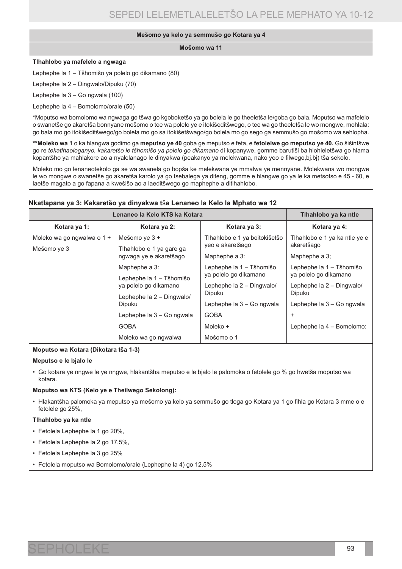#### **Mešomo ya kelo ya semmušo go Kotara ya 4**

#### **Mošomo wa 11**

#### **Tlhahlobo ya mafelelo a ngwaga**

Lephephe la 1 – Tšhomišo ya polelo go dikamano (80)

Lephephe la 2 – Dingwalo/Dipuku (70)

Lephephe la 3 – Go ngwala (100)

Lephephe la 4 – Bomolomo/orale (50)

\*Moputso wa bomolomo wa ngwaga go tšwa go kgoboketšo ya go bolela le go theeletša le/goba go bala. Moputso wa mafelelo o swanetše go akaretša bonnyane mošomo o tee wa polelo ye e itokišeditšwego, o tee wa go theeletša le wo mongwe, mohlala: go bala mo go itokišeditšwego/go bolela mo go sa itokišetšwago/go bolela mo go sego ga semmušo go mošomo wa sehlopha.

**\*\*Moleko wa 1** o ka hlangwa godimo ga **meputso ye 40** goba ge meputso e feta, e **fetolelwe go meputso ye 40.** Go šišintšwe go re *tekatlhaologanyo, kakaretšo le tšhomišo ya polelo go dikamano* di kopanywe, gomme barutiši ba hlohleletšwa go hlama kopantšho ya mahlakore ao a nyalelanago le dinyakwa (peakanyo ya melekwana, nako yeo e filwego,bj.bj) tša sekolo.

Moleko mo go lenaneotekolo ga se wa swanela go bopša ke melekwana ye mmalwa ye mennyane. Molekwana wo mongwe le wo mongwe o swanetše go akaretša karolo ya go tsebalega ya diteng, gomme e hlangwe go ya le ka metsotso e 45 - 60, e laetše magato a go fapana a kwešišo ao a laeditšwego go maphephe a ditlhahlobo.

### **Nkatlapana ya 3: Kakaretšo ya dinyakwa t**š**a Lenaneo la Kelo la Mphato wa 12**

| Lenaneo la Kelo KTS ka Kotara |                           |                               | Tihahlobo ya ka ntle          |
|-------------------------------|---------------------------|-------------------------------|-------------------------------|
| Kotara ya 1:                  | Kotara ya 2:              | Kotara ya 3:                  | Kotara ya 4:                  |
| Moleko wa go ngwalwa o 1 +    | Mešomo ye 3 +             | Tlhahlobo e 1 ya boitokišetšo | Tihahlobo e 1 ya ka ntle ye e |
| Mešomo ye 3                   | Tlhahlobo e 1 ya gare ga  | yeo e akaretšago              | akaretšago                    |
|                               | ngwaga ye e akaretšago    | Maphephe a 3:                 | Maphephe a 3;                 |
|                               | Maphephe a 3:             | Lephephe la 1 - Tšhomišo      | Lephephe la 1 - Tšhomišo      |
|                               | Lephephe la 1 - Tšhomišo  | ya polelo go dikamano         | ya polelo go dikamano         |
|                               | ya polelo go dikamano     | Lephephe la 2 - Dingwalo/     | Lephephe la 2 - Dingwalo/     |
|                               | Lephephe la 2 - Dingwalo/ | Dipuku                        | Dipuku                        |
|                               | Dipuku                    | Lephephe la 3 - Go ngwala     | Lephephe la 3 - Go ngwala     |
|                               | Lephephe la 3 - Go ngwala | <b>GOBA</b>                   | $\pm$                         |
|                               | <b>GOBA</b>               | Moleko +                      | Lephephe la 4 - Bomolomo:     |
|                               | Moleko wa go ngwalwa      | Mošomo o 1                    |                               |

#### **Moputso wa Kotara (Dikotara tša 1-3)**

#### **Meputso e le bjalo le**

• Go kotara ye nngwe le ye nngwe, hlakantšha meputso e le bjalo le palomoka o fetolele go % go hwetša moputso wa kotara.

#### **Moputso wa KTS (Kelo ye e Theilwego Sekolong):**

• Hlakantšha palomoka ya meputso ya mešomo ya kelo ya semmušo go tloga go Kotara ya 1 go fihla go Kotara 3 mme o e fetolele go 25%,

#### **Tlhahlobo ya ka ntle**

- Fetolela Lephephe la 1 go 20%,
- Fetolela Lephephe la 2 go 17.5%,
- Fetolela Lephephe la 3 go 25%
- Fetolela moputso wa Bomolomo/orale (Lephephe la 4) go 12,5%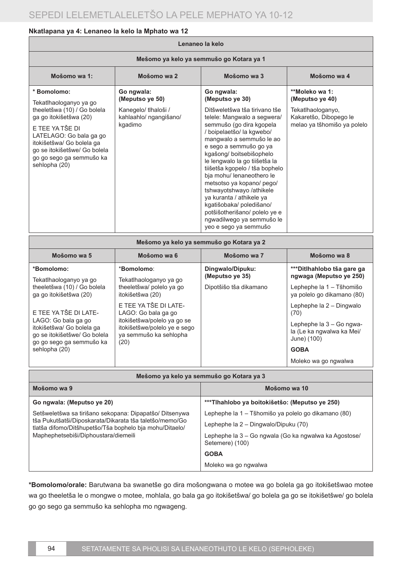### **Nkatlapana ya 4: Lenaneo la kelo la Mphato wa 12**

| Lenaneo la kelo                                                                                                                                                                                                                                        |                                                                                            |                                                                                                                                                                                                                                                                                                                                                                                                                                                                                                                                                  |                                                                                                                 |  |  |
|--------------------------------------------------------------------------------------------------------------------------------------------------------------------------------------------------------------------------------------------------------|--------------------------------------------------------------------------------------------|--------------------------------------------------------------------------------------------------------------------------------------------------------------------------------------------------------------------------------------------------------------------------------------------------------------------------------------------------------------------------------------------------------------------------------------------------------------------------------------------------------------------------------------------------|-----------------------------------------------------------------------------------------------------------------|--|--|
|                                                                                                                                                                                                                                                        |                                                                                            | Mešomo ya kelo ya semmušo go Kotara ya 1                                                                                                                                                                                                                                                                                                                                                                                                                                                                                                         |                                                                                                                 |  |  |
| Mošomo wa 1:<br>Mošomo wa 2<br>Mošomo wa 3<br>Mošomo wa 4                                                                                                                                                                                              |                                                                                            |                                                                                                                                                                                                                                                                                                                                                                                                                                                                                                                                                  |                                                                                                                 |  |  |
| * Bomolomo:<br>Tekatlhaologanyo ya go<br>theeletšwa (10) / Go bolela<br>ga go itokišetšwa (20)<br>E TEE YA TŠE DI<br>LATELAGO: Go bala ga go<br>itokišetšwa/ Go bolela ga<br>go se itokišetšwe/ Go bolela<br>go go sego ga semmušo ka<br>sehlopha (20) | Go ngwala:<br>(Meputso ye 50)<br>Kanegelo/ tlhaloši /<br>kahlaahlo/ ngangišano/<br>kgadimo | Go ngwala:<br>(Meputso ye 30)<br>Ditšweletšwa tša tirivano tše<br>telele: Mangwalo a segwera/<br>semmušo (go dira kgopela<br>/ boipelaetšo/ la kgwebo/<br>mangwalo a semmušo le ao<br>e sego a semmušo go ya<br>kgašong/ boitsebišophelo<br>le lengwalo la go tiišetša la<br>tiišetša kgopelo / tša bophelo<br>bja mohu/ lenaneothero le<br>metsotso ya kopano/ pego/<br>tshwayotshwayo /athikele<br>ya kuranta / athikele ya<br>kgatišobaka/ poledišano/<br>potšišotherišano/ polelo ye e<br>ngwadilwego ya semmušo le<br>yeo e sego ya semmušo | **Moleko wa 1:<br>(Meputso ye 40)<br>Tekatlhaologanyo,<br>Kakaretšo, Dibopego le<br>melao ya tšhomišo ya polelo |  |  |

| Mešomo ya kelo ya semmušo go Kotara ya 2                                                                                                               |                                                                                                                                               |                                     |                                                                      |  |  |  |
|--------------------------------------------------------------------------------------------------------------------------------------------------------|-----------------------------------------------------------------------------------------------------------------------------------------------|-------------------------------------|----------------------------------------------------------------------|--|--|--|
| Mošomo wa 5                                                                                                                                            | Mošomo wa 6                                                                                                                                   | Mošomo wa 7                         | Mošomo wa 8                                                          |  |  |  |
| *Bomolomo:<br>Tekatlhaologanyo ya go                                                                                                                   | *Bomolomo:                                                                                                                                    | Dingwalo/Dipuku:<br>(Meputso ye 35) | ***Ditlhahlobo tša gare ga<br>ngwaga (Meputso ye 250)                |  |  |  |
| theeletšwa (10) / Go bolela<br>ga go itokišetšwa (20)                                                                                                  | Tekatlhaologanyo ya go<br>theeletšwa/ polelo ya go<br>itokišetšwa (20)                                                                        | Dipotšišo tša dikamano              | Lephephe la 1 - Tšhomišo<br>ya polelo go dikamano (80)               |  |  |  |
| E TEE YA TŠE DI LATE-<br>LAGO: Go bala ga go<br>itokišetšwa/ Go bolela ga<br>go se itokišetšwe/ Go bolela<br>go go sego ga semmušo ka<br>sehlopha (20) | F TFF YA TŠF DI LATF-<br>LAGO: Go bala ga go<br>itokišetšwa/polelo ya go se<br>itokišetšwe/polelo ye e sego<br>ya semmušo ka sehlopha<br>(20) |                                     | Lephephe la 2 - Dingwalo<br>(70)                                     |  |  |  |
|                                                                                                                                                        |                                                                                                                                               |                                     | Lephephe la 3 - Go ngwa-<br>la (Le ka ngwalwa ka Mei/<br>June) (100) |  |  |  |
|                                                                                                                                                        |                                                                                                                                               |                                     | <b>GOBA</b>                                                          |  |  |  |
|                                                                                                                                                        |                                                                                                                                               |                                     | Moleko wa go ngwalwa                                                 |  |  |  |

| Mešomo ya kelo ya semmušo go Kotara ya 3                                                                                                                                                                              |                                                                          |  |  |  |
|-----------------------------------------------------------------------------------------------------------------------------------------------------------------------------------------------------------------------|--------------------------------------------------------------------------|--|--|--|
| Mošomo wa 9                                                                                                                                                                                                           | Mošomo wa 10                                                             |  |  |  |
| Go ngwala: (Meputso ye 20)                                                                                                                                                                                            | ***Tlhahlobo ya boitokišetšo: (Meputso ye 250)                           |  |  |  |
| Setšweletšwa sa tirišano sekopana: Dipapatšo/ Ditsenywa<br>tša Pukutšatši/Diposkarata/Dikarata tša taletšo/memo/Go<br>tlatša difomo/Ditšhupetšo/Tša bophelo bja mohu/Ditaelo/<br>Maphephetsebiši/Diphoustara/diemeili | Lephephe la 1 – Tšhomišo ya polelo go dikamano (80)                      |  |  |  |
|                                                                                                                                                                                                                       | Lephephe la 2 – Dingwalo/Dipuku (70)                                     |  |  |  |
|                                                                                                                                                                                                                       | Lephephe la 3 - Go ngwala (Go ka ngwalwa ka Agostose/<br>Setemere) (100) |  |  |  |
|                                                                                                                                                                                                                       | <b>GOBA</b>                                                              |  |  |  |
|                                                                                                                                                                                                                       | Moleko wa go ngwalwa                                                     |  |  |  |

**\*Bomolomo/orale:** Barutwana ba swanetše go dira mošongwana o motee wa go bolela ga go itokišetšwao motee wa go theeletša le o mongwe o motee, mohlala, go bala ga go itokišetšwa/ go bolela ga go se itokišetšwe/ go bolela go go sego ga semmušo ka sehlopha mo ngwageng.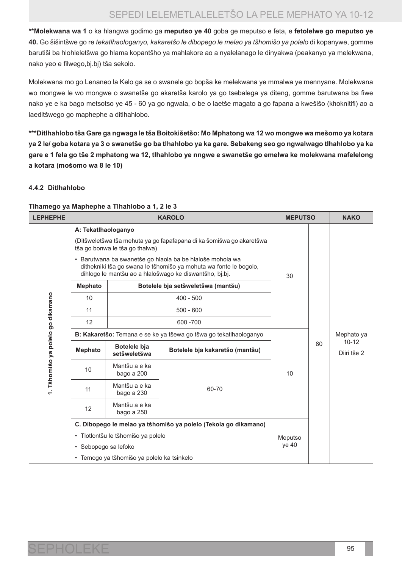**\*\*Molekwana wa 1** o ka hlangwa godimo ga **meputso ye 40** goba ge meputso e feta, e **fetolelwe go meputso ye 40.** Go šišintšwe go re *tekatlhaologanyo, kakaretšo le dibopego le melao ya tšhomišo ya polelo* di kopanywe, gomme barutiši ba hlohleletšwa go hlama kopantšho ya mahlakore ao a nyalelanago le dinyakwa (peakanyo ya melekwana, nako yeo e filwego,bj.bj) tša sekolo.

Molekwana mo go Lenaneo la Kelo ga se o swanele go bopša ke melekwana ye mmalwa ye mennyane. Molekwana wo mongwe le wo mongwe o swanetše go akaretša karolo ya go tsebalega ya diteng, gomme barutwana ba fiwe nako ye e ka bago metsotso ye 45 - 60 ya go ngwala, o be o laetše magato a go fapana a kwešišo (khoknitifi) ao a laeditšwego go maphephe a ditlhahlobo.

**\*\*\*Ditlhahlobo tša Gare ga ngwaga le tša Boitokišetšo: Mo Mphatong wa 12 wo mongwe wa mešomo ya kotara ya 2 le/ goba kotara ya 3 o swanetše go ba tlhahlobo ya ka gare. Sebakeng seo go ngwalwago tlhahlobo ya ka gare e 1 fela go tše 2 mphatong wa 12, tlhahlobo ye nngwe e swanetše go emelwa ke molekwana mafelelong a kotara (mošomo wa 8 le 10)** 

### **4.4.2 Ditlhahlobo**

### **Tlhamego ya Maphephe a Tlhahlobo a 1, 2 le 3**

| <b>LEPHEPHE</b>                   |                                                                                                                                                                                                                             |                                            | <b>KAROLO</b>                      | <b>MEPUTSO</b>   |  | <b>NAKO</b>              |
|-----------------------------------|-----------------------------------------------------------------------------------------------------------------------------------------------------------------------------------------------------------------------------|--------------------------------------------|------------------------------------|------------------|--|--------------------------|
|                                   | A: Tekatlhaologanyo<br>(Ditšweletšwa tša mehuta ya go fapafapana di ka šomišwa go akaretšwa                                                                                                                                 |                                            |                                    |                  |  |                          |
|                                   | tša go bonwa le tša go thalwa)<br>· Barutwana ba swanetše go hlaola ba be hlaloše mohola wa<br>dithekniki tša go swana le tšhomišo ya mohuta wa fonte le bogolo,<br>dihlogo le mantšu ao a hlalošwago ke diswantšho, bj.bj. |                                            |                                    | 30               |  |                          |
|                                   | <b>Mephato</b>                                                                                                                                                                                                              |                                            | Botelele bja setšweletšwa (mantšu) |                  |  |                          |
|                                   | 10                                                                                                                                                                                                                          |                                            | $400 - 500$                        |                  |  |                          |
|                                   | 11                                                                                                                                                                                                                          | $500 - 600$                                |                                    |                  |  |                          |
|                                   | 12                                                                                                                                                                                                                          | 600 - 700                                  |                                    |                  |  |                          |
|                                   | B: Kakaretšo: Temana e se ke ya tšewa go tšwa go tekatlhaologanyo                                                                                                                                                           |                                            |                                    |                  |  | Mephato ya               |
|                                   | <b>Mephato</b>                                                                                                                                                                                                              | Botelele bja<br>setšweletšwa               | Botelele bja kakaretšo (mantšu)    | 80<br>10         |  | $10 - 12$<br>Diiri tše 2 |
| 1. Tšhomišo ya polelo go dikamano | 10                                                                                                                                                                                                                          | Mantšu a e ka<br>bago a 200                | 60-70                              |                  |  |                          |
|                                   | 11                                                                                                                                                                                                                          | Mantšu a e ka<br>bago a 230                |                                    |                  |  |                          |
|                                   | 12                                                                                                                                                                                                                          | Mantšu a e ka<br>bago a 250                |                                    |                  |  |                          |
|                                   | C. Dibopego le melao ya tšhomišo ya polelo (Tekola go dikamano)                                                                                                                                                             |                                            |                                    |                  |  |                          |
|                                   |                                                                                                                                                                                                                             | · Tlotlontšu le tšhomišo ya polelo         |                                    | Meputso<br>ye 40 |  |                          |
|                                   | · Sebopego sa lefoko                                                                                                                                                                                                        |                                            |                                    |                  |  |                          |
|                                   |                                                                                                                                                                                                                             | • Temogo ya tšhomišo ya polelo ka tsinkelo |                                    |                  |  |                          |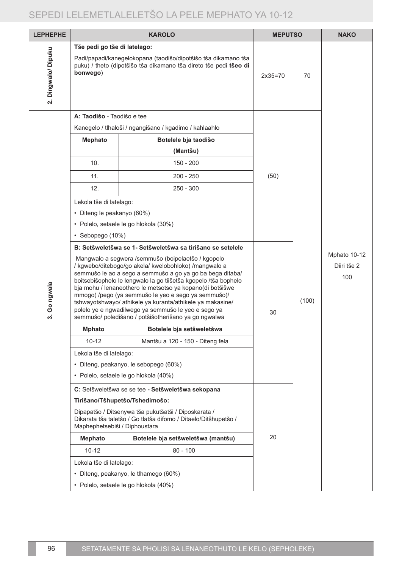| <b>LEPHEPHE</b>     |                                                                                                                                                                                                                                                                                                                                                                                                                                                                                                                                                                                                           | <b>KAROLO</b>                                          | <b>MEPUTSO</b>  |       | <b>NAKO</b>                        |
|---------------------|-----------------------------------------------------------------------------------------------------------------------------------------------------------------------------------------------------------------------------------------------------------------------------------------------------------------------------------------------------------------------------------------------------------------------------------------------------------------------------------------------------------------------------------------------------------------------------------------------------------|--------------------------------------------------------|-----------------|-------|------------------------------------|
| 2. Dingwalo/ Dipuku | Tše pedi go tše di latelago:<br>Padi/papadi/kanegelokopana (taodišo/dipotšišo tša dikamano tša<br>puku) / theto (dipotšišo tša dikamano tša direto tše pedi tšeo di<br>bonwego)                                                                                                                                                                                                                                                                                                                                                                                                                           |                                                        | $2x35=70$<br>70 |       |                                    |
|                     | A: Taodišo - Taodišo e tee                                                                                                                                                                                                                                                                                                                                                                                                                                                                                                                                                                                |                                                        |                 |       |                                    |
|                     |                                                                                                                                                                                                                                                                                                                                                                                                                                                                                                                                                                                                           | Kanegelo / tlhaloši / ngangišano / kgadimo / kahlaahlo |                 |       |                                    |
|                     | <b>Mephato</b>                                                                                                                                                                                                                                                                                                                                                                                                                                                                                                                                                                                            | Botelele bja taodišo                                   |                 |       |                                    |
|                     |                                                                                                                                                                                                                                                                                                                                                                                                                                                                                                                                                                                                           | (Mantšu)                                               |                 |       |                                    |
|                     | 10.                                                                                                                                                                                                                                                                                                                                                                                                                                                                                                                                                                                                       | $150 - 200$                                            |                 |       |                                    |
|                     | 11.                                                                                                                                                                                                                                                                                                                                                                                                                                                                                                                                                                                                       | $200 - 250$                                            | (50)            |       |                                    |
|                     | 12.                                                                                                                                                                                                                                                                                                                                                                                                                                                                                                                                                                                                       | $250 - 300$                                            |                 |       |                                    |
|                     | Lekola tše di latelago:                                                                                                                                                                                                                                                                                                                                                                                                                                                                                                                                                                                   |                                                        |                 | (100) | Mphato 10-12<br>Diiri tše 2<br>100 |
|                     | • Diteng le peakanyo (60%)                                                                                                                                                                                                                                                                                                                                                                                                                                                                                                                                                                                |                                                        |                 |       |                                    |
|                     | · Polelo, setaele le go hlokola (30%)                                                                                                                                                                                                                                                                                                                                                                                                                                                                                                                                                                     |                                                        |                 |       |                                    |
| 3. Go ngwala        | · Sebopego (10%)                                                                                                                                                                                                                                                                                                                                                                                                                                                                                                                                                                                          |                                                        |                 |       |                                    |
|                     | B: Setšweletšwa se 1- Setšweletšwa sa tirišano se setelele<br>Mangwalo a segwera /semmušo (boipelaetšo / kgopelo<br>/ kgwebo/ditebogo/go akela/ kwelobohloko) /mangwalo a<br>semmušo le ao a sego a semmušo a go ya go ba bega ditaba/<br>boitsebišophelo le lengwalo la go tiišetša kgopelo /tša bophelo<br>bja mohu / lenaneothero le metsotso ya kopano(di botšišwe<br>mmogo) /pego (ya semmušo le yeo e sego ya semmušo)/<br>tshwayotshwayo/ athikele ya kuranta/athikele ya makasine/<br>polelo ye e ngwadilwego ya semmušo le yeo e sego ya<br>semmušo/ poledišano / potšišotherišano ya go ngwalwa |                                                        | 30              |       |                                    |
|                     | <b>Mphato</b>                                                                                                                                                                                                                                                                                                                                                                                                                                                                                                                                                                                             | Botelele bja setšweletšwa                              |                 |       |                                    |
|                     | $10 - 12$                                                                                                                                                                                                                                                                                                                                                                                                                                                                                                                                                                                                 | Mantšu a 120 - 150 - Diteng fela                       |                 |       |                                    |
|                     | Lekola tše di latelago:                                                                                                                                                                                                                                                                                                                                                                                                                                                                                                                                                                                   |                                                        |                 |       |                                    |
|                     | · Diteng, peakanyo, le sebopego (60%)                                                                                                                                                                                                                                                                                                                                                                                                                                                                                                                                                                     |                                                        |                 |       |                                    |
|                     |                                                                                                                                                                                                                                                                                                                                                                                                                                                                                                                                                                                                           | · Polelo, setaele le go hlokola (40%)                  |                 |       |                                    |
|                     |                                                                                                                                                                                                                                                                                                                                                                                                                                                                                                                                                                                                           | C: Setšweletšwa se se tee - Setšweletšwa sekopana      |                 |       |                                    |
|                     |                                                                                                                                                                                                                                                                                                                                                                                                                                                                                                                                                                                                           | Tirišano/Tšhupetšo/Tshedimošo:                         |                 |       |                                    |
|                     | Dipapatšo / Ditsenywa tša pukutšatši / Diposkarata /<br>Dikarata tša taletšo / Go tlatša difomo / Ditaelo/Ditšhupetšo /<br>Maphephetsebiši / Diphoustara                                                                                                                                                                                                                                                                                                                                                                                                                                                  |                                                        |                 |       |                                    |
|                     | <b>Mephato</b>                                                                                                                                                                                                                                                                                                                                                                                                                                                                                                                                                                                            | Botelele bja setšweletšwa (mantšu)                     | 20              |       |                                    |
|                     | $10 - 12$                                                                                                                                                                                                                                                                                                                                                                                                                                                                                                                                                                                                 | $80 - 100$                                             |                 |       |                                    |
|                     | Lekola tše di latelago:                                                                                                                                                                                                                                                                                                                                                                                                                                                                                                                                                                                   |                                                        |                 |       |                                    |
|                     |                                                                                                                                                                                                                                                                                                                                                                                                                                                                                                                                                                                                           | · Diteng, peakanyo, le tlhamego (60%)                  |                 |       |                                    |
|                     |                                                                                                                                                                                                                                                                                                                                                                                                                                                                                                                                                                                                           | · Polelo, setaele le go hlokola (40%)                  |                 |       |                                    |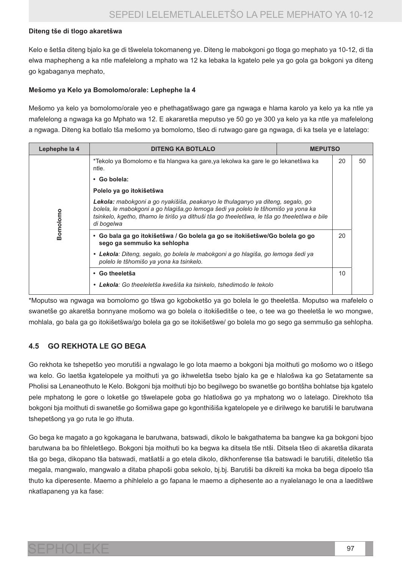### **Diteng tše di tlogo akaretšwa**

Kelo e šetša diteng bjalo ka ge di tšwelela tokomaneng ye. Diteng le mabokgoni go tloga go mephato ya 10-12, di tla elwa maphepheng a ka ntle mafelelong a mphato wa 12 ka lebaka la kgatelo pele ya go gola ga bokgoni ya diteng go kgabaganya mephato,

### **Mešomo ya Kelo ya Bomolomo/orale: Lephephe la 4**

Mešomo ya kelo ya bomolomo/orale yeo e phethagatšwago gare ga ngwaga e hlama karolo ya kelo ya ka ntle ya mafelelong a ngwaga ka go Mphato wa 12. E akararetša meputso ye 50 go ye 300 ya kelo ya ka ntle ya mafelelong a ngwaga. Diteng ka botlalo tša mešomo ya bomolomo, tšeo di rutwago gare ga ngwaga, di ka tsela ye e latelago:

| Lephephe la 4 | <b>DITENG KA BOTLALO</b>                                                                                                                                                                                                                                                          | <b>MEPUTSO</b> |    |    |
|---------------|-----------------------------------------------------------------------------------------------------------------------------------------------------------------------------------------------------------------------------------------------------------------------------------|----------------|----|----|
| Bomolomo      | *Tekolo ya Bomolomo e tla hlangwa ka gare,ya lekolwa ka gare le go lekanetšwa ka<br>ntle.                                                                                                                                                                                         |                | 20 | 50 |
|               | • Go bolela:                                                                                                                                                                                                                                                                      |                |    |    |
|               | Polelo ya go itokišetšwa                                                                                                                                                                                                                                                          |                |    |    |
|               | Lekola: mabokgoni a go nyakišiša, peakanyo le thulaganyo ya diteng, segalo, go<br>bolela, le mabokgoni a go hlagiša,go lemoga šedi ya polelo le tšhomišo ya yona ka<br>tsinkelo, kgetho, tlhamo le tirišo ya dithuši tša go theeletšwa, le tša go theeletšwa e bile<br>di boqelwa |                |    |    |
|               | Go bala ga go itokišetšwa / Go bolela ga go se itokišetšwe/Go bolela go go<br>$\bullet$<br>sego ga semmušo ka sehlopha                                                                                                                                                            |                | 20 |    |
|               | • Lekola: Diteng, segalo, go bolela le mabokgoni a go hlagiša, go lemoga šedi ya<br>polelo le tšhomišo ya yona ka tsinkelo.                                                                                                                                                       |                |    |    |
|               | <b>Go theeletša</b>                                                                                                                                                                                                                                                               |                | 10 |    |
|               | • Lekola: Go theeleletša kwešiša ka tsinkelo, tshedimošo le tekolo                                                                                                                                                                                                                |                |    |    |

\*Moputso wa ngwaga wa bomolomo go tšwa go kgoboketšo ya go bolela le go theeletša. Moputso wa mafelelo o swanetše go akaretša bonnyane mošomo wa go bolela o itokišeditše o tee, o tee wa go theeletša le wo mongwe, mohlala, go bala ga go itokišetšwa/go bolela ga go se itokišetšwe/ go bolela mo go sego ga semmušo ga sehlopha.

# **4.5 Go rekhota le go bega**

Go rekhota ke tshepetšo yeo morutiši a ngwalago le go lota maemo a bokgoni bja moithuti go mošomo wo o itšego wa kelo. Go laetša kgatelopele ya moithuti ya go ikhweletša tsebo bjalo ka ge e hlalošwa ka go Setatamente sa Pholisi sa Lenaneothuto le Kelo. Bokgoni bja moithuti bjo bo begilwego bo swanetše go bontšha bohlatse bja kgatelo pele mphatong le gore o loketše go tšwelapele goba go hlatlošwa go ya mphatong wo o latelago. Direkhoto tša bokgoni bja moithuti di swanetše go šomišwa gape go kgonthišiša kgatelopele ye e dirilwego ke barutiši le barutwana tshepetšong ya go ruta le go ithuta.

Go bega ke magato a go kgokagana le barutwana, batswadi, dikolo le bakgathatema ba bangwe ka ga bokgoni bjoo barutwana ba bo fihleletšego. Bokgoni bja moithuti bo ka begwa ka ditsela tše ntši. Ditsela tšeo di akaretša dikarata tša go bega, dikopano tša batswadi, matšatši a go etela dikolo, dikhonferense tša batswadi le barutiši, diteletšo tša megala, mangwalo, mangwalo a ditaba phapoši goba sekolo, bj.bj. Barutiši ba dikreiti ka moka ba bega dipoelo tša thuto ka diperesente. Maemo a phihlelelo a go fapana le maemo a diphesente ao a nyalelanago le ona a laeditšwe nkatlapaneng ya ka fase: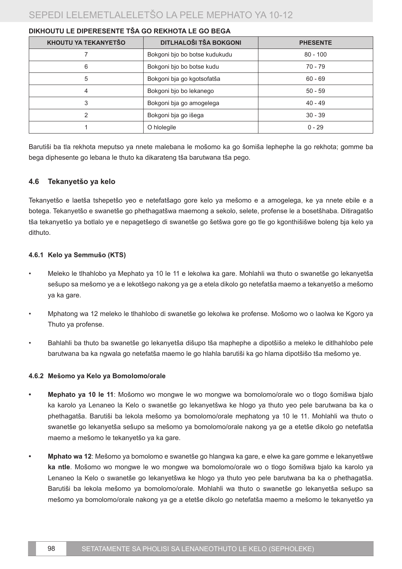# **DIKHOUTU LE DIPERESENTE TŠA GO REKHOTA LE GO BEGA**

| KHOUTU YA TEKANYETŠO | <b>DITLHALOŠI TŠA BOKGONI</b> | <b>PHESENTE</b> |
|----------------------|-------------------------------|-----------------|
|                      | Bokgoni bjo bo botse kudukudu | $80 - 100$      |
| 6                    | Bokgoni bjo bo botse kudu     | $70 - 79$       |
| 5                    | Bokgoni bja go kgotsofatša    | $60 - 69$       |
| 4                    | Bokgoni bjo bo lekanego       | $50 - 59$       |
| 3                    | Bokgoni bja go amogelega      | $40 - 49$       |
| $\overline{2}$       | Bokgoni bja go išega          | $30 - 39$       |
|                      | O hlolegile                   | $0 - 29$        |

Barutiši ba tla rekhota meputso ya nnete malebana le mošomo ka go šomiša lephephe la go rekhota; gomme ba bega diphesente go lebana le thuto ka dikarateng tša barutwana tša pego.

# **4.6 Tekanyetšo ya kelo**

Tekanyetšo e laetša tshepetšo yeo e netefatšago gore kelo ya mešomo e a amogelega, ke ya nnete ebile e a botega. Tekanyetšo e swanetše go phethagatšwa maemong a sekolo, selete, profense le a bosetšhaba. Ditiragatšo tša tekanyetšo ya botlalo ye e nepagetšego di swanetše go šetšwa gore go tle go kgonthišišwe boleng bja kelo ya dithuto.

### **4.6.1 Kelo ya Semmušo (KTS)**

- Meleko le tlhahlobo ya Mephato ya 10 le 11 e lekolwa ka gare. Mohlahli wa thuto o swanetše go lekanyetša sešupo sa mešomo ye a e lekotšego nakong ya ge a etela dikolo go netefatša maemo a tekanyetšo a mešomo ya ka gare.
- Mphatong wa 12 meleko le tlhahlobo di swanetše go lekolwa ke profense. Mošomo wo o laolwa ke Kgoro ya Thuto ya profense.
- Bahlahli ba thuto ba swanetše go lekanyetša dišupo tša maphephe a dipotšišo a meleko le ditlhahlobo pele barutwana ba ka ngwala go netefatša maemo le go hlahla barutiši ka go hlama dipotšišo tša mešomo ye.

### **4.6.2 Mešomo ya Kelo ya Bomolomo/orale**

- **• Mephato ya 10 le 11**: Mošomo wo mongwe le wo mongwe wa bomolomo/orale wo o tlogo šomišwa bjalo ka karolo ya Lenaneo la Kelo o swanetše go lekanyetšwa ke hlogo ya thuto yeo pele barutwana ba ka o phethagatša. Barutiši ba lekola mešomo ya bomolomo/orale mephatong ya 10 le 11. Mohlahli wa thuto o swanetše go lekanyetša sešupo sa mešomo ya bomolomo/orale nakong ya ge a etetše dikolo go netefatša maemo a mešomo le tekanyetšo ya ka gare.
- **• Mphato wa 12**: Mešomo ya bomolomo e swanetše go hlangwa ka gare, e elwe ka gare gomme e lekanyetšwe **ka ntle**. Mošomo wo mongwe le wo mongwe wa bomolomo/orale wo o tlogo šomišwa bjalo ka karolo ya Lenaneo la Kelo o swanetše go lekanyetšwa ke hlogo ya thuto yeo pele barutwana ba ka o phethagatša. Barutiši ba lekola mešomo ya bomolomo/orale. Mohlahli wa thuto o swanetše go lekanyetša sešupo sa mešomo ya bomolomo/orale nakong ya ge a etetše dikolo go netefatša maemo a mešomo le tekanyetšo ya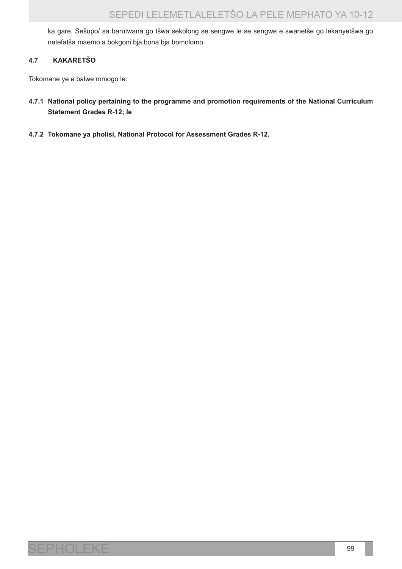ka gare. Sešupo/ sa barutwana go tšwa sekolong se sengwe le se sengwe e swanetše go lekanyetšwa go netefatša maemo a bokgoni bja bona bja bomolomo.

# **4.7 KAKARETŠO**

Tokomane ye e balwe mmogo le:

- **4.7.1 National policy pertaining to the programme and promotion requirements of the National Curriculum Statement Grades R-12; le**
- **4.7.2 Tokomane ya pholisi, National Protocol for Assessment Grades R-12.**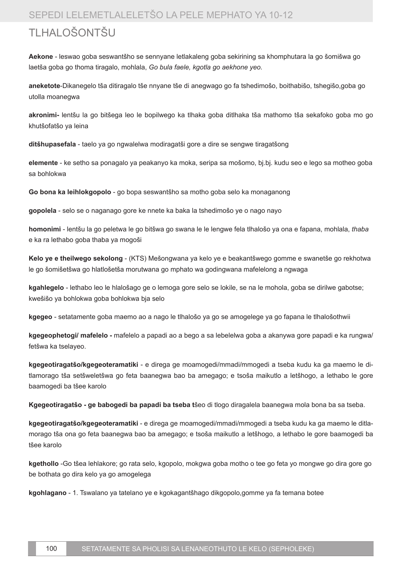# TLHALOŠONTŠU SEPEDI LELEMETLALELETŠO LA PELE MEPHATO YA 10-12

**Aekone** - leswao goba seswantšho se sennyane letlakaleng goba sekirining sa khomphutara la go šomišwa go laetša goba go thoma tiragalo, mohlala, *Go bula faele, kgotla go aekhone yeo.*

**aneketote**-Dikanegelo tša ditiragalo tše nnyane tše di anegwago go fa tshedimošo, boithabišo, tshegišo,goba go utolla moanegwa

**akronimi-** lentšu la go bitšega leo le bopilwego ka tlhaka goba ditlhaka tša mathomo tša sekafoko goba mo go khutšofatšo ya leina

**ditšhupasefala** - taelo ya go ngwalelwa modiragatši gore a dire se sengwe tiragatšong

**elemente** - ke setho sa ponagalo ya peakanyo ka moka, seripa sa mošomo, bj.bj. kudu seo e lego sa motheo goba sa bohlokwa

**Go bona ka leihlokgopolo** - go bopa seswantšho sa motho goba selo ka monaganong

**gopolela** - selo se o naganago gore ke nnete ka baka la tshedimošo ye o nago nayo

**homonimi** - lentšu la go peletwa le go bitšwa go swana le le lengwe fela tlhalošo ya ona e fapana, mohlala, *thaba* e ka ra lethabo goba thaba ya mogoši

**Kelo ye e theilwego sekolong** - (KTS) Mešongwana ya kelo ye e beakantšwego gomme e swanetše go rekhotwa le go šomišetšwa go hlatlošetša morutwana go mphato wa godingwana mafelelong a ngwaga

**kgahlegelo** - lethabo leo le hlalošago ge o lemoga gore selo se lokile, se na le mohola, goba se dirilwe gabotse; kwešišo ya bohlokwa goba bohlokwa bja selo

**kgegeo** - setatamente goba maemo ao a nago le tlhalošo ya go se amogelege ya go fapana le tlhalošothwii

**kgegeophetogi/ mafelelo -** mafelelo a papadi ao a bego a sa lebelelwa goba a akanywa gore papadi e ka rungwa/ fetšwa ka tselayeo.

**kgegeotiragatšo/kgegeoteramatiki** - e direga ge moamogedi/mmadi/mmogedi a tseba kudu ka ga maemo le ditlamorago tša setšweletšwa go feta baanegwa bao ba amegago; e tsoša maikutlo a letšhogo, a lethabo le gore baamogedi ba tšee karolo

**Kgegeotiragatšo - ge babogedi ba papadi ba tseba t**šeo di tlogo diragalela baanegwa mola bona ba sa tseba.

**kgegeotiragatšo/kgegeoteramatiki** - e direga ge moamogedi/mmadi/mmogedi a tseba kudu ka ga maemo le ditlamorago tša ona go feta baanegwa bao ba amegago; e tsoša maikutlo a letšhogo, a lethabo le gore baamogedi ba tšee karolo

**kgethollo** -Go tšea lehlakore; go rata selo, kgopolo, mokgwa goba motho o tee go feta yo mongwe go dira gore go be bothata go dira kelo ya go amogelega

**kgohlagano** - 1. Tswalano ya tatelano ye e kgokagantšhago dikgopolo,gomme ya fa temana botee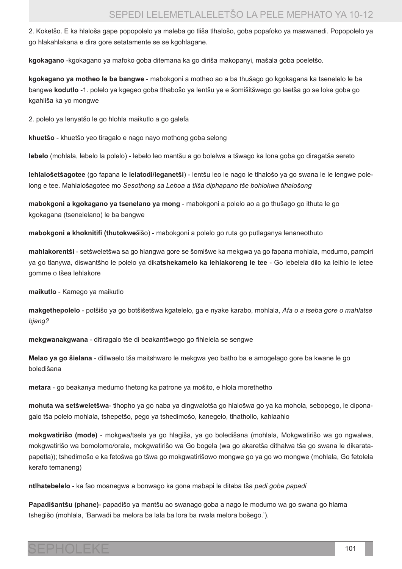2. Koketšo. E ka hlaloša gape popopolelo ya maleba go tliša tlhalošo, goba popafoko ya maswanedi. Popopolelo ya go hlakahlakana e dira gore setatamente se se kgohlagane.

**kgokagano** -kgokagano ya mafoko goba ditemana ka go diriša makopanyi, mašala goba poeletšo*.*

**kgokagano ya motheo le ba bangwe** - mabokgoni a motheo ao a ba thušago go kgokagana ka tsenelelo le ba bangwe **kodutlo** -1. polelo ya kgegeo goba tlhabošo ya lentšu ye e šomišitšwego go laetša go se loke goba go kgahliša ka yo mongwe

2. polelo ya lenyatšo le go hlohla maikutlo a go galefa

**khuetšo** - khuetšo yeo tiragalo e nago nayo mothong goba selong

**lebelo** (mohlala, lebelo la polelo) - lebelo leo mantšu a go bolelwa a tšwago ka lona goba go diragatša sereto

**lehlalošetšagotee** (go fapana le **lelatodi/leganetši**) - lentšu leo le nago le tlhalošo ya go swana le le lengwe polelong e tee. Mahlalošagotee mo *Sesothong sa Leboa a tliša diphapano tše bohlokwa tlhalošong*

**mabokgoni a kgokagano ya tsenelano ya mong** - mabokgoni a polelo ao a go thušago go ithuta le go kgokagana (tsenelelano) le ba bangwe

**mabokgoni a khoknitifi (thutokwe**šišo) - mabokgoni a polelo go ruta go putlaganya lenaneothuto

**mahlakorentši** - setšweletšwa sa go hlangwa gore se šomišwe ka mekgwa ya go fapana mohlala, modumo, pampiri ya go tlanywa, diswantšho le polelo ya dika**tshekamelo ka lehlakoreng le tee** - Go lebelela dilo ka leihlo le letee gomme o tšea lehlakore

**maikutlo** - Kamego ya maikutlo

**makgethepolelo** - potšišo ya go botšišetšwa kgatelelo, ga e nyake karabo, mohlala, *Afa o a tseba gore o mahlatse bjang?*

**mekgwanakgwana** - ditiragalo tše di beakantšwego go fihlelela se sengwe

**Melao ya go šielana** - ditlwaelo tša maitshwaro le mekgwa yeo batho ba e amogelago gore ba kwane le go boledišana

**metara** - go beakanya medumo thetong ka patrone ya mošito, e hlola morethetho

**mohuta wa setšweletšwa**- tlhopho ya go naba ya dingwalotša go hlalošwa go ya ka mohola, sebopego, le diponagalo tša polelo mohlala, tshepetšo, pego ya tshedimošo, kanegelo, tlhathollo, kahlaahlo

**mokgwatirišo (mode)** - mokgwa/tsela ya go hlagiša, ya go boledišana (mohlala, Mokgwatirišo wa go ngwalwa, mokgwatirišo wa bomolomo/orale, mokgwatirišo wa Go bogela (wa go akaretša dithalwa tša go swana le dikaratapapetla)); tshedimošo e ka fetošwa go tšwa go mokgwatirišowo mongwe go ya go wo mongwe (mohlala, Go fetolela kerafo temaneng)

**ntlhatebelelo** - ka fao moanegwa a bonwago ka gona mabapi le ditaba tša *padi goba papadi*

**Papadišantšu (phane)**- papadišo ya mantšu ao swanago goba a nago le modumo wa go swana go hlama tshegišo (mohlala, 'Barwadi ba melora ba lala ba lora ba rwala melora bošego.')*.*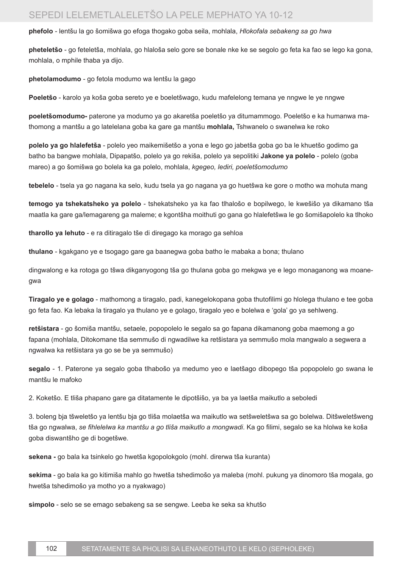**phefolo** - lentšu la go šomišwa go efoga thogako goba seila, mohlala, *Hlokofala sebakeng sa go hwa*

**pheteletšo** - go feteletša, mohlala, go hlaloša selo gore se bonale nke ke se segolo go feta ka fao se lego ka gona, mohlala, o mphile thaba ya dijo.

**phetolamodumo** - go fetola modumo wa lentšu la gago

**Poeletšo** - karolo ya koša goba sereto ye e boeletšwago, kudu mafelelong temana ye nngwe le ye nngwe

**poeletšomodumo-** paterone ya modumo ya go akaretša poeletšo ya ditumammogo. Poeletšo e ka humanwa mathomong a mantšu a go latelelana goba ka gare ga mantšu **mohlala,** Tshwanelo o swanelwa ke roko

**polelo ya go hlalefetša** - polelo yeo maikemišetšo a yona e lego go jabetša goba go ba le khuetšo godimo ga batho ba bangwe mohlala, Dipapatšo, polelo ya go rekiša, polelo ya sepolitiki **Jakone ya polelo** - polelo (goba mareo) a go šomišwa go bolela ka ga polelo, mohlala, *kgegeo, lediri, poeletšomodumo*

**tebelelo** - tsela ya go nagana ka selo, kudu tsela ya go nagana ya go huetšwa ke gore o motho wa mohuta mang

**temogo ya tshekatsheko ya polelo** - tshekatsheko ya ka fao tlhalošo e bopilwego, le kwešišo ya dikamano tša maatla ka gare ga/lemagareng ga maleme; e kgontšha moithuti go gana go hlalefetšwa le go šomišapolelo ka tlhoko

**tharollo ya lehuto** - e ra ditiragalo tše di diregago ka morago ga sehloa

**thulano** - kgakgano ye e tsogago gare ga baanegwa goba batho le mabaka a bona; thulano

dingwalong e ka rotoga go tšwa dikganyogong tša go thulana goba go mekgwa ye e lego monaganong wa moanegwa

**Tiragalo ye e golago** - mathomong a tiragalo, padi, kanegelokopana goba thutofilimi go hlolega thulano e tee goba go feta fao. Ka lebaka la tiragalo ya thulano ye e golago, tiragalo yeo e bolelwa e 'gola' go ya sehlweng.

**retšistara** - go šomiša mantšu, setaele, popopolelo le segalo sa go fapana dikamanong goba maemong a go fapana (mohlala, Ditokomane tša semmušo di ngwadilwe ka retšistara ya semmušo mola mangwalo a segwera a ngwalwa ka retšistara ya go se be ya semmušo)

**segalo** - 1. Paterone ya segalo goba tlhabošo ya medumo yeo e laetšago dibopego tša popopolelo go swana le mantšu le mafoko

2. Koketšo. E tliša phapano gare ga ditatamente le dipotšišo, ya ba ya laetša maikutlo a seboledi

3. boleng bja tšweletšo ya lentšu bja go tliša molaetša wa maikutlo wa setšweletšwa sa go bolelwa. Ditšweletšweng tša go ngwalwa, *se fihlelelwa ka mantšu a go tliša maikutlo a mongwadi*. Ka go filimi, segalo se ka hlolwa ke koša goba diswantšho ge di bogetšwe.

**sekena -** go bala ka tsinkelo go hwetša kgopolokgolo (mohl. direrwa tša kuranta)

**sekima** - go bala ka go kitimiša mahlo go hwetša tshedimošo ya maleba (mohl. pukung ya dinomoro tša mogala, go hwetša tshedimošo ya motho yo a nyakwago)

**simpolo** - selo se se emago sebakeng sa se sengwe. Leeba ke seka sa khutšo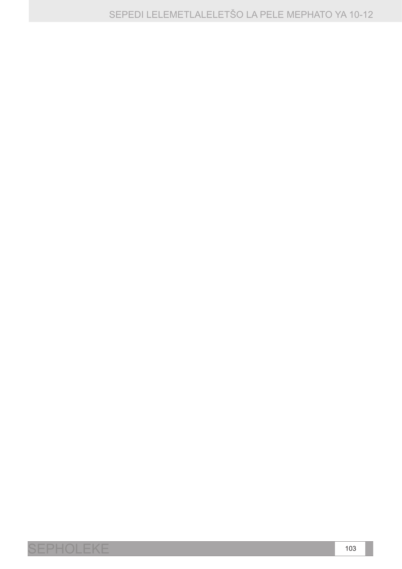# EPHOLEKE 103